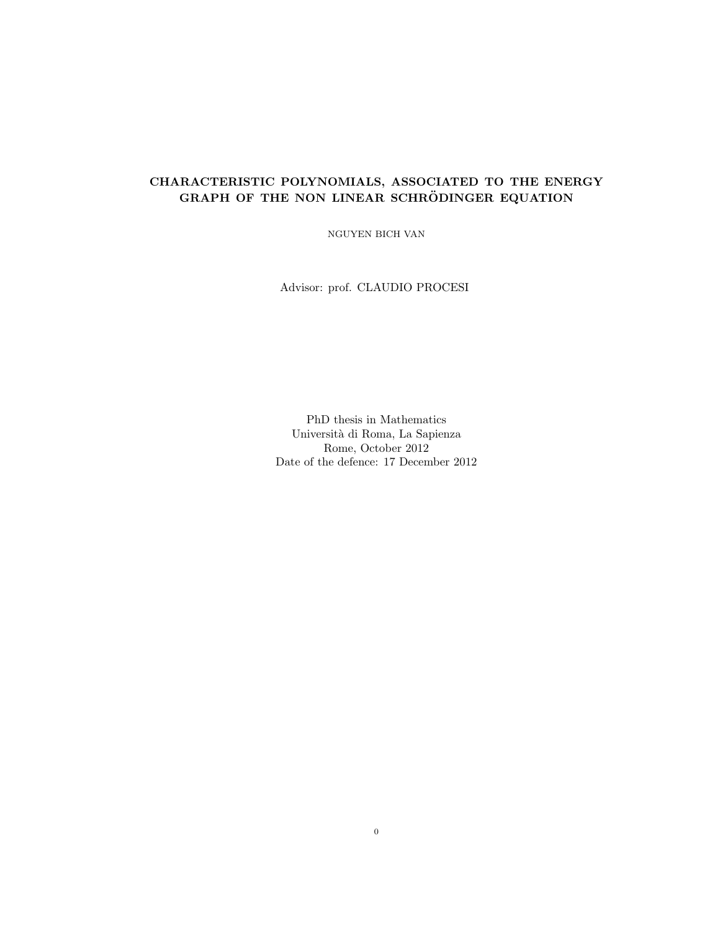# CHARACTERISTIC POLYNOMIALS, ASSOCIATED TO THE ENERGY GRAPH OF THE NON LINEAR SCHRÖDINGER EQUATION

NGUYEN BICH VAN

Advisor: prof. CLAUDIO PROCESI

PhD thesis in Mathematics Universit`a di Roma, La Sapienza Rome, October 2012 Date of the defence: 17 December 2012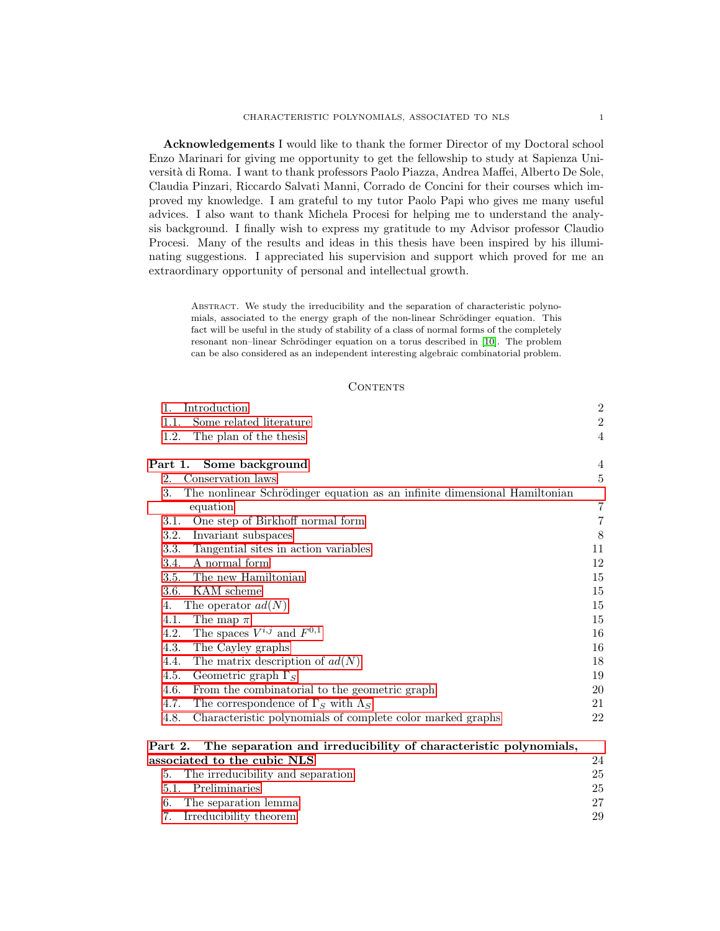Acknowledgements I would like to thank the former Director of my Doctoral school Enzo Marinari for giving me opportunity to get the fellowship to study at Sapienza Università di Roma. I want to thank professors Paolo Piazza, Andrea Maffei, Alberto De Sole, Claudia Pinzari, Riccardo Salvati Manni, Corrado de Concini for their courses which improved my knowledge. I am grateful to my tutor Paolo Papi who gives me many useful advices. I also want to thank Michela Procesi for helping me to understand the analysis background. I finally wish to express my gratitude to my Advisor professor Claudio Procesi. Many of the results and ideas in this thesis have been inspired by his illuminating suggestions. I appreciated his supervision and support which proved for me an extraordinary opportunity of personal and intellectual growth.

ABSTRACT. We study the irreducibility and the separation of characteristic polynomials, associated to the energy graph of the non-linear Schrödinger equation. This fact will be useful in the study of stability of a class of normal forms of the completely resonant non–linear Schrödinger equation on a torus described in [\[10\]](#page-72-0). The problem can be also considered as an independent interesting algebraic combinatorial problem.

#### **CONTENTS**

| Introduction<br>1.                                                              | $\boldsymbol{2}$ |
|---------------------------------------------------------------------------------|------------------|
| Some related literature<br>1.1.                                                 | $\sqrt{2}$       |
| 1.2.<br>The plan of the thesis                                                  | 4                |
| Part 1. Some background                                                         | 4                |
| Conservation laws<br>2.                                                         | $\bf 5$          |
| 3.<br>The nonlinear Schrödinger equation as an infinite dimensional Hamiltonian |                  |
| equation                                                                        | 7                |
| One step of Birkhoff normal form<br>3.1.                                        | $\overline{7}$   |
| 3.2.<br>Invariant subspaces                                                     | 8                |
| Tangential sites in action variables<br>3.3.                                    | 11               |
| 3.4.<br>A normal form                                                           | 12               |
| The new Hamiltonian<br>3.5.                                                     | 15               |
| 3.6. KAM scheme                                                                 | 15               |
| The operator $ad(N)$<br>4.                                                      | 15               |
| The map $\pi$<br>4.1.                                                           | 15               |
| The spaces $V^{i,j}$ and $F^{0,1}$<br>4.2.                                      | 16               |
| 4.3.<br>The Cayley graphs                                                       | 16               |
| 4.4.<br>The matrix description of $ad(N)$                                       | 18               |
| Geometric graph $\Gamma_S$<br>4.5.                                              | 19               |
| 4.6.<br>From the combinatorial to the geometric graph                           | 20               |
| 4.7.<br>The correspondence of $\Gamma_S$ with $\Lambda_S$                       | 21               |
| 4.8.<br>Characteristic polynomials of complete color marked graphs              | 22               |
| The separation and irreducibility of characteristic polynomials,<br>Part 2.     |                  |
|                                                                                 |                  |

| associated to the cubic NLS          | 24 |
|--------------------------------------|----|
| 5. The irreducibility and separation | 25 |
| 5.1. Preliminaries                   | 25 |
| 6. The separation lemma              | 27 |
| 7. Irreducibility theorem            | 29 |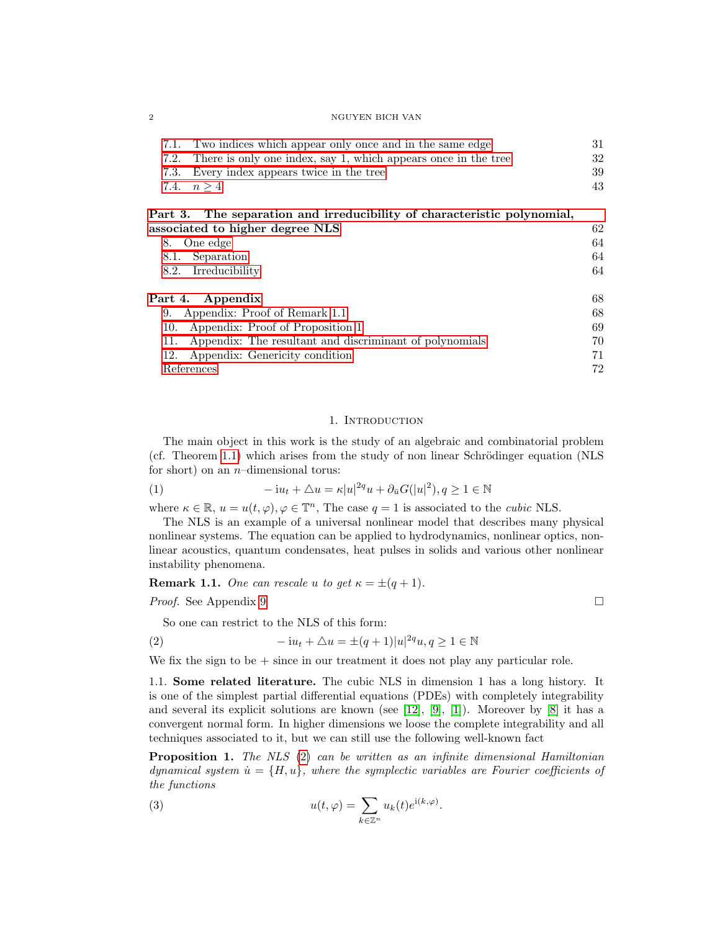| 7.1. Two indices which appear only once and in the same edge        | 31 |
|---------------------------------------------------------------------|----|
| 7.2. There is only one index, say 1, which appears once in the tree | 32 |
| 7.3. Every index appears twice in the tree                          | 39 |
| 7.4. $n > 4$                                                        | 43 |
|                                                                     |    |

# [Part 3. The separation and irreducibility of characteristic polynomial,](#page-62-0) [associated to higher degree NLS](#page-62-0) 62 [8. One edge](#page-64-0)  $64$ [8.1. Separation](#page-64-1) 64 [8.2. Irreducibility](#page-64-2) 64 [Part 4. Appendix](#page-68-0) 68 [9. Appendix: Proof of Remark 1.1](#page-68-1) 68 [10. Appendix: Proof of Proposition 1](#page-69-0) 69 [11. Appendix: The resultant and discriminant of polynomials](#page-70-0) 70 [12. Appendix: Genericity condition](#page-71-0) 71

[References](#page-72-1) 72

#### <span id="page-2-5"></span>1. Introduction

<span id="page-2-0"></span>The main object in this work is the study of an algebraic and combinatorial problem (cf. Theorem [1.1\)](#page-4-2) which arises from the study of non linear Schrödinger equation ( $NLS$ ) for short) on an  $n$ –dimensional torus:

(1) 
$$
-i u_t + \Delta u = \kappa |u|^{2q} u + \partial_{\bar{u}} G(|u|^2), q \ge 1 \in \mathbb{N}
$$

where  $\kappa \in \mathbb{R}$ ,  $u = u(t, \varphi), \varphi \in \mathbb{T}^n$ , The case  $q = 1$  is associated to the *cubic* NLS.

The NLS is an example of a universal nonlinear model that describes many physical nonlinear systems. The equation can be applied to hydrodynamics, nonlinear optics, nonlinear acoustics, quantum condensates, heat pulses in solids and various other nonlinear instability phenomena.

<span id="page-2-2"></span>**Remark 1.1.** One can rescale u to get  $\kappa = \pm (q + 1)$ .

*Proof.* See Appendix [9](#page-68-1) □

<span id="page-2-4"></span>So one can restrict to the NLS of this form:

(2) 
$$
-iu_t + \Delta u = \pm (q+1)|u|^{2q}u, q \ge 1 \in \mathbb{N}
$$

We fix the sign to be  $+$  since in our treatment it does not play any particular role.

<span id="page-2-1"></span>1.1. Some related literature. The cubic NLS in dimension 1 has a long history. It is one of the simplest partial differential equations (PDEs) with completely integrability and several its explicit solutions are known (see  $[12]$ ,  $[9]$ ,  $[1]$ ). Moreover by  $[8]$  it has a convergent normal form. In higher dimensions we loose the complete integrability and all techniques associated to it, but we can still use the following well-known fact

<span id="page-2-3"></span>Proposition 1. The NLS [\(2\)](#page-2-4) can be written as an infinite dimensional Hamiltonian dynamical system  $\dot{u} = \{H, u\}$ , where the symplectic variables are Fourier coefficients of the functions

(3) 
$$
u(t,\varphi) = \sum_{k \in \mathbb{Z}^n} u_k(t)e^{i(k,\varphi)}.
$$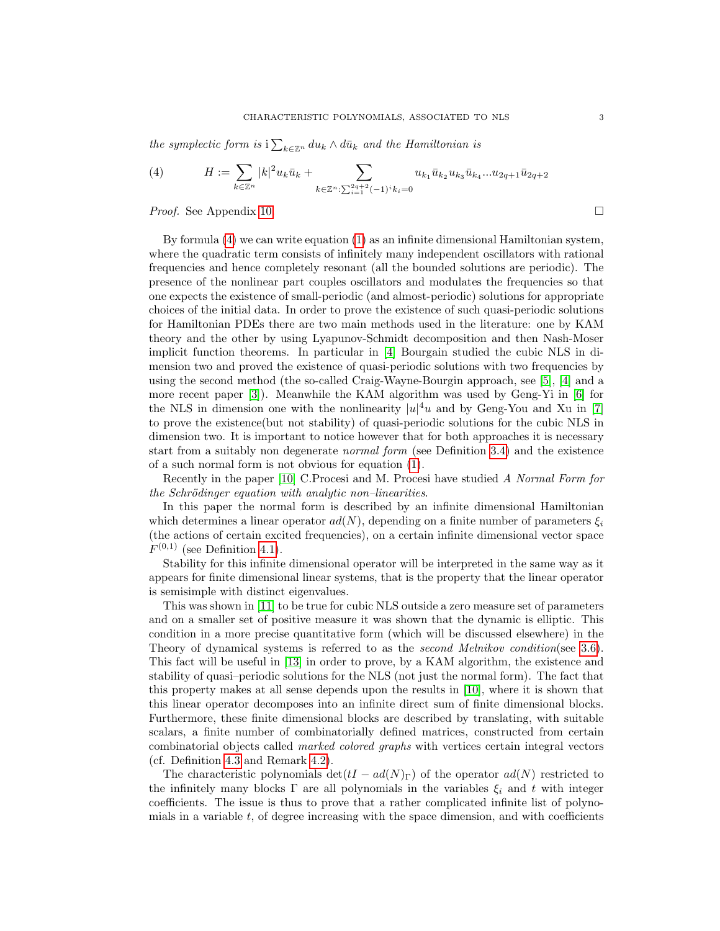the symplectic form is  $i\sum_{k\in\mathbb{Z}^n} du_k \wedge d\bar{u}_k$  and the Hamiltonian is

<span id="page-3-0"></span>(4) 
$$
H := \sum_{k \in \mathbb{Z}^n} |k|^2 u_k \bar{u}_k + \sum_{k \in \mathbb{Z}^n : \sum_{i=1}^{2q+2} (-1)^i k_i = 0} u_{k_1} \bar{u}_{k_2} u_{k_3} \bar{u}_{k_4} ... u_{2q+1} \bar{u}_{2q+2}
$$

*Proof.* See Appendix [10.](#page-69-0) □

By formula [\(4\)](#page-3-0) we can write equation [\(1\)](#page-2-5) as an infinite dimensional Hamiltonian system, where the quadratic term consists of infinitely many independent oscillators with rational frequencies and hence completely resonant (all the bounded solutions are periodic). The presence of the nonlinear part couples oscillators and modulates the frequencies so that one expects the existence of small-periodic (and almost-periodic) solutions for appropriate choices of the initial data. In order to prove the existence of such quasi-periodic solutions for Hamiltonian PDEs there are two main methods used in the literature: one by KAM theory and the other by using Lyapunov-Schmidt decomposition and then Nash-Moser implicit function theorems. In particular in [\[4\]](#page-72-6) Bourgain studied the cubic NLS in dimension two and proved the existence of quasi-periodic solutions with two frequencies by using the second method (the so-called Craig-Wayne-Bourgin approach, see [\[5\]](#page-72-7), [\[4\]](#page-72-6) and a more recent paper [\[3\]](#page-72-8)). Meanwhile the KAM algorithm was used by Geng-Yi in [\[6\]](#page-72-9) for the NLS in dimension one with the nonlinearity  $|u|^4u$  and by Geng-You and Xu in [\[7\]](#page-72-10) to prove the existence(but not stability) of quasi-periodic solutions for the cubic NLS in dimension two. It is important to notice however that for both approaches it is necessary start from a suitably non degenerate normal form (see Definition [3.4\)](#page-12-1) and the existence of a such normal form is not obvious for equation [\(1\)](#page-2-5).

Recently in the paper [\[10\]](#page-72-0) C.Procesi and M. Procesi have studied A Normal Form for  $the Schrödinger equation with analytic non-linearities.$ 

In this paper the normal form is described by an infinite dimensional Hamiltonian which determines a linear operator  $ad(N)$ , depending on a finite number of parameters  $\xi_i$ (the actions of certain excited frequencies), on a certain infinite dimensional vector space  $F^{(0,1)}$  (see Definition [4.1\)](#page-15-4).

Stability for this infinite dimensional operator will be interpreted in the same way as it appears for finite dimensional linear systems, that is the property that the linear operator is semisimple with distinct eigenvalues.

This was shown in [\[11\]](#page-72-11) to be true for cubic NLS outside a zero measure set of parameters and on a smaller set of positive measure it was shown that the dynamic is elliptic. This condition in a more precise quantitative form (which will be discussed elsewhere) in the Theory of dynamical systems is referred to as the *second Melnikov condition*(see [3.6\)](#page-15-1). This fact will be useful in [\[13\]](#page-72-12) in order to prove, by a KAM algorithm, the existence and stability of quasi–periodic solutions for the NLS (not just the normal form). The fact that this property makes at all sense depends upon the results in [\[10\]](#page-72-0), where it is shown that this linear operator decomposes into an infinite direct sum of finite dimensional blocks. Furthermore, these finite dimensional blocks are described by translating, with suitable scalars, a finite number of combinatorially defined matrices, constructed from certain combinatorial objects called marked colored graphs with vertices certain integral vectors (cf. Definition [4.3](#page-16-2) and Remark [4.2\)](#page-17-0).

The characteristic polynomials det( $tI - ad(N)_{\Gamma}$ ) of the operator  $ad(N)$  restricted to the infinitely many blocks  $\Gamma$  are all polynomials in the variables  $\xi_i$  and t with integer coefficients. The issue is thus to prove that a rather complicated infinite list of polynomials in a variable  $t$ , of degree increasing with the space dimension, and with coefficients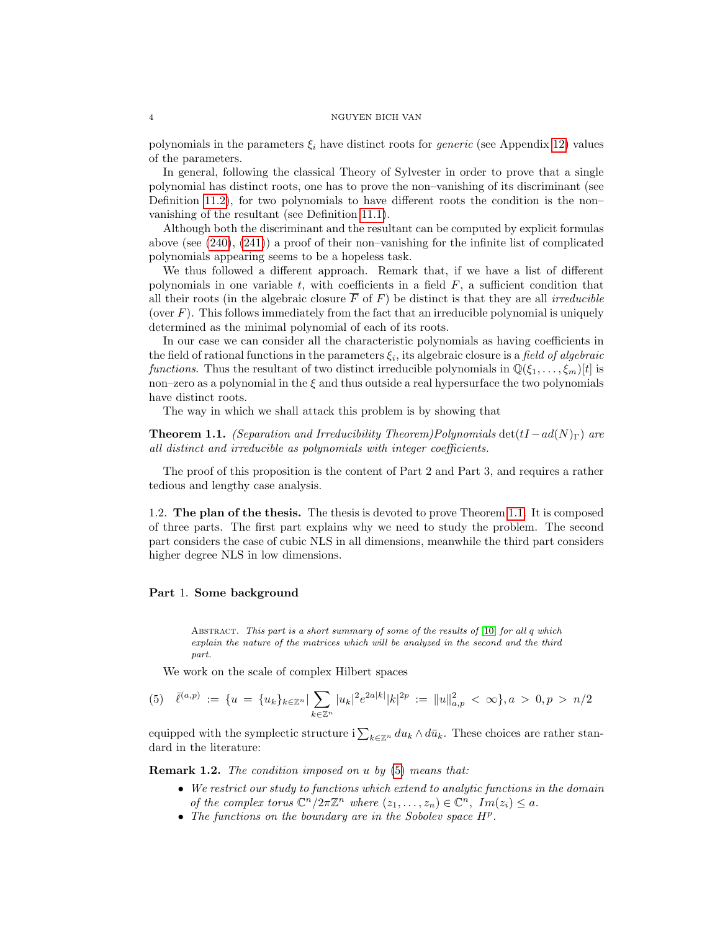polynomials in the parameters  $\xi_i$  have distinct roots for *generic* (see Appendix [12\)](#page-71-0) values of the parameters.

In general, following the classical Theory of Sylvester in order to prove that a single polynomial has distinct roots, one has to prove the non–vanishing of its discriminant (see Definition [11.2\)](#page-70-1), for two polynomials to have different roots the condition is the non– vanishing of the resultant (see Definition [11.1\)](#page-70-2).

Although both the discriminant and the resultant can be computed by explicit formulas above (see  $(240)$ ,  $(241)$ ) a proof of their non–vanishing for the infinite list of complicated polynomials appearing seems to be a hopeless task.

We thus followed a different approach. Remark that, if we have a list of different polynomials in one variable  $t$ , with coefficients in a field  $F$ , a sufficient condition that all their roots (in the algebraic closure  $\overline{F}$  of F) be distinct is that they are all *irreducible* (over  $F$ ). This follows immediately from the fact that an irreducible polynomial is uniquely determined as the minimal polynomial of each of its roots.

In our case we can consider all the characteristic polynomials as having coefficients in the field of rational functions in the parameters  $\xi_i$ , its algebraic closure is a *field of algebraic* functions. Thus the resultant of two distinct irreducible polynomials in  $\mathbb{Q}(\xi_1, \ldots, \xi_m)[t]$  is non–zero as a polynomial in the  $\xi$  and thus outside a real hypersurface the two polynomials have distinct roots.

The way in which we shall attack this problem is by showing that

<span id="page-4-2"></span>**Theorem 1.1.** (Separation and Irreducibility Theorem)Polynomials  $\det(I - ad(N)_{\Gamma})$  are all distinct and irreducible as polynomials with integer coefficients.

The proof of this proposition is the content of Part 2 and Part 3, and requires a rather tedious and lengthy case analysis.

<span id="page-4-0"></span>1.2. The plan of the thesis. The thesis is devoted to prove Theorem [1.1.](#page-4-2) It is composed of three parts. The first part explains why we need to study the problem. The second part considers the case of cubic NLS in all dimensions, meanwhile the third part considers higher degree NLS in low dimensions.

## <span id="page-4-1"></span>Part 1. Some background

ABSTRACT. This part is a short summary of some of the results of  $[10]$  for all q which explain the nature of the matrices which will be analyzed in the second and the third part.

We work on the scale of complex Hilbert spaces

<span id="page-4-3"></span>
$$
(5) \quad \bar{\ell}^{(a,p)} := \{ u = \{ u_k \}_{k \in \mathbb{Z}^n} | \sum_{k \in \mathbb{Z}^n} |u_k|^2 e^{2a|k|} |k|^{2p} := ||u||_{a,p}^2 < \infty \}, a > 0, p > n/2
$$

equipped with the symplectic structure  $i \sum_{k \in \mathbb{Z}^n} du_k \wedge d\bar{u}_k$ . These choices are rather standard in the literature:

Remark 1.2. The condition imposed on u by [\(5\)](#page-4-3) means that:

- We restrict our study to functions which extend to analytic functions in the domain of the complex torus  $\mathbb{C}^n/2\pi\mathbb{Z}^n$  where  $(z_1,\ldots,z_n)\in\mathbb{C}^n$ ,  $Im(z_i)\leq a$ .
- The functions on the boundary are in the Sobolev space  $H<sup>p</sup>$ .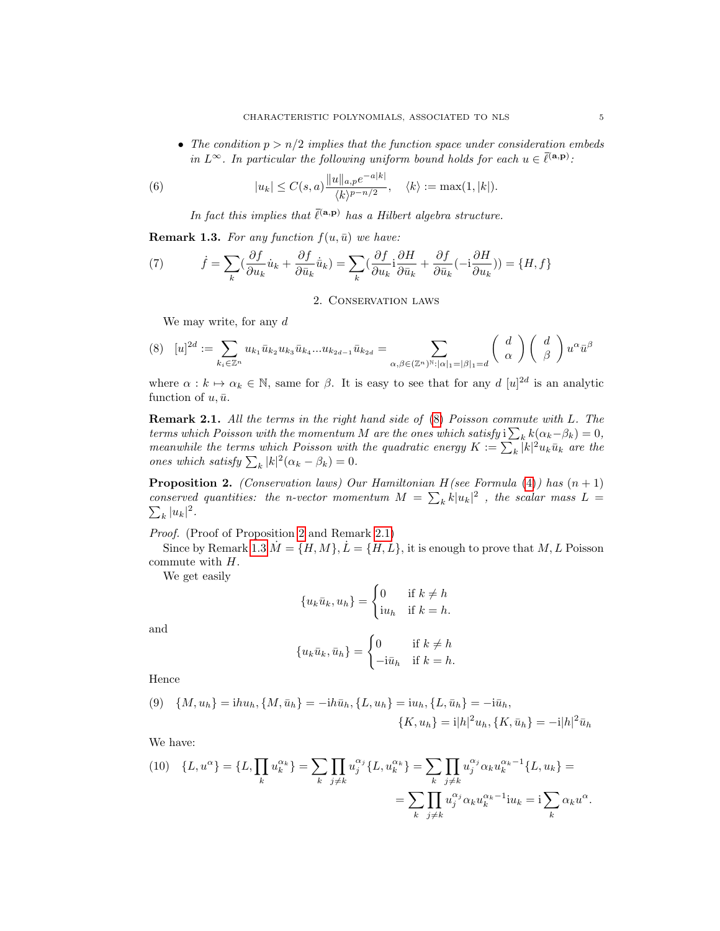• The condition  $p > n/2$  implies that the function space under consideration embeds in  $L^{\infty}$ . In particular the following uniform bound holds for each  $u \in \overline{\ell}^{(\mathbf{a},\mathbf{p})}$ :

(6) 
$$
|u_k| \le C(s, a) \frac{\|u\|_{a, p} e^{-a|k|}}{\langle k \rangle^{p - n/2}}, \quad \langle k \rangle := \max(1, |k|).
$$

In fact this implies that  $\bar{\ell}^{(a,p)}$  has a Hilbert algebra structure.

<span id="page-5-4"></span>**Remark 1.3.** For any function  $f(u, \bar{u})$  we have:

(7) 
$$
\dot{f} = \sum_{k} \left( \frac{\partial f}{\partial u_k} \dot{u}_k + \frac{\partial f}{\partial \bar{u}_k} \dot{\bar{u}}_k \right) = \sum_{k} \left( \frac{\partial f}{\partial u_k} \dot{i} \frac{\partial H}{\partial \bar{u}_k} + \frac{\partial f}{\partial \bar{u}_k} (-\dot{i} \frac{\partial H}{\partial u_k}) \right) = \{H, f\}
$$

2. Conservation laws

<span id="page-5-1"></span><span id="page-5-0"></span>We may write, for any  $d$ 

$$
(8) \quad [u]^{2d} := \sum_{k_i \in \mathbb{Z}^n} u_{k_1} \bar{u}_{k_2} u_{k_3} \bar{u}_{k_4} \dots u_{k_{2d-1}} \bar{u}_{k_{2d}} = \sum_{\alpha, \beta \in (\mathbb{Z}^n)^{\mathbb{N}} : |\alpha|_1 = |\beta|_1 = d} \binom{d}{\alpha} \binom{d}{\beta} u^{\alpha} \bar{u}^{\beta}
$$

where  $\alpha : k \mapsto \alpha_k \in \mathbb{N}$ , same for  $\beta$ . It is easy to see that for any d  $[u]^{2d}$  is an analytic function of  $u, \bar{u}.$ 

<span id="page-5-3"></span>Remark 2.1. All the terms in the right hand side of [\(8\)](#page-5-1) Poisson commute with L. The terms which Poisson with the momentum M are the ones which satisfy  $i\sum_k k(\alpha_k-\beta_k)=0$ , meanwhile the terms which Poisson with the quadratic energy  $K := \sum_{k} |k|^2 u_k \bar{u}_k$  are the ones which satisfy  $\sum_{k} |k|^2 (\alpha_k - \beta_k) = 0.$ 

<span id="page-5-2"></span>**Proposition 2.** (Conservation laws) Our Hamiltonian  $H$ (see Formula [\(4\)](#page-3-0)) has  $(n + 1)$ conserved quantities: the n-vector momentum  $M = \sum_k k|u_k|^2$ , the scalar mass  $L =$  $\sum_{k} |u_k|^2$ .

Proof. (Proof of Proposition [2](#page-5-2) and Remark [2.1\)](#page-5-3)

Since by Remark [1.3](#page-5-4)  $\dot{M} = \{H, M\}, \dot{L} = \{H, L\}$ , it is enough to prove that  $M, L$  Poisson commute with H.

We get easily

$$
\{u_k\bar{u}_k, u_h\} = \begin{cases} 0 & \text{if } k \neq h \\ \mathrm{i}u_h & \text{if } k = h. \end{cases}
$$

and

$$
\{u_k\bar{u}_k,\bar{u}_h\} = \begin{cases} 0 & \text{if } k \neq h \\ -\mathrm{i}\bar{u}_h & \text{if } k = h. \end{cases}
$$

Hence

(9) 
$$
\{M, u_h\} = ihu_h, \{M, \bar{u}_h\} = -ih\bar{u}_h, \{L, u_h\} = iu_h, \{L, \bar{u}_h\} = -i\bar{u}_h, \{K, u_h\} = i|h|^2 u_h, \{K, \bar{u}_h\} = -i|h|^2 \bar{u}_h
$$

We have:

<span id="page-5-5"></span>(10) 
$$
\{L, u^{\alpha}\} = \{L, \prod_{k} u_{k}^{\alpha_{k}}\} = \sum_{k} \prod_{j \neq k} u_{j}^{\alpha_{j}} \{L, u_{k}^{\alpha_{k}}\} = \sum_{k} \prod_{j \neq k} u_{j}^{\alpha_{j}} \alpha_{k} u_{k}^{\alpha_{k}-1} \{L, u_{k}\} = \sum_{k} \prod_{j \neq k} u_{j}^{\alpha_{j}} \alpha_{k} u_{k}^{\alpha_{k}-1} \text{in}_{k} = \sum_{k} \alpha_{k} u^{\alpha}.
$$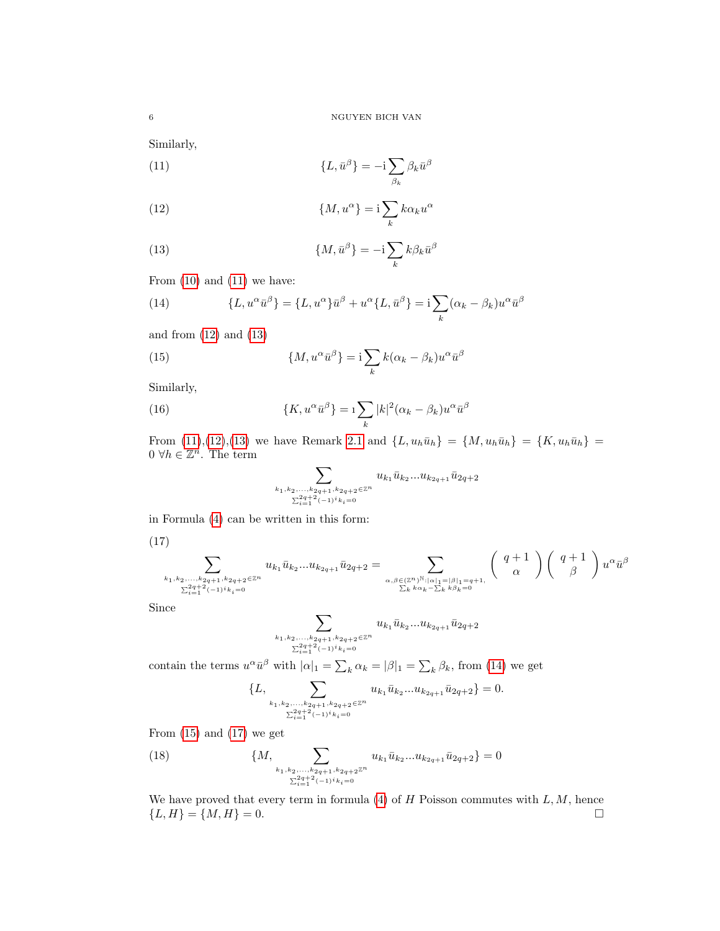<span id="page-6-0"></span>Similarly,

(11) 
$$
\{L, \bar{u}^{\beta}\} = -i \sum_{\beta_k} \beta_k \bar{u}^{\beta}
$$

<span id="page-6-1"></span>(12) 
$$
\{M, u^{\alpha}\} = i \sum_{k} k \alpha_{k} u^{\alpha}
$$

<span id="page-6-2"></span>(13) 
$$
\{M, \bar{u}^{\beta}\} = -\mathrm{i} \sum_{k} k \beta_k \bar{u}^{\beta}
$$

From  $(10)$  and  $(11)$  we have:

<span id="page-6-3"></span>(14) 
$$
\{L, u^{\alpha}\bar{u}^{\beta}\} = \{L, u^{\alpha}\}\bar{u}^{\beta} + u^{\alpha}\{L, \bar{u}^{\beta}\} = \mathbf{i}\sum_{k}(\alpha_{k} - \beta_{k})u^{\alpha}\bar{u}^{\beta}
$$

and from [\(12\)](#page-6-1) and [\(13\)](#page-6-2)

(15) 
$$
\{M, u^{\alpha}\bar{u}^{\beta}\} = i \sum_{k} k(\alpha_k - \beta_k)u^{\alpha}\bar{u}^{\beta}
$$

Similarly,

(16) 
$$
\{K, u^{\alpha}\bar{u}^{\beta}\} = 1 \sum_{k} |k|^2 (\alpha_k - \beta_k) u^{\alpha}\bar{u}^{\beta}
$$

From [\(11\)](#page-6-0),[\(12\)](#page-6-1),[\(13\)](#page-6-2) we have Remark [2.1](#page-5-3) and  $\{L, u_h\bar{u}_h\} = \{M, u_h\bar{u}_h\} = \{K, u_h\bar{u}_h\}$  $0 \ \forall h \in \mathbb{Z}^n$ . The term

<span id="page-6-6"></span><span id="page-6-4"></span>
$$
\sum_{k_1,k_2,...,k_{2q+1},k_{2q+2}\in\mathbb{Z}^n \atop \sum_{i=1}^{2q+2} (-1)^i k_i=0} u_{k_1} \bar{u}_{k_2}...u_{k_{2q+1}} \bar{u}_{2q+2}
$$

in Formula [\(4\)](#page-3-0) can be written in this form:

<span id="page-6-5"></span>(17)

$$
\sum_{\substack{k_1, k_2, \ldots, k_{2q+1}, k_{2q+2} \in \mathbb{Z}^n \\ \sum_{i=1}^{2q+2} (-1)^i k_i = 0}} u_{k_1} \bar{u}_{k_2} \ldots u_{k_{2q+1}} \bar{u}_{2q+2} = \sum_{\substack{\alpha, \beta \in (\mathbb{Z}^n)^{\mathbb{N}} : |\alpha|_1 = |\beta|_1 = q+1, \\ \sum_k k \alpha_k - \sum_k k \beta_k = 0}} \left( \begin{array}{c} q+1 \\ \alpha \end{array} \right) \left( \begin{array}{c} q+1 \\ \beta \end{array} \right) u^{\alpha} \bar{u}^{\beta}
$$

Since

$$
\sum_{k_1,k_2,...,k_{2q+1},k_{2q+2}\in\mathbb{Z}^n \atop \sum_{i=1}^{2q+2} (-1)^i k_i=0} u_{k_1} \bar{u}_{k_2}...u_{k_{2q+1}} \bar{u}_{2q+2}
$$

contain the terms  $u^{\alpha} \bar{u}^{\beta}$  with  $|\alpha|_1 = \sum_k \alpha_k = |\beta|_1 = \sum_k \beta_k$ , from [\(14\)](#page-6-3) we get

$$
\{L, \sum_{\substack{k_1, k_2, \ldots, k_{2q+1}, k_{2q+2} \in \mathbb{Z}^n \\ \sum_{i=1}^{2q+2} (-1)^i k_i = 0}} u_{k_1} \bar{u}_{k_2} \ldots u_{k_{2q+1}} \bar{u}_{2q+2} \} = 0.
$$

From  $(15)$  and  $(17)$  we get

(18) 
$$
\{M, \sum_{\substack{k_1,k_2,\ldots,k_{2q+1},k_{2q+2}\mathbb{Z}^n \\ \sum_{i=1}^{2q+2}(-1)^i k_i=0}} u_{k_1} \bar{u}_{k_2}...u_{k_{2q+1}} \bar{u}_{2q+2}\} = 0
$$

We have proved that every term in formula  $(4)$  of  $H$  Poisson commutes with  $L, M$ , hence  ${L, H} = {M, H} = 0.$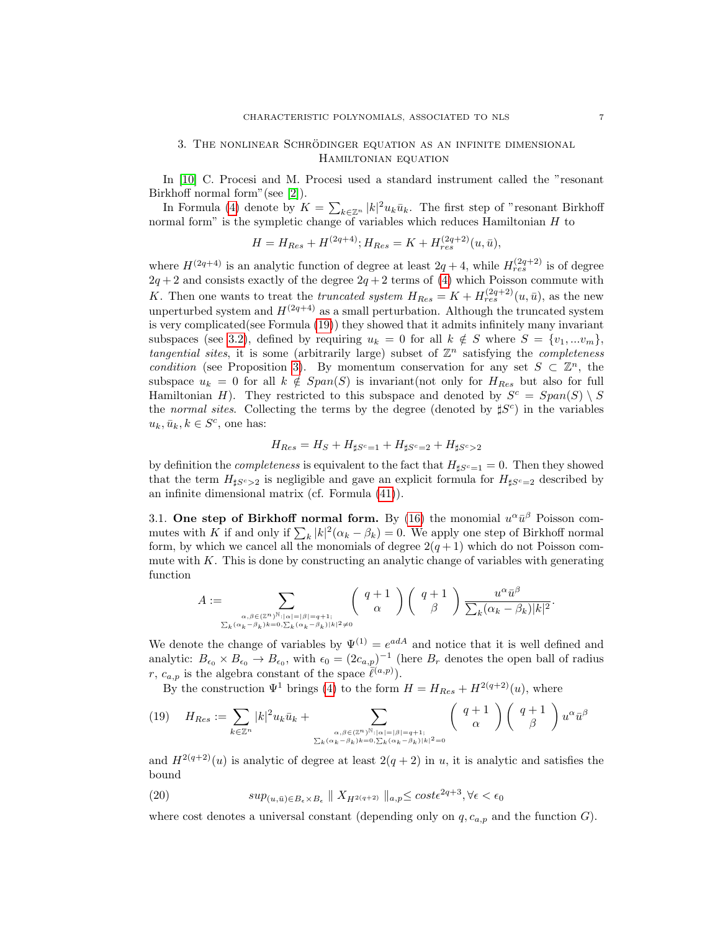## <span id="page-7-0"></span>3. THE NONLINEAR SCHRÖDINGER EQUATION AS AN INFINITE DIMENSIONAL Hamiltonian equation

In [\[10\]](#page-72-0) C. Procesi and M. Procesi used a standard instrument called the "resonant Birkhoff normal form"(see [\[2\]](#page-72-13)).

In Formula [\(4\)](#page-3-0) denote by  $K = \sum_{k \in \mathbb{Z}^n} |k|^2 u_k \bar{u}_k$ . The first step of "resonant Birkhoff normal form" is the sympletic change of variables which reduces Hamiltonian  $H$  to

$$
H = H_{Res} + H^{(2q+4)}; H_{Res} = K + H_{res}^{(2q+2)}(u, \bar{u}),
$$

where  $H^{(2q+4)}$  is an analytic function of degree at least  $2q+4$ , while  $H_{res}^{(2q+2)}$  is of degree  $2q + 2$  and consists exactly of the degree  $2q + 2$  terms of [\(4\)](#page-3-0) which Poisson commute with K. Then one wants to treat the *truncated system*  $H_{Res} = K + H_{res}^{(2q+2)}(u, \bar{u})$ , as the new unperturbed system and  $H^{(2q+4)}$  as a small perturbation. Although the truncated system is very complicated(see Formula [\(19\)](#page-7-2)) they showed that it admits infinitely many invariant subspaces (see [3.2\)](#page-8-0), defined by requiring  $u_k = 0$  for all  $k \notin S$  where  $S = \{v_1, ... v_m\}$ , tangential sites, it is some (arbitrarily large) subset of  $\mathbb{Z}^n$  satisfying the completeness condition (see Proposition [3\)](#page-9-0). By momentum conservation for any set  $S \subset \mathbb{Z}^n$ , the subspace  $u_k = 0$  for all  $k \notin Span(S)$  is invariant(not only for  $H_{Res}$  but also for full Hamiltonian H). They restricted to this subspace and denoted by  $S^c = Span(S) \setminus S$ the normal sites. Collecting the terms by the degree (denoted by  $\sharp S^c$ ) in the variables  $u_k, \bar{u}_k, k \in S^c$ , one has:

$$
H_{Res} = H_S + H_{\sharp S^c=1} + H_{\sharp S^c=2} + H_{\sharp S^c>2}
$$

by definition the *completeness* is equivalent to the fact that  $H_{\sharp S^c=1} = 0$ . Then they showed that the term  $H_{\sharp S^c>2}$  is negligible and gave an explicit formula for  $H_{\sharp S^c=2}$  described by an infinite dimensional matrix (cf. Formula [\(41\)](#page-13-0)).

<span id="page-7-1"></span>3.1. One step of Birkhoff normal form. By [\(16\)](#page-6-6) the monomial  $u^{\alpha} \bar{u}^{\beta}$  Poisson commutes with K if and only if  $\sum_{k} |k|^2 (\alpha_k - \beta_k) = 0$ . We apply one step of Birkhoff normal form, by which we cancel all the monomials of degree  $2(q+1)$  which do not Poisson commute with  $K$ . This is done by constructing an analytic change of variables with generating function

$$
A:=\sum_{\substack{\alpha,\beta\in (\mathbb{Z}^n)^{\mathbb{N}}: |\alpha|=|\beta|=q+1;\\\sum_k(\alpha_k-\beta_k)k=0,\sum_k(\alpha_k-\beta_k)|k|^2\neq 0}}\left(\begin{array}{c}q+1\\\alpha\end{array}\right)\left(\begin{array}{c}q+1\\\beta\end{array}\right)\frac{u^\alpha\bar{u}^\beta}{\sum_k(\alpha_k-\beta_k)|k|^2}.
$$

We denote the change of variables by  $\Psi^{(1)} = e^{adA}$  and notice that it is well defined and analytic:  $B_{\epsilon_0} \times B_{\epsilon_0} \to B_{\epsilon_0}$ , with  $\epsilon_0 = (2c_{a,p})^{-1}$  (here  $B_r$  denotes the open ball of radius r,  $c_{a,p}$  is the algebra constant of the space  $\overline{\ell}^{(a,p)}$ ).

By the construction  $\Psi^1$  brings [\(4\)](#page-3-0) to the form  $H = H_{Res} + H^{2(q+2)}(u)$ , where

<span id="page-7-2"></span>
$$
(19) \quad H_{Res} := \sum_{k \in \mathbb{Z}^n} |k|^2 u_k \bar{u}_k + \sum_{\substack{\alpha, \beta \in (\mathbb{Z}^n)^{\mathbb{N}} : |\alpha| = |\beta| = q+1; \\ \sum_k (\alpha_k - \beta_k)k = 0, \sum_k (\alpha_k - \beta_k)|k|^2 = 0}} \left( \begin{array}{c} q+1 \\ \alpha \end{array} \right) \left( \begin{array}{c} q+1 \\ \beta \end{array} \right) u^{\alpha} \bar{u}^{\beta}
$$

and  $H^{2(q+2)}(u)$  is analytic of degree at least  $2(q+2)$  in u, it is analytic and satisfies the bound

(20) 
$$
sup_{(u,\bar{u})\in B_{\epsilon}\times B_{\epsilon}} \| X_{H^{2(q+2)}} \|_{a,p} \leq cost\epsilon^{2q+3}, \forall \epsilon < \epsilon_0
$$

where cost denotes a universal constant (depending only on  $q, c_{a,p}$  and the function G).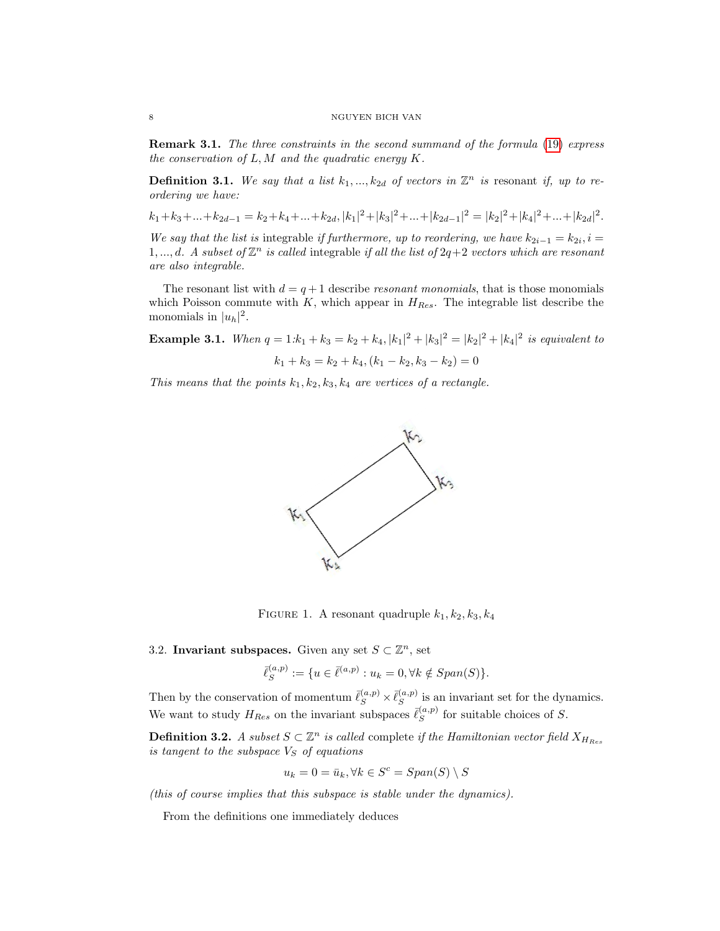**Remark 3.1.** The three constraints in the second summand of the formula [\(19\)](#page-7-2) express the conservation of  $L, M$  and the quadratic energy  $K$ .

**Definition 3.1.** We say that a list  $k_1, ..., k_{2d}$  of vectors in  $\mathbb{Z}^n$  is resonant if, up to reordering we have:

 $k_1 + k_3 + \ldots + k_{2d-1} = k_2 + k_4 + \ldots + k_{2d}, |k_1|^2 + |k_3|^2 + \ldots + |k_{2d-1}|^2 = |k_2|^2 + |k_4|^2 + \ldots + |k_{2d}|^2.$ 

We say that the list is integrable if furthermore, up to reordering, we have  $k_{2i-1} = k_{2i}, i =$ 1, ..., d. A subset of  $\mathbb{Z}^n$  is called integrable if all the list of  $2q+2$  vectors which are resonant are also integrable.

The resonant list with  $d = q + 1$  describe *resonant monomials*, that is those monomials which Poisson commute with  $K$ , which appear in  $H_{Res}$ . The integrable list describe the monomials in  $|u_h|^2$ .

**Example 3.1.** When  $q = 1:k_1 + k_3 = k_2 + k_4$ ,  $|k_1|^2 + |k_3|^2 = |k_2|^2 + |k_4|^2$  is equivalent to k<sup>1</sup> + k<sup>3</sup> = k<sup>2</sup> + k4,(k<sup>1</sup> − k2, k<sup>3</sup> − k2) = 0

$$
k_1 + k_3 = k_2 + k_4, (k_1 - k_2, k_3 - k_2) = 0
$$

This means that the points  $k_1, k_2, k_3, k_4$  are vertices of a rectangle.



FIGURE 1. A resonant quadruple  $k_1, k_2, k_3, k_4$ 

<span id="page-8-0"></span>3.2. Invariant subspaces. Given any set  $S \subset \mathbb{Z}^n$ , set

$$
\bar{\ell}_S^{(a,p)} := \{ u \in \bar{\ell}^{(a,p)} : u_k = 0, \forall k \notin Span(S) \}.
$$

Then by the conservation of momentum  $\bar{\ell}_{S}^{(a,p)} \times \bar{\ell}_{S}^{(a,p)}$  $s^{(a,p)}$  is an invariant set for the dynamics. We want to study  $H_{Res}$  on the invariant subspaces  $\bar{\ell}_{S}^{(a,p)}$  $S^{(a,p)}$  for suitable choices of S.

**Definition 3.2.** A subset  $S \subset \mathbb{Z}^n$  is called complete if the Hamiltonian vector field  $X_{H_{Res}}$ is tangent to the subspace  $V<sub>S</sub>$  of equations

$$
u_k = 0 = \bar{u}_k, \forall k \in S^c = Span(S) \setminus S
$$

(this of course implies that this subspace is stable under the dynamics).

From the definitions one immediately deduces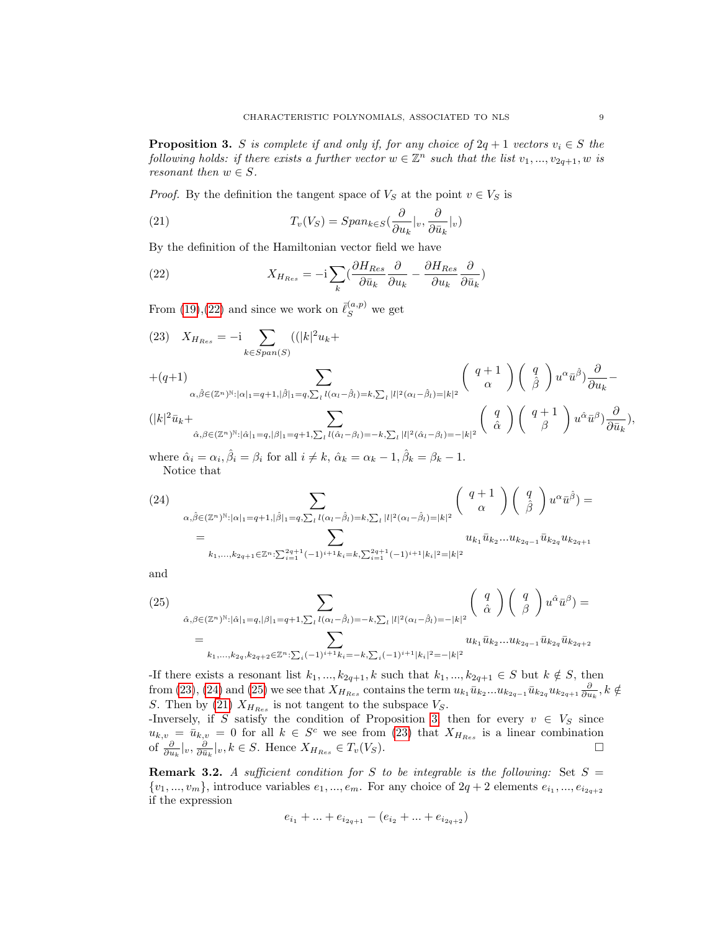<span id="page-9-0"></span>**Proposition 3.** S is complete if and only if, for any choice of  $2q + 1$  vectors  $v_i \in S$  the following holds: if there exists a further vector  $w \in \mathbb{Z}^n$  such that the list  $v_1, ..., v_{2q+1}, w$  is resonant then  $w \in S$ .

*Proof.* By the definition the tangent space of  $V<sub>S</sub>$  at the point  $v \in V<sub>S</sub>$  is

<span id="page-9-5"></span>(21) 
$$
T_v(V_S) = Span_{k \in S}(\frac{\partial}{\partial u_k}|_v, \frac{\partial}{\partial \bar{u}_k}|_v)
$$

By the definition of the Hamiltonian vector field we have

<span id="page-9-1"></span>(22) 
$$
X_{H_{Res}} = -\mathrm{i} \sum_{k} \left( \frac{\partial H_{Res}}{\partial \bar{u}_k} \frac{\partial}{\partial u_k} - \frac{\partial H_{Res}}{\partial u_k} \frac{\partial}{\partial \bar{u}_k} \right)
$$

From [\(19\)](#page-7-2), [\(22\)](#page-9-1) and since we work on  $\bar{\ell}_S^{(a,p)}$  we get

<span id="page-9-2"></span>(23) 
$$
X_{H_{Res}} = -i \sum_{k \in Span(S)} ((|k|^2 u_k +
$$

$$
+(q+1) \sum_{\alpha, \hat{\beta} \in (\mathbb{Z}^n)^{\mathbb{N}} : |\alpha|_1 = q+1, |\hat{\beta}|_1 = q, \sum_l l(\alpha_l - \hat{\beta}_l) = k, \sum_l |l|^2 (\alpha_l - \hat{\beta}_l) = |k|^2} \binom{q+1}{\alpha} \binom{q}{\hat{\beta}} u^{\alpha} \bar{u}^{\hat{\beta}} \frac{\partial}{\partial u_k} -
$$

$$
(|k|^2\bar{u}_k+\sum_{\hat{\alpha},\beta\in(\mathbb{Z}^n)^{\mathbb{N}}:|\hat{\alpha}|_1=q,|\beta|_1=q+1,\sum_{l}l(\hat{\alpha}_l-\beta_l)=-k,\sum_{l}|l|^2(\hat{\alpha}_l-\beta_l)=-|k|^2}\left(\begin{array}{c}q\\ \hat{\alpha}\end{array}\right)\left(\begin{array}{c}q+1\\ \hat{\beta}\end{array}\right)u^{\hat{\alpha}}\bar{u}^{\beta})\frac{\partial}{\partial\bar{u}_k},
$$

where  $\hat{\alpha}_i = \alpha_i$ ,  $\hat{\beta}_i = \beta_i$  for all  $i \neq k$ ,  $\hat{\alpha}_k = \alpha_k - 1$ ,  $\hat{\beta}_k = \beta_k - 1$ . Notice that

<span id="page-9-3"></span>(24)  
\n
$$
\sum_{\alpha,\hat{\beta}\in(\mathbb{Z}^n)^{\mathbb{N}}:\vert\alpha\vert_1=q+1,\vert\hat{\beta}\vert_1=q,\sum_{l}l(\alpha_l-\hat{\beta}_l)=k,\sum_{l}|l|^2(\alpha_l-\hat{\beta}_l)=\vert k\vert^2}\begin{pmatrix}q+1\\ \alpha\end{pmatrix}\begin{pmatrix}q\\ \hat{\beta}\end{pmatrix}u^{\alpha}\bar{u}^{\hat{\beta}}\end{pmatrix}=\n= \sum_{k_1,\ldots,k_{2q+1}\in\mathbb{Z}^n:\sum_{i=1}^{2q+1}(-1)^{i+1}k_i=k,\sum_{i=1}^{2q+1}(-1)^{i+1}\vert k_i\vert^2=\vert k\vert^2}u_{k_1}\bar{u}_{k_2}\ldots u_{k_{2q-1}}\bar{u}_{k_{2q}}u_{k_{2q+1}}
$$

and

<span id="page-9-4"></span>(25)  
\n
$$
\sum_{\hat{\alpha}, \beta \in (\mathbb{Z}^n)^{\mathbb{N}} : |\hat{\alpha}|_1 = q, |\beta|_1 = q+1, \sum_l l(\alpha_l - \hat{\beta}_l) = -k, \sum_l |l|^2 (\alpha_l - \hat{\beta}_l) = -|k|^2} \begin{pmatrix} q \\ \hat{\alpha} \end{pmatrix} \begin{pmatrix} q \\ \hat{\beta} \end{pmatrix} u^{\hat{\alpha}} \bar{u}^{\beta} =
$$
\n
$$
= u_{k_1, \dots, k_{2q}, k_{2q+2} \in \mathbb{Z}^n : \sum_i (-1)^{i+1} k_i = -k, \sum_i (-1)^{i+1} |k_i|^2 = -|k|^2} u_{k_1} \bar{u}_{k_2} \dots u_{k_{2q-1}} \bar{u}_{k_{2q}} \bar{u}_{k_{2q+2}}
$$

-If there exists a resonant list  $k_1, ..., k_{2q+1}, k$  such that  $k_1, ..., k_{2q+1} \in S$  but  $k \notin S$ , then from [\(23\)](#page-9-2), [\(24\)](#page-9-3) and [\(25\)](#page-9-4) we see that  $X_{H_{Res}}$  contains the term  $u_{k_1}\bar{u}_{k_2}...u_{k_{2q-1}}\bar{u}_{k_{2q}}u_{k_{2q+1}}\frac{\partial}{\partial u_k}, k \notin$ S. Then by [\(21\)](#page-9-5)  $X_{H_{Res}}$  is not tangent to the subspace  $V_S$ .

-Inversely, if S satisfy the condition of Proposition [3,](#page-9-0) then for every  $v \in V_S$  since  $u_{k,v} = \bar{u}_{k,v} = 0$  for all  $k \in S^c$  we see from [\(23\)](#page-9-2) that  $X_{H_{Res}}$  is a linear combination of  $\frac{\partial}{\partial u_k}|_v, \frac{\partial}{\partial \bar{u}_k}|_v, k \in S$ . Hence  $X_{H_{Res}} \in T_v(V_S)$ . □

<span id="page-9-6"></span>**Remark 3.2.** A sufficient condition for S to be integrable is the following: Set  $S =$  $\{v_1, ..., v_m\}$ , introduce variables  $e_1, ..., e_m$ . For any choice of  $2q + 2$  elements  $e_{i_1}, ..., e_{i_{2q+2}}$ if the expression

$$
e_{i_1} + \ldots + e_{i_{2q+1}} - (e_{i_2} + \ldots + e_{i_{2q+2}})
$$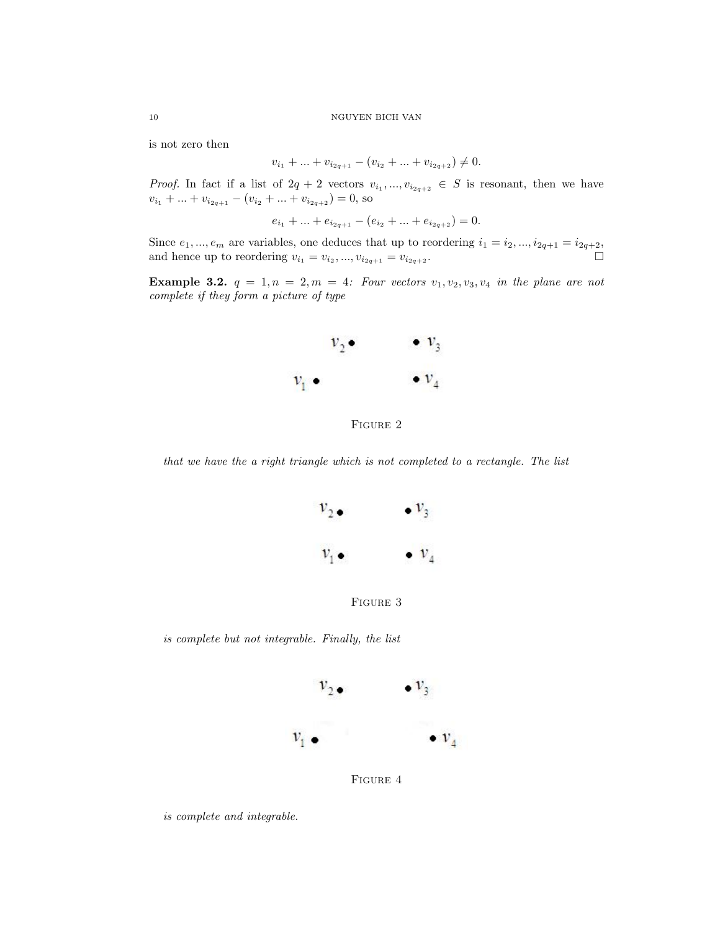is not zero then

$$
v_{i_1} + \ldots + v_{i_{2q+1}} - (v_{i_2} + \ldots + v_{i_{2q+2}}) \neq 0.
$$

*Proof.* In fact if a list of  $2q + 2$  vectors  $v_{i_1},...,v_{i_{2q+2}} \in S$  is resonant, then we have  $v_{i_1} + ... + v_{i_{2q+1}} - (v_{i_2} + ... + v_{i_{2q+2}}) = 0$ , so

$$
e_{i_1} + \ldots + e_{i_{2q+1}} - (e_{i_2} + \ldots + e_{i_{2q+2}}) = 0.
$$

Since  $e_1, ..., e_m$  are variables, one deduces that up to reordering  $i_1 = i_2, ..., i_{2q+1} = i_{2q+2}$ , and hence up to reordering  $v_{i_1} = v_{i_2}, ..., v_{i_{2q+1}} = v_{i_{2q+2}}$ .

Example 3.2.  $q = 1, n = 2, m = 4$ : Four vectors  $v_1, v_2, v_3, v_4$  in the plane are not complete if they form a picture of type



FIGURE 2

that we have the a right triangle which is not completed to a rectangle. The list





is complete but not integrable. Finally, the list



FIGURE 4

is complete and integrable.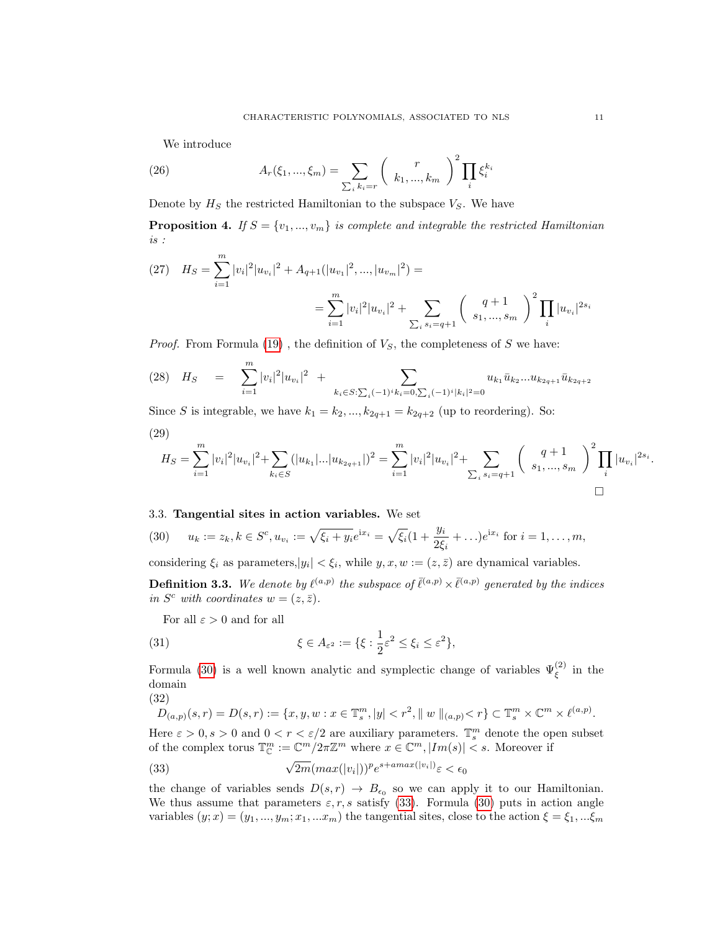We introduce

(26) 
$$
A_r(\xi_1, ..., \xi_m) = \sum_{\sum_i k_i = r} {r \choose k_1, ..., k_m}^2 \prod_i \xi_i^{k_i}
$$

Denote by  $H<sub>S</sub>$  the restricted Hamiltonian to the subspace  $V<sub>S</sub>$ . We have

<span id="page-11-3"></span>**Proposition 4.** If  $S = \{v_1, ..., v_m\}$  is complete and integrable the restricted Hamiltonian is :

(27) 
$$
H_S = \sum_{i=1}^m |v_i|^2 |u_{v_i}|^2 + A_{q+1}(|u_{v_1}|^2, ..., |u_{v_m}|^2) =
$$

$$
= \sum_{i=1}^m |v_i|^2 |u_{v_i}|^2 + \sum_{\sum_i s_i = q+1} {q+1 \choose s_1, ..., s_m}^2 \prod_i |u_{v_i}|^{2s_i}
$$

*Proof.* From Formula  $(19)$ , the definition of  $V<sub>S</sub>$ , the completeness of S we have:

$$
(28) \quad H_S = \sum_{i=1}^m |v_i|^2 |u_{v_i}|^2 + \sum_{k_i \in S: \sum_i (-1)^i k_i = 0, \sum_i (-1)^i |k_i|^2 = 0} u_{k_1} \bar{u}_{k_2} \dots u_{k_{2q+1}} \bar{u}_{k_{2q+2}}
$$

Since S is integrable, we have  $k_1 = k_2, ..., k_{2q+1} = k_{2q+2}$  (up to reordering). So:

$$
(29)
$$

$$
H_S = \sum_{i=1}^m |v_i|^2 |u_{v_i}|^2 + \sum_{k_i \in S} (|u_{k_1}|...|u_{k_{2q+1}}|)^2 = \sum_{i=1}^m |v_i|^2 |u_{v_i}|^2 + \sum_{\sum_i s_i = q+1} \left( \begin{array}{c} q+1 \ s_1, ..., s_m \end{array} \right)^2 \prod_i |u_{v_i}|^{2s_i}.
$$

#### <span id="page-11-0"></span>3.3. Tangential sites in action variables. We set

<span id="page-11-1"></span>(30) 
$$
u_k := z_k, k \in S^c, u_{v_i} := \sqrt{\xi_i + y_i} e^{ix_i} = \sqrt{\xi_i} (1 + \frac{y_i}{2\xi_i} + \ldots) e^{ix_i}
$$
 for  $i = 1, \ldots, m$ ,

considering  $\xi_i$  as parameters,  $|y_i| < \xi_i$ , while  $y, x, w := (z, \overline{z})$  are dynamical variables.

**Definition 3.3.** We denote by  $\ell^{(a,p)}$  the subspace of  $\bar{\ell}^{(a,p)} \times \bar{\ell}^{(a,p)}$  generated by the indices in  $S^c$  with coordinates  $w = (z, \bar{z})$ .

For all  $\varepsilon > 0$  and for all

(31) 
$$
\xi \in A_{\varepsilon^2} := \{ \xi : \frac{1}{2} \varepsilon^2 \le \xi_i \le \varepsilon^2 \},
$$

Formula [\(30\)](#page-11-1) is a well known analytic and symplectic change of variables  $\Psi_{\xi}^{(2)}$  in the domain

(32)

$$
D_{(a,p)}(s,r) = D(s,r) := \{x,y,w : x \in \mathbb{T}_s^m, |y| < r^2, \|w\|_{(a,p)} < r\} \subset \mathbb{T}_s^m \times \mathbb{C}^m \times \ell^{(a,p)}.
$$

Here  $\varepsilon > 0$ ,  $s > 0$  and  $0 < r < \varepsilon/2$  are auxiliary parameters.  $\mathbb{T}_{s}^{m}$  denote the open subset of the complex torus  $\mathbb{T}_{\mathbb{C}}^m := \mathbb{C}^m/2\pi \mathbb{Z}^m$  where  $x \in \mathbb{C}^m, |Im(s)| < s$ . Moreover if

<span id="page-11-2"></span>(33) 
$$
\sqrt{2m}(max(|v_i|))^p e^{s + amax(|v_i|)} \varepsilon < \epsilon_0
$$

the change of variables sends  $D(s,r) \to B_{\epsilon_0}$  so we can apply it to our Hamiltonian. We thus assume that parameters  $\varepsilon, r, s$  satisfy [\(33\)](#page-11-2). Formula [\(30\)](#page-11-1) puts in action angle variables  $(y; x) = (y_1, ..., y_m; x_1, ... x_m)$  the tangential sites, close to the action  $\xi = \xi_1, ... \xi_m$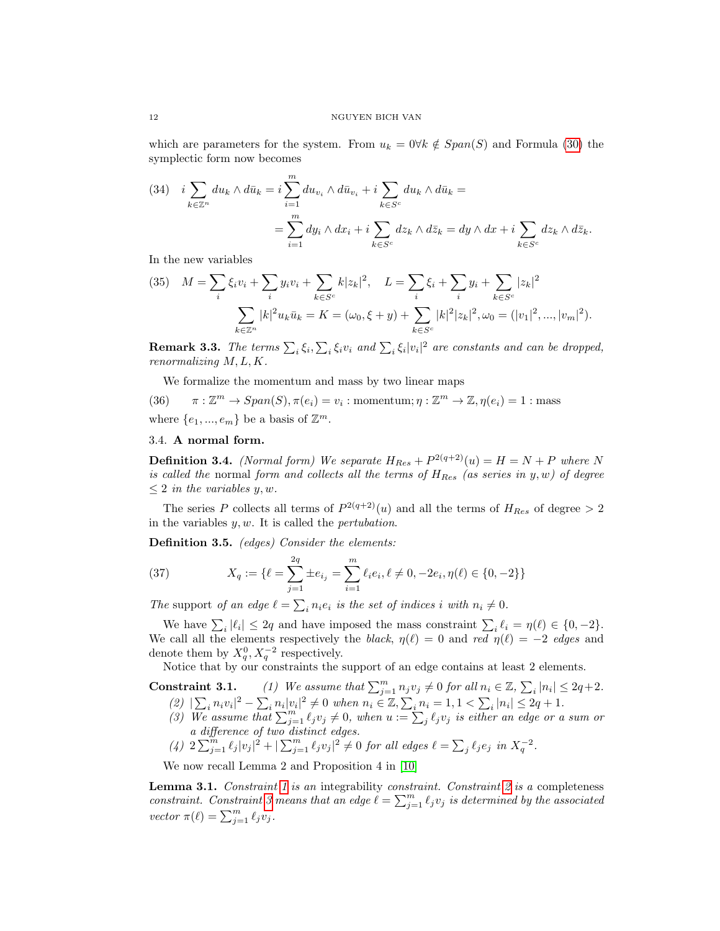which are parameters for the system. From  $u_k = 0 \forall k \notin Span(S)$  and Formula [\(30\)](#page-11-1) the symplectic form now becomes

(34) 
$$
i \sum_{k \in \mathbb{Z}^n} du_k \wedge d\bar{u}_k = i \sum_{i=1}^m du_{v_i} \wedge d\bar{u}_{v_i} + i \sum_{k \in S^c} du_k \wedge d\bar{u}_k =
$$

$$
= \sum_{i=1}^m dy_i \wedge dx_i + i \sum_{k \in S^c} dz_k \wedge d\bar{z}_k = dy \wedge dx + i \sum_{k \in S^c} dz_k \wedge d\bar{z}_k.
$$

In the new variables

(35) 
$$
M = \sum_{i} \xi_{i} v_{i} + \sum_{i} y_{i} v_{i} + \sum_{k \in S^{c}} k |z_{k}|^{2}, \quad L = \sum_{i} \xi_{i} + \sum_{i} y_{i} + \sum_{k \in S^{c}} |z_{k}|^{2}
$$

$$
\sum_{k \in \mathbb{Z}^{n}} |k|^{2} u_{k} \bar{u}_{k} = K = (\omega_{0}, \xi + y) + \sum_{k \in S^{c}} |k|^{2} |z_{k}|^{2}, \omega_{0} = (|v_{1}|^{2}, ..., |v_{m}|^{2}).
$$

<span id="page-12-5"></span>**Remark 3.3.** The terms  $\sum_i \xi_i, \sum_i \xi_i v_i$  and  $\sum_i \xi_i |v_i|^2$  are constants and can be dropped, renormalizing M, L, K.

We formalize the momentum and mass by two linear maps

(36)  $\pi : \mathbb{Z}^m \to Span(S), \pi(e_i) = v_i : momentum; \eta : \mathbb{Z}^m \to \mathbb{Z}, \eta(e_i) = 1 : mass$ where  $\{e_1, ..., e_m\}$  be a basis of  $\mathbb{Z}^m$ .

### <span id="page-12-0"></span>3.4. A normal form.

<span id="page-12-1"></span>**Definition 3.4.** (Normal form) We separate  $H_{Res} + P^{2(q+2)}(u) = H = N + P$  where N is called the normal form and collects all the terms of  $H_{Res}$  (as series in y, w) of degree  $\leq 2$  in the variables y, w.

The series P collects all terms of  $P^{2(q+2)}(u)$  and all the terms of  $H_{Res}$  of degree  $> 2$ in the variables  $y, w$ . It is called the *pertubation*.

Definition 3.5. (edges) Consider the elements:

(37) 
$$
X_q := \{ \ell = \sum_{j=1}^{2q} \pm e_{i_j} = \sum_{i=1}^m \ell_i e_i, \ell \neq 0, -2e_i, \eta(\ell) \in \{0, -2\} \}
$$

The support of an edge  $\ell = \sum_i n_i e_i$  is the set of indices i with  $n_i \neq 0$ .

We have  $\sum_i |\ell_i| \leq 2q$  and have imposed the mass constraint  $\sum_i \ell_i = \eta(\ell) \in \{0, -2\}.$ We call all the elements respectively the black,  $\eta(\ell) = 0$  and red  $\eta(\ell) = -2$  edges and denote them by  $X_q^0, X_q^{-2}$  respectively.

Notice that by our constraints the support of an edge contains at least 2 elements.

- <span id="page-12-4"></span><span id="page-12-3"></span><span id="page-12-2"></span>**Constraint 3.1.** (1) We assume that  $\sum_{j=1}^{m} n_j v_j \neq 0$  for all  $n_i \in \mathbb{Z}, \sum_{i} |n_i| \leq 2q+2$ . (2)  $|\sum_i n_i v_i|^2 - \sum_i n_i |v_i|^2 \neq 0$  when  $n_i \in \mathbb{Z}, \sum_i n_i = 1, 1 < \sum_i |n_i| \leq 2q + 1$ .
	- (3) We assume that  $\sum_{j=1}^m \ell_j v_j \neq 0$ , when  $u := \sum_j \ell_j v_j$  is either an edge or a sum or a difference of two distinct edges.
	- (4)  $2\sum_{j=1}^{m} \ell_j |v_j|^2 + |\sum_{j=1}^{m} \ell_j v_j|^2 \neq 0$  for all edges  $\ell = \sum_j \ell_j e_j$  in  $X_q^{-2}$ .

<span id="page-12-6"></span>We now recall Lemma 2 and Proposition 4 in [\[10\]](#page-72-0)

Lemma 3.1. Constraint [1](#page-12-2) is an integrability constraint. Constraint  $2$  is a completeness constraint. Constraint [3](#page-12-4) means that an edge  $\ell = \sum_{j=1}^{m} \ell_j v_j$  is determined by the associated vector  $\pi(\ell) = \sum_{j=1}^m \ell_j v_j$ .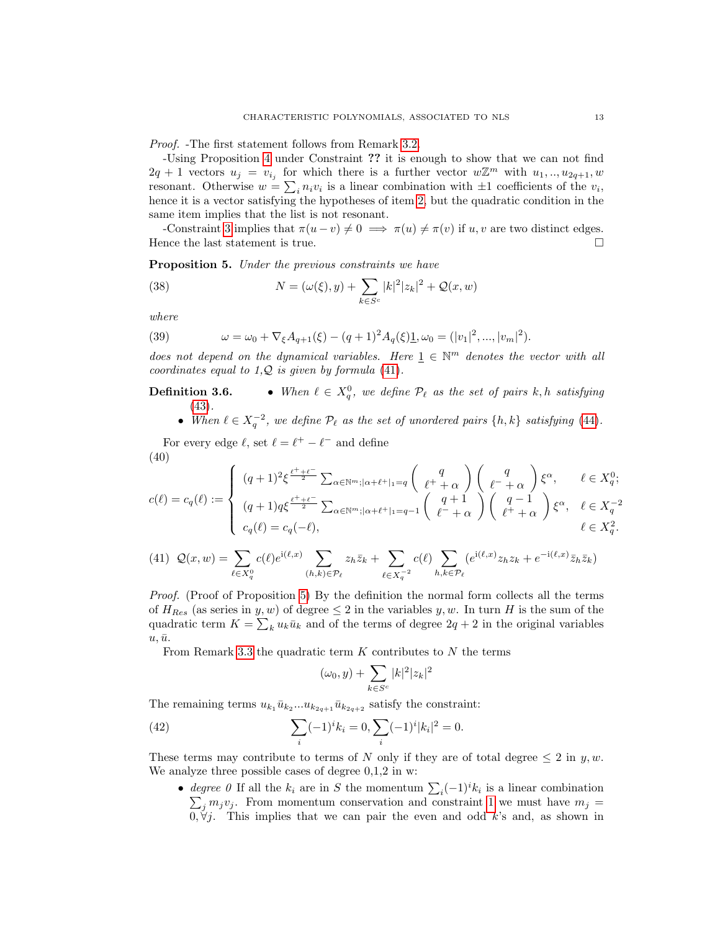Proof. -The first statement follows from Remark [3.2.](#page-9-6)

-Using Proposition [4](#page-11-3) under Constraint ?? it is enough to show that we can not find  $2q + 1$  vectors  $u_j = v_{i_j}$  for which there is a further vector  $w\mathbb{Z}^m$  with  $u_1, ..., u_{2q+1}, w$ resonant. Otherwise  $w = \sum_i n_i v_i$  is a linear combination with  $\pm 1$  coefficients of the  $v_i$ , hence it is a vector satisfying the hypotheses of item [2,](#page-12-3) but the quadratic condition in the same item implies that the list is not resonant.

-Constraint [3](#page-12-4) implies that  $\pi(u - v) \neq 0 \implies \pi(u) \neq \pi(v)$  if  $u, v$  are two distinct edges. Hence the last statement is true.  $\hfill \square$ 

<span id="page-13-1"></span>Proposition 5. Under the previous constraints we have

<span id="page-13-4"></span>(38) 
$$
N = (\omega(\xi), y) + \sum_{k \in S^c} |k|^2 |z_k|^2 + \mathcal{Q}(x, w)
$$

where

(39) 
$$
\omega = \omega_0 + \nabla_{\xi} A_{q+1}(\xi) - (q+1)^2 A_q(\xi) \mathbf{1}, \omega_0 = (|v_1|^2, ..., |v_m|^2).
$$

does not depend on the dynamical variables. Here  $\underline{1} \in \mathbb{N}^m$  denotes the vector with all coordinates equal to  $1, Q$  is given by formula [\(41\)](#page-13-0).

**Definition 3.6.** • When  $\ell \in X_q^0$ , we define  $\mathcal{P}_{\ell}$  as the set of pairs k, h satisfying [\(43\)](#page-14-0).

• When  $\ell \in X_q^{-2}$ , we define  $\mathcal{P}_\ell$  as the set of unordered pairs  $\{h, k\}$  satisfying [\(44\)](#page-14-1).

For every edge  $\ell$ , set  $\ell = \ell^+ - \ell^-$  and define (40)

<span id="page-13-3"></span>
$$
c(\ell) = c_q(\ell) := \begin{cases} (q+1)^2 \xi^{\frac{\ell^+ + \ell^-}{2}} \sum_{\alpha \in \mathbb{N}^m; |\alpha + \ell^+|_1 = q} \binom{q}{\ell^+ + \alpha} \binom{q}{\ell^- + \alpha} \xi^{\alpha}, & \ell \in X_q^0; \\ (q+1)q \xi^{\frac{\ell^+ + \ell^-}{2}} \sum_{\alpha \in \mathbb{N}^m; |\alpha + \ell^+|_1 = q-1} \binom{q+1}{\ell^- + \alpha} \binom{q-1}{\ell^+ + \alpha} \xi^{\alpha}, & \ell \in X_q^{-2} \\ c_q(\ell) = c_q(-\ell), & \ell \in X_q^2. \end{cases}
$$

<span id="page-13-0"></span>
$$
(41) \quad \mathcal{Q}(x,w) = \sum_{\ell \in X_q^0} c(\ell) e^{\mathrm{i}(\ell,x)} \sum_{(h,k) \in \mathcal{P}_{\ell}} z_h \overline{z}_k + \sum_{\ell \in X_q^{-2}} c(\ell) \sum_{h,k \in \mathcal{P}_{\ell}} (e^{\mathrm{i}(\ell,x)} z_h z_k + e^{-\mathrm{i}(\ell,x)} \overline{z}_h \overline{z}_k)
$$

Proof. (Proof of Proposition [5\)](#page-13-1) By the definition the normal form collects all the terms of  $H_{Res}$  (as series in y, w) of degree  $\leq 2$  in the variables y, w. In turn H is the sum of the quadratic term  $K = \sum_k u_k \bar{u}_k$  and of the terms of degree  $2q + 2$  in the original variables  $u, \bar{u}.$ 

From Remark [3.3](#page-12-5) the quadratic term  $K$  contributes to  $N$  the terms

<span id="page-13-2"></span>
$$
(\omega_0,y)+\sum_{k\in S^c} |k|^2|z_k|^2
$$

The remaining terms  $u_{k_1}\bar{u}_{k_2}...u_{k_{2q+1}}\bar{u}_{k_{2q+2}}$  satisfy the constraint:

(42) 
$$
\sum_{i} (-1)^{i} k_{i} = 0, \sum_{i} (-1)^{i} |k_{i}|^{2} = 0.
$$

These terms may contribute to terms of N only if they are of total degree  $\leq 2$  in y, w. We analyze three possible cases of degree 0,1,2 in w:

• degree 0 If all the  $k_i$  are in S the momentum  $\sum_i (-1)^i k_i$  is a linear combination  $\sum_j m_j v_j$ . From momentum conservation and constraint [1](#page-12-2) we must have  $m_j =$  $0, \forall j$ . This implies that we can pair the even and odd k's and, as shown in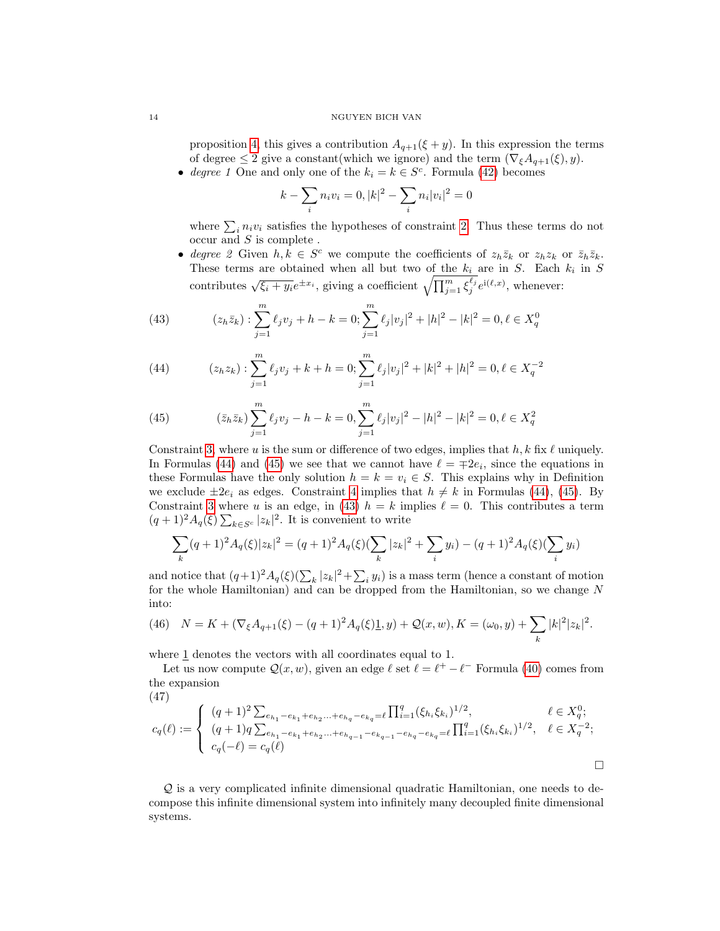proposition [4,](#page-11-3) this gives a contribution  $A_{q+1}(\xi + y)$ . In this expression the terms of degree  $\leq 2$  give a constant(which we ignore) and the term  $(\nabla_{\xi}A_{q+1}(\xi), y)$ .

• degree 1 One and only one of the  $k_i = k \in S^c$ . Formula [\(42\)](#page-13-2) becomes

$$
k - \sum_{i} n_i v_i = 0, |k|^2 - \sum_{i} n_i |v_i|^2 = 0
$$

where  $\sum_i n_i v_i$  satisfies the hypotheses of constraint [2.](#page-12-3) Thus these terms do not occur and  $S$  is complete .

• degree 2 Given  $h, k \in S^c$  we compute the coefficients of  $z_h \overline{z}_k$  or  $z_h z_k$  or  $\overline{z}_h \overline{z}_k$ . These terms are obtained when all but two of the  $k_i$  are in S. Each  $k_i$  in S contributes  $\sqrt{\xi_i + y_i}e^{\pm x_i}$ , giving a coefficient  $\sqrt{\prod_{j=1}^m \xi_j^{\ell_j}}e^{i(\ell,x)}$ , whenever:

<span id="page-14-0"></span>(43) 
$$
(z_h \bar{z}_k) : \sum_{j=1}^m \ell_j v_j + h - k = 0; \sum_{j=1}^m \ell_j |v_j|^2 + |h|^2 - |k|^2 = 0, \ell \in X_q^0
$$

<span id="page-14-1"></span>(44) 
$$
(z_h z_k) : \sum_{j=1}^m \ell_j v_j + k + h = 0; \sum_{j=1}^m \ell_j |v_j|^2 + |k|^2 + |h|^2 = 0, \ell \in X_q^{-2}
$$

<span id="page-14-2"></span>(45) 
$$
(\bar{z}_h \bar{z}_k) \sum_{j=1}^m \ell_j v_j - h - k = 0, \sum_{j=1}^m \ell_j |v_j|^2 - |h|^2 - |k|^2 = 0, \ell \in X_q^2
$$

Constraint [3,](#page-12-4) where u is the sum or difference of two edges, implies that h, k fix  $\ell$  uniquely. In Formulas [\(44\)](#page-14-1) and [\(45\)](#page-14-2) we see that we cannot have  $\ell = \pm 2e_i$ , since the equations in these Formulas have the only solution  $h = k = v_i \in S$ . This explains why in Definition we exclude  $\pm 2e_i$  as edges. Constraint [4](#page-12-6) implies that  $h \neq k$  in Formulas [\(44\)](#page-14-1), [\(45\)](#page-14-2). By Constraint [3](#page-12-4) where u is an edge, in [\(43\)](#page-14-0)  $h = k$  implies  $\ell = 0$ . This contributes a term  $(q+1)^2 A_q(\xi) \sum_{k \in S^c} |z_k|^2$ . It is convenient to write

$$
\sum_{k} (q+1)^2 A_q(\xi) |z_k|^2 = (q+1)^2 A_q(\xi) \left(\sum_{k} |z_k|^2 + \sum_{i} y_i\right) - (q+1)^2 A_q(\xi) \left(\sum_{i} y_i\right)
$$

and notice that  $(q+1)^2 A_q(\xi)(\sum_k |z_k|^2 + \sum_i y_i)$  is a mass term (hence a constant of motion for the whole Hamiltonian) and can be dropped from the Hamiltonian, so we change N into:

(46) 
$$
N = K + (\nabla_{\xi} A_{q+1}(\xi) - (q+1)^2 A_q(\xi) \mathbf{1}, y) + \mathcal{Q}(x, w), K = (\omega_0, y) + \sum_{k} |k|^2 |z_k|^2.
$$

where 1 denotes the vectors with all coordinates equal to 1.

Let us now compute  $\mathcal{Q}(x, w)$ , given an edge  $\ell$  set  $\ell = \ell^+ - \ell^-$  Formula [\(40\)](#page-13-3) comes from the expansion

$$
(47)
$$

$$
c_q(\ell) := \begin{cases} (q+1)^2 \sum_{e_{h_1} - e_{k_1} + e_{h_2} \dots + e_{h_q} - e_{k_q} = \ell} \prod_{i=1}^q (\xi_{h_i} \xi_{k_i})^{1/2}, & \ell \in X_q^0; \\ (q+1)q \sum_{e_{h_1} - e_{k_1} + e_{h_2} \dots + e_{h_{q-1}} - e_{k_{q-1}} - e_{h_q} - e_{k_q} = \ell} \prod_{i=1}^q (\xi_{h_i} \xi_{k_i})^{1/2}, & \ell \in X_q^{-2}; \\ c_q(-\ell) = c_q(\ell) & \Box \end{cases}
$$

Q is a very complicated infinite dimensional quadratic Hamiltonian, one needs to decompose this infinite dimensional system into infinitely many decoupled finite dimensional systems.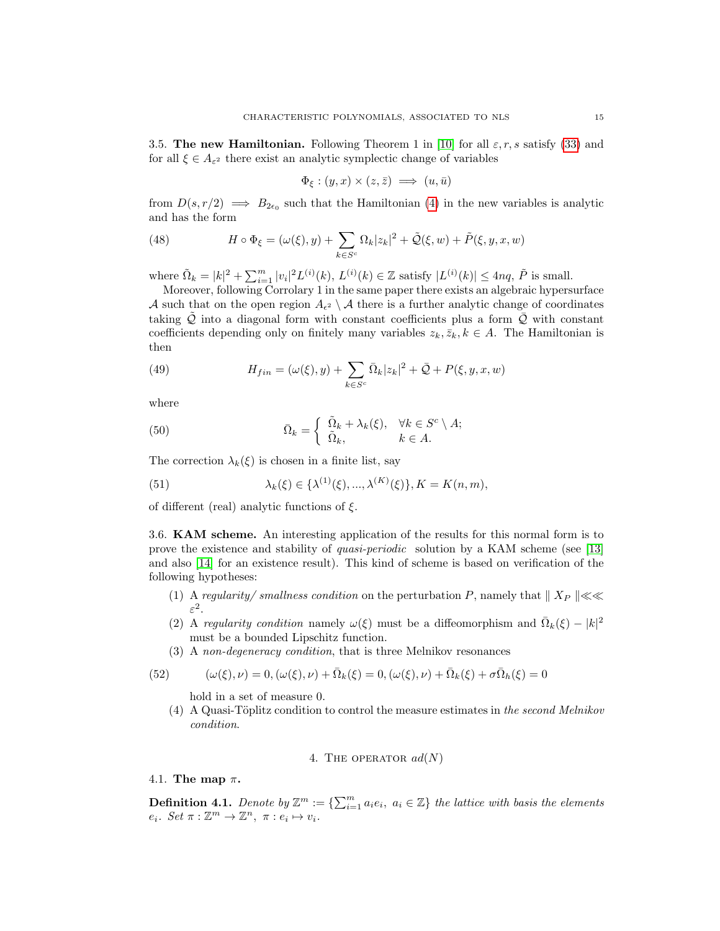<span id="page-15-0"></span>3.5. The new Hamiltonian. Following Theorem 1 in [\[10\]](#page-72-0) for all  $\varepsilon, r, s$  satisfy [\(33\)](#page-11-2) and for all  $\xi \in A_{\varepsilon^2}$  there exist an analytic symplectic change of variables

$$
\Phi_{\xi} : (y, x) \times (z, \bar{z}) \implies (u, \bar{u})
$$

from  $D(s, r/2) \implies B_{2\epsilon_0}$  such that the Hamiltonian [\(4\)](#page-3-0) in the new variables is analytic and has the form

(48) 
$$
H \circ \Phi_{\xi} = (\omega(\xi), y) + \sum_{k \in S^c} \Omega_k |z_k|^2 + \tilde{\mathcal{Q}}(\xi, w) + \tilde{P}(\xi, y, x, w)
$$

where  $\tilde{\Omega}_k = |k|^2 + \sum_{i=1}^m |v_i|^2 L^{(i)}(k)$ ,  $L^{(i)}(k) \in \mathbb{Z}$  satisfy  $|L^{(i)}(k)| \leq 4nq$ ,  $\tilde{P}$  is small.

Moreover, following Corrolary 1 in the same paper there exists an algebraic hypersurface A such that on the open region  $A_{\epsilon^2} \setminus A$  there is a further analytic change of coordinates taking  $Q$  into a diagonal form with constant coefficients plus a form  $Q$  with constant coefficients depending only on finitely many variables  $z_k, \overline{z}_k, k \in A$ . The Hamiltonian is then

(49) 
$$
H_{fin} = (\omega(\xi), y) + \sum_{k \in S^c} \bar{\Omega}_k |z_k|^2 + \bar{\mathcal{Q}} + P(\xi, y, x, w)
$$

where

(50) 
$$
\bar{\Omega}_k = \begin{cases} \tilde{\Omega}_k + \lambda_k(\xi), & \forall k \in S^c \setminus A; \\ \tilde{\Omega}_k, & k \in A. \end{cases}
$$

The correction  $\lambda_k(\xi)$  is chosen in a finite list, say

(51) 
$$
\lambda_k(\xi) \in \{\lambda^{(1)}(\xi), ..., \lambda^{(K)}(\xi)\}, K = K(n, m),
$$

of different (real) analytic functions of  $\xi$ .

<span id="page-15-1"></span>3.6. KAM scheme. An interesting application of the results for this normal form is to prove the existence and stability of quasi-periodic solution by a KAM scheme (see [\[13\]](#page-72-12) and also [\[14\]](#page-72-14) for an existence result). This kind of scheme is based on verification of the following hypotheses:

- (1) A regularity/smallness condition on the perturbation P, namely that  $\| X_P \| \ll \ll$  $\varepsilon^2$ .
- (2) A regularity condition namely  $\omega(\xi)$  must be a diffeomorphism and  $\overline{\Omega}_k(\xi) |k|^2$ must be a bounded Lipschitz function.
- (3) A non-degeneracy condition, that is three Melnikov resonances

(52) 
$$
(\omega(\xi), \nu) = 0, (\omega(\xi), \nu) + \overline{\Omega}_k(\xi) = 0, (\omega(\xi), \nu) + \overline{\Omega}_k(\xi) + \sigma \overline{\Omega}_h(\xi) = 0
$$

hold in a set of measure 0.

(4) A Quasi-Töplitz condition to control the measure estimates in the second Melnikov condition.

4. THE OPERATOR 
$$
ad(N)
$$

<span id="page-15-3"></span><span id="page-15-2"></span>4.1. The map  $\pi$ .

<span id="page-15-4"></span>**Definition 4.1.** Denote by  $\mathbb{Z}^m := \{ \sum_{i=1}^m a_i e_i, a_i \in \mathbb{Z} \}$  the lattice with basis the elements  $e_i$ . Set  $\pi : \mathbb{Z}^m \to \mathbb{Z}^n$ ,  $\pi : e_i \mapsto v_i$ .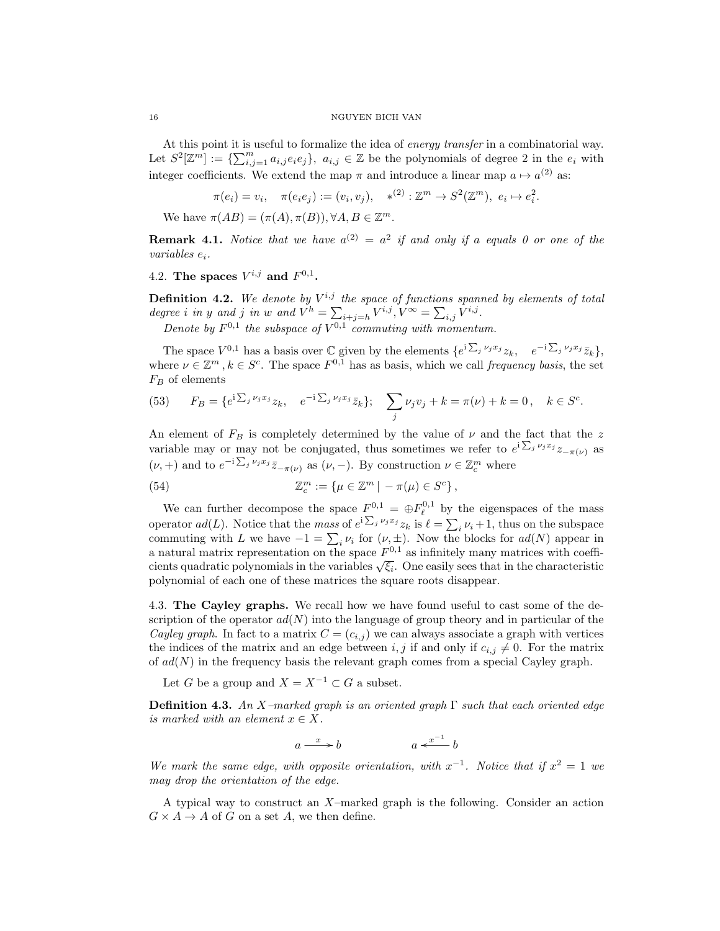At this point it is useful to formalize the idea of energy transfer in a combinatorial way. Let  $S^2[\mathbb{Z}^m] := \{\sum_{i,j=1}^m a_{i,j}e_ie_j\}, a_{i,j} \in \mathbb{Z}$  be the polynomials of degree 2 in the  $e_i$  with integer coefficients. We extend the map  $\pi$  and introduce a linear map  $a \mapsto a^{(2)}$  as:

$$
\pi(e_i)=v_i,\quad \pi(e_ie_j):=(v_i,v_j),\quad *^{(2)}:\mathbb{Z}^m\to S^2(\mathbb{Z}^m),\ e_i\mapsto e_i^2.
$$

We have  $\pi(AB) = (\pi(A), \pi(B)), \forall A, B \in \mathbb{Z}^m$ .

**Remark 4.1.** Notice that we have  $a^{(2)} = a^2$  if and only if a equals 0 or one of the variables ei.

<span id="page-16-0"></span>4.2. The spaces  $V^{i,j}$  and  $F^{0,1}$ .

**Definition 4.2.** We denote by  $V^{i,j}$  the space of functions spanned by elements of total degree *i* in y and j in w and  $V^h = \sum_{i+j=h} V^{i,j}$ ,  $V^{\infty} = \sum_{i,j} V^{i,j}$ .

Denote by  $F^{0,1}$  the subspace of  $V^{0,1}$  commuting with momentum.

The space  $V^{0,1}$  has a basis over  $\mathbb C$  given by the elements  $\{e^{i\sum_j \nu_j x_j}z_k, e^{-i\sum_j \nu_j x_j}\overline{z}_k\},\$ where  $\nu \in \mathbb{Z}^m$ ,  $k \in S^c$ . The space  $F^{0,1}$  has as basis, which we call frequency basis, the set  $F_B$  of elements

(53) 
$$
F_B = \{e^{i\sum_j \nu_j x_j} z_k, \quad e^{-i\sum_j \nu_j x_j} \bar{z}_k\}; \quad \sum_j \nu_j v_j + k = \pi(\nu) + k = 0, \quad k \in S^c.
$$

An element of  $F_B$  is completely determined by the value of  $\nu$  and the fact that the z variable may or may not be conjugated, thus sometimes we refer to  $e^{i\sum_j \nu_j x_j} z_{-\pi(\nu)}$  as  $(\nu, +)$  and to  $e^{-i\sum_j \nu_j x_j} \bar{z}_{-\pi(\nu)}$  as  $(\nu, -)$ . By construction  $\nu \in \mathbb{Z}_c^m$  where

(54) 
$$
\mathbb{Z}_c^m := \{ \mu \in \mathbb{Z}^m \mid -\pi(\mu) \in S^c \},
$$

We can further decompose the space  $F^{0,1} = \bigoplus F_{\ell}^{0,1}$  by the eigenspaces of the mass operator  $ad(L)$ . Notice that the *mass* of  $e^{i\sum_j \nu_j x_j} z_k$  is  $\ell = \sum_i \nu_i + 1$ , thus on the subspace commuting with L we have  $-1 = \sum_i \nu_i$  for  $(\nu, \pm)$ . Now the blocks for  $ad(N)$  appear in a natural matrix representation on the space  $F^{0,1}$  as infinitely many matrices with coeffia natural matrix representation on the space  $F^{\rightarrow}$  as infinitely many matrices with coefficients quadratic polynomials in the variables  $\sqrt{\xi_i}$ . One easily sees that in the characteristic polynomial of each one of these matrices the square roots disappear.

<span id="page-16-1"></span>4.3. The Cayley graphs. We recall how we have found useful to cast some of the description of the operator  $ad(N)$  into the language of group theory and in particular of the Cayley graph. In fact to a matrix  $C = (c_{i,j})$  we can always associate a graph with vertices the indices of the matrix and an edge between i, j if and only if  $c_{i,j} \neq 0$ . For the matrix of  $ad(N)$  in the frequency basis the relevant graph comes from a special Cayley graph.

Let G be a group and  $X = X^{-1} \subset G$  a subset.

<span id="page-16-2"></span>**Definition 4.3.** An X–marked graph is an oriented graph  $\Gamma$  such that each oriented edge is marked with an element  $x \in X$ .

$$
a \xrightarrow{x} b \qquad a \xleftarrow{x^{-1}} b
$$

We mark the same edge, with opposite orientation, with  $x^{-1}$ . Notice that if  $x^2 = 1$  we may drop the orientation of the edge.

A typical way to construct an X–marked graph is the following. Consider an action  $G \times A \rightarrow A$  of G on a set A, we then define.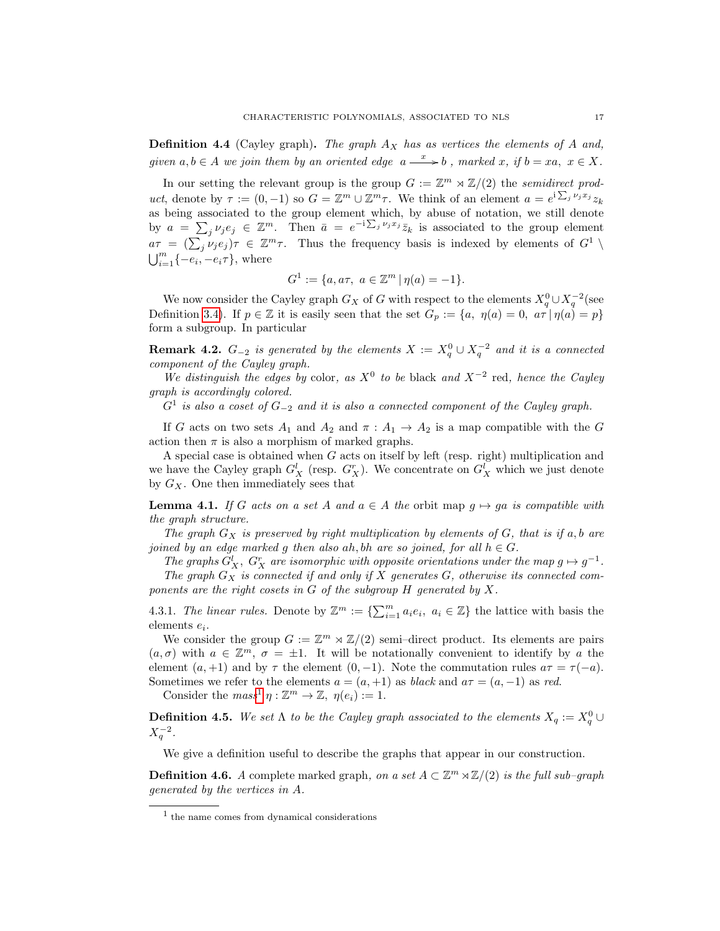**Definition 4.4** (Cayley graph). The graph  $A_X$  has as vertices the elements of A and, given  $a, b \in A$  we join them by an oriented edge  $a \stackrel{x}{\longrightarrow} b$ , marked x, if  $b = xa$ ,  $x \in X$ .

In our setting the relevant group is the group  $G := \mathbb{Z}^m \rtimes \mathbb{Z}/(2)$  the semidirect product, denote by  $\tau := (0, -1)$  so  $G = \mathbb{Z}^m \cup \mathbb{Z}^m \tau$ . We think of an element  $a = e^{i \sum_j \nu_j x_j} z_k$ as being associated to the group element which, by abuse of notation, we still denote by  $a = \sum_j \nu_j e_j \in \mathbb{Z}^m$ . Then  $\bar{a} = e^{-i \sum_j \nu_j x_j} \bar{z}_k$  is associated to the group element  $a\tau = (\sum_j \nu_j e_j)\tau \in \mathbb{Z}^m\tau$ . Thus the frequency basis is indexed by elements of  $G^1 \setminus$  $\bigcup_{i=1}^m \{-e_i, -e_i\tau\}$ , where

$$
G^1 := \{a, a\tau, a \in \mathbb{Z}^m \mid \eta(a) = -1\}.
$$

We now consider the Cayley graph  $G_X$  of G with respect to the elements  $X_q^0 \cup X_q^{-2}$  (see Definition [3.4\)](#page-14-2). If  $p \in \mathbb{Z}$  it is easily seen that the set  $G_p := \{a, \eta(a) = 0, a\tau \mid \eta(a) = p\}$ form a subgroup. In particular

<span id="page-17-0"></span>**Remark 4.2.**  $G_{-2}$  is generated by the elements  $X := X_q^0 \cup X_q^{-2}$  and it is a connected component of the Cayley graph.

We distinguish the edges by color, as  $X^0$  to be black and  $X^{-2}$  red, hence the Cayley graph is accordingly colored.

 $G<sup>1</sup>$  is also a coset of  $G<sub>-2</sub>$  and it is also a connected component of the Cayley graph.

If G acts on two sets  $A_1$  and  $A_2$  and  $\pi : A_1 \to A_2$  is a map compatible with the G action then  $\pi$  is also a morphism of marked graphs.

A special case is obtained when G acts on itself by left (resp. right) multiplication and we have the Cayley graph  $G_X^l$  (resp.  $G_X^r$ ). We concentrate on  $G_X^l$  which we just denote by  $G_X$ . One then immediately sees that

<span id="page-17-2"></span>**Lemma 4.1.** If G acts on a set A and  $a \in A$  the orbit map  $q \mapsto qa$  is compatible with the graph structure.

The graph  $G_X$  is preserved by right multiplication by elements of G, that is if a, b are joined by an edge marked g then also ah, bh are so joined, for all  $h \in G$ .

The graphs  $G_X^l$ ,  $G_X^r$  are isomorphic with opposite orientations under the map  $g \mapsto g^{-1}$ .

The graph  $G_X$  is connected if and only if X generates  $G$ , otherwise its connected components are the right cosets in  $G$  of the subgroup  $H$  generated by  $X$ .

4.3.1. The linear rules. Denote by  $\mathbb{Z}^m := \{\sum_{i=1}^m a_i e_i, a_i \in \mathbb{Z}\}\)$  the lattice with basis the elements  $e_i$ .

We consider the group  $G := \mathbb{Z}^m \rtimes \mathbb{Z}/(2)$  semi-direct product. Its elements are pairs  $(a, \sigma)$  with  $a \in \mathbb{Z}^m$ ,  $\sigma = \pm 1$ . It will be notationally convenient to identify by a the element  $(a, +1)$  and by  $\tau$  the element  $(0, -1)$ . Note the commutation rules  $a\tau = \tau(-a)$ . Sometimes we refer to the elements  $a = (a, +1)$  as black and  $a\tau = (a, -1)$  as red.

Consider the  $mass^1 \eta : \mathbb{Z}^m \to \mathbb{Z}, \eta(e_i) := 1.$  $mass^1 \eta : \mathbb{Z}^m \to \mathbb{Z}, \eta(e_i) := 1.$  $mass^1 \eta : \mathbb{Z}^m \to \mathbb{Z}, \eta(e_i) := 1.$ 

**Definition 4.5.** We set  $\Lambda$  to be the Cayley graph associated to the elements  $X_q := X_q^0 \cup$  $X_q^{-2}$ .

We give a definition useful to describe the graphs that appear in our construction.

**Definition 4.6.** A complete marked graph, on a set  $A \subset \mathbb{Z}^m \rtimes \mathbb{Z}/(2)$  is the full sub-graph generated by the vertices in A.

<span id="page-17-1"></span><sup>1</sup> the name comes from dynamical considerations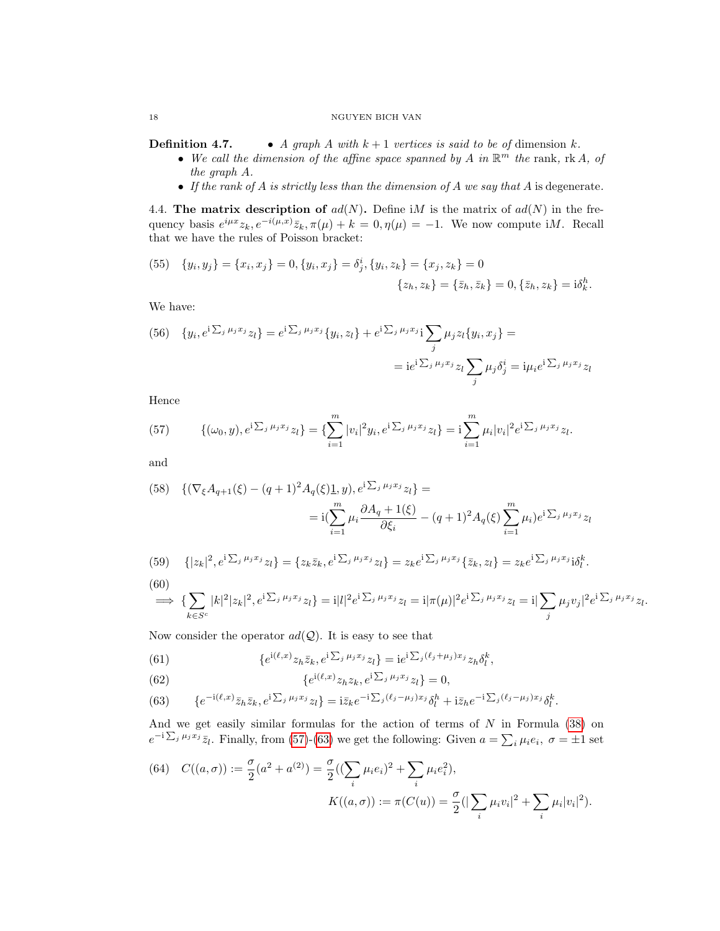**Definition 4.7.** • A graph A with  $k + 1$  vertices is said to be of dimension k.

- We call the dimension of the affine space spanned by A in  $\mathbb{R}^m$  the rank, rk A, of the graph A.
- If the rank of  $A$  is strictly less than the dimension of  $A$  we say that  $A$  is degenerate.

<span id="page-18-0"></span>4.4. The matrix description of  $ad(N)$ . Define iM is the matrix of  $ad(N)$  in the frequency basis  $e^{i\mu x}z_k, e^{-i(\mu,x)}\bar{z}_k, \pi(\mu) + k = 0, \eta(\mu) = -1$ . We now compute iM. Recall that we have the rules of Poisson bracket:

(55) 
$$
\{y_i, y_j\} = \{x_i, x_j\} = 0, \{y_i, x_j\} = \delta_j^i, \{y_i, z_k\} = \{x_j, z_k\} = 0
$$

$$
\{z_h, z_k\} = \{\bar{z}_h, \bar{z}_k\} = 0, \{\bar{z}_h, z_k\} = \mathrm{i}\delta_k^h.
$$

We have:

(56) 
$$
\{y_i, e^{i\sum_j \mu_j x_j} z_l\} = e^{i\sum_j \mu_j x_j} \{y_i, z_l\} + e^{i\sum_j \mu_j x_j} i \sum_j \mu_j z_l \{y_i, x_j\} =
$$

$$
= i e^{i\sum_j \mu_j x_j} z_l \sum_j \mu_j \delta_j^i = i \mu_i e^{i\sum_j \mu_j x_j} z_l
$$

Hence

<span id="page-18-1"></span>(57) 
$$
\{(\omega_0, y), e^{i \sum_j \mu_j x_j} z_l\} = \{\sum_{i=1}^m |v_i|^2 y_i, e^{i \sum_j \mu_j x_j} z_l\} = i \sum_{i=1}^m \mu_i |v_i|^2 e^{i \sum_j \mu_j x_j} z_l.
$$

and

$$
(58) \{ (\nabla_{\xi} A_{q+1}(\xi) - (q+1)^2 A_q(\xi) \underline{1}, y), e^{i \sum_j \mu_j x_j} z_l \} =
$$
  

$$
= i \left( \sum_{i=1}^m \mu_i \frac{\partial A_q + 1(\xi)}{\partial \xi_i} - (q+1)^2 A_q(\xi) \sum_{i=1}^m \mu_i \right) e^{i \sum_j \mu_j x_j} z_l
$$

(59) 
$$
\{|z_k|^2, e^{i\sum_j \mu_j x_j} z_l\} = \{z_k \bar{z}_k, e^{i\sum_j \mu_j x_j} z_l\} = z_k e^{i\sum_j \mu_j x_j} \{ \bar{z}_k, z_l\} = z_k e^{i\sum_j \mu_j x_j} i\delta_l^k.
$$
\n(60)

$$
\implies \{\sum_{k\in S^c} |k|^2 |z_k|^2, e^{i\sum_j \mu_j x_j} z_l\} = i|l|^2 e^{i\sum_j \mu_j x_j} z_l = i|\pi(\mu)|^2 e^{i\sum_j \mu_j x_j} z_l = i|\sum_j \mu_j v_j|^2 e^{i\sum_j \mu_j x_j} z_l.
$$

Now consider the operator  $ad(Q)$ . It is easy to see that

(61) 
$$
\{e^{i(\ell,x)}z_h\bar{z}_k, e^{i\sum_j \mu_j x_j}z_l\} = ie^{i\sum_j (\ell_j+\mu_j)x_j}z_h\delta_l^k,
$$

(62)  $\{e^{i(\ell,x)}z_hz_k, e^{i\sum_j \mu_jx_j}z_l\} = 0,$ 

<span id="page-18-2"></span>(63) 
$$
\{e^{-i(\ell,x)}\bar{z}_h\bar{z}_k, e^{i\sum_j \mu_j x_j}z_l\} = i\bar{z}_k e^{-i\sum_j (\ell_j - \mu_j)x_j}\delta_l^h + i\bar{z}_h e^{-i\sum_j (\ell_j - \mu_j)x_j}\delta_l^k.
$$

And we get easily similar formulas for the action of terms of  $N$  in Formula  $(38)$  on  $e^{-i\sum_j \mu_j x_j} \bar{z}_l$ . Finally, from [\(57\)](#page-18-1)-[\(63\)](#page-18-2) we get the following: Given  $a = \sum_i \mu_i e_i$ ,  $\sigma = \pm 1$  set

(64) 
$$
C((a, \sigma)) := \frac{\sigma}{2}(a^2 + a^{(2)}) = \frac{\sigma}{2}((\sum_{i} \mu_i e_i)^2 + \sum_{i} \mu_i e_i^2),
$$

$$
K((a, \sigma)) := \pi(C(u)) = \frac{\sigma}{2}(|\sum_{i} \mu_i v_i|^2 + \sum_{i} \mu_i |v_i|^2).
$$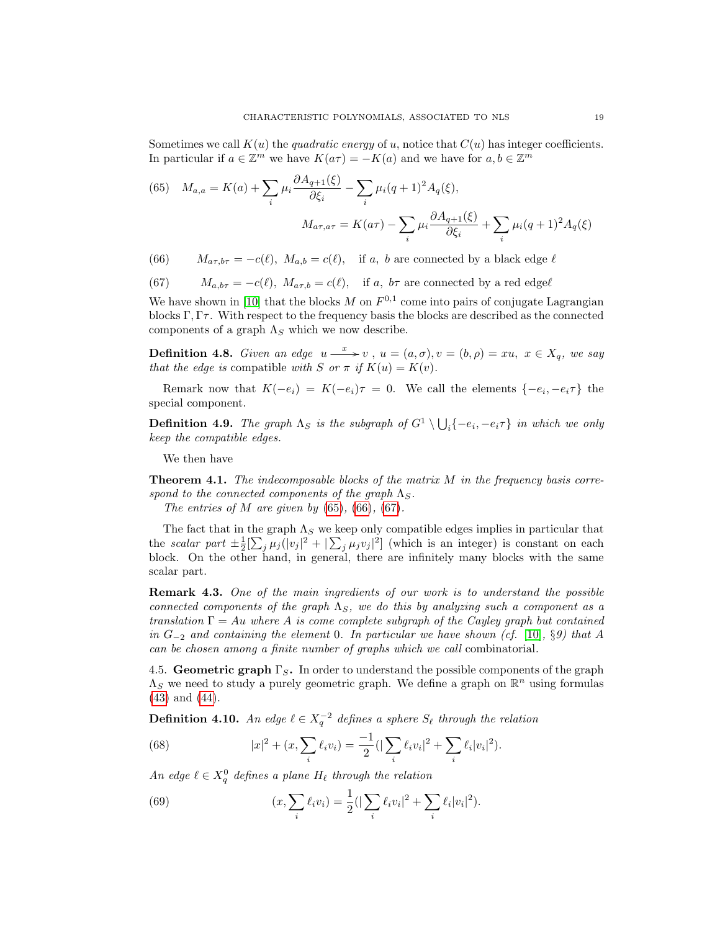Sometimes we call  $K(u)$  the quadratic energy of u, notice that  $C(u)$  has integer coefficients. In particular if  $a \in \mathbb{Z}^m$  we have  $K(a\tau) = -K(a)$  and we have for  $a, b \in \mathbb{Z}^m$ 

<span id="page-19-1"></span>(65) 
$$
M_{a,a} = K(a) + \sum_{i} \mu_i \frac{\partial A_{q+1}(\xi)}{\partial \xi_i} - \sum_{i} \mu_i (q+1)^2 A_q(\xi),
$$

$$
M_{a\tau, a\tau} = K(a\tau) - \sum_{i} \mu_i \frac{\partial A_{q+1}(\xi)}{\partial \xi_i} + \sum_{i} \mu_i (q+1)^2 A_q(\xi)
$$

<span id="page-19-2"></span>(66)  $M_{a\tau,b\tau} = -c(\ell), M_{a,b} = c(\ell), \text{ if } a, b \text{ are connected by a black edge } \ell$ 

<span id="page-19-3"></span>(67) 
$$
M_{a,b\tau} = -c(\ell), M_{a\tau,b} = c(\ell), \text{ if } a, b\tau \text{ are connected by a red edge }\ell
$$

We have shown in [\[10\]](#page-72-0) that the blocks M on  $F^{0,1}$  come into pairs of conjugate Lagrangian blocks Γ, Γ $\tau$ . With respect to the frequency basis the blocks are described as the connected components of a graph  $\Lambda_S$  which we now describe.

**Definition 4.8.** Given an edge  $u \stackrel{x}{\longrightarrow} v$ ,  $u = (a, \sigma), v = (b, \rho) = xu$ ,  $x \in X_q$ , we say that the edge is compatible with S or  $\pi$  if  $K(u) = K(v)$ .

Remark now that  $K(-e_i) = K(-e_i)\tau = 0$ . We call the elements  $\{-e_i, -e_i\tau\}$  the special component.

**Definition 4.9.** The graph  $\Lambda_S$  is the subgraph of  $G^1 \setminus \bigcup_i \{-e_i, -e_i\tau\}$  in which we only keep the compatible edges.

We then have

**Theorem 4.1.** The indecomposable blocks of the matrix  $M$  in the frequency basis correspond to the connected components of the graph  $\Lambda_S$ .

The entries of M are given by  $(65)$ ,  $(66)$ ,  $(67)$ .

The fact that in the graph  $\Lambda_S$  we keep only compatible edges implies in particular that the scalar part  $\pm \frac{1}{2} [\sum_j \mu_j (|v_j|^2 + |\sum_j \mu_j v_j|^2]$  (which is an integer) is constant on each block. On the other hand, in general, there are infinitely many blocks with the same scalar part.

Remark 4.3. One of the main ingredients of our work is to understand the possible connected components of the graph  $\Lambda_S$ , we do this by analyzing such a component as a translation  $\Gamma = Au$  where A is come complete subgraph of the Cayley graph but contained in  $G_{-2}$  and containing the element 0. In particular we have shown (cf. [\[10\]](#page-72-0), §9) that A can be chosen among a finite number of graphs which we call combinatorial.

<span id="page-19-0"></span>4.5. Geometric graph  $\Gamma_S$ . In order to understand the possible components of the graph  $\Lambda_S$  we need to study a purely geometric graph. We define a graph on  $\mathbb{R}^n$  using formulas [\(43\)](#page-14-0) and [\(44\)](#page-14-1).

**Definition 4.10.** An edge  $\ell \in X_q^{-2}$  defines a sphere  $S_{\ell}$  through the relation

<span id="page-19-4"></span>(68) 
$$
|x|^2 + (x, \sum_i \ell_i v_i) = \frac{-1}{2} (|\sum_i \ell_i v_i|^2 + \sum_i \ell_i |v_i|^2).
$$

An edge  $\ell \in X_q^0$  defines a plane  $H_\ell$  through the relation

<span id="page-19-5"></span>(69) 
$$
(x, \sum_{i} \ell_i v_i) = \frac{1}{2} \left( |\sum_{i} \ell_i v_i|^2 + \sum_{i} \ell_i |v_i|^2 \right).
$$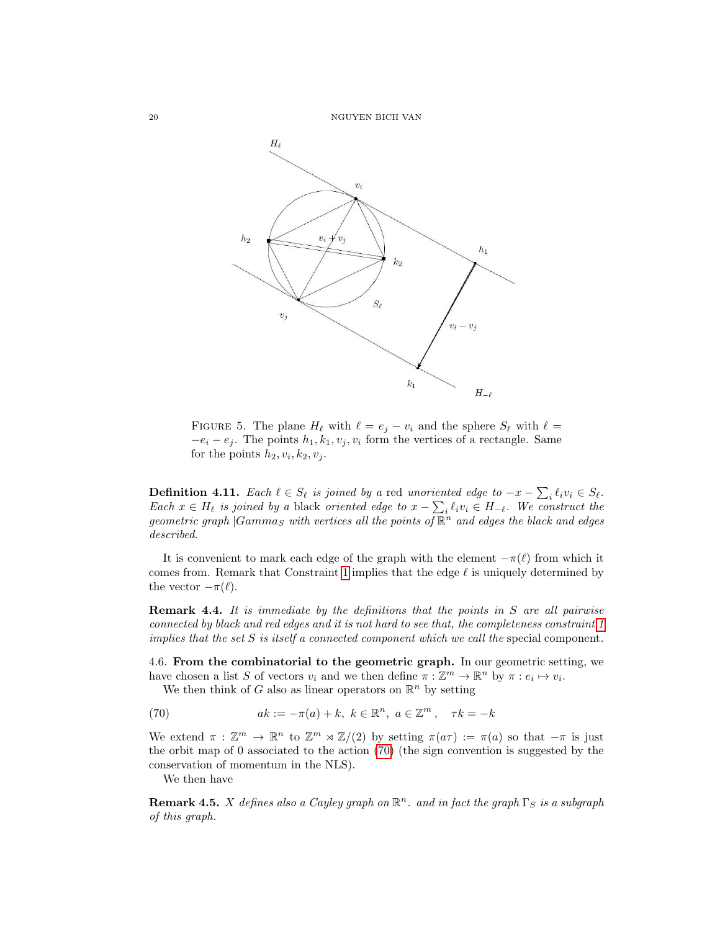

FIGURE 5. The plane  $H_\ell$  with  $\ell = e_j - v_i$  and the sphere  $S_\ell$  with  $\ell =$  $-e_i - e_j$ . The points  $h_1, k_1, v_j, v_i$  form the vertices of a rectangle. Same for the points  $h_2, v_i, k_2, v_j$ .

<span id="page-20-2"></span>**Definition 4.11.** Each  $\ell \in S_{\ell}$  is joined by a red unoriented edge to  $-x - \sum_i \ell_i v_i \in S_{\ell}$ . Each  $x \in H_\ell$  is joined by a black oriented edge to  $x - \sum_i \ell_i v_i \in H_{-\ell}$ . We construct the geometric graph  $|Gamma_S$  with vertices all the points of  $\mathbb{R}^n$  and edges the black and edges described.

It is convenient to mark each edge of the graph with the element  $-\pi(\ell)$  from which it comes from. Remark that Constraint [1](#page-12-2) implies that the edge  $\ell$  is uniquely determined by the vector  $-\pi(\ell)$ .

**Remark 4.4.** It is immediate by the definitions that the points in  $S$  are all pairwise connected by black and red edges and it is not hard to see that, the completeness constraint [1](#page-12-2) implies that the set  $S$  is itself a connected component which we call the special component.

<span id="page-20-0"></span>4.6. From the combinatorial to the geometric graph. In our geometric setting, we have chosen a list S of vectors  $v_i$  and we then define  $\pi : \mathbb{Z}^m \to \mathbb{R}^n$  by  $\pi : e_i \mapsto v_i$ .

<span id="page-20-1"></span>We then think of G also as linear operators on  $\mathbb{R}^n$  by setting

(70) 
$$
ak := -\pi(a) + k, \ k \in \mathbb{R}^n, \ a \in \mathbb{Z}^m, \ \ \tau k = -k
$$

We extend  $\pi : \mathbb{Z}^m \to \mathbb{R}^n$  to  $\mathbb{Z}^m \rtimes \mathbb{Z}/(2)$  by setting  $\pi(a\tau) := \pi(a)$  so that  $-\pi$  is just the orbit map of 0 associated to the action [\(70\)](#page-20-1) (the sign convention is suggested by the conservation of momentum in the NLS).

We then have

**Remark 4.5.** X defines also a Cayley graph on  $\mathbb{R}^n$ . and in fact the graph  $\Gamma_S$  is a subgraph of this graph.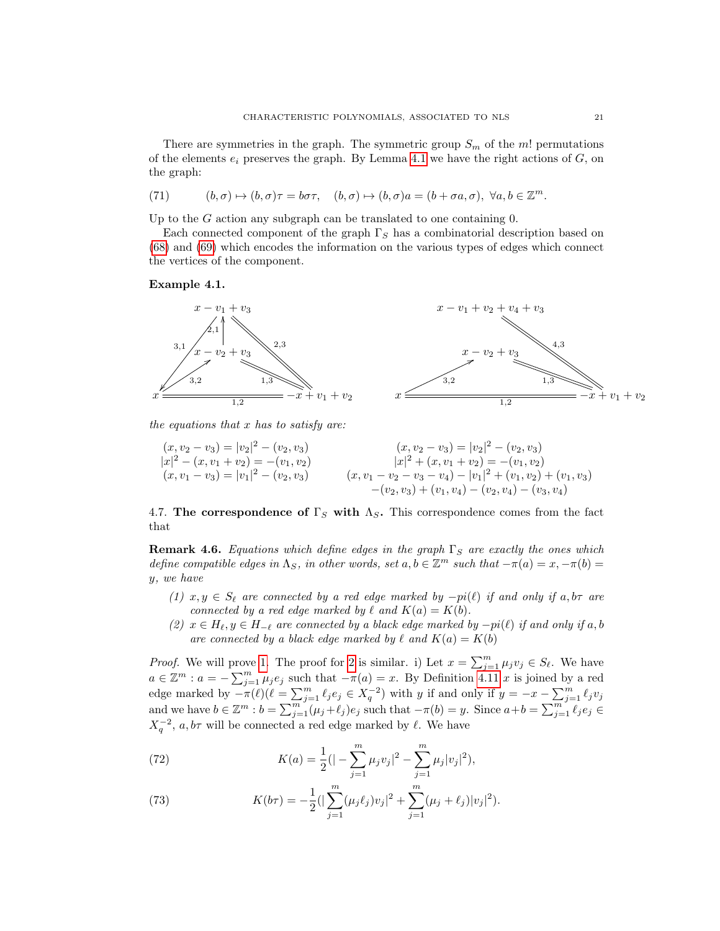There are symmetries in the graph. The symmetric group  $S_m$  of the m! permutations of the elements  $e_i$  preserves the graph. By Lemma [4.1](#page-17-2) we have the right actions of  $G$ , on the graph:

<span id="page-21-4"></span>(71) 
$$
(b,\sigma) \mapsto (b,\sigma)\tau = b\sigma\tau, \quad (b,\sigma) \mapsto (b,\sigma)a = (b+\sigma a,\sigma), \ \forall a,b \in \mathbb{Z}^m.
$$

Up to the  $G$  action any subgraph can be translated to one containing  $0$ .

Each connected component of the graph  $\Gamma_S$  has a combinatorial description based on [\(68\)](#page-19-4) and [\(69\)](#page-19-5) which encodes the information on the various types of edges which connect the vertices of the component.

### Example 4.1.



the equations that  $x$  has to satisfy are:

$$
(x, v_2 - v_3) = |v_2|^2 - (v_2, v_3)
$$
  
\n
$$
|x|^2 - (x, v_1 + v_2) = -(v_1, v_2)
$$
  
\n
$$
(x, v_1 - v_3) = |v_1|^2 - (v_2, v_3)
$$
  
\n
$$
(x, v_1 - v_2 - v_3) = |v_2|^2 + (v_1, v_1 + v_2) = -(v_1, v_2)
$$
  
\n
$$
(x, v_1 - v_2 - v_3 - v_4) - |v_1|^2 + (v_1, v_2) + (v_1, v_3)
$$
  
\n
$$
-(v_2, v_3) + (v_1, v_4) - (v_2, v_4) - (v_3, v_4)
$$

<span id="page-21-0"></span>4.7. The correspondence of  $\Gamma_S$  with  $\Lambda_S$ . This correspondence comes from the fact that

**Remark 4.6.** Equations which define edges in the graph  $\Gamma_S$  are exactly the ones which define compatible edges in  $\Lambda_S$ , in other words, set  $a, b \in \mathbb{Z}^m$  such that  $-\pi(a) = x, -\pi(b) =$ y, we have

- <span id="page-21-1"></span>(1)  $x, y \in S_\ell$  are connected by a red edge marked by  $-pi(\ell)$  if and only if a, b $\tau$  are connected by a red edge marked by  $\ell$  and  $K(a) = K(b)$ .
- <span id="page-21-2"></span>(2)  $x \in H_{\ell}, y \in H_{-\ell}$  are connected by a black edge marked by  $-pi(\ell)$  if and only if a, b are connected by a black edge marked by  $\ell$  and  $K(a) = K(b)$

*Proof.* We will prove [1.](#page-21-1) The proof for [2](#page-21-2) is similar. i) Let  $x = \sum_{j=1}^{m} \mu_j v_j \in S_{\ell}$ . We have  $a \in \mathbb{Z}^m : a = -\sum_{j=1}^m \mu_j e_j$  such that  $-\pi(a) = x$ . By Definition [4.11](#page-20-2) x is joined by a red edge marked by  $-\pi(\ell)(\ell = \sum_{j=1}^m \ell_j e_j \in X_q^{-2})$  with y if and only if  $y = -x - \sum_{j=1}^m \ell_j v_j$ and we have  $b \in \mathbb{Z}^m : b = \sum_{j=1}^m (\mu_j + \ell_j) e_j$  such that  $-\pi(b) = y$ . Since  $a+b = \sum_{j=1}^m \ell_j e_j \in$  $X_q^{-2}$ ,  $a, b\tau$  will be connected a red edge marked by  $\ell$ . We have

<span id="page-21-3"></span>(72) 
$$
K(a) = \frac{1}{2}(|-\sum_{j=1}^{m} \mu_j v_j|^2 - \sum_{j=1}^{m} \mu_j |v_j|^2),
$$

(73) 
$$
K(b\tau) = -\frac{1}{2} \left( |\sum_{j=1}^{m} (\mu_j \ell_j) v_j|^2 + \sum_{j=1}^{m} (\mu_j + \ell_j) |v_j|^2 \right).
$$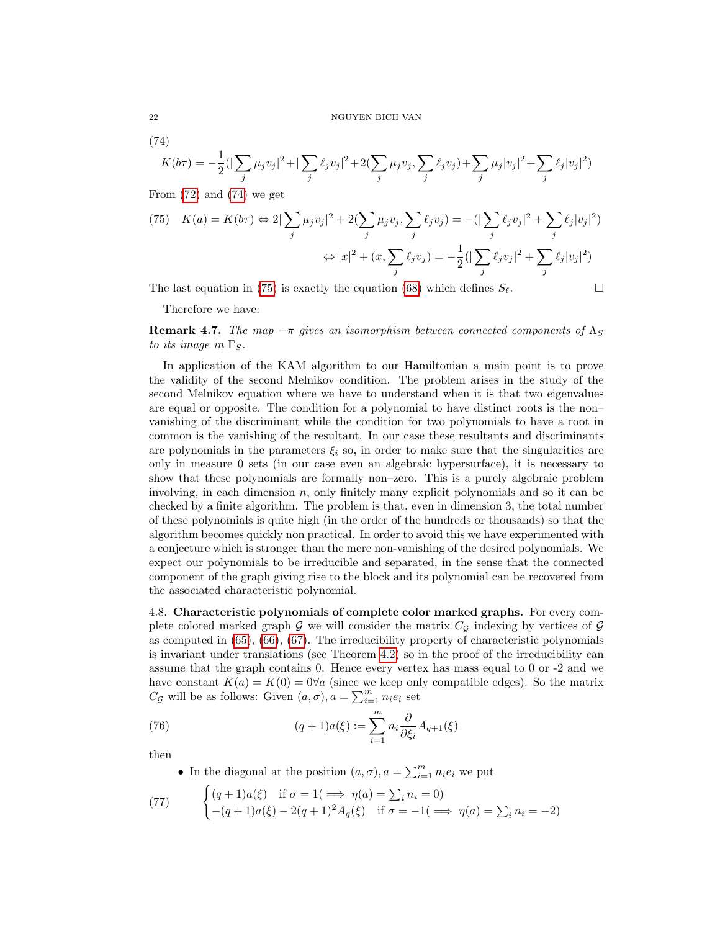<span id="page-22-1"></span>(74)

$$
K(b\tau) = -\frac{1}{2} \left( \left| \sum_{j} \mu_j v_j \right|^2 + \left| \sum_{j} \ell_j v_j \right|^2 + 2 \left( \sum_{j} \mu_j v_j, \sum_{j} \ell_j v_j \right) + \sum_{j} \mu_j |v_j|^2 + \sum_{j} \ell_j |v_j|^2 \right)
$$

From  $(72)$  and  $(74)$  we get

<span id="page-22-2"></span>(75) 
$$
K(a) = K(b\tau) \Leftrightarrow 2|\sum_{j} \mu_{j}v_{j}|^{2} + 2(\sum_{j} \mu_{j}v_{j}, \sum_{j} \ell_{j}v_{j}) = -(|\sum_{j} \ell_{j}v_{j}|^{2} + \sum_{j} \ell_{j}|v_{j}|^{2})
$$

$$
\Leftrightarrow |x|^{2} + (x, \sum_{j} \ell_{j}v_{j}) = -\frac{1}{2}(|\sum_{j} \ell_{j}v_{j}|^{2} + \sum_{j} \ell_{j}|v_{j}|^{2})
$$

The last equation in [\(75\)](#page-22-2) is exactly the equation [\(68\)](#page-19-4) which defines  $S_{\ell}$ .

Therefore we have:

**Remark 4.7.** The map  $-\pi$  gives an isomorphism between connected components of  $\Lambda_S$ to its image in  $\Gamma_S$ .

In application of the KAM algorithm to our Hamiltonian a main point is to prove the validity of the second Melnikov condition. The problem arises in the study of the second Melnikov equation where we have to understand when it is that two eigenvalues are equal or opposite. The condition for a polynomial to have distinct roots is the non– vanishing of the discriminant while the condition for two polynomials to have a root in common is the vanishing of the resultant. In our case these resultants and discriminants are polynomials in the parameters  $\xi_i$  so, in order to make sure that the singularities are only in measure 0 sets (in our case even an algebraic hypersurface), it is necessary to show that these polynomials are formally non–zero. This is a purely algebraic problem involving, in each dimension  $n$ , only finitely many explicit polynomials and so it can be checked by a finite algorithm. The problem is that, even in dimension 3, the total number of these polynomials is quite high (in the order of the hundreds or thousands) so that the algorithm becomes quickly non practical. In order to avoid this we have experimented with a conjecture which is stronger than the mere non-vanishing of the desired polynomials. We expect our polynomials to be irreducible and separated, in the sense that the connected component of the graph giving rise to the block and its polynomial can be recovered from the associated characteristic polynomial.

<span id="page-22-0"></span>4.8. Characteristic polynomials of complete color marked graphs. For every complete colored marked graph G we will consider the matrix  $C_g$  indexing by vertices of G as computed in [\(65\)](#page-19-1), [\(66\)](#page-19-2), [\(67\)](#page-19-3). The irreducibility property of characteristic polynomials is invariant under translations (see Theorem [4.2\)](#page-23-0) so in the proof of the irreducibility can assume that the graph contains 0. Hence every vertex has mass equal to 0 or -2 and we have constant  $K(a) = K(0) = 0 \forall a$  (since we keep only compatible edges). So the matrix  $C_{\mathcal{G}}$  will be as follows: Given  $(a, \sigma), a = \sum_{i=1}^{m} n_i e_i$  set

(76) 
$$
(q+1)a(\xi) := \sum_{i=1}^{m} n_i \frac{\partial}{\partial \xi_i} A_{q+1}(\xi)
$$

then

• In the diagonal at the position  $(a, \sigma)$ ,  $a = \sum_{i=1}^{m} n_i e_i$  we put

(77) 
$$
\begin{cases} (q+1)a(\xi) & \text{if } \sigma = 1 \implies \eta(a) = \sum_{i} n_i = 0 \\ -(q+1)a(\xi) - 2(q+1)^2 A_q(\xi) & \text{if } \sigma = -1 \implies \eta(a) = \sum_{i} n_i = -2 \end{cases}
$$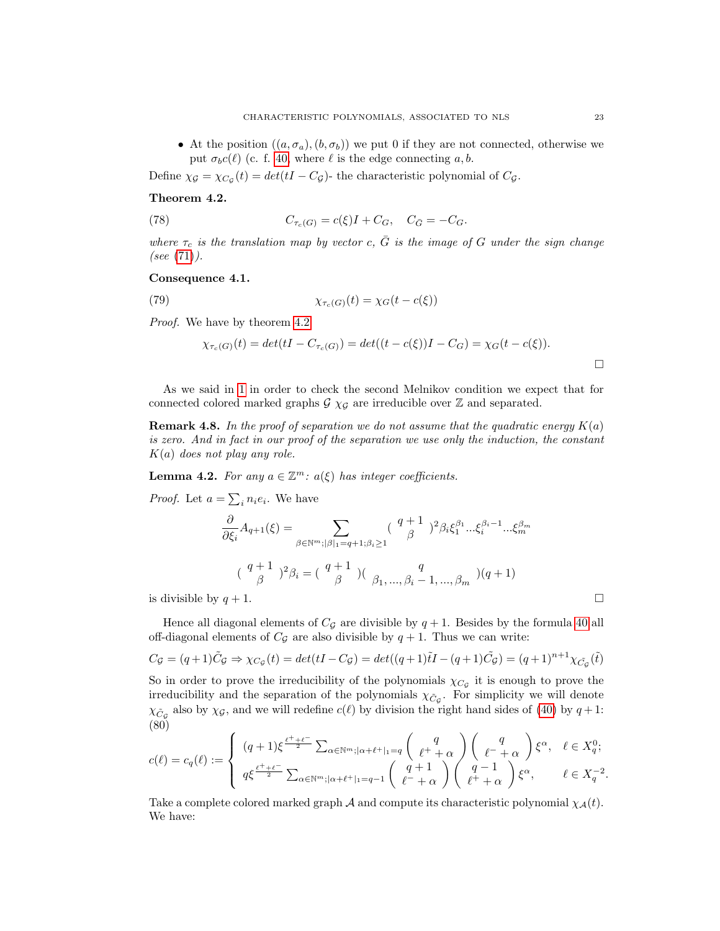• At the position  $((a, \sigma_a), (b, \sigma_b))$  we put 0 if they are not connected, otherwise we put  $\sigma_b c(\ell)$  (c. f. [40,](#page-13-3) where  $\ell$  is the edge connecting a, b.

Define  $\chi_{\mathcal{G}} = \chi_{C_{\mathcal{G}}}(t) = det(tI - C_{\mathcal{G}})$ - the characteristic polynomial of  $C_{\mathcal{G}}$ .

## <span id="page-23-0"></span>Theorem 4.2.

(78) 
$$
C_{\tau_c(G)} = c(\xi)I + C_G, \quad C_{\bar{G}} = -C_G.
$$

where  $\tau_c$  is the translation map by vector c,  $\bar{G}$  is the image of G under the sign change (see  $(71)$ ).

## Consequence 4.1.

(79) 
$$
\chi_{\tau_c(G)}(t) = \chi_G(t - c(\xi))
$$

Proof. We have by theorem  $4.2$ 

$$
\chi_{\tau_c(G)}(t) = det(tI - C_{\tau_c(G)}) = det((t - c(\xi))I - C_G) = \chi_G(t - c(\xi)).
$$

As we said in [1](#page-4-1) in order to check the second Melnikov condition we expect that for connected colored marked graphs  $\mathcal{G}\chi_{\mathcal{G}}$  are irreducible over  $\mathbb Z$  and separated.

**Remark 4.8.** In the proof of separation we do not assume that the quadratic energy  $K(a)$ is zero. And in fact in our proof of the separation we use only the induction, the constant  $K(a)$  does not play any role.

**Lemma 4.2.** For any  $a \in \mathbb{Z}^m$ :  $a(\xi)$  has integer coefficients.

*Proof.* Let 
$$
a = \sum_i n_i e_i
$$
. We have  
\n
$$
\frac{\partial}{\partial \xi_i} A_{q+1}(\xi) = \sum_{\beta \in \mathbb{N}^m; |\beta|_1 = q+1; \beta_i \ge 1} \left(\begin{array}{c} q+1 \\ \beta \end{array}\right)^2 \beta_i \xi_1^{\beta_1} \dots \xi_i^{\beta_i-1} \dots \xi_m^{\beta_m}
$$
\n
$$
\left(\begin{array}{c} q+1 \\ \beta \end{array}\right)^2 \beta_i = \left(\begin{array}{c} q+1 \\ \beta \end{array}\right) \left(\begin{array}{c} q \\ \beta_1, \dots, \beta_i - 1, \dots, \beta_m \end{array}\right) (q+1)
$$
\nis divisible by  $q+1$ .

Hence all diagonal elements of  $C_g$  are divisible by  $q + 1$ . Besides by the formula [40](#page-13-3) all off-diagonal elements of  $C_g$  are also divisible by  $q + 1$ . Thus we can write:

$$
C_{\mathcal{G}} = (q+1)\tilde{C}_{\mathcal{G}} \Rightarrow \chi_{C_{\mathcal{G}}}(t) = det(tI - C_{\mathcal{G}}) = det((q+1)\tilde{t}I - (q+1)\tilde{C}_{\mathcal{G}}) = (q+1)^{n+1}\chi_{\tilde{C}_{\mathcal{G}}}(\tilde{t})
$$

So in order to prove the irreducibility of the polynomials  $\chi_{C_{\mathcal{G}}}$  it is enough to prove the irreducibility and the separation of the polynomials  $\chi_{\tilde{C}_{\mathcal{G}}}$ . For simplicity we will denote  $\chi_{\tilde{C}_{\mathcal{G}}}$  also by  $\chi_{\mathcal{G}}$ , and we will redefine  $c(\ell)$  by division the right hand sides of [\(40\)](#page-13-3) by  $q+1$ : (80)

<span id="page-23-1"></span>
$$
c(\ell) = c_q(\ell) := \begin{cases} (q+1)\xi^{\frac{\ell^+ + \ell^-}{2}} \sum_{\alpha \in \mathbb{N}^m; |\alpha + \ell^+|_1 = q} \binom{q}{\ell^+ + \alpha} \binom{q}{\ell^- + \alpha} \xi^{\alpha}, & \ell \in X_q^0; \\ q\xi^{\frac{\ell^+ + \ell^-}{2}} \sum_{\alpha \in \mathbb{N}^m; |\alpha + \ell^+|_1 = q-1} \binom{q+1}{\ell^- + \alpha} \binom{q-1}{\ell^+ + \alpha} \xi^{\alpha}, & \ell \in X_q^{-2}. \end{cases}
$$

Take a complete colored marked graph A and compute its characteristic polynomial  $\chi_{\mathcal{A}}(t)$ . We have: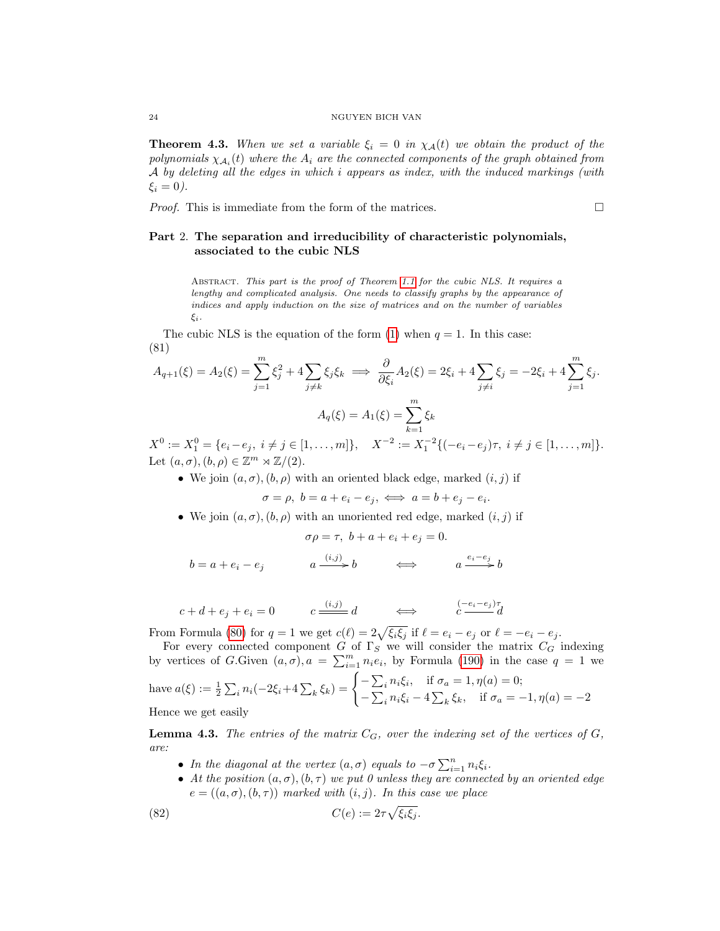**Theorem 4.3.** When we set a variable  $\xi_i = 0$  in  $\chi_A(t)$  we obtain the product of the polynomials  $\chi_{\mathcal{A}_i}(t)$  where the  $A_i$  are the connected components of the graph obtained from A by deleting all the edges in which i appears as index, with the induced markings (with  $\xi_i = 0$ ).

*Proof.* This is immediate from the form of the matrices.  $\Box$ 

## <span id="page-24-0"></span>Part 2. The separation and irreducibility of characteristic polynomials, associated to the cubic NLS

ABSTRACT. This part is the proof of Theorem [1.1](#page-4-2) for the cubic NLS. It requires a lengthy and complicated analysis. One needs to classify graphs by the appearance of indices and apply induction on the size of matrices and on the number of variables ξi.

The cubic NLS is the equation of the form [\(1\)](#page-2-5) when  $q = 1$ . In this case: (81)

$$
A_{q+1}(\xi) = A_2(\xi) = \sum_{j=1}^m \xi_j^2 + 4 \sum_{j \neq k} \xi_j \xi_k \implies \frac{\partial}{\partial \xi_i} A_2(\xi) = 2\xi_i + 4 \sum_{j \neq i} \xi_j = -2\xi_i + 4 \sum_{j=1}^m \xi_j.
$$
  

$$
A_q(\xi) = A_1(\xi) = \sum_{k=1}^m \xi_k
$$

 $X^0 := X_1^0 = \{e_i - e_j, i \neq j \in [1, ..., m]\}, \quad X^{-2} := X_1^{-2} \{(-e_i - e_j)\tau, i \neq j \in [1, ..., m]\}.$ Let  $(a, \sigma), (b, \rho) \in \mathbb{Z}^m \rtimes \mathbb{Z}/(2)$ .

• We join  $(a, \sigma)$ ,  $(b, \rho)$  with an oriented black edge, marked  $(i, j)$  if

$$
\sigma = \rho, \ b = a + e_i - e_j, \ \Longleftrightarrow \ a = b + e_j - e_i.
$$

• We join  $(a, \sigma), (b, \rho)$  with an unoriented red edge, marked  $(i, j)$  if

$$
\sigma \rho = \tau, \ b + a + e_i + e_j = 0.
$$
  

$$
b = a + e_i - e_j \qquad a \xrightarrow{(i,j)} b \qquad \Longleftrightarrow \qquad a \xrightarrow{e_i - e_j} b
$$

$$
\mathcal{L}^{\mathcal{L}}(\mathcal{L}^{\mathcal{L}}(\mathcal{L}^{\mathcal{L}}(\mathcal{L}^{\mathcal{L}}(\mathcal{L}^{\mathcal{L}}(\mathcal{L}^{\mathcal{L}}(\mathcal{L}^{\mathcal{L}}(\mathcal{L}^{\mathcal{L}}(\mathcal{L}^{\mathcal{L}}(\mathcal{L}^{\mathcal{L}}(\mathcal{L}^{\mathcal{L}}(\mathcal{L}^{\mathcal{L}}(\mathcal{L}^{\mathcal{L}}(\mathcal{L}^{\mathcal{L}}(\mathcal{L}^{\mathcal{L}}(\mathcal{L}^{\mathcal{L}}(\mathcal{L}^{\mathcal{L}}(\mathcal{L}^{\mathcal{L}}(\mathcal{L}^{\mathcal{L}}(\mathcal{L}^{\mathcal{L}}(\mathcal{L}^{\mathcal{L}}(\mathcal{L}^{\mathcal{L}}(\mathcal{L}^{\mathcal{L}}(\mathcal{L}^{\mathcal{L}}(\mathcal{L}^{\mathcal{L}}(\mathcal{L}^{\mathcal{L}}(\mathcal{L}^{\mathcal{L}}(\mathcal{L}^{\mathcal{L}}(\mathcal{L}^{\mathcal{L}}(\mathcal{L}^{\mathcal{L}}(\mathcal{L}^{\mathcal{L}}(\mathcal{L}^{\mathcal{L}}(\mathcal{L}^{\mathcal{L}}(\mathcal{L}^{\mathcal{L}}(\mathcal{L}^{\mathcal{L}}(\mathcal{L}^{\mathcal{L}}(\mathcal{L}^{\mathcal{L}}(\mathcal{L}^{\mathcal{L}}(\mathcal{L}^{\mathcal{L}}(\mathcal{L}^{\mathcal{L}}(\mathcal{L}^{\mathcal{L}}(\mathcal{L}^{\mathcal{L}}(\mathcal{L}^{\mathcal{L}}(\mathcal{L}^{\mathcal{L}}(\mathcal{L}^{\mathcal{L}}(\mathcal{L}^{\mathcal{L}}(\mathcal{L}^{\mathcal{L}}(\mathcal{L}^{\mathcal{L}}(\mathcal{L}^{\mathcal{L}}(\mathcal{L}^{\mathcal{L}}(\mathcal{L}^{\mathcal{L}}(\mathcal{L}^{\mathcal{L}}(\mathcal{L}^{\mathcal{L}}(\mathcal{L}^{\mathcal{L}}(\mathcal{L}^{\mathcal{L}}(\mathcal{L}^{\mathcal{L}}(\mathcal{L}^{\mathcal{L}}(\mathcal{L}^{\mathcal{L}}(\mathcal{L}
$$

 $c + d + e_j + e_i = 0$   $c \xrightarrow{(i,j)} d \qquad \Longleftrightarrow \qquad \begin{array}{c} (-e_i - e_j)\tau \\ c \end{array}$ 

From Formula [\(80\)](#page-23-1) for  $q = 1$  we get  $c(\ell) = 2\sqrt{\xi_i \xi_j}$  if  $\ell = e_i - e_j$  or  $\ell = -e_i - e_j$ .

For every connected component G of  $\Gamma_S$  we will consider the matrix  $C_G$  indexing by vertices of G.Given  $(a, \sigma), a = \sum_{i=1}^{m} n_i e_i$ , by Formula [\(190\)](#page-62-1) in the case  $q = 1$  we have  $a(\xi) := \frac{1}{2} \sum_i n_i(-2\xi_i + 4 \sum_k \xi_k) = \begin{cases} -\sum_i n_i \xi_i, & \text{if } \sigma_a = 1, \eta(a) = 0; \\ \sum_i n_i \xi_i, & \text{if } \sigma_a = 1, \eta(a) = 0; \end{cases}$  $-\sum_i n_i \xi_i - 4 \sum_k \xi_k$ , if  $\sigma_a = -1, \eta(a) = -2$ Hence we get easily

**Lemma 4.3.** The entries of the matrix  $C_G$ , over the indexing set of the vertices of  $G$ , are:

- In the diagonal at the vertex  $(a, \sigma)$  equals to  $-\sigma \sum_{i=1}^{n} n_i \xi_i$ .
- At the position  $(a, \sigma), (b, \tau)$  we put 0 unless they are connected by an oriented edge  $e = ((a, \sigma), (b, \tau))$  marked with  $(i, j)$ . In this case we place

(82) 
$$
C(e) := 2\tau \sqrt{\xi_i \xi_j}.
$$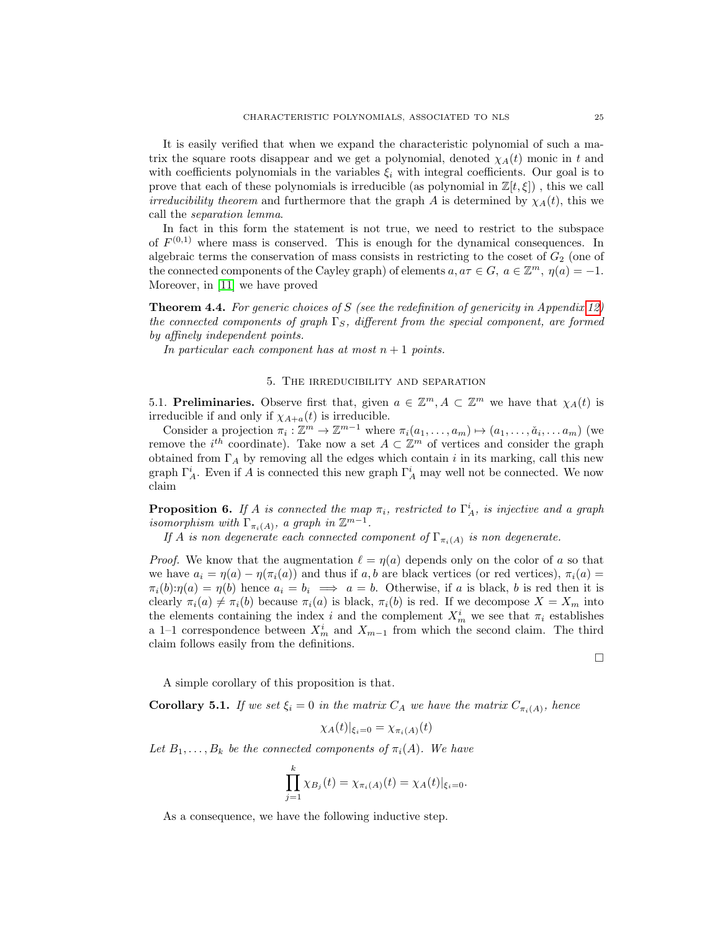It is easily verified that when we expand the characteristic polynomial of such a matrix the square roots disappear and we get a polynomial, denoted  $\chi_A(t)$  monic in t and with coefficients polynomials in the variables  $\xi_i$  with integral coefficients. Our goal is to prove that each of these polynomials is irreducible (as polynomial in  $\mathbb{Z}[t,\xi]$ ), this we call *irreducibility theorem* and furthermore that the graph A is determined by  $\chi_A(t)$ , this we call the separation lemma.

In fact in this form the statement is not true, we need to restrict to the subspace of  $F^{(0,1)}$  where mass is conserved. This is enough for the dynamical consequences. In algebraic terms the conservation of mass consists in restricting to the coset of  $G<sub>2</sub>$  (one of the connected components of the Cayley graph) of elements  $a, a\tau \in G$ ,  $a \in \mathbb{Z}^m$ ,  $\eta(a) = -1$ . Moreover, in [\[11\]](#page-72-11) we have proved

<span id="page-25-3"></span>**Theorem 4.4.** For generic choices of S (see the redefinition of genericity in Appendix [12\)](#page-71-0) the connected components of graph  $\Gamma_S$ , different from the special component, are formed by affinely independent points.

In particular each component has at most  $n+1$  points.

### 5. The irreducibility and separation

<span id="page-25-1"></span><span id="page-25-0"></span>5.1. Preliminaries. Observe first that, given  $a \in \mathbb{Z}^m$ ,  $A \subset \mathbb{Z}^m$  we have that  $\chi_A(t)$  is irreducible if and only if  $\chi_{A+a}(t)$  is irreducible.

Consider a projection  $\pi_i : \mathbb{Z}^m \to \mathbb{Z}^{m-1}$  where  $\pi_i(a_1, \ldots, a_m) \mapsto (a_1, \ldots, a_i, \ldots, a_m)$  (we remove the  $i^{th}$  coordinate). Take now a set  $A \subset \mathbb{Z}^m$  of vertices and consider the graph obtained from  $\Gamma_A$  by removing all the edges which contain i in its marking, call this new graph  $\Gamma_A^i$ . Even if A is connected this new graph  $\Gamma_A^i$  may well not be connected. We now claim

**Proposition 6.** If A is connected the map  $\pi_i$ , restricted to  $\Gamma_A^i$ , is injective and a graph isomorphism with  $\Gamma_{\pi_i(A)}$ , a graph in  $\mathbb{Z}^{m-1}$ .

If A is non degenerate each connected component of  $\Gamma_{\pi_i(A)}$  is non degenerate.

*Proof.* We know that the augmentation  $\ell = \eta(a)$  depends only on the color of a so that we have  $a_i = \eta(a) - \eta(\pi_i(a))$  and thus if a, b are black vertices (or red vertices),  $\pi_i(a)$  $\pi_i(b):\eta(a) = \eta(b)$  hence  $a_i = b_i \implies a = b$ . Otherwise, if a is black, b is red then it is clearly  $\pi_i(a) \neq \pi_i(b)$  because  $\pi_i(a)$  is black,  $\pi_i(b)$  is red. If we decompose  $X = X_m$  into the elements containing the index i and the complement  $X_m^i$  we see that  $\pi_i$  establishes a 1–1 correspondence between  $X_m^i$  and  $X_{m-1}$  from which the second claim. The third claim follows easily from the definitions.

 $\Box$ 

A simple corollary of this proposition is that.

<span id="page-25-2"></span>**Corollary 5.1.** If we set  $\xi_i = 0$  in the matrix  $C_A$  we have the matrix  $C_{\pi_i(A)}$ , hence

$$
\chi_A(t)|_{\xi_i=0} = \chi_{\pi_i(A)}(t)
$$

Let  $B_1, \ldots, B_k$  be the connected components of  $\pi_i(A)$ . We have

$$
\prod_{j=1}^{k} \chi_{B_j}(t) = \chi_{\pi_i(A)}(t) = \chi_A(t)|_{\xi_i=0}.
$$

As a consequence, we have the following inductive step.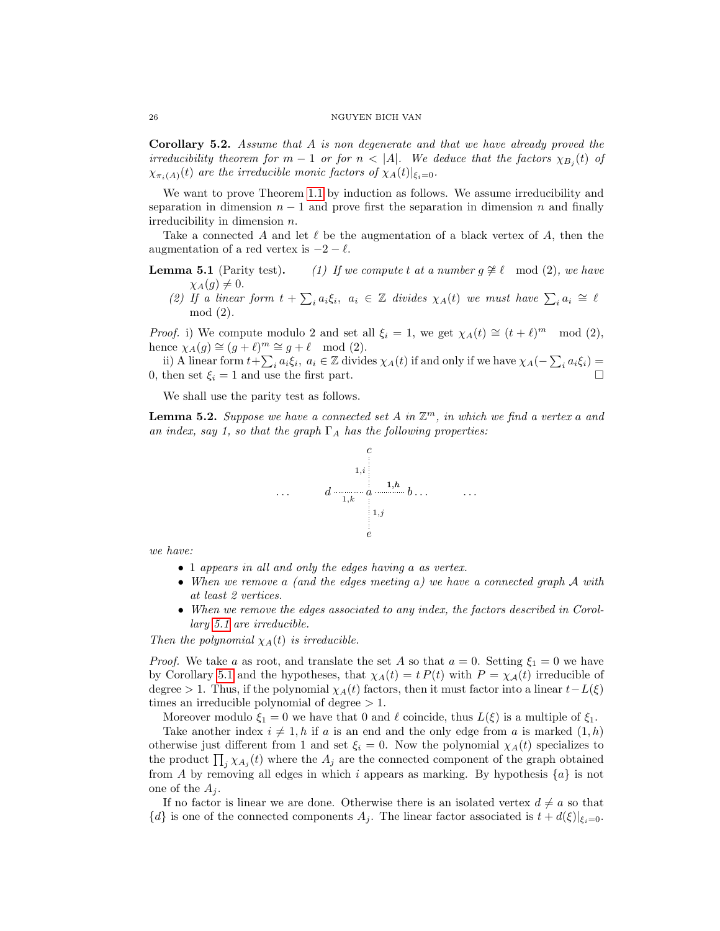Corollary 5.2. Assume that A is non degenerate and that we have already proved the irreducibility theorem for  $m-1$  or for  $n < |A|$ . We deduce that the factors  $\chi_{B_j}(t)$  of  $\chi_{\pi_i(A)}(t)$  are the irreducible monic factors of  $\chi_A(t)|_{\xi_i=0}$ .

We want to prove Theorem [1.1](#page-4-2) by induction as follows. We assume irreducibility and separation in dimension  $n-1$  and prove first the separation in dimension n and finally irreducibility in dimension n.

Take a connected A and let  $\ell$  be the augmentation of a black vertex of A, then the augmentation of a red vertex is  $-2 - \ell$ .

- **Lemma 5.1** (Parity test). (1) If we compute t at a number  $g \not\cong \ell \mod (2)$ , we have  $\chi_A(g) \neq 0.$ 
	- (2) If a linear form  $t + \sum_i a_i \xi_i$ ,  $a_i \in \mathbb{Z}$  divides  $\chi_A(t)$  we must have  $\sum_i a_i \cong \ell$ mod (2).

*Proof.* i) We compute modulo 2 and set all  $\xi_i = 1$ , we get  $\chi_A(t) \cong (t + \ell)^m \mod (2)$ , hence  $\chi_A(g) \cong (g + \ell)^m \cong g + \ell \mod (2)$ .

ii) A linear form  $t + \sum_i a_i \xi_i$ ,  $a_i \in \mathbb{Z}$  divides  $\chi_A(t)$  if and only if we have  $\chi_A(-\sum_i a_i \xi_i) =$ 0, then set  $\xi_i = 1$  and use the first part.

We shall use the parity test as follows.

<span id="page-26-0"></span>**Lemma 5.2.** Suppose we have a connected set A in  $\mathbb{Z}^m$ , in which we find a vertex a and an index, say 1, so that the graph  $\Gamma_A$  has the following properties:



we have:

- 1 appears in all and only the edges having a as vertex.
- When we remove a (and the edges meeting a) we have a connected graph A with at least 2 vertices.
- When we remove the edges associated to any index, the factors described in Corollary [5.1](#page-25-2) are irreducible.

Then the polynomial  $\chi_A(t)$  is irreducible.

*Proof.* We take a as root, and translate the set A so that  $a = 0$ . Setting  $\xi_1 = 0$  we have by Corollary [5.1](#page-25-2) and the hypotheses, that  $\chi_A(t) = t P(t)$  with  $P = \chi_A(t)$  irreducible of degree > 1. Thus, if the polynomial  $\chi_A(t)$  factors, then it must factor into a linear  $t-L(\xi)$ times an irreducible polynomial of degree  $>1$ .

Moreover modulo  $\xi_1 = 0$  we have that 0 and  $\ell$  coincide, thus  $L(\xi)$  is a multiple of  $\xi_1$ .

Take another index  $i \neq 1, h$  if a is an end and the only edge from a is marked  $(1,h)$ otherwise just different from 1 and set  $\xi_i = 0$ . Now the polynomial  $\chi_A(t)$  specializes to the product  $\prod_j \chi_{A_j}(t)$  where the  $A_j$  are the connected component of the graph obtained from A by removing all edges in which i appears as marking. By hypothesis  $\{a\}$  is not one of the  $A_i$ .

If no factor is linear we are done. Otherwise there is an isolated vertex  $d \neq a$  so that  $\{d\}$  is one of the connected components  $A_i$ . The linear factor associated is  $t + d(\xi)|_{\xi_i=0}$ .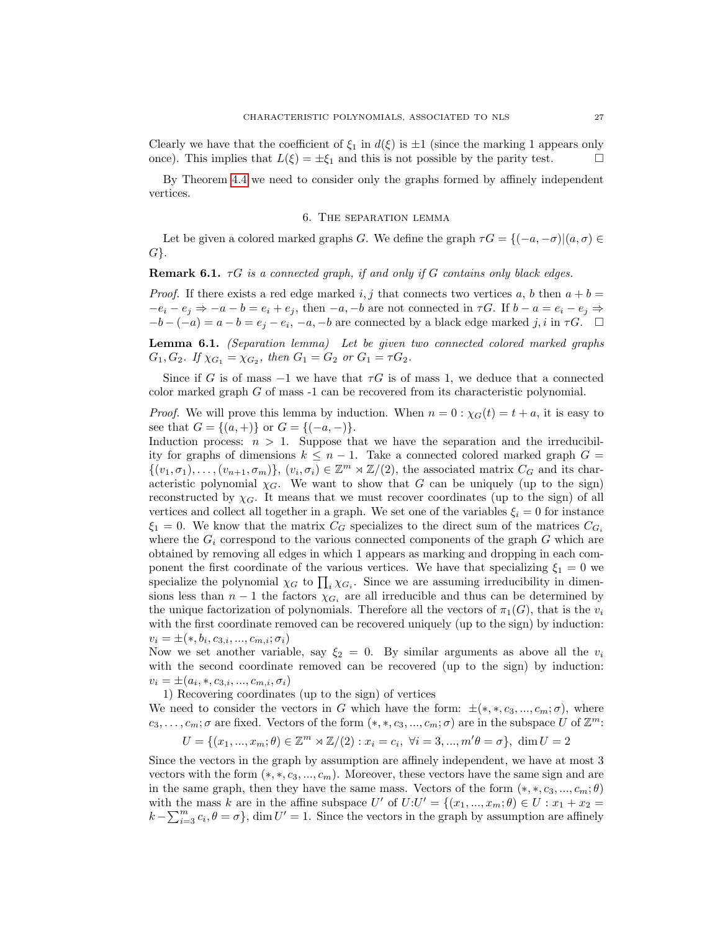Clearly we have that the coefficient of  $\xi_1$  in  $d(\xi)$  is  $\pm 1$  (since the marking 1 appears only once). This implies that  $L(\xi) = \pm \xi_1$  and this is not possible by the parity test.

By Theorem [4.4](#page-25-3) we need to consider only the graphs formed by affinely independent vertices.

## 6. The separation lemma

<span id="page-27-0"></span>Let be given a colored marked graphs G. We define the graph  $\tau G = \{(-a, -\sigma) | (a, \sigma) \in$  $G$ .

**Remark 6.1.**  $\tau G$  is a connected graph, if and only if G contains only black edges.

*Proof.* If there exists a red edge marked i, j that connects two vertices a, b then  $a + b =$  $-e_i - e_j \Rightarrow -a - b = e_i + e_j$ , then  $-a_i - b$  are not connected in  $\tau G$ . If  $b - a = e_i - e_j \Rightarrow$  $-b - (-a) = a - b = e_j - e_i, -a, -b$  are connected by a black edge marked j, i in  $\tau G$ .

Lemma 6.1. (Separation lemma) Let be given two connected colored marked graphs  $G_1, G_2$ . If  $\chi_{G_1} = \chi_{G_2}$ , then  $G_1 = G_2$  or  $G_1 = \tau G_2$ .

Since if G is of mass  $-1$  we have that  $\tau G$  is of mass 1, we deduce that a connected color marked graph G of mass -1 can be recovered from its characteristic polynomial.

*Proof.* We will prove this lemma by induction. When  $n = 0$ :  $\chi_G(t) = t + a$ , it is easy to see that  $G = \{(a, +)\}\$  or  $G = \{(-a, -)\}.$ 

Induction process:  $n > 1$ . Suppose that we have the separation and the irreducibility for graphs of dimensions  $k \leq n-1$ . Take a connected colored marked graph  $G =$  $\{(v_1,\sigma_1),\ldots,(v_{n+1},\sigma_m)\},\ (v_i,\sigma_i)\in\mathbb{Z}^m\rtimes\mathbb{Z}/(2),$  the associated matrix  $C_G$  and its characteristic polynomial  $\chi_G$ . We want to show that G can be uniquely (up to the sign) reconstructed by  $\chi_G$ . It means that we must recover coordinates (up to the sign) of all vertices and collect all together in a graph. We set one of the variables  $\xi_i = 0$  for instance  $\xi_1 = 0$ . We know that the matrix  $C_G$  specializes to the direct sum of the matrices  $C_{G_i}$ where the  $G_i$  correspond to the various connected components of the graph  $G$  which are obtained by removing all edges in which 1 appears as marking and dropping in each component the first coordinate of the various vertices. We have that specializing  $\xi_1 = 0$  we specialize the polynomial  $\chi_G$  to  $\prod_i \chi_{G_i}$ . Since we are assuming irreducibility in dimensions less than  $n-1$  the factors  $\chi_{G_i}$  are all irreducible and thus can be determined by the unique factorization of polynomials. Therefore all the vectors of  $\pi_1(G)$ , that is the  $v_i$ with the first coordinate removed can be recovered uniquely (up to the sign) by induction:  $v_i = \pm (*, b_i, c_{3,i}, ..., c_{m,i}; \sigma_i)$ 

Now we set another variable, say  $\xi_2 = 0$ . By similar arguments as above all the  $v_i$ with the second coordinate removed can be recovered (up to the sign) by induction:  $v_i = \pm (a_i, *, c_{3,i}, ..., c_{m,i}, \sigma_i)$ 

1) Recovering coordinates (up to the sign) of vertices

We need to consider the vectors in G which have the form:  $\pm$ (\*, \*, c<sub>3</sub>, ..., c<sub>m</sub>;  $\sigma$ ), where  $c_3, \ldots, c_m; \sigma$  are fixed. Vectors of the form  $(*, *, c_3, \ldots, c_m; \sigma)$  are in the subspace U of  $\mathbb{Z}^m$ :

$$
U = \{(x_1, ..., x_m; \theta) \in \mathbb{Z}^m \rtimes \mathbb{Z}/(2) : x_i = c_i, \ \forall i = 3, ..., m'\theta = \sigma\}, \ \dim U = 2
$$

Since the vectors in the graph by assumption are affinely independent, we have at most 3 vectors with the form  $(*, *, c_3, ..., c_m)$ . Moreover, these vectors have the same sign and are in the same graph, then they have the same mass. Vectors of the form  $(*, *, c_3, ..., c_m; \theta)$ with the mass k are in the affine subspace U' of  $U:U' = \{(x_1, ..., x_m; \theta) \in U : x_1 + x_2 =$  $k - \sum_{i=3}^{m} c_i, \theta = \sigma$ , dim  $U' = 1$ . Since the vectors in the graph by assumption are affinely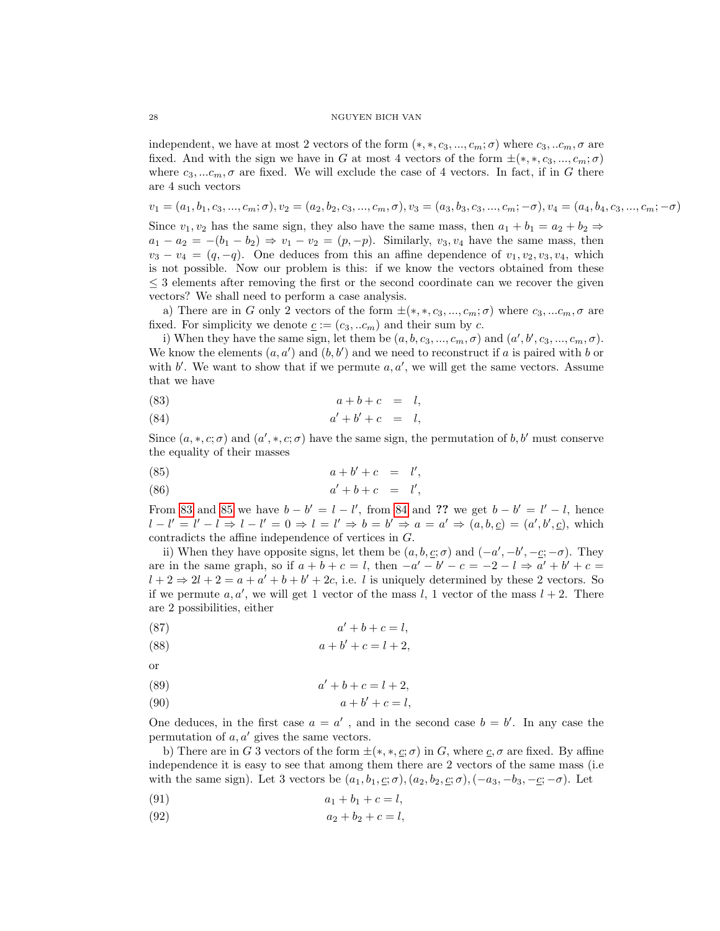independent, we have at most 2 vectors of the form  $(*, *, c_3, ..., c_m; \sigma)$  where  $c_3, ... c_m, \sigma$  are fixed. And with the sign we have in G at most 4 vectors of the form  $\pm(*,*,c_3,...,c_m;\sigma)$ where  $c_3, ... c_m, \sigma$  are fixed. We will exclude the case of 4 vectors. In fact, if in G there are 4 such vectors

$$
v_1=(a_1,b_1,c_3,...,c_m;\sigma), v_2=(a_2,b_2,c_3,...,c_m,\sigma), v_3=(a_3,b_3,c_3,...,c_m;-\sigma), v_4=(a_4,b_4,c_3,...,c_m;-\sigma)
$$

Since  $v_1, v_2$  has the same sign, they also have the same mass, then  $a_1 + b_1 = a_2 + b_2 \Rightarrow$  $a_1 - a_2 = -(b_1 - b_2) \Rightarrow v_1 - v_2 = (p, -p)$ . Similarly,  $v_3, v_4$  have the same mass, then  $v_3 - v_4 = (q, -q)$ . One deduces from this an affine dependence of  $v_1, v_2, v_3, v_4$ , which is not possible. Now our problem is this: if we know the vectors obtained from these  $\leq$  3 elements after removing the first or the second coordinate can we recover the given vectors? We shall need to perform a case analysis.

a) There are in G only 2 vectors of the form  $\pm(*,*,c_3,...,c_m;\sigma)$  where  $c_3,...c_m,\sigma$  are fixed. For simplicity we denote  $\underline{c} := (c_3, ... c_m)$  and their sum by c.

i) When they have the same sign, let them be  $(a, b, c_3, ..., c_m, \sigma)$  and  $(a', b', c_3, ..., c_m, \sigma)$ . We know the elements  $(a, a')$  and  $(b, b')$  and we need to reconstruct if a is paired with b or with  $b'$ . We want to show that if we permute  $a, a'$ , we will get the same vectors. Assume that we have

<span id="page-28-0"></span>
$$
(83) \qquad \qquad a+b+c \ = \ l,
$$

$$
(84) \qquad a' + b' + c = l,
$$

Since  $(a, *, c; \sigma)$  and  $(a', *, c; \sigma)$  have the same sign, the permutation of b, b' must conserve the equality of their masses

$$
(85) \qquad \qquad a+b'+c \ = \ l',
$$

<span id="page-28-1"></span>
$$
(86) \qquad \qquad a'+b+c \quad = \quad l',
$$

From [83](#page-28-0) and [85](#page-28-1) we have  $b - b' = l - l'$ , from [84](#page-28-0) and ?? we get  $b - b' = l' - l$ , hence  $l - l' = l' - l \Rightarrow l - l' = 0 \Rightarrow l = l' \Rightarrow b = b' \Rightarrow a = a' \Rightarrow (a, b, c) = (a', b', c)$ , which contradicts the affine independence of vertices in G.

ii) When they have opposite signs, let them be  $(a, b, c; \sigma)$  and  $(-a', -b', -c; -\sigma)$ . They are in the same graph, so if  $a + b + c = l$ , then  $-a' - b' - c = -2 - l \Rightarrow a' + b' + c =$  $l + 2 \Rightarrow 2l + 2 = a + a' + b + b' + 2c$ , i.e. *l* is uniquely determined by these 2 vectors. So if we permute a, a', we will get 1 vector of the mass l, 1 vector of the mass  $l + 2$ . There are 2 possibilities, either

$$
(87) \t a' + b + c = l,
$$

(88) 
$$
a+b'+c = l+2,
$$

or

$$
(89) \qquad \qquad a'+b+c=l+2,
$$

$$
(90) \qquad \qquad a+b'+c=l,
$$

One deduces, in the first case  $a = a'$ , and in the second case  $b = b'$ . In any case the permutation of  $a, a'$  gives the same vectors.

b) There are in G 3 vectors of the form  $\pm(*,*,\underline{c};\sigma)$  in G, where  $\underline{c},\sigma$  are fixed. By affine independence it is easy to see that among them there are 2 vectors of the same mass (i.e with the same sign). Let 3 vectors be  $(a_1, b_1, \underline{c}; \sigma), (a_2, b_2, \underline{c}; \sigma), (-a_3, -b_3, -\underline{c}; -\sigma)$ . Let

(91) 
$$
a_1 + b_1 + c = l,
$$

<span id="page-28-2"></span>(92) 
$$
a_2 + b_2 + c = l,
$$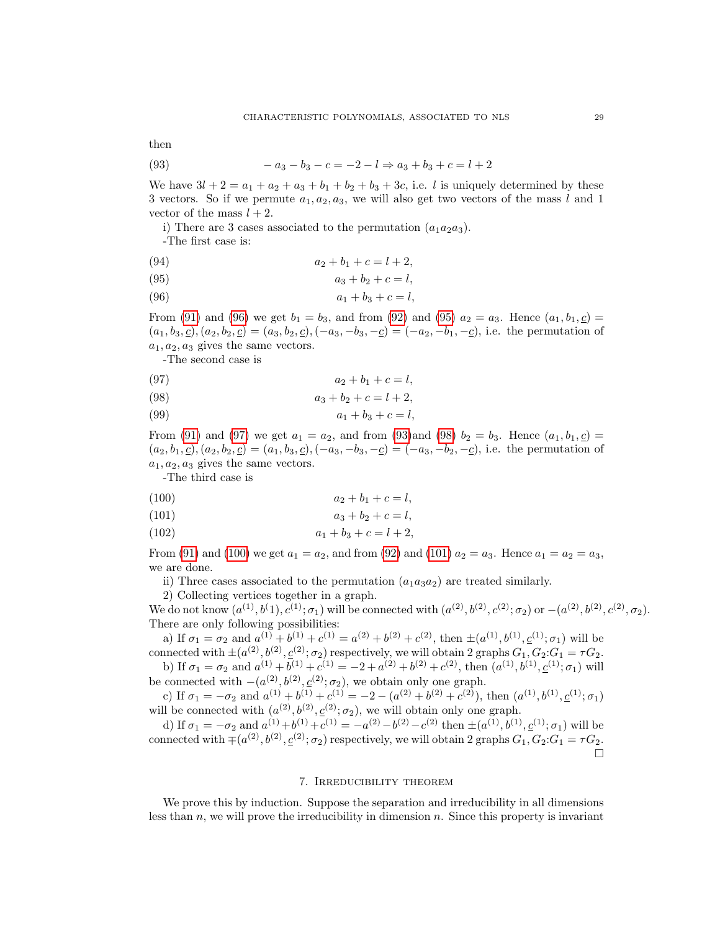then

<span id="page-29-3"></span>(93) 
$$
-a_3 - b_3 - c = -2 - l \Rightarrow a_3 + b_3 + c = l + 2
$$

We have  $3l + 2 = a_1 + a_2 + a_3 + b_1 + b_2 + b_3 + 3c$ , i.e. l is uniquely determined by these 3 vectors. So if we permute  $a_1, a_2, a_3$ , we will also get two vectors of the mass l and 1 vector of the mass  $l + 2$ .

i) There are 3 cases associated to the permutation  $(a_1a_2a_3)$ .

<span id="page-29-1"></span>-The first case is:

(94) 
$$
a_2 + b_1 + c = l + 2,
$$

(95) 
$$
a_3 + b_2 + c = l,
$$

(96) 
$$
a_1 + b_3 + c = l,
$$

From [\(91\)](#page-28-2) and [\(96\)](#page-29-1) we get  $b_1 = b_3$ , and from [\(92\)](#page-28-2) and [\(95\)](#page-29-1)  $a_2 = a_3$ . Hence  $(a_1, b_1, c)$  $(a_1, b_3, c), (a_2, b_2, c) = (a_3, b_2, c), (-a_3, -b_3, -c) = (-a_2, -b_1, -c)$ , i.e. the permutation of  $a_1, a_2, a_3$  gives the same vectors.

<span id="page-29-2"></span>-The second case is

(97) 
$$
a_2 + b_1 + c = l,
$$

(98) 
$$
a_3 + b_2 + c = l + 2,
$$

(99)  $a_1 + b_3 + c = l$ ,

From [\(91\)](#page-28-2) and [\(97\)](#page-29-2) we get  $a_1 = a_2$ , and from [\(93\)](#page-29-3)and [\(98\)](#page-29-2)  $b_2 = b_3$ . Hence  $(a_1, b_1, c)$  $(a_2, b_1, \underline{c})$ ,  $(a_2, b_2, \underline{c}) = (a_1, b_3, \underline{c})$ ,  $(-a_3, -b_3, -\underline{c}) = (-a_3, -b_2, -\underline{c})$ , i.e. the permutation of  $a_1, a_2, a_3$  gives the same vectors.

<span id="page-29-4"></span>-The third case is

$$
(100) \t\t\t a_2 + b_1 + c = l,
$$

(101) 
$$
a_3 + b_2 + c = l,
$$

$$
(102) \t\t\t a_1 + b_3 + c = l + 2,
$$

From [\(91\)](#page-28-2) and [\(100\)](#page-29-4) we get  $a_1 = a_2$ , and from [\(92\)](#page-28-2) and [\(101\)](#page-29-4)  $a_2 = a_3$ . Hence  $a_1 = a_2 = a_3$ , we are done.

ii) Three cases associated to the permutation  $(a_1a_3a_2)$  are treated similarly.

2) Collecting vertices together in a graph.

We do not know  $(a^{(1)}, b^{(1)}, c^{(1)}; \sigma_1)$  will be connected with  $(a^{(2)}, b^{(2)}, c^{(2)}; \sigma_2)$  or  $-(a^{(2)}, b^{(2)}, c^{(2)}, \sigma_2)$ . There are only following possibilities:

a) If  $\sigma_1 = \sigma_2$  and  $a^{(1)} + b^{(1)} + c^{(1)} = a^{(2)} + b^{(2)} + c^{(2)}$ , then  $\pm (a^{(1)}, b^{(1)}, \underline{c}^{(1)}; \sigma_1)$  will be connected with  $\pm (a^{(2)}, b^{(2)}, c^{(2)}; \sigma_2)$  respectively, we will obtain 2 graphs  $G_1, G_2:G_1 = \tau G_2$ .

b) If  $\sigma_1 = \sigma_2$  and  $a^{(1)} + b^{(1)} + c^{(1)} = -2 + a^{(2)} + b^{(2)} + c^{(2)}$ , then  $(a^{(1)}, b^{(1)}, \underline{c}^{(1)}; \sigma_1)$  will be connected with  $-(a^{(2)}, b^{(2)}, \underline{c}^{(2)}; \sigma_2)$ , we obtain only one graph.

c) If  $\sigma_1 = -\sigma_2$  and  $a^{(1)} + b^{(1)} + c^{(1)} = -2 - (a^{(2)} + b^{(2)} + c^{(2)})$ , then  $(a^{(1)}, b^{(1)}, \underline{c}^{(1)}; \sigma_1)$ will be connected with  $(a^{(2)}, b^{(2)}, \underline{c}^{(2)}; \sigma_2)$ , we will obtain only one graph.

d) If  $\sigma_1 = -\sigma_2$  and  $a^{(1)} + b^{(1)} + c^{(1)} = -a^{(2)} - b^{(2)} - c^{(2)}$  then  $\pm (a^{(1)}, b^{(1)}, \underline{c}^{(1)}; \sigma_1)$  will be connected with  $\mp(a^{(2)}, b^{(2)}, c^{(2)}; \sigma_2)$  respectively, we will obtain 2 graphs  $G_1, G_2:G_1 = \tau G_2$ .  $\Box$ 

### 7. Irreducibility theorem

<span id="page-29-0"></span>We prove this by induction. Suppose the separation and irreducibility in all dimensions less than  $n$ , we will prove the irreducibility in dimension  $n$ . Since this property is invariant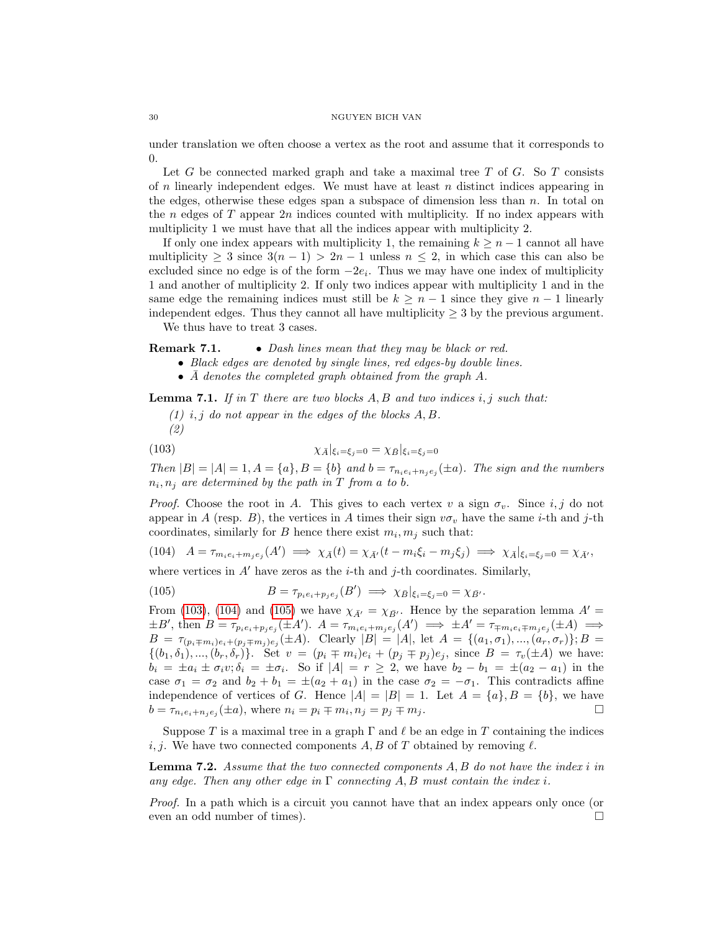under translation we often choose a vertex as the root and assume that it corresponds to 0.

Let  $G$  be connected marked graph and take a maximal tree  $T$  of  $G$ . So  $T$  consists of  $n$  linearly independent edges. We must have at least  $n$  distinct indices appearing in the edges, otherwise these edges span a subspace of dimension less than  $n$ . In total on the n edges of  $T$  appear  $2n$  indices counted with multiplicity. If no index appears with multiplicity 1 we must have that all the indices appear with multiplicity 2.

If only one index appears with multiplicity 1, the remaining  $k \geq n-1$  cannot all have multiplicity  $\geq 3$  since  $3(n-1) > 2n-1$  unless  $n \leq 2$ , in which case this can also be excluded since no edge is of the form  $-2e_i$ . Thus we may have one index of multiplicity 1 and another of multiplicity 2. If only two indices appear with multiplicity 1 and in the same edge the remaining indices must still be  $k \geq n-1$  since they give  $n-1$  linearly independent edges. Thus they cannot all have multiplicity  $\geq$  3 by the previous argument.

We thus have to treat 3 cases.

Remark 7.1. • Dash lines mean that they may be black or red.

• Black edges are denoted by single lines, red edges-by double lines.

•  $\overline{A}$  denotes the completed graph obtained from the graph A.

<span id="page-30-3"></span>**Lemma 7.1.** If in T there are two blocks  $A, B$  and two indices i, j such that:

<span id="page-30-0"></span> $(1)$  i, j do not appear in the edges of the blocks A, B. (2)

$$
\chi_{\bar{A}}|_{\xi_i=\xi_j=0}=\chi_{\bar{B}}|_{\xi_i=\xi_j=0}
$$

Then  $|B| = |A| = 1, A = \{a\}, B = \{b\}$  and  $b = \tau_{n_i e_i + n_j e_j}(\pm a)$ . The sign and the numbers  $n_i, n_j$  are determined by the path in T from a to b.

*Proof.* Choose the root in A. This gives to each vertex v a sign  $\sigma_v$ . Since i, j do not appear in A (resp. B), the vertices in A times their sign  $v\sigma_v$  have the same *i*-th and *j*-th coordinates, similarly for B hence there exist  $m_i, m_j$  such that:

<span id="page-30-1"></span>(104) 
$$
A = \tau_{m_i e_i + m_j e_j}(A') \implies \chi_{\bar{A}}(t) = \chi_{\bar{A}'}(t - m_i \xi_i - m_j \xi_j) \implies \chi_{\bar{A}}|_{\xi_i = \xi_j = 0} = \chi_{\bar{A}'},
$$

where vertices in  $A'$  have zeros as the *i*-th and *j*-th coordinates. Similarly,

<span id="page-30-2"></span>(105) 
$$
B = \tau_{p_i e_i + p_j e_j}(B') \implies \chi_{\bar{B}}|_{\xi_i = \xi_j = 0} = \chi_{\bar{B}}.
$$

From [\(103\)](#page-30-0), [\(104\)](#page-30-1) and [\(105\)](#page-30-2) we have  $\chi_{\bar{A}'} = \chi_{\bar{B}'}$ . Hence by the separation lemma  $A' =$  $\pm B'$ , then  $B = \tau_{p_i e_i + p_j e_j} (\pm A')$ .  $A = \tau_{m_i e_i + m_j e_j} (A') \implies \pm A' = \tau_{\mp m_i e_i \mp m_j e_j} (\pm A) \implies$  $B = \tau_{(p_i \mp m_i)e_i + (p_j \mp m_j)e_j}(\pm A)$ . Clearly  $|B| = |A|$ , let  $A = \{(a_1, \sigma_1), ..., (a_r, \sigma_r)\}; B =$  $\{(b_1, \delta_1), ..., (b_r, \delta_r)\}.$  Set  $v = (p_i \mp m_i)e_i + (p_j \mp p_j)e_j$ , since  $B = \tau_v(\pm A)$  we have:  $b_i = \pm a_i \pm \sigma_i v; \delta_i = \pm \sigma_i$ . So if  $|A| = r \geq 2$ , we have  $b_2 - b_1 = \pm (a_2 - a_1)$  in the case  $\sigma_1 = \sigma_2$  and  $b_2 + b_1 = \pm (a_2 + a_1)$  in the case  $\sigma_2 = -\sigma_1$ . This contradicts affine independence of vertices of G. Hence  $|A| = |B| = 1$ . Let  $A = \{a\}, B = \{b\}$ , we have  $b = \tau_{n_i e_i + n_j e_j} (\pm a)$ , where  $n_i = p_i \mp m_i$ ,  $n_j = p_j \mp m_j$ .

Suppose T is a maximal tree in a graph  $\Gamma$  and  $\ell$  be an edge in T containing the indices i, j. We have two connected components A, B of T obtained by removing  $\ell$ .

Lemma 7.2. Assume that the two connected components A, B do not have the index i in any edge. Then any other edge in  $\Gamma$  connecting A, B must contain the index i.

Proof. In a path which is a circuit you cannot have that an index appears only once (or even an odd number of times).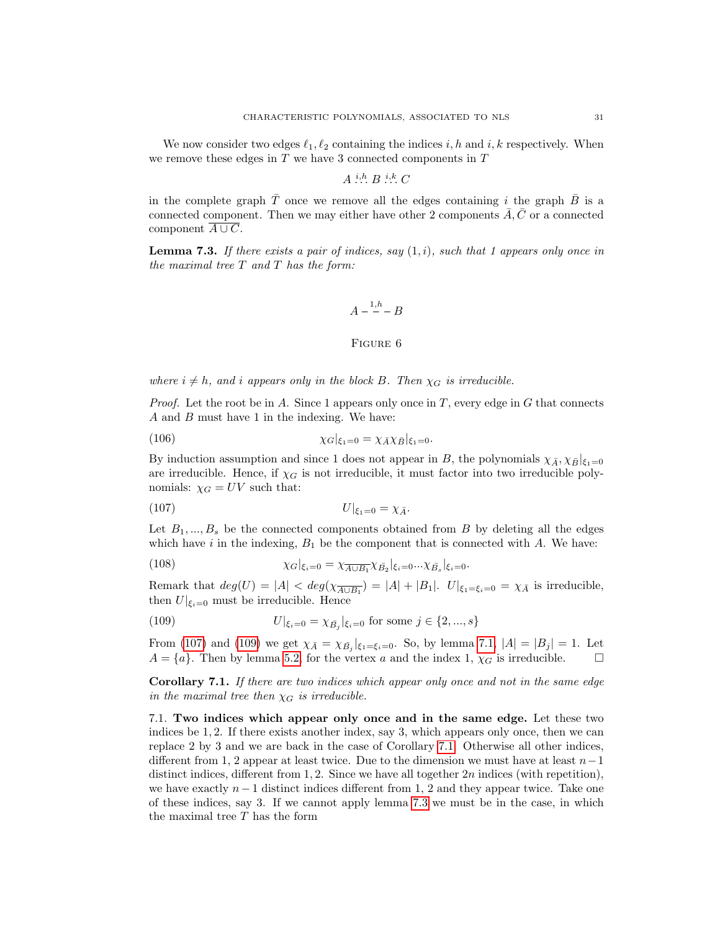We now consider two edges  $\ell_1, \ell_2$  containing the indices i, h and i, k respectively. When we remove these edges in  $T$  we have 3 connected components in  $T$ 

$$
A \stackrel{i,h}{\ldots} B \stackrel{i,k}{\ldots} C
$$

in the complete graph  $\overline{T}$  once we remove all the edges containing i the graph  $\overline{B}$  is a connected component. Then we may either have other 2 components  $\overline{A}, \overline{C}$  or a connected component  $\overline{A \cup C}$ .

<span id="page-31-4"></span>**Lemma 7.3.** If there exists a pair of indices, say  $(1, i)$ , such that 1 appears only once in the maximal tree  $T$  and  $T$  has the form:

$$
A - \frac{1,h}{2} - B
$$

## <span id="page-31-1"></span>Figure 6

where  $i \neq h$ , and i appears only in the block B. Then  $\chi_G$  is irreducible.

*Proof.* Let the root be in A. Since 1 appears only once in  $T$ , every edge in  $G$  that connects A and B must have 1 in the indexing. We have:

(106) 
$$
\chi_G|_{\xi_1=0} = \chi_{\bar{A}} \chi_{\bar{B}}|_{\xi_1=0}.
$$

By induction assumption and since 1 does not appear in B, the polynomials  $\chi_{\bar{A}}, \chi_{\bar{B}}|_{\xi_1=0}$ are irreducible. Hence, if  $\chi_G$  is not irreducible, it must factor into two irreducible polynomials:  $\chi_G = UV$  such that:

$$
(107) \t\t\t U|_{\xi_1=0} = \chi_{\bar{A}}.
$$

Let  $B_1, ..., B_s$  be the connected components obtained from B by deleting all the edges which have i in the indexing,  $B_1$  be the component that is connected with A. We have:

(108) 
$$
\chi_G|_{\xi_i=0} = \chi_{\overline{A \cup B_1}} \chi_{\overline{B_2}}|_{\xi_i=0} ... \chi_{\overline{B_s}}|_{\xi_i=0}.
$$

Remark that  $deg(U) = |A| < deg(\chi_{\overline{A \cup B_1}}) = |A| + |B_1|$ .  $U|_{\xi_1 = \xi_i = 0} = \chi_{\overline{A}}$  is irreducible, then  $U|_{\xi_i=0}$  must be irreducible. Hence

<span id="page-31-2"></span>(109) 
$$
U|_{\xi_i=0} = \chi_{\bar{B}_j}|_{\xi_i=0} \text{ for some } j \in \{2, ..., s\}
$$

From [\(107\)](#page-31-1) and [\(109\)](#page-31-2) we get  $\chi_{\bar{A}} = \chi_{\bar{B}_j}|_{\xi_1 = \xi_i = 0}$ . So, by lemma [7.1,](#page-30-3)  $|A| = |B_j| = 1$ . Let  $A = \{a\}$ . Then by lemma [5.2,](#page-26-0) for the vertex a and the index 1,  $\chi_G$  is irreducible.  $\square$ 

<span id="page-31-3"></span>Corollary 7.1. If there are two indices which appear only once and not in the same edge in the maximal tree then  $\chi_G$  is irreducible.

<span id="page-31-0"></span>7.1. Two indices which appear only once and in the same edge. Let these two indices be 1, 2. If there exists another index, say 3, which appears only once, then we can replace 2 by 3 and we are back in the case of Corollary [7.1.](#page-31-3) Otherwise all other indices, different from 1, 2 appear at least twice. Due to the dimension we must have at least  $n-1$ distinct indices, different from 1, 2. Since we have all together 2n indices (with repetition), we have exactly  $n-1$  distinct indices different from 1, 2 and they appear twice. Take one of these indices, say 3. If we cannot apply lemma [7.3](#page-31-4) we must be in the case, in which the maximal tree T has the form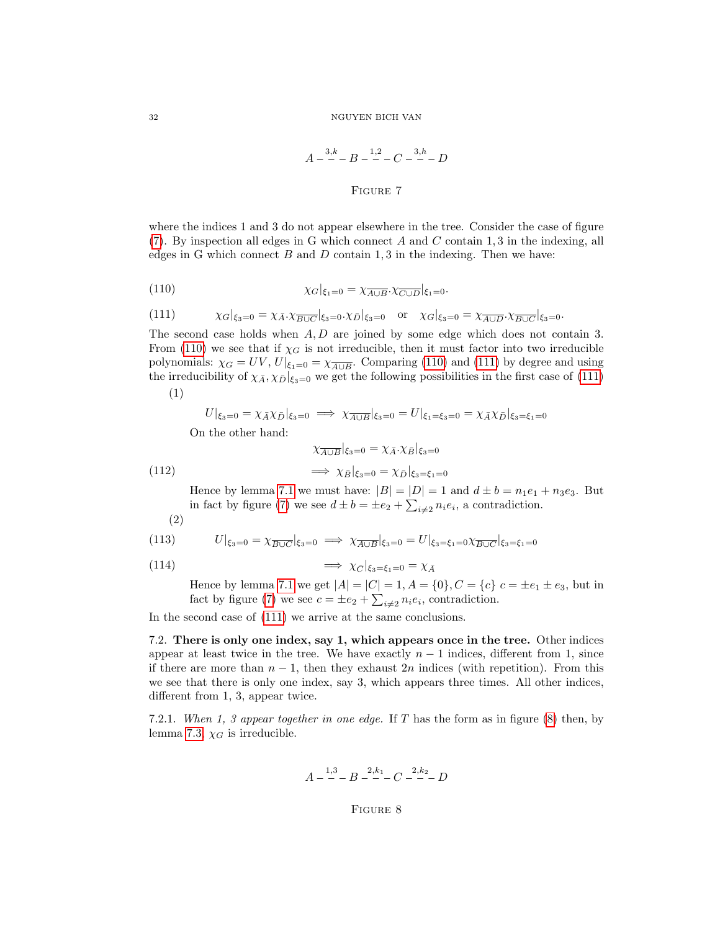$$
A - {3k \over 2} - B - {1,2 \over 2} - C - {3,2 \over 2} - D
$$

## <span id="page-32-2"></span>FIGURE 7

<span id="page-32-1"></span>where the indices 1 and 3 do not appear elsewhere in the tree. Consider the case of figure  $(7)$ . By inspection all edges in G which connect A and C contain 1, 3 in the indexing, all edges in G which connect  $B$  and  $D$  contain 1, 3 in the indexing. Then we have:

(110) 
$$
\chi_G|_{\xi_1=0} = \chi_{\overline{A \cup B}}.\chi_{\overline{C \cup D}}|_{\xi_1=0}.
$$

<span id="page-32-3"></span>(111) 
$$
\chi_G|_{\xi_3=0} = \chi_{\bar{A}} \cdot \chi_{\overline{B \cup C}}|_{\xi_3=0} \cdot \chi_{\bar{D}}|_{\xi_3=0} \text{ or } \chi_G|_{\xi_3=0} = \chi_{\overline{A \cup D}} \cdot \chi_{\overline{B \cup C}}|_{\xi_3=0}.
$$

The second case holds when  $A, D$  are joined by some edge which does not contain 3. From [\(110\)](#page-32-2) we see that if  $\chi_G$  is not irreducible, then it must factor into two irreducible polynomials:  $\chi_G = UV, U|_{\xi_1=0} = \chi_{\overline{A \cup B}}$ . Comparing [\(110\)](#page-32-2) and [\(111\)](#page-32-3) by degree and using the irreducibility of  $\chi_{\bar{A}}, \chi_{\bar{D}}|_{\xi_3=0}$  we get the following possibilities in the first case of [\(111\)](#page-32-3)

(1)

$$
U|_{\xi_3=0} = \chi_{\bar{A}} \chi_{\bar{D}}|_{\xi_3=0} \implies \chi_{\overline{A \cup B}}|_{\xi_3=0} = U|_{\xi_1=\xi_3=0} = \chi_{\bar{A}} \chi_{\bar{D}}|_{\xi_3=\xi_1=0}
$$

On the other hand:

(112) 
$$
\chi_{\overline{A \cup B}}|_{\xi_3=0} = \chi_{\bar{A}} \cdot \chi_{\bar{B}}|_{\xi_3=0}
$$

$$
\implies \chi_{\bar{B}}|_{\xi_3=0} = \chi_{\bar{D}}|_{\xi_3=\xi_1=0}
$$

Hence by lemma [7.1](#page-30-3) we must have:  $|B| = |D| = 1$  and  $d \pm b = n_1 e_1 + n_3 e_3$ . But in fact by figure [\(7\)](#page-32-1) we see  $d \pm b = \pm e_2 + \sum_{i \neq 2} n_i e_i$ , a contradiction.

$$
^{(2)}
$$

(113) 
$$
U|_{\xi_3=0} = \chi_{\overline{B\cup C}}|_{\xi_3=0} \implies \chi_{\overline{A\cup B}}|_{\xi_3=0} = U|_{\xi_3=\xi_1=0}\chi_{\overline{B\cup C}}|_{\xi_3=\xi_1=0}
$$

$$
\implies \chi_{\bar{C}}|_{\xi_3=\xi_1=0}=\chi_{\bar{A}}
$$

Hence by lemma [7.1](#page-30-3) we get  $|A| = |C| = 1, A = \{0\}, C = \{c\} \subset \{c\} \subset \{e_1 \pm e_3, \text{ but in } \}$ fact by figure [\(7\)](#page-32-1) we see  $c = \pm e_2 + \sum_{i \neq 2} n_i e_i$ , contradiction.

In the second case of [\(111\)](#page-32-3) we arrive at the same conclusions.

<span id="page-32-0"></span>7.2. There is only one index, say 1, which appears once in the tree. Other indices appear at least twice in the tree. We have exactly  $n-1$  indices, different from 1, since if there are more than  $n-1$ , then they exhaust 2n indices (with repetition). From this we see that there is only one index, say 3, which appears three times. All other indices, different from 1, 3, appear twice.

<span id="page-32-4"></span>7.2.1. When 1, 3 appear together in one edge. If T has the form as in figure  $(8)$  then, by lemma [7.3,](#page-31-4)  $\chi_G$  is irreducible.

$$
A - \frac{1,3}{-} - B - \frac{2,k_1}{-} - C - \frac{2,k_2}{-} - D
$$

## Figure 8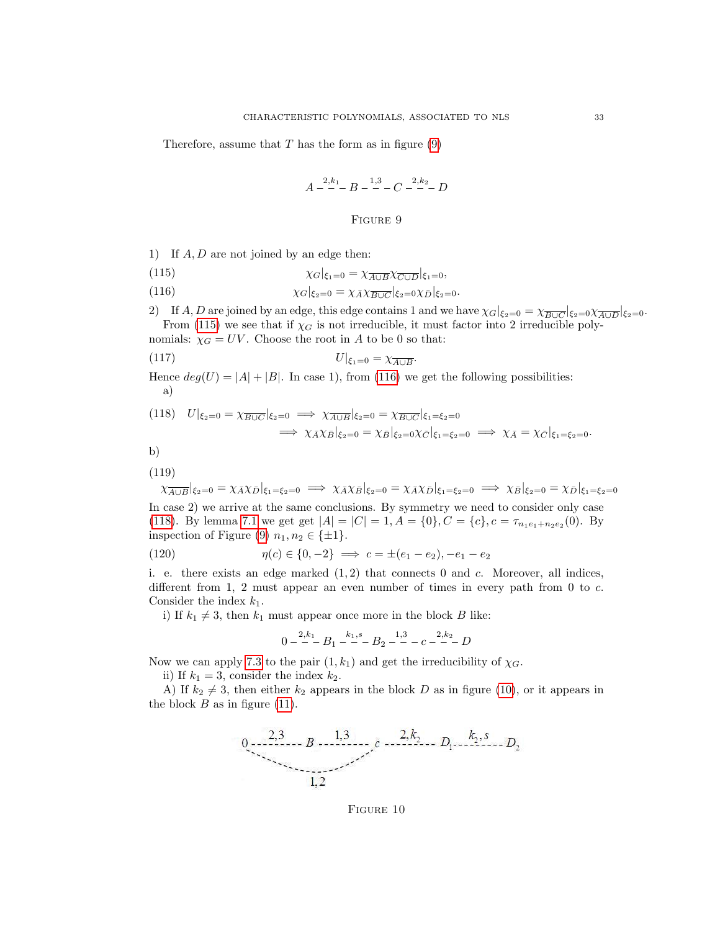<span id="page-33-0"></span>Therefore, assume that  $T$  has the form as in figure  $(9)$ 

$$
A - \frac{2,k_1}{-} - B - \frac{1,3}{-} - C - \frac{2,k_2}{-} - D
$$

## Figure 9

<span id="page-33-1"></span>1) If A, D are not joined by an edge then:

<span id="page-33-2"></span>(115) 
$$
\chi_G|_{\xi_1=0} = \chi_{\overline{A \cup B}} \chi_{\overline{C \cup D}}|_{\xi_1=0},
$$

(116) 
$$
\chi_G|_{\xi_2=0} = \chi_{\bar{A}} \chi_{\overline{B\cup C}}|_{\xi_2=0} \chi_{\bar{D}}|_{\xi_2=0}.
$$

2) If A, D are joined by an edge, this edge contains 1 and we have  $\chi_G|_{\xi_2=0} = \chi_{\overline{B\cup C}}|_{\xi_2=0} \chi_{\overline{A\cup D}}|_{\xi_2=0}$ . From [\(115\)](#page-33-1) we see that if  $\chi_G$  is not irreducible, it must factor into 2 irreducible poly-

nomials:  $\chi_G = UV$ . Choose the root in A to be 0 so that:

$$
U|_{\xi_1=0} = \chi_{\overline{A \cup B}}.
$$

Hence  $deg(U) = |A| + |B|$ . In case 1), from [\(116\)](#page-33-2) we get the following possibilities: a)

<span id="page-33-3"></span>
$$
(118) \quad U|_{\xi_2=0} = \chi_{\overline{B\cup C}}|_{\xi_2=0} \implies \chi_{\overline{A\cup B}}|_{\xi_2=0} = \chi_{\overline{B\cup C}}|_{\xi_1=\xi_2=0}
$$
\n
$$
\implies \chi_{\overline{A}}\chi_{\overline{B}}|_{\xi_2=0} = \chi_{\overline{B}}|_{\xi_2=0}\chi_{\overline{C}}|_{\xi_1=\xi_2=0} \implies \chi_{\overline{A}} = \chi_{\overline{C}}|_{\xi_1=\xi_2=0}.
$$

b)

(119)

$$
\chi_{\overline{A\cup B}}|\xi_2=0=\chi_A\chi_D|\xi_1=\xi_2=0 \implies \chi_A\chi_B|\xi_2=0=\chi_A\chi_D|\xi_1=\xi_2=0 \implies \chi_B|\xi_2=0=\chi_D|\xi_1=\xi_2=0
$$
  
In case 2) we arrive at the same conclusions. By symmetry we need to consider only case (118). By lemma 7.1 we get get  $|A| = |C| = 1$ ,  $A = \{0\}$ ,  $C = \{c\}$ ,  $c = \tau_{n_1e_1+n_2e_2}(0)$ . By inspection of Figure (9)  $n_1, n_2 \in \{\pm 1\}$ .

(120) 
$$
\eta(c) \in \{0, -2\} \implies c = \pm (e_1 - e_2), -e_1 - e_2
$$

i. e. there exists an edge marked  $(1, 2)$  that connects 0 and c. Moreover, all indices, different from 1, 2 must appear an even number of times in every path from 0 to  $c$ . Consider the index  $k_1$ .

i) If  $k_1 \neq 3$ , then  $k_1$  must appear once more in the block B like:

$$
0 - \frac{2k_1}{-}B_1 - \frac{k_1s}{-}B_2 - \frac{1,3}{-}C_1 - \frac{2,k_2}{-}D
$$

Now we can apply [7.3](#page-31-4) to the pair  $(1, k_1)$  and get the irreducibility of  $\chi_G$ .

ii) If  $k_1 = 3$ , consider the index  $k_2$ .

<span id="page-33-4"></span>A) If  $k_2 \neq 3$ , then either  $k_2$  appears in the block D as in figure [\(10\)](#page-33-4), or it appears in the block  $B$  as in figure [\(11\)](#page-34-0).



FIGURE 10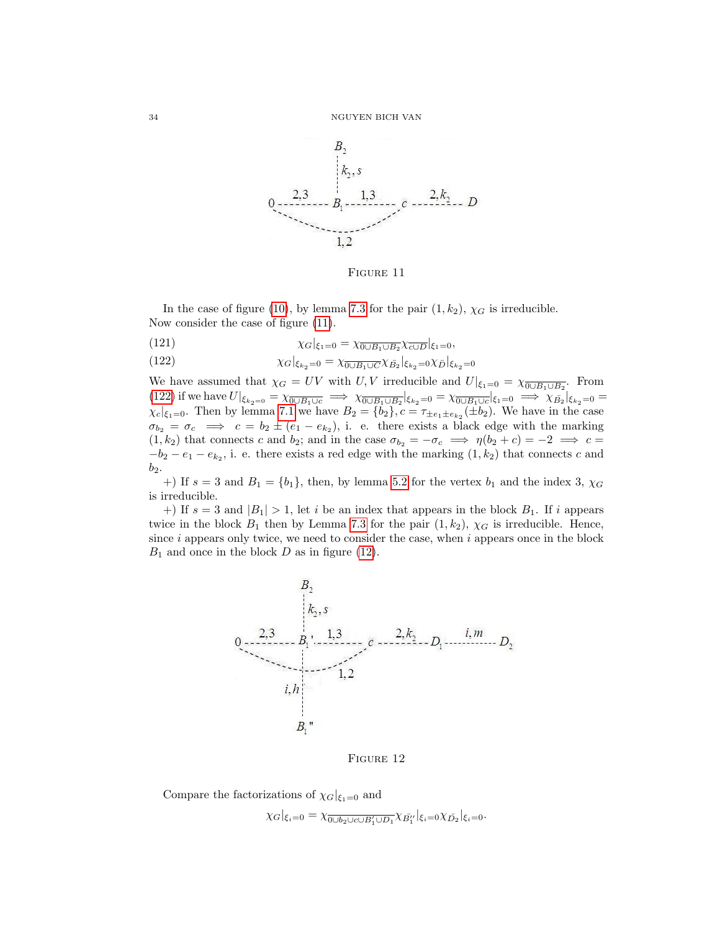<span id="page-34-0"></span>

FIGURE 11

In the case of figure [\(10\)](#page-33-4), by lemma [7.3](#page-31-4) for the pair  $(1, k_2)$ ,  $\chi_G$  is irreducible. Now consider the case of figure [\(11\)](#page-34-0).

<span id="page-34-1"></span>(121) 
$$
\chi_G|_{\xi_1=0} = \chi_{\overline{0 \cup B_1 \cup B_2}} \chi_{\overline{c \cup D}}|_{\xi_1=0},
$$

(122) 
$$
\chi_G|_{\xi_{k_2}=0} = \chi_{\overline{0\cup B_1\cup C}} \chi_{\overline{B_2}}|_{\xi_{k_2}=0} \chi_{\overline{D}}|_{\xi_{k_2}=0}
$$

We have assumed that  $\chi_G = UV$  with U, V irreducible and  $U|_{\xi_1=0} = \chi_{\overline{0 \cup B_1 \cup B_2}}$ . From [\(122\)](#page-34-1) if we have  $U|_{\xi_{k_2=0}} = \chi_{\overline{0 \cup B_1 \cup c}} \implies \chi_{\overline{0 \cup B_1 \cup B_2}}|_{\xi_{k_2}=0} = \chi_{\overline{0 \cup B_1 \cup c}}|_{\xi_1=0} \implies \chi_{\overline{B_2}}|_{\xi_{k_2}=0} =$  $\chi_c|_{\xi_1=0}$ . Then by lemma [7.1](#page-30-3) we have  $B_2 = \{b_2\}$ ,  $c = \tau_{\pm e_1 \pm e_{k_2}}(\pm b_2)$ . We have in the case  $\sigma_{b_2} = \sigma_c \implies c = b_2 \pm (e_1 - e_{k_2}),$  i. e. there exists a black edge with the marking  $(1, k_2)$  that connects c and  $b_2$ ; and in the case  $\sigma_{b_2} = -\sigma_c \implies \eta(b_2 + c) = -2 \implies c =$  $-b_2 - e_1 - e_{k_2}$ , i. e. there exists a red edge with the marking  $(1, k_2)$  that connects c and  $b_2$ .

+) If  $s = 3$  and  $B_1 = \{b_1\}$ , then, by lemma [5.2](#page-26-0) for the vertex  $b_1$  and the index 3,  $\chi_G$ is irreducible.

<span id="page-34-2"></span>+) If  $s = 3$  and  $|B_1| > 1$ , let i be an index that appears in the block  $B_1$ . If i appears twice in the block  $B_1$  then by Lemma [7.3](#page-31-4) for the pair  $(1, k_2)$ ,  $\chi_G$  is irreducible. Hence, since  $i$  appears only twice, we need to consider the case, when  $i$  appears once in the block  $B_1$  and once in the block D as in figure [\(12\)](#page-34-2).



FIGURE 12

Compare the factorizations of  $\chi_G|_{\xi_1=0}$  and

$$
\chi_G|_{\xi_i=0}=\chi_{\overline{0\cup b_2\cup c\cup B'_1\cup D_1}}\chi_{\overline{B'_1}}|_{\xi_i=0}\chi_{\overline{D_2}}|_{\xi_i=0}.
$$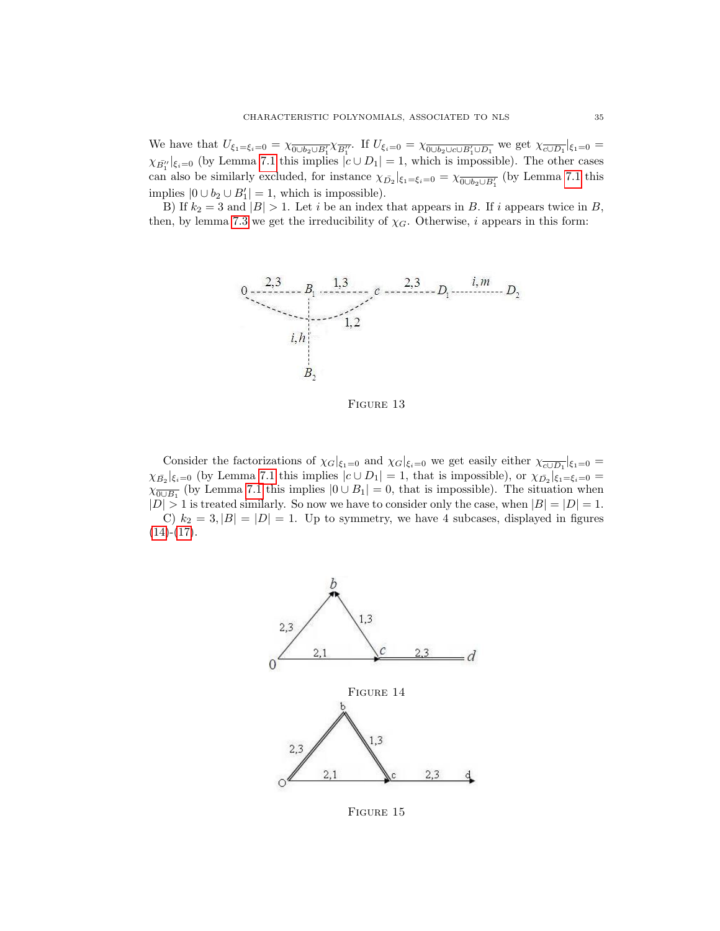We have that  $U_{\xi_1=\xi_i=0}=\chi_{\overline{0\cup b_2\cup B'_1}}\chi_{\overline{B''_1}}$ . If  $U_{\xi_i=0}=\chi_{\overline{0\cup b_2\cup c\cup B'_1\cup D_1}}$  we get  $\chi_{\overline{c\cup D_1}}|_{\xi_1=0}=$  $\chi_{\bar{B}''_1}|_{\xi_i=0}$  (by Lemma [7.1](#page-30-3) this implies  $|c \cup D_1|=1$ , which is impossible). The other cases can also be similarly excluded, for instance  $\chi_{\bar{D}_2}|_{\xi_1=\xi_i=0} = \chi_{\overline{0\cup b_2\cup B'_1}}$  (by Lemma [7.1](#page-30-3) this implies  $|0 \cup b_2 \cup B'_1| = 1$ , which is impossible).

B) If  $k_2 = 3$  and  $|B| > 1$ . Let i be an index that appears in B. If i appears twice in B, then, by lemma [7.3](#page-31-4) we get the irreducibility of  $\chi_G$ . Otherwise, *i* appears in this form:



FIGURE 13

Consider the factorizations of  $\chi_G|_{\xi_1=0}$  and  $\chi_G|_{\xi_i=0}$  we get easily either  $\chi_{\overline{c\cup D_1}}|_{\xi_1=0}$  $\chi_{\bar{B}_2}|_{\xi_i=0}$  (by Lemma [7.1](#page-30-3) this implies  $|c \cup D_1|=1$ , that is impossible), or  $\chi_{\bar{D}_2}|_{\xi_1=\xi_i=0}=$  $\chi_{\overline{0\cup B_1}}$  (by Lemma [7.1](#page-30-3) this implies  $|0\cup B_1|=0$ , that is impossible). The situation when  $|D| > 1$  is treated similarly. So now we have to consider only the case, when  $|B| = |D| = 1$ . C)  $k_2 = 3$ ,  $|B| = |D| = 1$ . Up to symmetry, we have 4 subcases, displayed in figures  $(14)-(17)$  $(14)-(17)$  $(14)-(17)$ .

<span id="page-35-0"></span>

FIGURE 15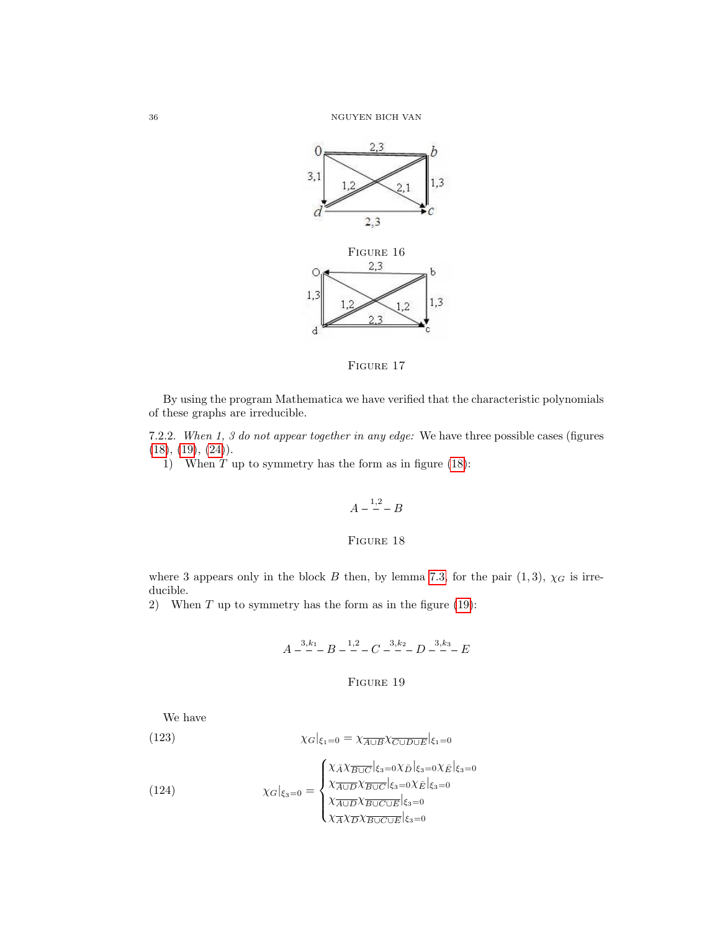<span id="page-36-4"></span>



By using the program Mathematica we have verified that the characteristic polynomials of these graphs are irreducible.

7.2.2. When 1, 3 do not appear together in any edge: We have three possible cases (figures  $(18), (19), (24)$  $(18), (19), (24)$  $(18), (19), (24)$  $(18), (19), (24)$  $(18), (19), (24)$ .

<span id="page-36-0"></span>1) When  $T$  up to symmetry has the form as in figure [\(18\)](#page-36-0):

$$
A - \frac{1,2}{1} - B
$$

## FIGURE 18

where 3 appears only in the block B then, by lemma [7.3,](#page-31-0) for the pair  $(1,3)$ ,  $\chi_G$  is irreducible.

<span id="page-36-1"></span>2) When  $T$  up to symmetry has the form as in the figure [\(19\)](#page-36-1):

$$
A \xrightarrow{-3,k_1} B \xrightarrow{-1,2} C \xrightarrow{-3,k_2} D \xrightarrow{-3,k_3} E
$$

# <span id="page-36-2"></span>FIGURE 19

We have

(123) 
$$
\chi_G|_{\xi_1=0} = \chi_{\overline{A \cup B}} \chi_{\overline{C \cup D \cup E}}|_{\xi_1=0}
$$

<span id="page-36-3"></span>(124) 
$$
\chi_G|_{\xi_3=0} = \begin{cases} \chi_{\bar{A}} \chi_{\overline{B \cup C}}|_{\xi_3=0} \chi_{\bar{D}}|_{\xi_3=0} \chi_{\bar{E}}|_{\xi_3=0} \\ \chi_{\overline{A \cup D}} \chi_{\overline{B \cup C}}|_{\xi_3=0} \chi_{\bar{E}}|_{\xi_3=0} \\ \chi_{\overline{A}} \chi_{\overline{D}} \chi_{\overline{B \cup C \cup E}}|_{\xi_3=0} \\ \chi_{\overline{A}} \chi_{\overline{D}} \chi_{\overline{B \cup C \cup E}}|_{\xi_3=0} \end{cases}
$$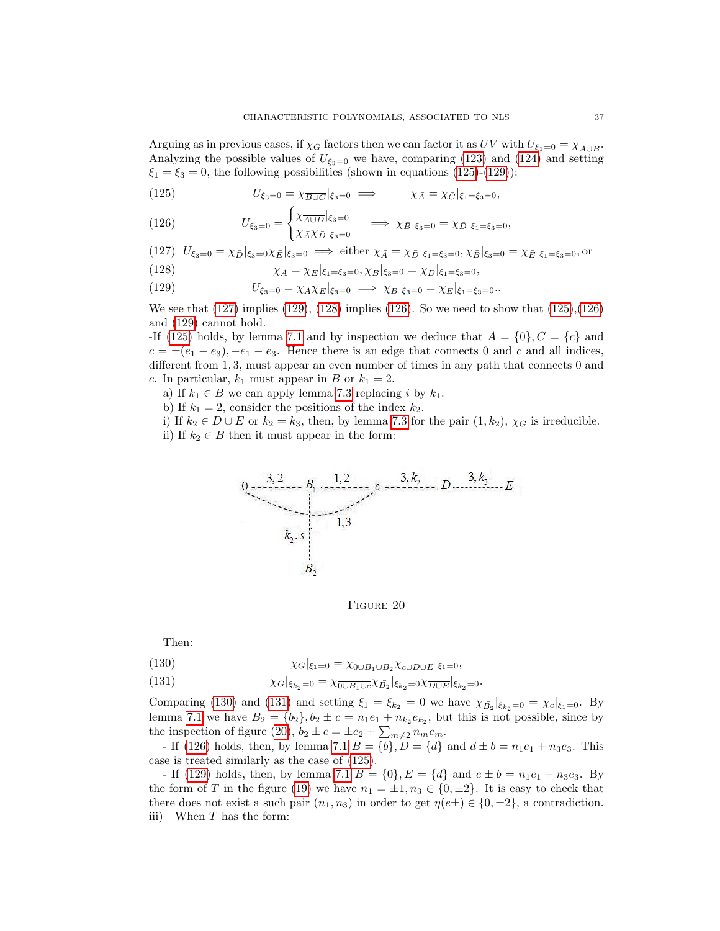Arguing as in previous cases, if  $\chi_G$  factors then we can factor it as  $UV$  with  $U_{\xi_1=0} = \chi_{\overline{A \cup B}}$ . Analyzing the possible values of  $U_{\xi_3=0}$  we have, comparing [\(123\)](#page-36-2) and [\(124\)](#page-36-3) and setting  $\xi_1 = \xi_3 = 0$ , the following possibilities (shown in equations [\(125\)](#page-37-0)-[\(129\)](#page-37-1)):

<span id="page-37-0"></span>(125) 
$$
U_{\xi_3=0} = \chi_{\overline{B\cup C}}|_{\xi_3=0} \implies \chi_{\bar{A}} = \chi_{\bar{C}}|_{\xi_1=\xi_3=0},
$$

<span id="page-37-4"></span>(126) 
$$
U_{\xi_3=0} = \begin{cases} \chi_{\overline{A \cup D}}|_{\xi_3=0} & \implies \chi_{\overline{B}}|_{\xi_3=0} = \chi_{\overline{D}}|_{\xi_1=\xi_3=0},\\ \chi_{\overline{A}} \chi_{\overline{D}}|_{\xi_3=0} & \implies \chi_{\overline{B}}|_{\xi_3=0} = \chi_{\overline{D}}|_{\xi_1=\xi_3=0}, \end{cases}
$$

<span id="page-37-3"></span><span id="page-37-2"></span>(127) 
$$
U_{\xi_3=0} = \chi_{\bar{D}}|_{\xi_3=0} \chi_{\bar{E}}|_{\xi_3=0} \implies \text{either } \chi_{\bar{A}} = \chi_{\bar{D}}|_{\xi_1=\xi_3=0}, \chi_{\bar{B}}|_{\xi_3=0} = \chi_{\bar{E}}|_{\xi_1=\xi_3=0}, \text{or}
$$
  
(128)

<span id="page-37-1"></span>(128) 
$$
\chi_{\bar{A}} = \chi_{\bar{E}}|_{\xi_1 = \xi_3 = 0}, \chi_{\bar{B}}|_{\xi_3 = 0} = \chi_{\bar{D}}|_{\xi_1 = \xi_3 = 0},
$$

(129) 
$$
U_{\xi_3=0} = \chi_{\bar{A}} \chi_{\bar{E}}|_{\xi_3=0} \implies \chi_{\bar{B}}|_{\xi_3=0} = \chi_{\bar{E}}|_{\xi_1=\xi_3=0}.
$$

We see that  $(127)$  implies  $(129)$ ,  $(128)$  implies  $(126)$ . So we need to show that  $(125)$ ,  $(126)$ and [\(129\)](#page-37-1) cannot hold.

-If [\(125\)](#page-37-0) holds, by lemma [7.1](#page-30-0) and by inspection we deduce that  $A = \{0\}, C = \{c\}$  and  $c = \pm (e_1 - e_3)$ ,  $-e_1 - e_3$ . Hence there is an edge that connects 0 and c and all indices, different from 1, 3, must appear an even number of times in any path that connects 0 and c. In particular,  $k_1$  must appear in B or  $k_1 = 2$ .

a) If  $k_1 \in B$  we can apply lemma [7.3](#page-31-0) replacing i by  $k_1$ .

b) If  $k_1 = 2$ , consider the positions of the index  $k_2$ .

<span id="page-37-7"></span>i) If  $k_2 \in D \cup E$  or  $k_2 = k_3$ , then, by lemma [7.3](#page-31-0) for the pair  $(1, k_2)$ ,  $\chi_G$  is irreducible. ii) If  $k_2 \in B$  then it must appear in the form:



FIGURE 20

Then:

<span id="page-37-6"></span><span id="page-37-5"></span>(130) 
$$
\chi_G|_{\xi_1=0} = \chi_{\overline{0\cup B_1 \cup B_2}} \chi_{\overline{c \cup D \cup E}}|_{\xi_1=0},
$$

(131) 
$$
\chi_G|_{\xi_{k_2}=0} = \chi_{\overline{0\cup B_1\cup c}}\chi_{\overline{B_2}}|_{\xi_{k_2}=0}\chi_{\overline{D\cup E}}|_{\xi_{k_2}=0}.
$$

Comparing [\(130\)](#page-37-5) and [\(131\)](#page-37-6) and setting  $\xi_1 = \xi_{k_2} = 0$  we have  $\chi_{\bar{B}_2}|_{\xi_{k_2}=0} = \chi_c|_{\xi_1=0}$ . By lemma [7.1](#page-30-0) we have  $B_2 = \{b_2\}$ ,  $b_2 \pm c = n_1 e_1 + n_{k_2} e_{k_2}$ , but this is not possible, since by the inspection of figure [\(20\)](#page-37-7),  $b_2 \pm c = \pm e_2 + \sum_{m \neq 2} n_m e_m$ .

- If [\(126\)](#page-37-4) holds, then, by lemma [7.1](#page-30-0)  $B = \{b\}$ ,  $D = \{d\}$  and  $d \pm b = n_1e_1 + n_3e_3$ . This case is treated similarly as the case of [\(125\)](#page-37-0).

- If [\(129\)](#page-37-1) holds, then, by lemma [7.1](#page-30-0)  $B = \{0\}$ ,  $E = \{d\}$  and  $e \pm b = n_1e_1 + n_3e_3$ . By the form of T in the figure [\(19\)](#page-36-1) we have  $n_1 = \pm 1, n_3 \in \{0, \pm 2\}$ . It is easy to check that there does not exist a such pair  $(n_1, n_3)$  in order to get  $\eta(e \pm) \in \{0, \pm 2\}$ , a contradiction. iii) When  $T$  has the form: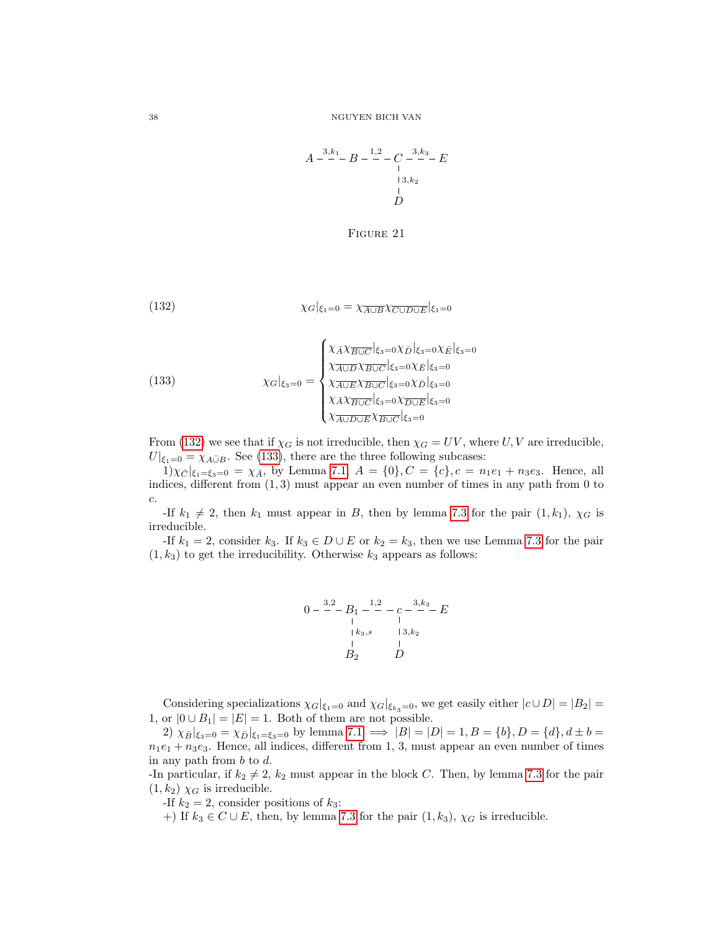$$
A \xrightarrow{3,k_1} B \xrightarrow{1,2} C \xrightarrow{3,k_3} E
$$
  
\n
$$
\xrightarrow{1}{3,k_2}
$$
  
\n
$$
\xrightarrow{1}{D}
$$

<span id="page-38-0"></span>FIGURE 21

(132) 
$$
\chi_G|_{\xi_1=0} = \chi_{\overline{A \cup B}} \chi_{\overline{C \cup D \cup E}}|_{\xi_1=0}
$$

<span id="page-38-1"></span>(133) 
$$
\chi_G|_{\xi_3=0} = \begin{cases} \chi_{\bar{A}} \chi_{\overline{B \cup C}}|_{\xi_3=0} \chi_{\bar{D}}|_{\xi_3=0} \chi_{\bar{E}}|_{\xi_3=0} \\ \chi_{\overline{A \cup D}} \chi_{\overline{B \cup C}}|_{\xi_3=0} \chi_{\overline{E}}|_{\xi_3=0} \\ \chi_{\overline{A} \cup \overline{E}} \chi_{\overline{B \cup C}}|_{\xi_3=0} \chi_{\overline{D} \cup \overline{E}}|_{\xi_3=0} \\ \chi_{\overline{A} \cup \overline{D} \cup \overline{E}} \chi_{\overline{B \cup C}}|_{\xi_3=0} \\ \chi_{\overline{A \cup D \cup E}} \chi_{\overline{B \cup C}}|_{\xi_3=0} \end{cases}
$$

From [\(132\)](#page-38-0) we see that if  $\chi_G$  is not irreducible, then  $\chi_G = UV$ , where U, V are irreducible,  $U|_{\xi_1=0} = \chi_{A \bar{\cup} B}$ . See [\(133\)](#page-38-1), there are the three following subcases:

 $1)\chi_{\bar{C}}|_{\xi_1=\xi_3=0} = \chi_{\bar{A}},$  by Lemma [7.1,](#page-30-0)  $A = \{0\}, C = \{c\}, c = n_1e_1 + n_3e_3$ . Hence, all indices, different from  $(1, 3)$  must appear an even number of times in any path from 0 to c.

-If  $k_1 \neq 2$ , then  $k_1$  must appear in B, then by lemma [7.3](#page-31-0) for the pair  $(1, k_1)$ ,  $\chi_G$  is irreducible.

-If  $k_1 = 2$ , consider  $k_3$ . If  $k_3 \in D \cup E$  or  $k_2 = k_3$ , then we use Lemma [7.3](#page-31-0) for the pair  $(1, k_3)$  to get the irreducibility. Otherwise  $k_3$  appears as follows:

$$
0 - \frac{3,2}{-}B_1 - \frac{1,2}{-} - c - \frac{3,k_3}{-} - E
$$
  
\n
$$
\begin{array}{ccc}\n & 1 & 1 \\
 & k_3, s & 13, k_2 \\
 & 1 & 1 \\
 & B_2 & D\n\end{array}
$$

Considering specializations  $\chi_G|_{\xi_1=0}$  and  $\chi_G|_{\xi_{k_3}=0}$ , we get easily either  $|c\cup D|=|B_2|=$ 1, or  $|0 \cup B_1| = |E| = 1$ . Both of them are not possible.

2)  $\chi_{\bar{B}}|_{\xi_3=0} = \chi_{\bar{D}}|_{\xi_1=\xi_3=0}$  by lemma  $7.1 \implies |B| = |D| = 1, B = \{b\}, D = \{d\}, d \pm b =$  $n_1e_1 + n_3e_3$ . Hence, all indices, different from 1, 3, must appear an even number of times in any path from  $b$  to  $d$ .

-In particular, if  $k_2 \neq 2$ ,  $k_2$  must appear in the block C. Then, by lemma [7.3](#page-31-0) for the pair  $(1, k_2)$   $\chi_G$  is irreducible.

-If  $k_2 = 2$ , consider positions of  $k_3$ :

+) If  $k_3 \in C \cup E$ , then, by lemma [7.3](#page-31-0) for the pair  $(1, k_3)$ ,  $\chi_G$  is irreducible.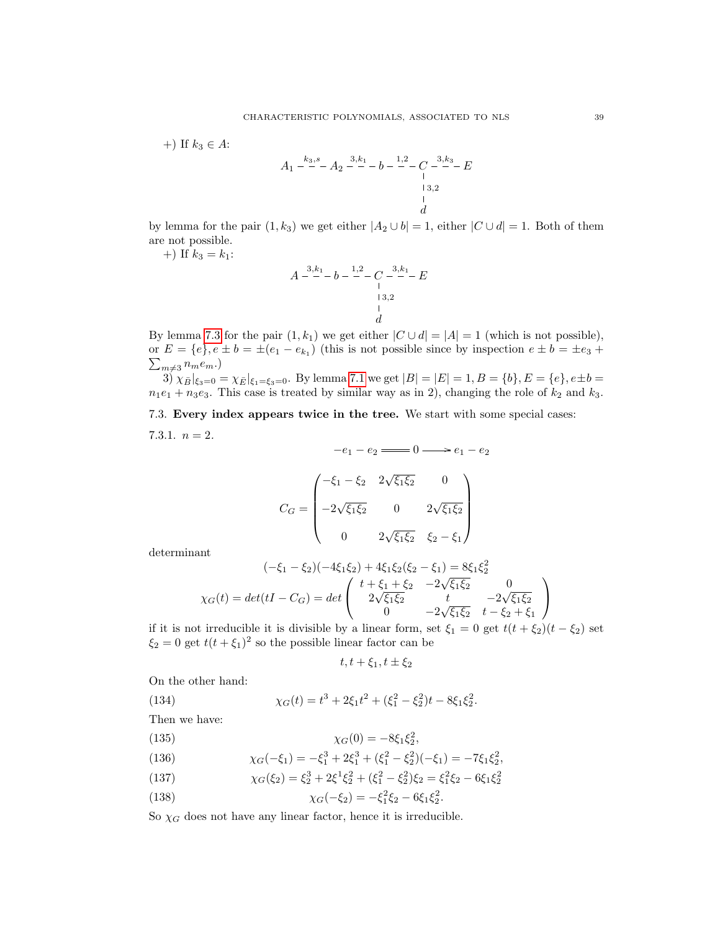+) If  $k_3 \in A$ :

$$
A_1 \xrightarrow{k_3, s} A_2 \xrightarrow{3, k_1} b \xrightarrow{1, 2} C \xrightarrow{3, k_3} E
$$
  
\n
$$
\xrightarrow{1, 3, 2} C
$$
  
\n
$$
\xrightarrow{1, 3, 2} C
$$
  
\n
$$
\xrightarrow{1, 3, 2} C
$$

by lemma for the pair  $(1, k_3)$  we get either  $|A_2 \cup b| = 1$ , either  $|C \cup d| = 1$ . Both of them are not possible.

+) If  $k_3 = k_1$ :

$$
A \xrightarrow{3,k_1} b - \xrightarrow{1,2} C \xrightarrow{3,k_1} E
$$
  
\n
$$
\xrightarrow{1} 3,2
$$
  
\n
$$
\xrightarrow{1}
$$
  
\n
$$
d
$$

By lemma [7.3](#page-31-0) for the pair  $(1, k_1)$  we get either  $|C \cup d| = |A| = 1$  (which is not possible), or  $E = \{e\}, e \pm b = \pm (e_1 - e_{k_1})$  (this is not possible since by inspection  $e \pm b = \pm e_3 + b_1$  $\sum_{m\neq 3} n_m e_m.$ 

 $3\int \chi_B|\xi_3=0} = \chi_E|\xi_1=\xi_3=0$ . By lemma [7.1](#page-30-0) we get  $|B| = |E| = 1, B = \{b\}, E = \{e\}, e \pm b =$  $n_1e_1 + n_3e_3$ . This case is treated by similar way as in 2), changing the role of  $k_2$  and  $k_3$ .

7.3. Every index appears twice in the tree. We start with some special cases: 7.3.1.  $n = 2$ .

$$
-e_1 - e_2 \longrightarrow 0 \longrightarrow e_1 - e_2
$$

$$
C_G = \begin{pmatrix} -\xi_1 - \xi_2 & 2\sqrt{\xi_1 \xi_2} & 0 \\ -2\sqrt{\xi_1 \xi_2} & 0 & 2\sqrt{\xi_1 \xi_2} \\ 0 & 2\sqrt{\xi_1 \xi_2} & \xi_2 - \xi_1 \end{pmatrix}
$$

determinant

$$
(-\xi_1 - \xi_2)(-4\xi_1\xi_2) + 4\xi_1\xi_2(\xi_2 - \xi_1) = 8\xi_1\xi_2^2
$$
  

$$
\chi_G(t) = det(tI - C_G) = det\begin{pmatrix} t + \xi_1 + \xi_2 & -2\sqrt{\xi_1\xi_2} & 0\\ 2\sqrt{\xi_1\xi_2} & t & -2\sqrt{\xi_1\xi_2} \\ 0 & -2\sqrt{\xi_1\xi_2} & t - \xi_2 + \xi_1 \end{pmatrix}
$$

if it is not irreducible it is divisible by a linear form, set  $\xi_1 = 0$  get  $t(t + \xi_2)(t - \xi_2)$  set  $\xi_2 = 0$  get  $t(t + \xi_1)^2$  so the possible linear factor can be

$$
t, t + \xi_1, t \pm \xi_2
$$

On the other hand:

(134) 
$$
\chi_G(t) = t^3 + 2\xi_1 t^2 + (\xi_1^2 - \xi_2^2)t - 8\xi_1 \xi_2^2.
$$

Then we have:

(135) 
$$
\chi_G(0) = -8\xi_1\xi_2^2,
$$

(136) 
$$
\chi_G(-\xi_1) = -\xi_1^3 + 2\xi_1^3 + (\xi_1^2 - \xi_2^2)(-\xi_1) = -7\xi_1\xi_2^2,
$$

(137) 
$$
\chi_G(\xi_2) = \xi_2^3 + 2\xi^1 \xi_2^2 + (\xi_1^2 - \xi_2^2)\xi_2 = \xi_1^2 \xi_2 - 6\xi_1 \xi_2^2
$$

(138) 
$$
\chi_G(-\xi_2) = -\xi_1^2 \xi_2 - 6\xi_1 \xi_2^2.
$$

So  $\chi_G$  does not have any linear factor, hence it is irreducible.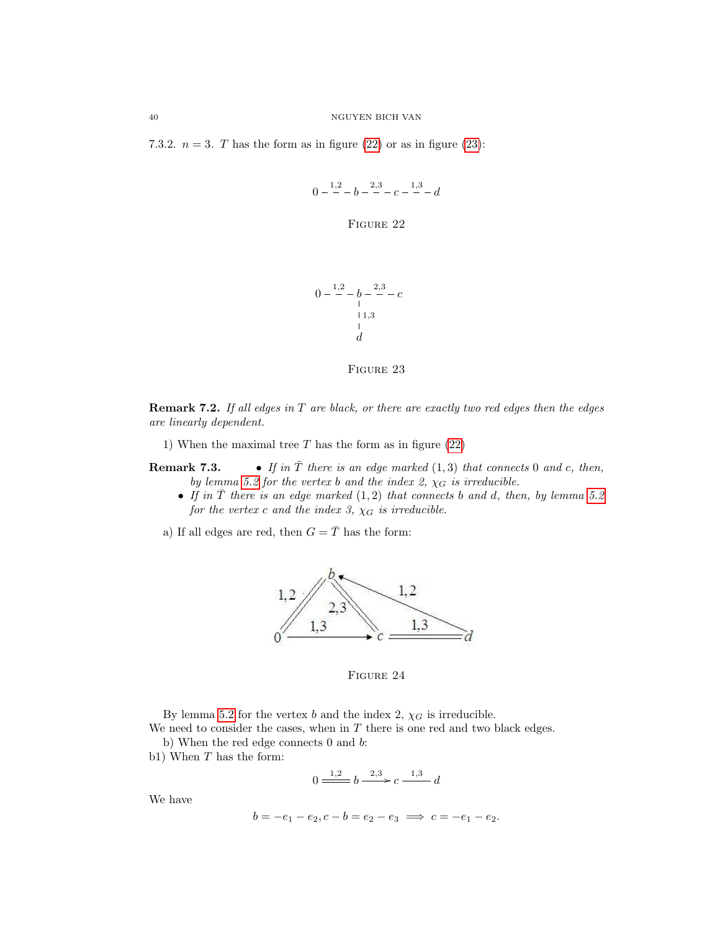<span id="page-40-2"></span><span id="page-40-1"></span>7.3.2.  $n = 3$ . T has the form as in figure [\(22\)](#page-40-1) or as in figure [\(23\)](#page-40-2):

$$
0 - \frac{1,2}{-} - b - \frac{2,3}{-} - c - \frac{1,3}{-} - d
$$

FIGURE 22

$$
0 - \frac{1,2}{-} - b - \frac{2,3}{-} - c
$$
  
1,3  
1  
d



**Remark 7.2.** If all edges in  $T$  are black, or there are exactly two red edges then the edges are linearly dependent.

1) When the maximal tree  $T$  has the form as in figure  $(22)$ 

**Remark 7.3.** • If in  $\overline{T}$  there is an edge marked  $(1,3)$  that connects 0 and c, then, by lemma [5.2](#page-26-0) for the vertex b and the index 2,  $\chi_G$  is irreducible.

• If in  $\overline{T}$  there is an edge marked  $(1, 2)$  that connects b and d, then, by lemma [5.2](#page-26-0) for the vertex c and the index 3,  $\chi_G$  is irreducible.

<span id="page-40-0"></span>a) If all edges are red, then  $G = \overline{T}$  has the form:



FIGURE 24

By lemma [5.2](#page-26-0) for the vertex b and the index 2,  $\chi_G$  is irreducible.

We need to consider the cases, when in  $T$  there is one red and two black edges.

b) When the red edge connects 0 and b:

b1) When  $T$  has the form:

$$
0 \xrightarrow{1,2} b \xrightarrow{2,3} c \xrightarrow{1,3} d
$$

We have

$$
b = -e_1 - e_2, c - b = e_2 - e_3 \implies c = -e_1 - e_2.
$$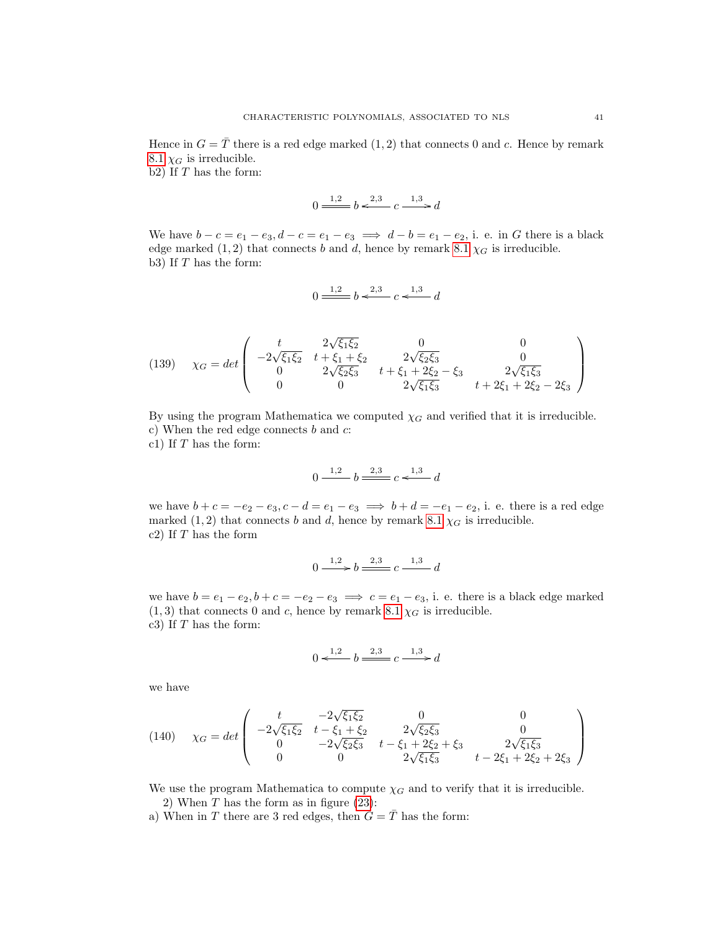Hence in  $G = \overline{T}$  there is a red edge marked  $(1, 2)$  that connects 0 and c. Hence by remark [8.1](#page-64-0)  $\chi_G$  is irreducible.

b2) If  $T$  has the form:

$$
0 \xrightarrow{1,2} b \xleftarrow{2,3} c \xrightarrow{1,3} d
$$

We have  $b - c = e_1 - e_3$ ,  $d - c = e_1 - e_3 \implies d - b = e_1 - e_2$ , i. e. in G there is a black edge marked  $(1, 2)$  that connects b and d, hence by remark [8.1](#page-64-0)  $\chi_G$  is irreducible. b3) If T has the form:

$$
0 \frac{1,2}{\cdots} b \stackrel{2,3}{\longleftarrow} c \stackrel{1,3}{\longleftarrow} d
$$

(139) 
$$
\chi_G = det \begin{pmatrix} t & 2\sqrt{\xi_1 \xi_2} & 0 & 0 \\ -2\sqrt{\xi_1 \xi_2} & t + \xi_1 + \xi_2 & 2\sqrt{\xi_2 \xi_3} & 0 \\ 0 & 2\sqrt{\xi_2 \xi_3} & t + \xi_1 + 2\xi_2 - \xi_3 & 2\sqrt{\xi_1 \xi_3} \\ 0 & 0 & 2\sqrt{\xi_1 \xi_3} & t + 2\xi_1 + 2\xi_2 - 2\xi_3 \end{pmatrix}
$$

By using the program Mathematica we computed  $\chi_G$  and verified that it is irreducible. c) When the red edge connects  $b$  and  $c$ :

c1) If  $T$  has the form:

$$
0 \xrightarrow{1,2} b \xrightarrow{2,3} c \xleftarrow{1,3} d
$$

we have  $b + c = -e_2 - e_3$ ,  $c - d = e_1 - e_3 \implies b + d = -e_1 - e_2$ , i. e. there is a red edge marked (1, 2) that connects b and d, hence by remark [8.1](#page-64-0)  $\chi_G$  is irreducible. c2) If  $T$  has the form

$$
0 \xrightarrow{1,2} b \xrightarrow{2,3} c \xrightarrow{1,3} d
$$

we have  $b = e_1 - e_2$ ,  $b + c = -e_2 - e_3 \implies c = e_1 - e_3$ , i. e. there is a black edge marked  $(1, 3)$  that connects 0 and c, hence by remark [8.1](#page-64-0)  $\chi_G$  is irreducible. c3) If  $T$  has the form:

$$
0 \xleftarrow{1,2} b \xrightarrow{2,3} c \xrightarrow{1,3} d
$$

we have

(140) 
$$
\chi_G = det \begin{pmatrix} t & -2\sqrt{\xi_1 \xi_2} & 0 & 0 \\ -2\sqrt{\xi_1 \xi_2} & t - \xi_1 + \xi_2 & 2\sqrt{\xi_2 \xi_3} & 0 \\ 0 & -2\sqrt{\xi_2 \xi_3} & t - \xi_1 + 2\xi_2 + \xi_3 & 2\sqrt{\xi_1 \xi_3} \\ 0 & 0 & 2\sqrt{\xi_1 \xi_3} & t - 2\xi_1 + 2\xi_2 + 2\xi_3 \end{pmatrix}
$$

We use the program Mathematica to compute  $\chi_G$  and to verify that it is irreducible. 2) When  $T$  has the form as in figure [\(23\)](#page-40-2):

a) When in T there are 3 red edges, then  $G = \overline{T}$  has the form: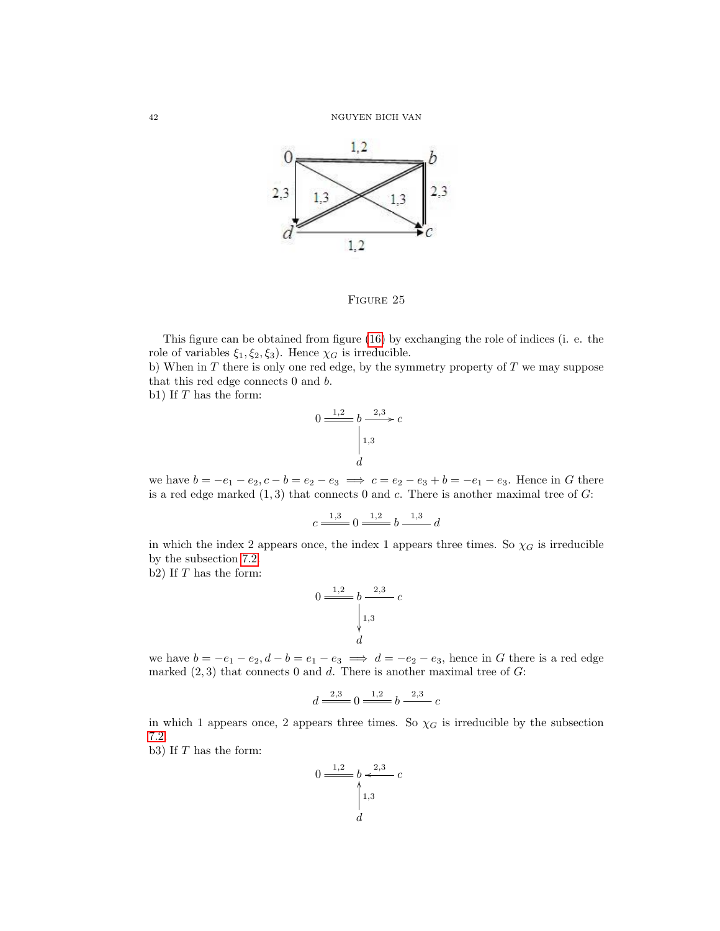

FIGURE 25

This figure can be obtained from figure [\(16\)](#page-36-4) by exchanging the role of indices (i. e. the role of variables  $\xi_1, \xi_2, \xi_3$ . Hence  $\chi_G$  is irreducible.

b) When in  $T$  there is only one red edge, by the symmetry property of  $T$  we may suppose that this red edge connects 0 and b.

b1) If  $T$  has the form:

$$
0 \xrightarrow{1,2} b \xrightarrow{2,3} c
$$

$$
\begin{vmatrix} 1,3 \\ 1 \end{vmatrix}
$$

we have  $b = -e_1 - e_2, c - b = e_2 - e_3 \implies c = e_2 - e_3 + b = -e_1 - e_3$ . Hence in G there is a red edge marked  $(1,3)$  that connects 0 and c. There is another maximal tree of  $G$ :

$$
c \xrightarrow{1,3} 0 \xrightarrow{1,2} b \xrightarrow{1,3} d
$$

in which the index 2 appears once, the index 1 appears three times. So  $\chi_G$  is irreducible by the subsection [7.2.](#page-32-0)

b2) If  $T$  has the form:

$$
0 \frac{1,2}{\left|\begin{array}{c} 1,2 \\ 1,3 \end{array}\right|} b \frac{2,3}{\left|\begin{array}{c} 2,3 \\ 1,3 \end{array}\right|} c
$$

we have  $b = -e_1 - e_2, d - b = e_1 - e_3 \implies d = -e_2 - e_3$ , hence in G there is a red edge marked  $(2, 3)$  that connects 0 and d. There is another maximal tree of  $G$ :

$$
d \xrightarrow{2,3} 0 \xrightarrow{1,2} b \xrightarrow{2,3} c
$$

in which 1 appears once, 2 appears three times. So  $\chi_G$  is irreducible by the subsection [7.2.](#page-32-0)

b3) If  $T$  has the form:

$$
0 \xrightarrow{1,2} b \xleftarrow{2,3} c
$$

$$
\uparrow 1,3
$$

$$
d
$$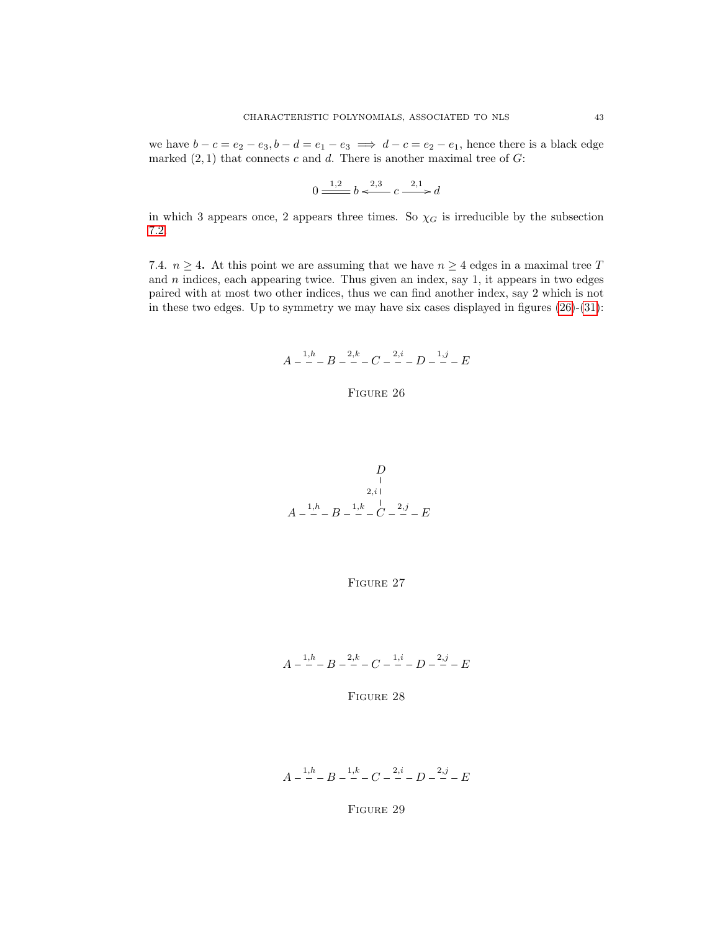we have  $b - c = e_2 - e_3$ ,  $b - d = e_1 - e_3 \implies d - c = e_2 - e_1$ , hence there is a black edge marked  $(2, 1)$  that connects c and d. There is another maximal tree of G:

$$
0 \xrightarrow{1,2} b \xleftarrow{2,3} c \xrightarrow{2,1} d
$$

in which 3 appears once, 2 appears three times. So  $\chi_G$  is irreducible by the subsection [7.2.](#page-32-0)

<span id="page-43-0"></span>7.4.  $n \geq 4$ . At this point we are assuming that we have  $n \geq 4$  edges in a maximal tree T and  $n$  indices, each appearing twice. Thus given an index, say 1, it appears in two edges paired with at most two other indices, thus we can find another index, say 2 which is not in these two edges. Up to symmetry we may have six cases displayed in figures  $(26)-(31)$  $(26)-(31)$ :

$$
A - \frac{1,h}{-}B - \frac{2,k}{-}C - \frac{2,i}{-}D - \frac{1,j}{-}E
$$

### FIGURE 26

<span id="page-43-2"></span>
$$
\begin{array}{c}\nD \\
1 \\
2,i \\
\hline\nA-1,h \\
B-1, h\n\end{array}
$$

FIGURE 27

<span id="page-43-3"></span>
$$
A - \frac{1,h}{-}B - \frac{2,k}{-}C - \frac{1,i}{-}D - \frac{2,j}{-} - E
$$

FIGURE 28

<span id="page-43-1"></span>
$$
A - \frac{1,h}{-}B - \frac{1,k}{-}C - \frac{2,i}{-}D - \frac{2,j}{-} - E
$$

### FIGURE 29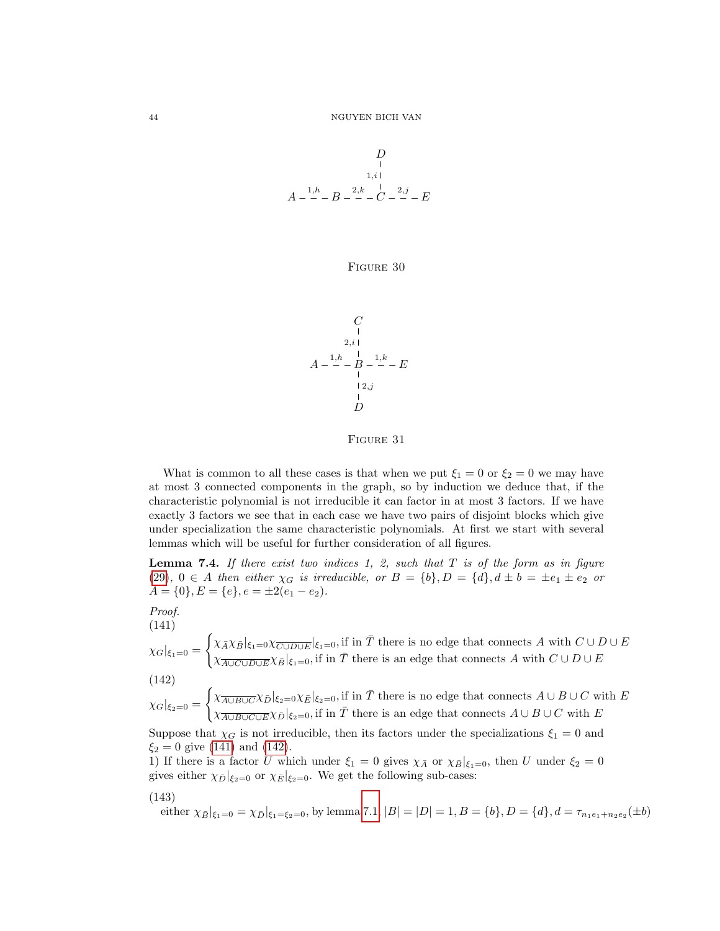<span id="page-44-3"></span>
$$
\begin{array}{c}\nD \\
\downarrow \\
1,i \\
\downarrow \\
A-\frac{1,h}{-}-B-\frac{2,h}{-}-C-\frac{2,j}{-}-E\n\end{array}
$$

Figure 30

<span id="page-44-0"></span>
$$
\begin{array}{c}\nC \\
1 \\
2,i \\
A \n\end{array}
$$
\n
$$
A - \frac{1}{2} \cdot B - \frac{1}{2} \cdot E - E
$$
\n
$$
\begin{array}{c}\n12, j \\
B \\
D\n\end{array}
$$

Figure 31

What is common to all these cases is that when we put  $\xi_1 = 0$  or  $\xi_2 = 0$  we may have at most 3 connected components in the graph, so by induction we deduce that, if the characteristic polynomial is not irreducible it can factor in at most 3 factors. If we have exactly 3 factors we see that in each case we have two pairs of disjoint blocks which give under specialization the same characteristic polynomials. At first we start with several lemmas which will be useful for further consideration of all figures.

<span id="page-44-4"></span>**Lemma 7.4.** If there exist two indices 1, 2, such that  $T$  is of the form as in figure [\(29\)](#page-43-1),  $0 \in A$  then either  $\chi_G$  is irreducible, or  $B = \{b\}$ ,  $D = \{d\}$ ,  $d \pm b = \pm e_1 \pm e_2$  or  $A = \{0\}, E = \{e\}, e = \pm 2(e_1 - e_2).$ 

Proof. (141)

<span id="page-44-1"></span> $\chi_G|_{\xi_1=0}=$  $\int \chi_{\bar{A}} \chi_{\bar{B}}|_{\xi_1=0} \chi_{\overline{C \cup D \cup E}}|_{\xi_1=0}$ , if in  $\bar{T}$  there is no edge that connects A with  $C \cup D \cup E$  $\chi_{\overline{A\cup C\cup D\cup E}}^{\overline{A}}\chi_{\overline{B}}|_{\xi_1=0}$ , if in  $\overline{T}$  there is an edge that connects A with  $C\cup D\cup E$ (142)

<span id="page-44-2"></span>
$$
\chi_G|_{\xi_2=0} = \begin{cases} \chi_{\overline{A\cup B\cup C}} \chi_{\overline{D}}|_{\xi_2=0} \chi_{\overline{E}}|_{\xi_2=0}, \text{if in } \overline{T} \text{ there is no edge that connects } A \cup B \cup C \text{ with } E\\ \chi_{\overline{A\cup B\cup C\cup E}} \chi_{\overline{D}}|_{\xi_2=0}, \text{if in } \overline{T} \text{ there is an edge that connects } A \cup B \cup C \text{ with } E \end{cases}
$$

Suppose that  $\chi_G$  is not irreducible, then its factors under the specializations  $\xi_1 = 0$  and  $\xi_2 = 0$  give [\(141\)](#page-44-1) and [\(142\)](#page-44-2).

1) If there is a factor U which under  $\xi_1 = 0$  gives  $\chi_{\bar{A}}$  or  $\chi_{\bar{B}}|_{\xi_1=0}$ , then U under  $\xi_2 = 0$ gives either  $\chi_{\bar{D}}|_{\xi_2=0}$  or  $\chi_{\bar{E}}|_{\xi_2=0}$ . We get the following sub-cases:

$$
(143)
$$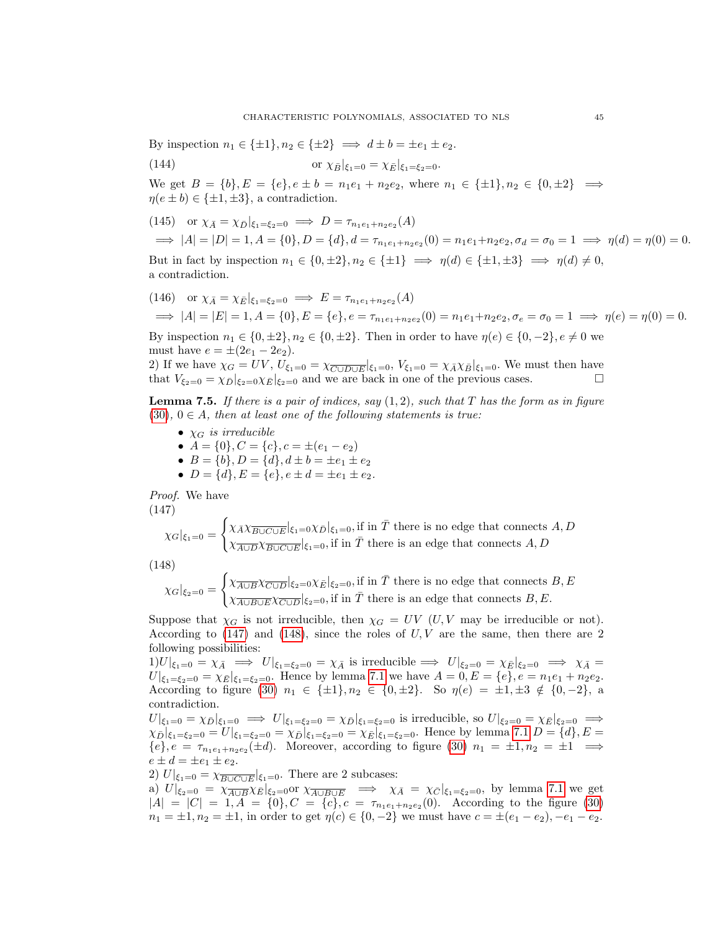By inspection  $n_1 \in \{\pm 1\}$ ,  $n_2 \in \{\pm 2\} \implies d \pm b = \pm e_1 \pm e_2$ .

(144) or 
$$
\chi_{\bar{B}}|_{\xi_1=0} = \chi_{\bar{E}}|_{\xi_1=\xi_2=0}
$$
.

We get  $B = \{b\}, E = \{e\}, e \pm b = n_1e_1 + n_2e_2$ , where  $n_1 \in \{\pm 1\}, n_2 \in \{0, \pm 2\} \implies$  $\eta(e \pm b) \in {\pm 1, \pm 3}$ , a contradiction.

(145) or 
$$
\chi_{\bar{A}} = \chi_{\bar{D}}|_{\xi_1 = \xi_2 = 0} \implies D = \tau_{n_1 e_1 + n_2 e_2}(A)
$$
  
\n $\implies |A| = |D| = 1, A = \{0\}, D = \{d\}, d = \tau_{n_1 e_1 + n_2 e_2}(0) = n_1 e_1 + n_2 e_2, \sigma_d = \sigma_0 = 1 \implies \eta(d) = \eta(0) = 0.$ 

But in fact by inspection  $n_1 \in \{0, \pm 2\}, n_2 \in \{\pm 1\} \implies \eta(d) \in \{\pm 1, \pm 3\} \implies \eta(d) \neq 0$ , a contradiction.

$$
(146) \quad \text{or } \chi_{\bar{A}} = \chi_{\bar{E}}|_{\xi_1 = \xi_2 = 0} \implies E = \tau_{n_1 e_1 + n_2 e_2}(A)
$$
\n
$$
\implies |A| = |E| = 1, A = \{0\}, E = \{e\}, e = \tau_{n_1 e_1 + n_2 e_2}(0) = n_1 e_1 + n_2 e_2, \sigma_e = \sigma_0 = 1 \implies \eta(e) = \eta(0) = 0.
$$

By inspection  $n_1 \in \{0, \pm 2\}, n_2 \in \{0, \pm 2\}.$  Then in order to have  $\eta(e) \in \{0, -2\}, e \neq 0$  we must have  $e = \pm (2e_1 - 2e_2)$ .

2) If we have  $\chi_G = UV$ ,  $U_{\xi_1=0} = \chi_{\overline{C \cup D \cup E}}|_{\xi_1=0}$ ,  $V_{\xi_1=0} = \chi_{\overline{A}} \chi_{\overline{B}}|_{\xi_1=0}$ . We must then have that  $V_{\xi_2=0} = \chi_{\bar{D}}|_{\xi_2=0} \chi_{\bar{E}}|_{\xi_2=0}$  and we are back in one of the previous cases.

<span id="page-45-2"></span>**Lemma 7.5.** If there is a pair of indices, say  $(1, 2)$ , such that T has the form as in figure  $(30), 0 \in A$  $(30), 0 \in A$ , then at least one of the following statements is true:

- $\chi_G$  is irreducible
- $A = \{0\}, C = \{c\}, c = \pm (e_1 e_2)$
- $B = \{b\}, D = \{d\}, d \pm b = \pm e_1 \pm e_2$
- $D = \{d\}, E = \{e\}, e \pm d = \pm e_1 \pm e_2.$

Proof. We have (147)

<span id="page-45-0"></span>
$$
\chi_G|_{\xi_1=0} = \begin{cases} \chi_{\bar{A}} \chi_{\overline{B \cup C \cup E}}|_{\xi_1=0} \chi_{\bar{D}}|_{\xi_1=0}, \text{if in } \bar{T} \text{ there is no edge that connects } A, D \\ \chi_{\overline{A \cup D}} \chi_{\overline{B \cup C \cup E}}|_{\xi_1=0}, \text{if in } \bar{T} \text{ there is an edge that connects } A, D \end{cases}
$$

$$
(148)
$$

<span id="page-45-1"></span>
$$
\chi_G|_{\xi_2=0} = \begin{cases} \chi_{\overline{A \cup B}} \chi_{\overline{C \cup D}}|_{\xi_2=0} \chi_{\overline{E}}|_{\xi_2=0}, \text{if in } \overline{T} \text{ there is no edge that connects } B, E\\ \chi_{\overline{A \cup B \cup E}} \chi_{\overline{C \cup D}}|_{\xi_2=0}, \text{if in } \overline{T} \text{ there is an edge that connects } B, E. \end{cases}
$$

Suppose that  $\chi_G$  is not irreducible, then  $\chi_G = UV$  (U, V may be irreducible or not). According to  $(147)$  and  $(148)$ , since the roles of  $U, V$  are the same, then there are 2 following possibilities:

 $1)U|_{\xi_1=0} = \chi_{\bar{A}} \implies U|_{\xi_1=\xi_2=0} = \chi_{\bar{A}}$  is irreducible  $\implies U|_{\xi_2=0} = \chi_{\bar{E}}|_{\xi_2=0} \implies \chi_{\bar{A}} =$  $U|_{\xi_1=\xi_2=0} = \chi_E|_{\xi_1=\xi_2=0}$ . Hence by lemma [7.1](#page-30-0) we have  $A = 0, E = \{e\}, e = n_1e_1 + n_2e_2$ . According to figure [\(30\)](#page-44-3)  $n_1 \in {\pm 1}$ ,  $n_2 \in {\{0, \pm 2\}}$ . So  $\eta(e) = \pm 1, \pm 3 \notin {\{0, -2\}}$ , a contradiction.

 $U|_{\xi_1=0} = \chi_{\bar{D}}|_{\xi_1=0} \implies U|_{\xi_1=\xi_2=0} = \chi_{\bar{D}}|_{\xi_1=\xi_2=0}$  is irreducible, so  $U|_{\xi_2=0} = \chi_{\bar{E}}|_{\xi_2=0} \implies$  $\chi_{\bar{D}}|_{\xi_1=\xi_2=0} = U|_{\xi_1=\xi_2=0} = \chi_{\bar{D}}|_{\xi_1=\xi_2=0} = \chi_{\bar{E}}|_{\xi_1=\xi_2=0}$ . Hence by lemma [7.1](#page-30-0)  $D = \{d\}, E =$  $\{e\}, e = \tau_{n_1e_1+n_2e_2}(\pm d)$ . Moreover, according to figure [\(30\)](#page-44-3)  $n_1 = \pm 1, n_2 = \pm 1 \implies$  $e \pm d = \pm e_1 \pm e_2.$ 

2)  $U|_{\xi_1=0} = \chi_{\overline{B\cup C\cup E}}|_{\xi_1=0}$ . There are 2 subcases:

a)  $U|_{\xi_2=0} = \chi_{\overline{A\cup B}}\chi_{\overline{E}}|_{\xi_2=0}$  or  $\chi_{\overline{A\cup B\cup E}} \implies \chi_{\overline{A}} = \chi_{\overline{C}}|_{\xi_1=\xi_2=0}$ , by lemma [7.1](#page-30-0) we get  $|A| = |C| = 1, A = \{0\}, C = \{c\}, c = \tau_{n_1 e_1 + n_2 e_2}(0)$ . According to the figure [\(30\)](#page-44-3)  $n_1 = \pm 1, n_2 = \pm 1$ , in order to get  $\eta(c) \in \{0, -2\}$  we must have  $c = \pm (e_1 - e_2), -e_1 - e_2$ .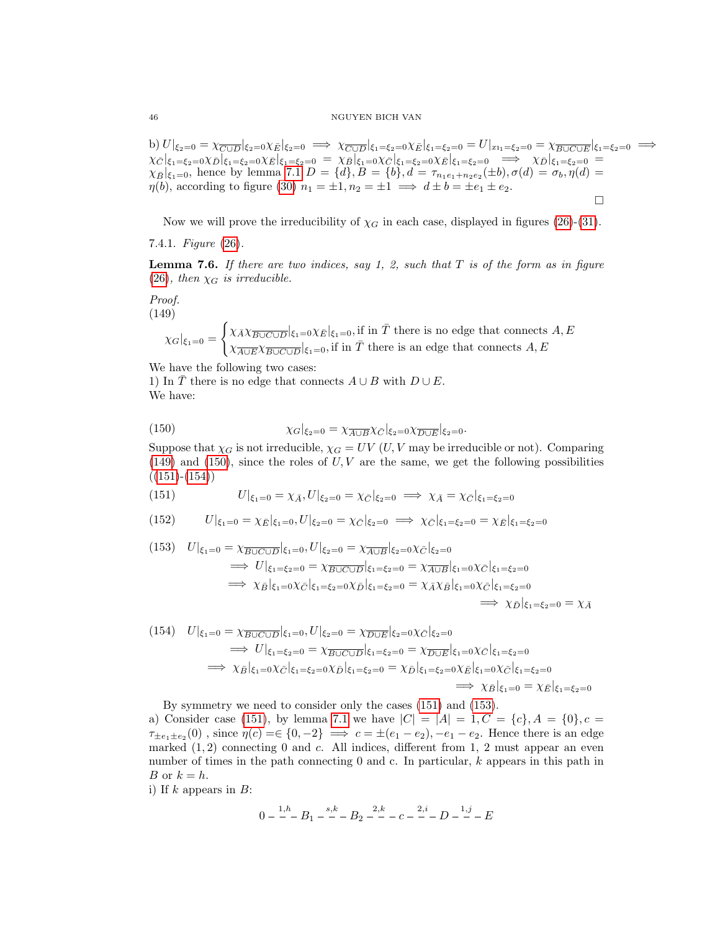#### 46 NGUYEN BICH VAN

b)  $U|_{\xi_2=0} = \chi_{\overline{C \cup D}}|_{\xi_2=0} \chi_{\overline{E}}|_{\xi_2=0} \implies \chi_{\overline{C \cup D}}|_{\xi_1=\xi_2=0} \chi_{\overline{E}}|_{\xi_1=\xi_2=0} = U|_{x_{11}=\xi_2=0} = \chi_{\overline{B \cup C \cup E}}|_{\xi_1=\xi_2=0} \implies U|_{x_{12}=\xi_2=0} = U|_{x_{13}=\xi_2=0} = \chi_{\overline{B \cup C \cup E}}|_{\xi_1=\xi_2=0}$  $\chi_{\bar{C}}|_{\xi_1=\xi_2=0}\chi_{\bar{D}}|_{\xi_1=\xi_2=0}\chi_{\bar{E}}|_{\xi_1=\xi_2=0} = \chi_{\bar{B}}|_{\xi_1=0}\chi_{\bar{C}}|_{\xi_1=\xi_2=0}\chi_{\bar{E}}|_{\xi_1=\xi_2=0} \implies \chi_{\bar{D}}|_{\xi_1=\xi_2=0} =$  $\chi_{\bar{B}}|_{\xi_1=0}$ , hence by lemma [7.1](#page-30-0)  $D = \{d\}, B = \{b\}, d = \tau_{n_1e_1+n_2e_2}(\pm b), \sigma(d) = \sigma_b, \eta(d) =$  $\eta(b)$ , according to figure [\(30\)](#page-44-3)  $n_1 = \pm 1, n_2 = \pm 1 \implies d \pm b = \pm e_1 \pm e_2$ .  $\Box$ 

Now we will prove the irreducibility of  $\chi_G$  in each case, displayed in figures [\(26\)](#page-43-0)-[\(31\)](#page-44-0).

7.4.1. *Figure* 
$$
(26)
$$
.

<span id="page-46-5"></span>**Lemma 7.6.** If there are two indices, say 1, 2, such that  $T$  is of the form as in figure [\(26\)](#page-43-0), then  $\chi_G$  is irreducible.

Proof. (149)

> <span id="page-46-0"></span> $\chi_G|_{\xi_1=0}=$  $\int \chi_{\bar{A}} \chi_{\overline{B\cup C\cup D}}|_{\xi_1=0} \chi_{\bar{E}}|_{\xi_1=0}$ , if in  $\bar{T}$  there is no edge that connects  $A, E$  $\chi_{\overline{A\cup E}}\chi_{\overline{B\cup C\cup D}}|_{\xi_1=0}$ , if in  $\overline{T}$  there is an edge that connects  $A, E$

We have the following two cases: 1) In T there is no edge that connects  $A \cup B$  with  $D \cup E$ .

We have:

<span id="page-46-1"></span>(150) 
$$
\chi_G|_{\xi_2=0} = \chi_{\overline{A \cup B}} \chi_{\overline{C}}|_{\xi_2=0} \chi_{\overline{D \cup E}}|_{\xi_2=0}.
$$

Suppose that  $\chi_G$  is not irreducible,  $\chi_G = UV$  (U, V may be irreducible or not). Comparing  $(149)$  and  $(150)$ , since the roles of U, V are the same, we get the following possibilities  $((151)-(154))$  $((151)-(154))$  $((151)-(154))$  $((151)-(154))$  $((151)-(154))$ 

<span id="page-46-2"></span>(151) 
$$
U|_{\xi_1=0} = \chi_{\bar{A}}, U|_{\xi_2=0} = \chi_{\bar{C}}|_{\xi_2=0} \implies \chi_{\bar{A}} = \chi_{\bar{C}}|_{\xi_1=\xi_2=0}
$$

$$
(152) \tU|_{\xi_1=0} = \chi_{\bar{E}}|_{\xi_1=0}, U|_{\xi_2=0} = \chi_{\bar{C}}|_{\xi_2=0} \implies \chi_{\bar{C}}|_{\xi_1=\xi_2=0} = \chi_{\bar{E}}|_{\xi_1=\xi_2=0}
$$

<span id="page-46-4"></span>
$$
(153) \quad U|_{\xi_1=0} = \chi_{\overline{B} \cup \overline{C} \cup \overline{D}}|_{\xi_1=0}, U|_{\xi_2=0} = \chi_{\overline{A} \cup \overline{B}}|_{\xi_2=0} \chi_{\overline{C}}|_{\xi_2=0}
$$
\n
$$
\implies U|_{\xi_1=\xi_2=0} = \chi_{\overline{B} \cup \overline{C} \cup \overline{D}}|_{\xi_1=\xi_2=0} = \chi_{\overline{A} \cup \overline{B}}|_{\xi_1=0} \chi_{\overline{C}}|_{\xi_1=\xi_2=0}
$$
\n
$$
\implies \chi_{\overline{B}}|_{\xi_1=0} \chi_{\overline{C}}|_{\xi_1=\xi_2=0} = \chi_{\overline{A}} \chi_{\overline{B}}|_{\xi_1=0} \chi_{\overline{C}}|_{\xi_1=\xi_2=0}
$$
\n
$$
\implies \chi_{\overline{D}}|_{\xi_1=\xi_2=0} = \chi_{\overline{A}}
$$

<span id="page-46-3"></span>
$$
(154) \quad U|_{\xi_1=0} = \chi_{\overline{B} \cup \overline{C} \cup \overline{D}}|_{\xi_1=0}, U|_{\xi_2=0} = \chi_{\overline{D} \cup \overline{E}}|_{\xi_2=0} \chi_{\overline{C}}|_{\xi_2=0}
$$
\n
$$
\implies U|_{\xi_1=\xi_2=0} = \chi_{\overline{B} \cup \overline{C} \cup \overline{D}}|_{\xi_1=\xi_2=0} = \chi_{\overline{D} \cup \overline{E}}|_{\xi_1=0} \chi_{\overline{C}}|_{\xi_1=\xi_2=0}
$$
\n
$$
\implies \chi_{\overline{B}}|_{\xi_1=0} \chi_{\overline{C}}|_{\xi_1=\xi_2=0} \chi_{\overline{D}}|_{\xi_1=\xi_2=0} = \chi_{\overline{D}}|_{\xi_1=\xi_2=0} = \chi_{\overline{B}}|_{\xi_1=0} = \chi_{\overline{E}}|_{\xi_1=\xi_2=0}
$$
\n
$$
\implies \chi_{\overline{B}}|_{\xi_1=0} = \chi_{\overline{E}}|_{\xi_1=\xi_2=0}
$$

By symmetry we need to consider only the cases [\(151\)](#page-46-2) and [\(153\)](#page-46-4).

a) Consider case [\(151\)](#page-46-2), by lemma [7.1](#page-30-0) we have  $|C| = |A| = 1, C = \{c\}, A = \{0\}, c =$  $\tau_{\pm e_1 \pm e_2}(0)$ , since  $\eta(c) = \{0, -2\} \implies c = \pm (e_1 - e_2), -e_1 - e_2$ . Hence there is an edge marked  $(1, 2)$  connecting 0 and c. All indices, different from 1, 2 must appear an even number of times in the path connecting 0 and c. In particular, k appears in this path in *B* or  $k = h$ .

i) If  $k$  appears in  $B$ :

$$
0 - \frac{1,h}{-}B_1 - \frac{s,k}{-}B_2 - \frac{2,k}{-}C_2 - \frac{2,i}{-}D_3 - \frac{1,j}{-}E
$$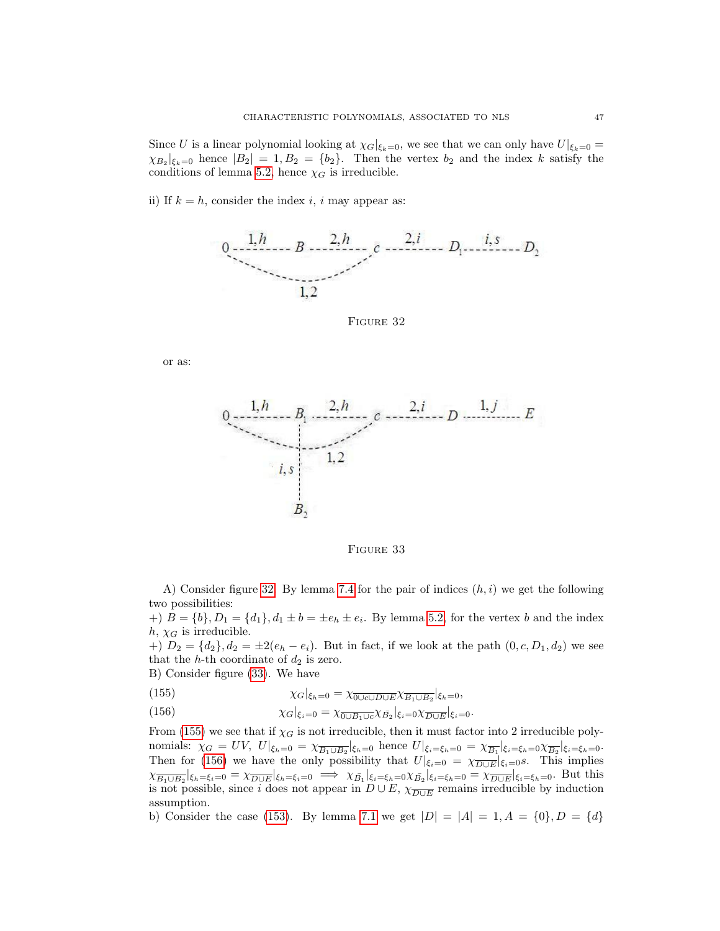Since U is a linear polynomial looking at  $\chi_G|_{\xi_k=0}$ , we see that we can only have  $U|_{\xi_k=0}$  =  $\chi_{B_2}|_{\xi_k=0}$  hence  $|B_2|=1, B_2=\{b_2\}.$  Then the vertex  $b_2$  and the index k satisfy the conditions of lemma [5.2,](#page-26-0) hence  $\chi_G$  is irreducible.

<span id="page-47-0"></span>ii) If  $k = h$ , consider the index i, i may appear as:



FIGURE 32

<span id="page-47-1"></span>or as:



Figure 33

A) Consider figure [32.](#page-47-0) By lemma [7.4](#page-44-4) for the pair of indices  $(h, i)$  we get the following two possibilities:

 $\{b\}$  = {b},  $D_1 = \{d_1\}$ ,  $d_1 \pm b = \pm e_h \pm e_i$ . By lemma [5.2,](#page-26-0) for the vertex b and the index  $h, \chi_G$  is irreducible.

+)  $D_2 = \{d_2\}, d_2 = \pm 2(e_h - e_i)$ . But in fact, if we look at the path  $(0, c, D_1, d_2)$  we see that the h-th coordinate of  $d_2$  is zero.

B) Consider figure [\(33\)](#page-47-1). We have

<span id="page-47-2"></span>(155) 
$$
\chi_G|_{\xi_h=0} = \chi_{\overline{0\cup c\cup D\cup E}}\chi_{\overline{B_1\cup B_2}}|_{\xi_h=0},
$$

<span id="page-47-3"></span>(156) 
$$
\chi_G|_{\xi_i=0} = \chi_{\overline{0\cup B_1\cup c}} \chi_{\overline{B_2}}|_{\xi_i=0} \chi_{\overline{D\cup E}}|_{\xi_i=0}.
$$

From [\(155\)](#page-47-2) we see that if  $\chi_G$  is not irreducible, then it must factor into 2 irreducible polynomials:  $\chi_G = UV$ ,  $U|_{\xi_h=0} = \chi_{\overline{B_1 \cup B_2}}|_{\xi_h=0}$  hence  $U|_{\xi_i=\xi_h=0} = \chi_{\overline{B_1}}|_{\xi_i=\xi_h=0} \chi_{\overline{B_2}}|_{\xi_i=\xi_h=0}$ . Then for [\(156\)](#page-47-3) we have the only possibility that  $U|_{\xi_i=0} = \chi_{\overline{D \cup E}}|_{\xi_i=0}$ s. This implies  $\chi_{\overline{B_1 \cup B_2}}|_{\xi_h=\xi_i=0} = \chi_{\overline{D \cup E}}|_{\xi_h=\xi_i=0} \implies \chi_{\overline{B_1}}|_{\xi_i=\xi_h=0} \chi_{\overline{B_2}}|_{\xi_i=\xi_h=0} = \chi_{\overline{D \cup E}}|_{\xi_i=\xi_h=0}$ . But this is not possible, since i does not appear in  $D \cup E$ ,  $\chi_{\overline{D \cup E}}$  remains irreducible by induction assumption.

b) Consider the case [\(153\)](#page-46-4). By lemma [7.1](#page-30-0) we get  $|D| = |A| = 1, A = \{0\}, D = \{d\}$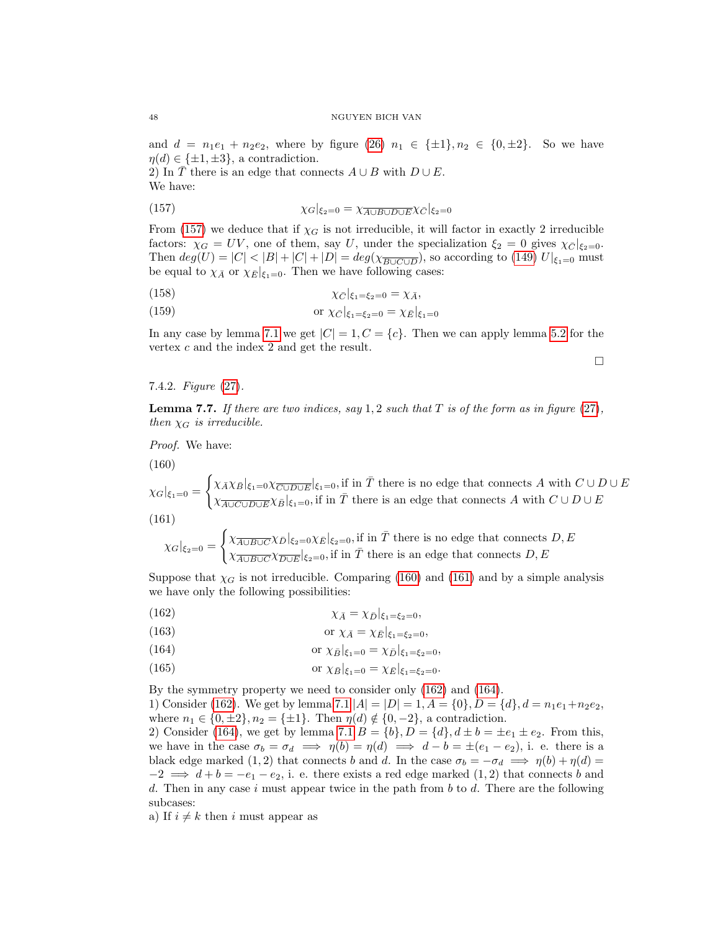and  $d = n_1e_1 + n_2e_2$ , where by figure [\(26\)](#page-43-0)  $n_1 \in {\pm 1}$ ,  $n_2 \in {\{0, \pm 2\}}$ . So we have  $\eta(d) \in {\{\pm 1, \pm 3\}}$ , a contradiction.

2) In T there is an edge that connects  $A \cup B$  with  $D \cup E$ . We have:

<span id="page-48-0"></span>(157) 
$$
\chi_G|_{\xi_2=0} = \chi_{\overline{A \cup B \cup D \cup E}} \chi_{\overline{C}}|_{\xi_2=0}
$$

From [\(157\)](#page-48-0) we deduce that if  $\chi_G$  is not irreducible, it will factor in exactly 2 irreducible factors:  $\chi_G = UV$ , one of them, say U, under the specialization  $\xi_2 = 0$  gives  $\chi_{\overline{G}}|_{\xi_2=0}$ . Then  $deg(U) = |C| < |B| + |C| + |D| = deg(\chi_{\overline{B\cup C\cup D}})$ , so according to [\(149\)](#page-46-0)  $U|_{\xi_1=0}$  must be equal to  $\chi_{\bar{A}}$  or  $\chi_{\bar{E}}|_{\xi_1=0}$ . Then we have following cases:

$$
\chi_{\overline{C}}|_{\xi_1=\xi_2=0}=\chi_{\overline{A}},
$$

(159) or 
$$
\chi_{\bar{C}}|_{\xi_1=\xi_2=0} = \chi_{\bar{E}}|_{\xi_1=0}
$$

In any case by lemma [7.1](#page-30-0) we get  $|C| = 1, C = \{c\}$ . Then we can apply lemma [5.2](#page-26-0) for the vertex c and the index 2 and get the result.

 $\Box$ 

7.4.2. Figure [\(27\)](#page-43-2).

<span id="page-48-5"></span>**Lemma 7.7.** If there are two indices, say 1, 2 such that T is of the form as in figure [\(27\)](#page-43-2), then  $\chi_G$  is irreducible.

Proof. We have:

<span id="page-48-1"></span> $(160)$ 

 $\chi_G|_{\xi_1=0}=$  $\int \chi_{\bar{A}} \chi_{\bar{B}}|_{\xi_1=0} \chi_{\overline{C \cup D \cup E}}|_{\xi_1=0}$ , if in  $\bar{T}$  there is no edge that connects A with  $C \cup D \cup E$  $\chi_{\overline{A\cup C\cup D\cup E}}\chi_{\bar{B}}|_{\xi_1=0}$ , if in  $\bar{T}$  there is an edge that connects A with  $C\cup D\cup E$ (161)

<span id="page-48-2"></span>
$$
\chi_G|_{\xi_2=0} = \begin{cases} \chi_{\overline{A\cup B\cup C}} \chi_{\bar{D}}|_{\xi_2=0} \chi_{\bar{E}}|_{\xi_2=0}, \text{if in } \bar{T} \text{ there is no edge that connects } D, E\\ \chi_{\overline{A\cup B\cup C}} \chi_{\overline{D\cup E}}|_{\xi_2=0}, \text{if in } \bar{T} \text{ there is an edge that connects } D, E \end{cases}
$$

Suppose that  $\chi_G$  is not irreducible. Comparing [\(160\)](#page-48-1) and [\(161\)](#page-48-2) and by a simple analysis we have only the following possibilities:

<span id="page-48-3"></span>
$$
\chi_{\bar{A}} = \chi_{\bar{D}}|_{\xi_1 = \xi_2 = 0},
$$

<span id="page-48-4"></span>(163) or 
$$
\chi_{\bar{A}} = \chi_{\bar{E}}|_{\xi_1 = \xi_2 = 0},
$$

(164) or 
$$
\chi_{\bar{B}}|_{\xi_1=0} = \chi_{\bar{D}}|_{\xi_1=\xi_2=0},
$$

(165) or  $\chi_{\bar{B}}|_{\xi_1=0} = \chi_{\bar{E}}|_{\xi_1=\xi_2=0}$ .

By the symmetry property we need to consider only [\(162\)](#page-48-3) and [\(164\)](#page-48-4). 1) Consider [\(162\)](#page-48-3). We get by lemma [7.1](#page-30-0)  $|A| = |D| = 1, A = \{0\}, D = \{d\}, d = n_1e_1 + n_2e_2$ , where  $n_1 \in \{0, \pm 2\}, n_2 = \{\pm 1\}.$  Then  $\eta(d) \notin \{0, -2\},$  a contradiction.

2) Consider [\(164\)](#page-48-4), we get by lemma [7.1](#page-30-0)  $B = \{b\}$ ,  $D = \{d\}$ ,  $d \pm b = \pm e_1 \pm e_2$ . From this, we have in the case  $\sigma_b = \sigma_d \implies \eta(b) = \eta(d) \implies d - b = \pm (e_1 - e_2)$ , i. e. there is a black edge marked (1, 2) that connects b and d. In the case  $\sigma_b = -\sigma_d \implies \eta(b) + \eta(d) =$  $-2 \implies d+b = -e_1 - e_2$ , i. e. there exists a red edge marked  $(1, 2)$  that connects b and d. Then in any case i must appear twice in the path from  $b$  to  $d$ . There are the following subcases:

a) If  $i \neq k$  then i must appear as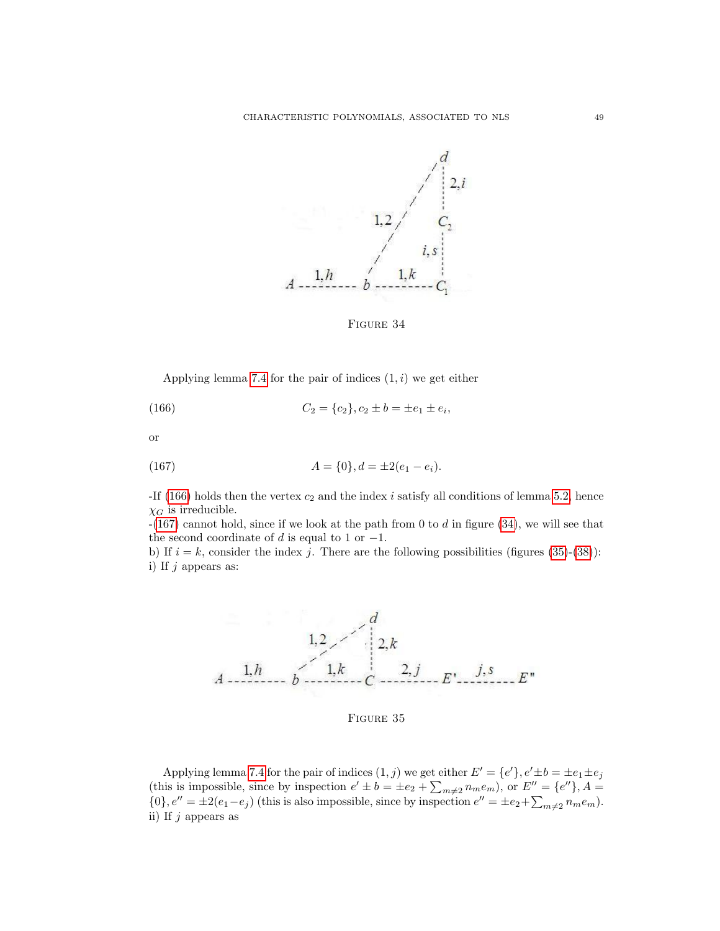<span id="page-49-2"></span>

<span id="page-49-1"></span><span id="page-49-0"></span>FIGURE 34

Applying lemma [7.4](#page-44-4) for the pair of indices  $(1, i)$  we get either

(166) 
$$
C_2 = \{c_2\}, c_2 \pm b = \pm e_1 \pm e_i,
$$

or

(167) 
$$
A = \{0\}, d = \pm 2(e_1 - e_i).
$$

-If [\(166\)](#page-49-0) holds then the vertex  $c_2$  and the index i satisfy all conditions of lemma [5.2,](#page-26-0) hence  $\chi_G$  is irreducible.

 $-(167)$  $-(167)$  cannot hold, since if we look at the path from 0 to d in figure [\(34\)](#page-49-2), we will see that the second coordinate of d is equal to 1 or  $-1$ .

b) If  $i = k$ , consider the index j. There are the following possibilities (figures [\(35\)](#page-49-3)-[\(38\)](#page-50-0)): i) If  $j$  appears as:

<span id="page-49-3"></span>

FIGURE 35

Applying lemma [7.4](#page-44-4) for the pair of indices  $(1, j)$  we get either  $E' = \{e'\}, e' \pm b = \pm e_1 \pm e_j$ (this is impossible, since by inspection  $e' \pm b = \pm e_2 + \sum_{m \neq 2} n_m e_m$ ), or  $E'' = \{e''\}, A =$  $\{0\}, e'' = \pm 2(e_1 - e_j)$  (this is also impossible, since by inspection  $e'' = \pm e_2 + \sum_{m \neq 2} n_m e_m$ ). ii) If  $i$  appears as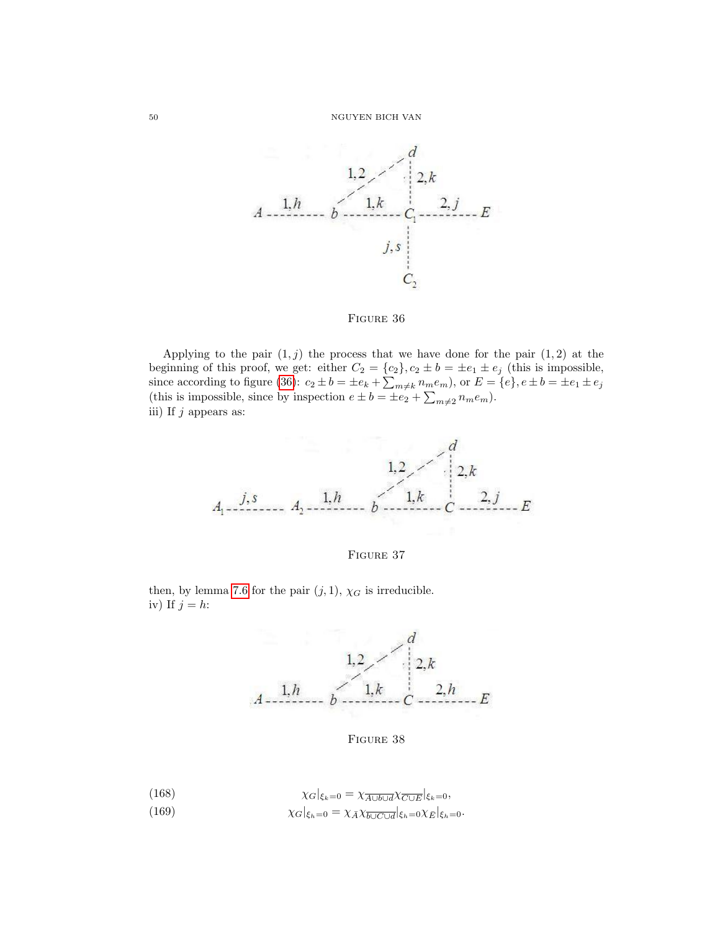<span id="page-50-1"></span>

### FIGURE 36

Applying to the pair  $(1, j)$  the process that we have done for the pair  $(1, 2)$  at the beginning of this proof, we get: either  $C_2 = \{c_2\}$ ,  $c_2 \pm b = \pm e_1 \pm e_j$  (this is impossible, since according to figure [\(36\)](#page-50-1):  $c_2 \pm b = \pm e_k + \sum_{m \neq k} n_m e_m$ ), or  $E = \{e\}$ ,  $e \pm b = \pm e_1 \pm e_j$ (this is impossible, since by inspection  $e \pm b = \pm e_2 + \sum_{m \neq 2} n_m e_m$ ). iii) If  $j$  appears as:



FIGURE 37

<span id="page-50-0"></span>then, by lemma [7.6](#page-46-5) for the pair  $(j, 1)$ ,  $\chi_G$  is irreducible. iv) If  $j = h$ :



FIGURE 38

<span id="page-50-3"></span><span id="page-50-2"></span>(168)  
\n
$$
\chi_G|_{\xi_k=0} = \chi_{\overline{A \cup b \cup d}} \chi_{\overline{C \cup E}}|_{\xi_k=0},
$$
\n
$$
\chi_G|_{\xi_h=0} = \chi_{\overline{A}} \chi_{\overline{b \cup C \cup d}}|_{\xi_h=0} \chi_{\overline{E}}|_{\xi_h=0}.
$$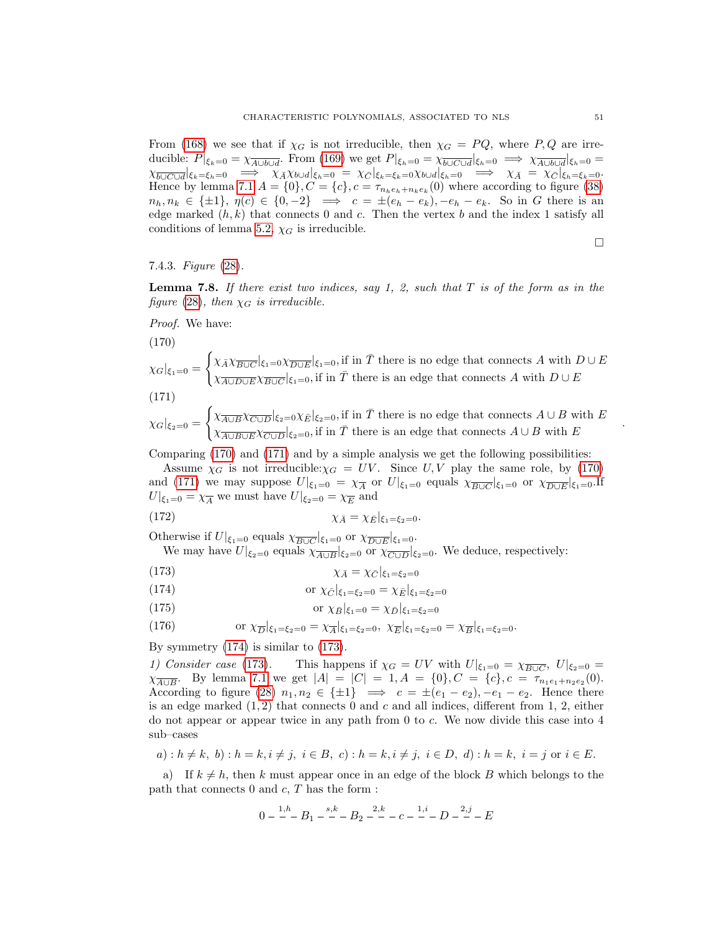From [\(168\)](#page-50-2) we see that if  $\chi_G$  is not irreducible, then  $\chi_G = PQ$ , where P, Q are irreducible:  $P|_{\xi_k=0} = \chi_{\overline{A \cup b \cup d}}$ . From [\(169\)](#page-50-3) we get  $P|_{\xi_h=0} = \chi_{\overline{b \cup C \cup d}}|_{\xi_h=0} \implies \chi_{\overline{A \cup b \cup d}}|_{\xi_h=0} =$  $\chi_{\overline{b\cup C\cup d}}|_{\xi_k=\xi_h=0} \implies \chi_{\bar{A}}\chi_{b\cup d}|_{\xi_h=0} = \chi_{\bar{C}}|_{\xi_k=\xi_k=0}\chi_{b\cup d}|_{\xi_h=0} \implies \chi_{\bar{A}} = \chi_{\bar{C}}|_{\xi_h=\xi_k=0}.$ Hence by lemma [7.1](#page-30-0)  $A = \{0\}$ ,  $C = \{c\}$ ,  $c = \tau_{n_h e_h + n_k e_k}(0)$  where according to figure [\(38\)](#page-50-0)  $n_h, n_k \in \{\pm 1\}, \eta(c) \in \{0, -2\} \implies c = \pm(e_h - e_k), -e_h - e_k.$  So in G there is an edge marked  $(h, k)$  that connects 0 and c. Then the vertex b and the index 1 satisfy all conditions of lemma [5.2,](#page-26-0)  $\chi_G$  is irreducible.

 $\Box$ 

.

### 7.4.3. Figure [\(28\)](#page-43-3).

<span id="page-51-6"></span>**Lemma 7.8.** If there exist two indices, say 1, 2, such that  $T$  is of the form as in the figure [\(28\)](#page-43-3), then  $\chi_G$  is irreducible.

Proof. We have:

<span id="page-51-0"></span>(170)

$$
\chi_G|_{\xi_1=0} = \begin{cases} \chi_{\bar{A}} \chi_{\overline{B \cup C}}|_{\xi_1=0} \chi_{\overline{D \cup E}}|_{\xi_1=0}, \text{if in } \bar{T} \text{ there is no edge that connects } A \text{ with } D \cup E \\ \chi_{\overline{A \cup D \cup E}} \chi_{\overline{B \cup C}}|_{\xi_1=0}, \text{if in } \bar{T} \text{ there is an edge that connects } A \text{ with } D \cup E \end{cases}
$$

<span id="page-51-1"></span>
$$
(171)
$$

$$
\chi_G|_{\xi_2=0} = \begin{cases} \chi_{\overline{A \cup B}} \chi_{\overline{C \cup D}}|_{\xi_2=0} \chi_{\overline{E}}|_{\xi_2=0}, \text{if in } \overline{T} \text{ there is no edge that connects } A \cup B \text{ with } E\\ \chi_{\overline{A \cup B \cup E}} \chi_{\overline{C \cup D}}|_{\xi_2=0}, \text{if in } \overline{T} \text{ there is an edge that connects } A \cup B \text{ with } E \end{cases}
$$

Comparing [\(170\)](#page-51-0) and [\(171\)](#page-51-1) and by a simple analysis we get the following possibilities:

Assume  $\chi_G$  is not irreducible: $\chi_G = UV$ . Since U, V play the same role, by [\(170\)](#page-51-0) and [\(171\)](#page-51-1) we may suppose  $U|_{\xi_1=0} = \chi_{\overline{A}}$  or  $U|_{\xi_1=0}$  equals  $\chi_{\overline{B\cup C}}|_{\xi_1=0}$  or  $\chi_{\overline{D\cup E}}|_{\xi_1=0}$ . If  $U|_{\xi_1=0} = \chi_{\overline{A}}$  we must have  $U|_{\xi_2=0} = \chi_{\overline{E}}$  and

$$
\chi_{\bar{A}} = \chi_{\bar{E}}|_{\xi_1 = \xi_2 = 0}.
$$

Otherwise if  $U|_{\xi_1=0}$  equals  $\chi_{\overline{B\cup C}}|_{\xi_1=0}$  or  $\chi_{\overline{D\cup E}}|_{\xi_1=0}$ .

<span id="page-51-5"></span>We may have  $U|_{\xi_2=0}$  equals  $\chi_{\overline{A\cup B}}|_{\xi_2=0}$  or  $\chi_{\overline{C\cup D}}|_{\xi_2=0}$ . We deduce, respectively:

<span id="page-51-3"></span>
$$
\chi_{\bar{A}} = \chi_{\bar{C}}|_{\xi_1 = \xi_2 = 0}
$$

<span id="page-51-4"></span><span id="page-51-2"></span>(174) or 
$$
\chi_{\bar{C}}|_{\xi_1=\xi_2=0} = \chi_{\bar{E}}|_{\xi_1=\xi_2=0}
$$

(175) or 
$$
\chi_{\bar{B}}|_{\xi_1=0} = \chi_{\bar{D}}|_{\xi_1=\xi_2=0}
$$

(176) or 
$$
\chi_{\overline{D}}|_{\xi_1=\xi_2=0} = \chi_{\overline{A}}|_{\xi_1=\xi_2=0}, \ \chi_{\overline{E}}|_{\xi_1=\xi_2=0} = \chi_{\overline{B}}|_{\xi_1=\xi_2=0}.
$$

By symmetry [\(174\)](#page-51-2) is similar to [\(173\)](#page-51-3).

1) Consider case [\(173\)](#page-51-3). This happens if  $\chi_G = UV$  with  $U|_{\xi_1=0} = \chi_{\overline{B\cup C}}$ ,  $U|_{\xi_2=0}$  $\chi_{\overline{A\cup B}}$ . By lemma [7.1](#page-30-0) we get  $|A| = |C| = 1, A = \{0\}, C = \{c\}, c = \tau_{n_1 e_1 + n_2 e_2}(0)$ . According to figure [\(28\)](#page-43-3)  $n_1, n_2 \in \{\pm 1\} \implies c = \pm (e_1 - e_2), -e_1 - e_2$ . Hence there is an edge marked  $(1, 2)$  that connects 0 and c and all indices, different from 1, 2, either do not appear or appear twice in any path from 0 to c. We now divide this case into 4 sub–cases

$$
a): h \neq k, b): h = k, i \neq j, i \in B, c): h = k, i \neq j, i \in D, d): h = k, i = j \text{ or } i \in E.
$$

a) If  $k \neq h$ , then k must appear once in an edge of the block B which belongs to the path that connects  $0$  and  $c, T$  has the form :

$$
0 - \frac{1,h}{-}B_1 - \frac{s,k}{-}B_2 - \frac{2,k}{-}C_2 - \frac{1,i}{-}D_2 - \frac{2,j}{-}E
$$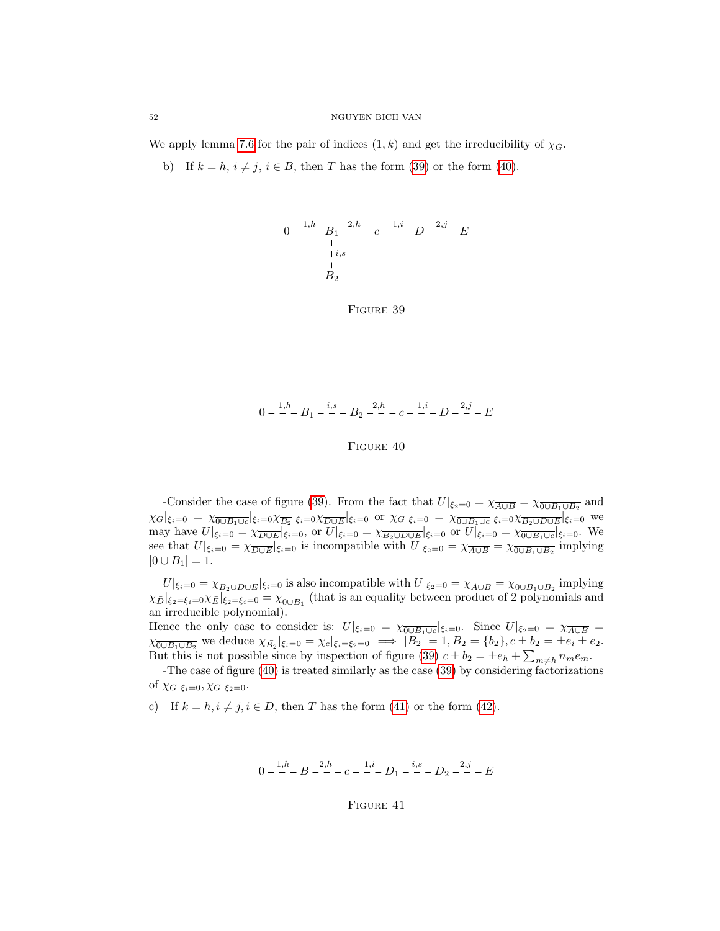We apply lemma [7.6](#page-46-5) for the pair of indices  $(1, k)$  and get the irreducibility of  $\chi_G$ .

<span id="page-52-0"></span>b) If  $k = h$ ,  $i \neq j$ ,  $i \in B$ , then T has the form [\(39\)](#page-52-0) or the form [\(40\)](#page-52-1).



FIGURE 39

<span id="page-52-1"></span>
$$
0 - \frac{1,h}{-}B_1 - \frac{i,s}{-} - B_2 - \frac{2,h}{-} - c - \frac{1,i}{-} - D - \frac{2,j}{-} - E
$$

FIGURE 40

-Consider the case of figure [\(39\)](#page-52-0). From the fact that  $U|_{\xi_2=0} = \chi_{\overline{A \cup B}} = \chi_{\overline{0 \cup B_1 \cup B_2}}$  and  $\chi_G|_{\xi_i=0} = \chi_{\overline{0\cup B_1\cup c}}|_{\xi_i=0}\chi_{\overline{B_2}}|_{\xi_i=0}\chi_{\overline{D\cup E}}|_{\xi_i=0}$  or  $\chi_G|_{\xi_i=0} = \chi_{\overline{0\cup B_1\cup c}}|_{\xi_i=0}\chi_{\overline{B_2\cup D\cup E}}|_{\xi_i=0}$  we may have  $U|_{\xi_i=0} = \chi_{\overline{D \cup E}}|_{\xi_i=0}$ , or  $U|_{\xi_i=0} = \chi_{\overline{B_2 \cup D \cup E}}|_{\xi_i=0}$  or  $U|_{\xi_i=0} = \chi_{\overline{0 \cup B_1 \cup c}}|_{\xi_i=0}$ . We see that  $U|_{\xi_i=0} = \chi_{\overline{D \cup E}}|_{\xi_i=0}$  is incompatible with  $U|_{\xi_2=0} = \chi_{\overline{A \cup B}} = \chi_{\overline{0 \cup B_1 \cup B_2}}$  implying  $|0 \cup B_1| = 1.$ 

 $U|_{\xi_i=0} = \chi_{\overline{B_2 \cup D \cup E}}|_{\xi_i=0}$  is also incompatible with  $U|_{\xi_2=0} = \chi_{\overline{A \cup B}} = \chi_{\overline{0 \cup B_1 \cup B_2}}$  implying  $\chi_{\bar{D}}|_{\xi_2=\xi_i=0}\chi_{\bar{E}}|_{\xi_2=\xi_i=0} = \chi_{\overline{0\cup B_1}}$  (that is an equality between product of 2 polynomials and an irreducible polynomial).

Hence the only case to consider is:  $U|_{\xi_i=0} = \chi_{\overline{0\cup B_1\cup c}}|_{\xi_i=0}$ . Since  $U|_{\xi_2=0} = \chi_{\overline{A\cup B}} =$  $\chi_{\overline{0\cup B_1\cup B_2}}$  we deduce  $\chi_{\overline{B_2}}|_{\xi_i=0} = \chi_c|_{\xi_i=\xi_2=0} \implies |B_2| = 1, B_2 = \{b_2\}, c \pm b_2 = \pm e_i \pm e_2.$ But this is not possible since by inspection of figure [\(39\)](#page-52-0)  $c \pm b_2 = \pm e_h + \sum_{m \neq h} n_m e_m$ .

-The case of figure [\(40\)](#page-52-1) is treated similarly as the case [\(39\)](#page-52-0) by considering factorizations of  $\chi_G|_{\xi_i=0}, \chi_G|_{\xi_2=0}.$ 

<span id="page-52-2"></span>c) If  $k = h, i \neq j, i \in D$ , then T has the form [\(41\)](#page-52-2) or the form [\(42\)](#page-53-0).

$$
0 - \frac{1,h}{-}B - \frac{2,h}{-} - c - \frac{1,i}{-}D_1 - \frac{i,s}{-} - D_2 - \frac{2,j}{-} - E
$$

Figure 41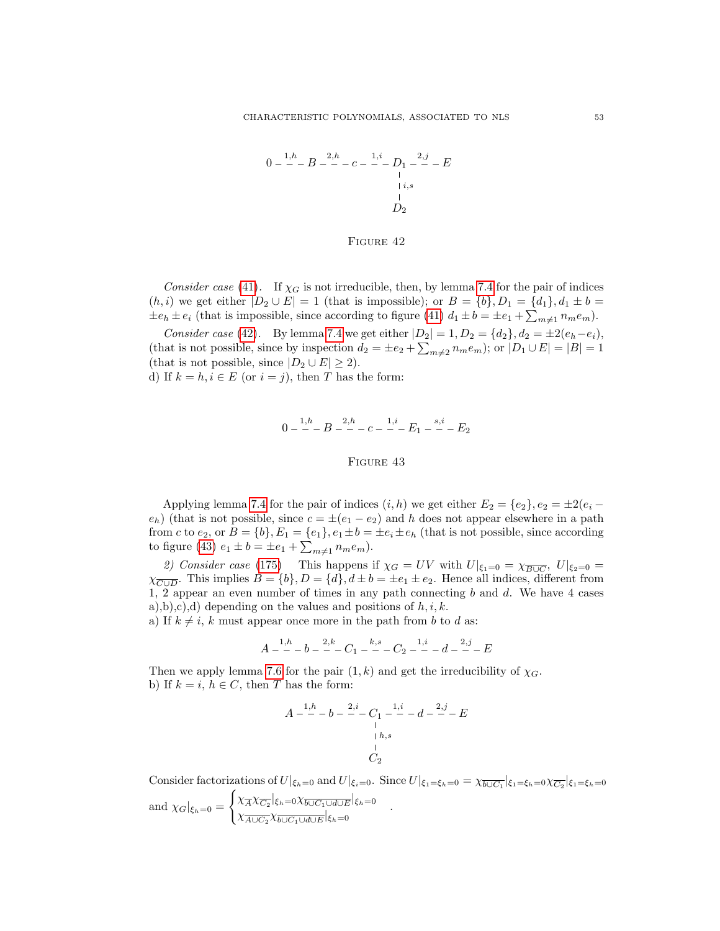<span id="page-53-0"></span>
$$
0 - \frac{1, h}{-}B - \frac{2, h}{-}C - \frac{1, i}{-}D_1 - \frac{2, j}{-}C - E
$$
  
 
$$
\downarrow i, s
$$
  
 
$$
D_2
$$

#### FIGURE 42

Consider case [\(41\)](#page-52-2). If  $\chi_G$  is not irreducible, then, by lemma [7.4](#page-44-4) for the pair of indices  $(h, i)$  we get either  $|D_2 \cup E| = 1$  (that is impossible); or  $B = \{b\}, D_1 = \{d_1\}, d_1 \pm b =$  $\pm e_h \pm e_i$  (that is impossible, since according to figure [\(41\)](#page-52-2)  $d_1 \pm b = \pm e_1 + \sum_{m \neq 1} n_m e_m$ ).

<span id="page-53-1"></span>Consider case [\(42\)](#page-53-0). By lemma [7.4](#page-44-4) we get either  $|D_2| = 1, D_2 = \{d_2\}, d_2 = \pm 2(e_h - e_i)$ , (that is not possible, since by inspection  $d_2 = \pm e_2 + \sum_{m\neq 2} n_m e_m$ ); or  $|D_1 \cup E| = |B| = 1$ (that is not possible, since  $|D_2 \cup E| \geq 2$ ). d) If  $k = h, i \in E$  (or  $i = j$ ), then T has the form:

$$
0 - \frac{1}{n}B - B - \frac{2}{n}C - C - \frac{1}{n}E_1 - E_2 - E_2
$$

#### FIGURE 43

Applying lemma [7.4](#page-44-4) for the pair of indices  $(i, h)$  we get either  $E_2 = \{e_2\}, e_2 = \pm 2(e_i (e_h)$  (that is not possible, since  $c = \pm (e_1 - e_2)$  and h does not appear elsewhere in a path from c to  $e_2$ , or  $B = \{b\}, E_1 = \{e_1\}, e_1 \pm b = \pm e_i \pm e_h$  (that is not possible, since according to figure [\(43\)](#page-53-1)  $e_1 \pm b = \pm e_1 + \sum_{m \neq 1} n_m e_m$ ).

2) Consider case [\(175\)](#page-51-4) This happens if  $\chi_G = UV$  with  $U|_{\xi_1=0} = \chi_{\overline{B\cup C}}$ ,  $U|_{\xi_2=0}$  $\chi_{\overline{C\cup D}}$ . This implies  $B = \{b\}$ ,  $D = \{d\}$ ,  $d \pm b = \pm e_1 \pm e_2$ . Hence all indices, different from 1, 2 appear an even number of times in any path connecting  $b$  and  $d$ . We have 4 cases a),b),c),d) depending on the values and positions of  $h, i, k$ .

a) If  $k \neq i$ , k must appear once more in the path from b to d as:

$$
A - {1,h \over - } - b - {2,k \over - } - C_1 - {k,s \over - } - C_2 - {1,i \over - } - d - {2,j \over - } - E
$$

Then we apply lemma [7.6](#page-46-5) for the pair  $(1, k)$  and get the irreducibility of  $\chi_G$ . b) If  $k = i, h \in C$ , then T has the form:

$$
A - \frac{1, h}{-} - b - \frac{2, i}{-} - C_1 - \frac{1, i}{-} - d - \frac{2, j}{-} - E
$$
  
 
$$
\vdots
$$
  
 
$$
C_2
$$

Consider factorizations of  $U|_{\xi_h=0}$  and  $U|_{\xi_i=0}$ . Since  $U|_{\xi_1=\xi_h=0}=\chi_{\overline{b\cup C_1}}|_{\xi_1=\xi_h=0}\chi_{\overline{C_2}}|_{\xi_1=\xi_h=0}$ and  $\chi_G|_{\xi_h=0}$  =  $\int \chi_{\overline{A}} \chi_{\overline{C_2}}|_{\xi_h=0} \chi_{\overline{b\cup C_1\cup d\cup E}}|_{\xi_h=0}$  $\chi_{A \wedge C_2} \chi_{b \cup C_1 \cup d \cup E}^{A \wedge C_2 \chi_{b \cup C_1 \cup d \cup E}}$   $|\xi_h=0$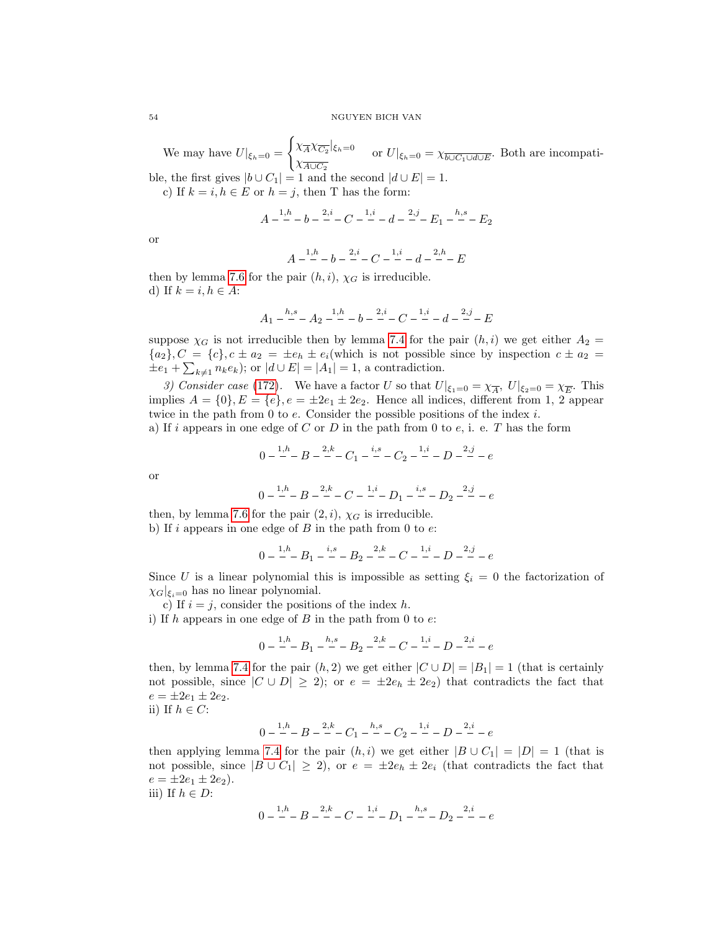We may have  $U|_{\xi_h=0}=$  $\int \chi_{\overline{A}} \chi_{\overline{C_2}}|_{\xi_h=0}$  $\chi_{A \cup C_2}^{\lambda A \wedge C_2}$ <sub>sh=0</sub> or  $U|_{\xi_h=0} = \chi_{\overline{b \cup C_1 \cup d \cup E}}$ . Both are incompatible, the first gives  $|b \cup C_1| = 1$  and the second  $|d \cup E| = 1$ .

c) If  $k = i, h \in E$  or  $h = j$ , then T has the form:

$$
A^{-\frac{1,h}{-}} - b - \frac{2,i}{-} - C - \frac{1,i}{-} - d - \frac{2,j}{-} - E_1 - \frac{h,s}{-} - E_2
$$

or

$$
A - \frac{1}{2}b - \frac{2}{5}b - \frac{2}{5}c - \frac{1}{5}b - \frac{2}{5}c - \frac{2}{5}b - E
$$

then by lemma [7.6](#page-46-5) for the pair  $(h, i)$ ,  $\chi_G$  is irreducible. d) If  $k = i, h \in A$ :

$$
A_1 - {h,s \over -} - A_2 - {1,h \over -} - b - {2,i \over -} - C - {1,i \over -} - d - {2,j \over -} - E
$$

suppose  $\chi_G$  is not irreducible then by lemma [7.4](#page-44-4) for the pair  $(h, i)$  we get either  $A_2 =$  ${a_2}, C = {c}, c \pm a_2 = \pm e_h \pm e_i$  (which is not possible since by inspection  $c \pm a_2 =$  $\pm e_1 + \sum_{k \neq 1} n_k e_k$ ; or  $|d \cup E| = |A_1| = 1$ , a contradiction.

3) Consider case [\(172\)](#page-51-5). We have a factor U so that  $U|_{\xi_1=0} = \chi_{\overline{A}}, U|_{\xi_2=0} = \chi_{\overline{E}}$ . This implies  $A = \{0\}, E = \{e\}, e = \pm 2e_1 \pm 2e_2$ . Hence all indices, different from 1, 2 appear twice in the path from  $0$  to  $e$ . Consider the possible positions of the index  $i$ .

a) If i appears in one edge of C or D in the path from 0 to  $e$ , i. e. T has the form

$$
0 - \frac{1}{2}R - B - \frac{2}{2}C_1 - \frac{i}{2}C_2 - \frac{1}{2}C_3 - D - \frac{2}{2}C_4 - \frac{2}{2}C_5 - \frac{2}{2}C_6
$$

or

$$
0 - \frac{1}{2}B - \frac{2}{5}B - \frac{2}{5}C - \frac{1}{5}D_1 - \frac{i}{5}D_2 - \frac{2}{5}D_3 - e
$$

then, by lemma [7.6](#page-46-5) for the pair  $(2, i)$ ,  $\chi_G$  is irreducible. b) If i appears in one edge of  $B$  in the path from 0 to  $e$ :

$$
0 - {1,h \over -} - B_1 - {i,s \over -} - B_2 - {2,k \over -} - C - {1,i \over -} - D - {2,j \over -} - e
$$

Since U is a linear polynomial this is impossible as setting  $\xi_i = 0$  the factorization of  $\chi_G|_{\xi_i=0}$  has no linear polynomial.

c) If  $i = j$ , consider the positions of the index h.

i) If h appears in one edge of B in the path from 0 to  $e$ :

$$
0 - {1, h \over -} - B_1 - {h, s \over -} - B_2 - {2, k \over -} - C - {1, i \over -} - D - {2, i \over -} - e
$$

then, by lemma [7.4](#page-44-4) for the pair  $(h, 2)$  we get either  $|C \cup D| = |B_1| = 1$  (that is certainly not possible, since  $|C \cup D| \geq 2$ ; or  $e = \pm 2e_h \pm 2e_2$  that contradicts the fact that  $e = \pm 2e_1 \pm 2e_2.$ 

ii) If  $h \in C$ :

$$
0 - \frac{1}{n}B - \frac{2}{n}C_1 - \frac{h}{n}C_2 - \frac{1}{n}D - \frac{2}{n}C_3 - \frac{2}{n}C_4 - \frac{2}{n}C_5 - \frac{2}{n}C_6
$$

then applying lemma [7.4](#page-44-4) for the pair  $(h, i)$  we get either  $|B \cup C_1| = |D| = 1$  (that is not possible, since  $|B \cup C_1| \geq 2$ , or  $e = \pm 2e_h \pm 2e_i$  (that contradicts the fact that  $e = \pm 2e_1 \pm 2e_2$ .

iii) If  $h \in D$ :

$$
0 - \frac{1}{n}B - B - \frac{2}{n}C - \frac{1}{n}D_1 - \frac{h}{n}D_2 - \frac{2}{n}C - e
$$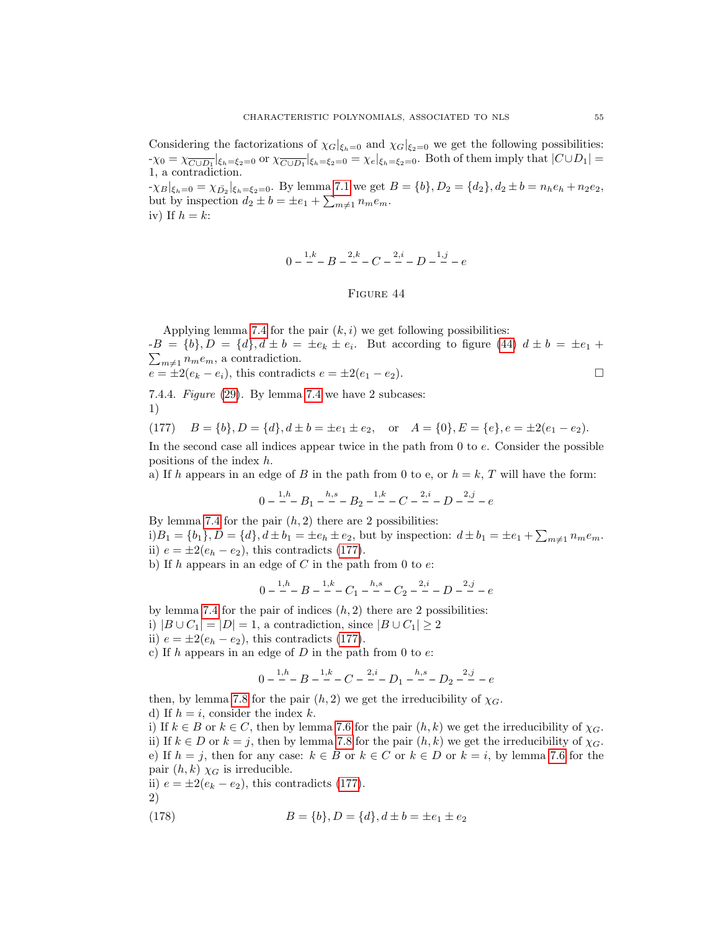Considering the factorizations of  $\chi_G|_{\xi_h=0}$  and  $\chi_G|_{\xi_2=0}$  we get the following possibilities:  $-\chi_0 = \chi_{\overline{C \cup D_1}}|_{\xi_h = \xi_2 = 0}$  or  $\chi_{\overline{C \cup D_1}}|_{\xi_h = \xi_2 = 0} = \chi_e|_{\xi_h = \xi_2 = 0}$ . Both of them imply that  $|C \cup D_1| =$ 1, a contradiction.

<span id="page-55-0"></span> $-\chi_B|_{\xi_h=0} = \chi_{\bar{D_2}}|_{\xi_h=\xi_2=0}$ . By lemma [7.1](#page-30-0) we get  $B = \{b\}, D_2 = \{d_2\}, d_2 \pm b = n_h e_h + n_2 e_2$ , but by inspection  $d_2 \pm b = \pm e_1 + \sum_{m \neq 1} n_m e_m$ . iv) If  $h = k$ :

$$
0 - \frac{1,k}{-}B - \frac{2,k}{-}C - \frac{2,i}{-}D - \frac{1,j}{-} - e
$$

#### Figure 44

Applying lemma [7.4](#page-44-4) for the pair  $(k, i)$  we get following possibilities:  $-B = \{b\}, D = \{d\}, d \pm b = \pm e_k \pm e_i$ . But according to figure [\(44\)](#page-55-0)  $d \pm b = \pm e_1 + b_2$  $\sum_{m\neq 1} n_m e_m$ , a contradiction.

$$
e = \pm 2(e_k - e_i),
$$
 this contradicts  $e = \pm 2(e_1 - e_2)$ .

7.4.4. Figure [\(29\)](#page-43-1). By lemma [7.4](#page-44-4) we have 2 subcases: 1)

<span id="page-55-1"></span>(177) 
$$
B = \{b\}, D = \{d\}, d \pm b = \pm e_1 \pm e_2, \text{ or } A = \{0\}, E = \{e\}, e = \pm 2(e_1 - e_2).
$$

In the second case all indices appear twice in the path from 0 to e. Consider the possible positions of the index h.

a) If h appears in an edge of B in the path from 0 to e, or  $h = k$ , T will have the form:

$$
0 - {1,h \over -}B_1 - {h,s \over -}B_2 - {1,k \over -} - C - {2,i \over -} - D - {2,j \over -} - e
$$

By lemma [7.4](#page-44-4) for the pair  $(h, 2)$  there are 2 possibilities:  $i)B_1 = \{b_1\}, D = \{d\}, d \pm b_1 = \pm e_h \pm e_2$ , but by inspection:  $d \pm b_1 = \pm e_1 + \sum_{m \neq 1} n_m e_m$ . ii)  $e = \pm 2(e_h - e_2)$ , this contradicts [\(177\)](#page-55-1).

b) If h appears in an edge of C in the path from 0 to  $e$ .

$$
0 - \frac{1}{2}B - \frac{1}{2}B - \frac{1}{2}C_1 - \frac{h,s}{2} - C_2 - \frac{2,i}{2} - D - \frac{2,j}{2} - e
$$

by lemma [7.4](#page-44-4) for the pair of indices  $(h, 2)$  there are 2 possibilities: i)  $|B \cup C_1| = |D| = 1$ , a contradiction, since  $|B \cup C_1| \ge 2$ 

ii)  $e = \pm 2(e_h - e_2)$ , this contradicts [\(177\)](#page-55-1).

c) If h appears in an edge of  $D$  in the path from 0 to  $e$ :

$$
0-\frac{1,h}{\cdot}-B-\frac{1,k}{\cdot}-C-\frac{2,i}{\cdot}-D_1-\frac{h,s}{\cdot}-D_2-\frac{2,j}{\cdot}-e
$$

then, by lemma [7.8](#page-51-6) for the pair  $(h, 2)$  we get the irreducibility of  $\chi_G$ . d) If  $h = i$ , consider the index k.

i) If  $k \in B$  or  $k \in C$ , then by lemma [7.6](#page-46-5) for the pair  $(h, k)$  we get the irreducibility of  $\chi_G$ . ii) If  $k \in D$  or  $k = j$ , then by lemma [7.8](#page-51-6) for the pair  $(h, k)$  we get the irreducibility of  $\chi_G$ . e) If  $h = j$ , then for any case:  $k \in B$  or  $k \in C$  or  $k \in D$  or  $k = i$ , by lemma [7.6](#page-46-5) for the pair  $(h, k)$   $\chi_G$  is irreducible.

- ii)  $e = \pm 2(e_k e_2)$ , this contradicts [\(177\)](#page-55-1).
- 2)

(178) 
$$
B = \{b\}, D = \{d\}, d \pm b = \pm e_1 \pm e_2
$$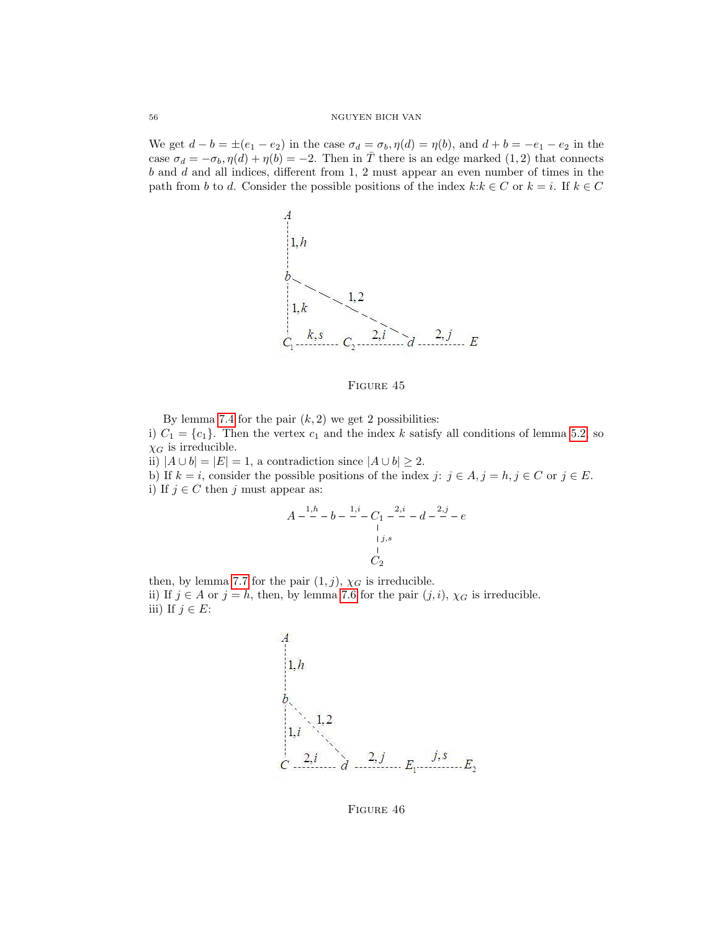We get  $d - b = \pm (e_1 - e_2)$  in the case  $\sigma_d = \sigma_b$ ,  $\eta(d) = \eta(b)$ , and  $d + b = -e_1 - e_2$  in the case  $\sigma_d = -\sigma_b$ ,  $\eta(d) + \eta(b) = -2$ . Then in T there is an edge marked (1, 2) that connects  $b$  and  $d$  and all indices, different from 1, 2 must appear an even number of times in the path from b to d. Consider the possible positions of the index  $k: k \in C$  or  $k = i$ . If  $k \in C$ 



FIGURE 45

By lemma [7.4](#page-44-4) for the pair  $(k, 2)$  we get 2 possibilities: i)  $C_1 = \{c_1\}$ . Then the vertex  $c_1$  and the index k satisfy all conditions of lemma [5.2,](#page-26-0) so  $\chi_G$  is irreducible.

ii)  $|A \cup b| = |E| = 1$ , a contradiction since  $|A \cup b| \ge 2$ .

b) If  $k = i$ , consider the possible positions of the index  $j: j \in A, j = h, j \in C$  or  $j \in E$ . i) If  $j \in C$  then j must appear as:

$$
A - \frac{1, h}{-} - b - \frac{1, i}{-} - C_1 - \frac{2, i}{-} - d - \frac{2, j}{-} - e
$$
  

$$
\vdots
$$
  

$$
\vdots
$$
  

$$
C_2
$$

then, by lemma [7.7](#page-48-5) for the pair  $(1, j)$ ,  $\chi_G$  is irreducible. ii) If  $j \in A$  or  $j = h$ , then, by lemma [7.6](#page-46-5) for the pair  $(j, i)$ ,  $\chi_G$  is irreducible. iii) If  $j \in E$ :



FIGURE 46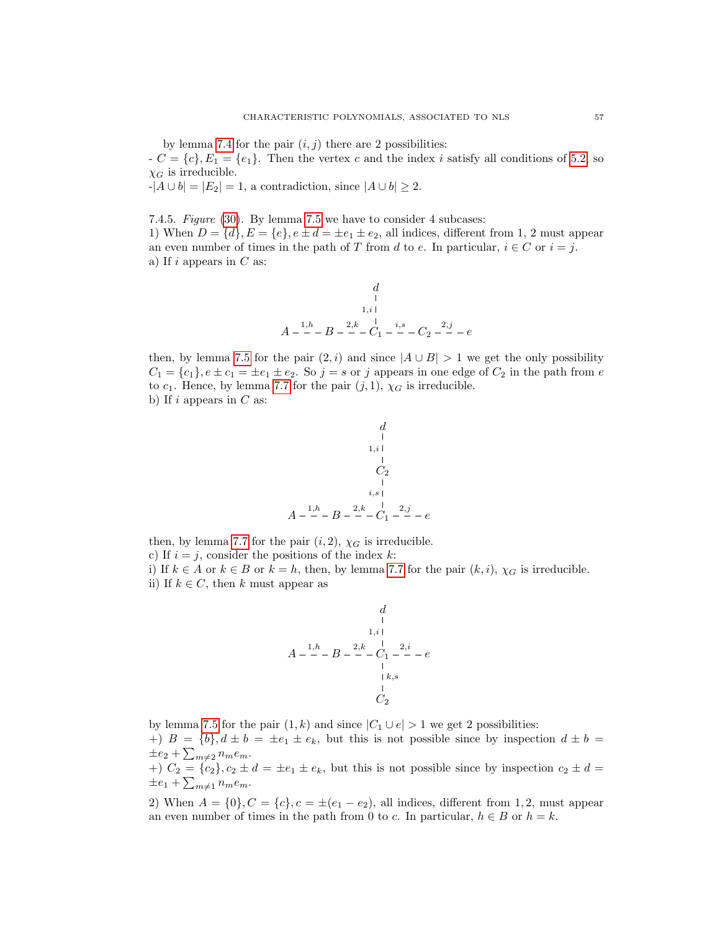by lemma [7.4](#page-44-4) for the pair  $(i, j)$  there are 2 possibilities:

 $-C = \{c\}, E_1 = \{e_1\}.$  Then the vertex c and the index i satisfy all conditions of [5.2,](#page-26-0) so  $\chi_G$  is irreducible.

 $-|A \cup b| = |E_2| = 1$ , a contradiction, since  $|A \cup b| \geq 2$ .

7.4.5. Figure [\(30\)](#page-44-3). By lemma [7.5](#page-45-2) we have to consider 4 subcases: 1) When  $D = \{d\}$ ,  $E = \{e\}$ ,  $e \pm d = \pm e_1 \pm e_2$ , all indices, different from 1, 2 must appear an even number of times in the path of T from d to e. In particular,  $i \in C$  or  $i = j$ . a) If  $i$  appears in  $C$  as:

$$
\begin{array}{c}\n d \\
 \downarrow \\
 1, i \downarrow \\
 A - \frac{1, h}{\cdot} - B - \frac{2, k}{\cdot} \frac{1}{C_1} \cdot \frac{i, s}{\cdot} - C_2 - \frac{2, j}{\cdot} - e\n \end{array}
$$

then, by lemma [7.5](#page-45-2) for the pair  $(2, i)$  and since  $|A \cup B| > 1$  we get the only possibility  $C_1 = \{c_1\}, e \pm c_1 = \pm e_1 \pm e_2$ . So  $j = s$  or j appears in one edge of  $C_2$  in the path from e to  $c_1$ . Hence, by lemma [7.7](#page-48-5) for the pair  $(j, 1)$ ,  $\chi_G$  is irreducible. b) If  $i$  appears in  $C$  as:

$$
\begin{array}{c}\n d \\
 d \\
 1, i \\
 2, i \\
 c_2 \\
 1, i \\
 i, s \\
 A - \frac{1}{n} - B - \frac{2}{n} - C_1 - \frac{2}{n} - e\n\end{array}
$$

then, by lemma [7.7](#page-48-5) for the pair  $(i, 2)$ ,  $\chi_G$  is irreducible. c) If  $i = j$ , consider the positions of the index k:

i) If  $k \in A$  or  $k \in B$  or  $k = h$ , then, by lemma [7.7](#page-48-5) for the pair  $(k, i)$ ,  $\chi_G$  is irreducible. ii) If  $k \in C$ , then k must appear as

$$
\begin{array}{c}\n d \\
 \downarrow \\
 1, i \\
 1, i \\
 \downarrow \\
 A - \frac{1, h}{\cdot} - B - \frac{2, k}{\cdot} - C_1 - \frac{2, i}{\cdot} - e \\
 \downarrow \\
 \downarrow k, s \\
 \downarrow \\
 C_2\n \end{array}
$$

by lemma [7.5](#page-45-2) for the pair  $(1, k)$  and since  $|C_1 \cup e| > 1$  we get 2 possibilities: +)  $B = \{b\}, d \pm b = \pm e_1 \pm e_k$ , but this is not possible since by inspection  $d \pm b =$  $\pm e_2 + \sum_{m \neq 2} n_m e_m$ .

+)  $C_2 = \{c_2\}$ ,  $c_2 \pm d = \pm e_1 \pm e_k$ , but this is not possible since by inspection  $c_2 \pm d =$  $\pm e_1 + \sum_{m \neq 1} n_m e_m.$ 

2) When  $A = \{0\}$ ,  $C = \{c\}$ ,  $c = \pm(e_1 - e_2)$ , all indices, different from 1, 2, must appear an even number of times in the path from 0 to c. In particular,  $h \in B$  or  $h = k$ .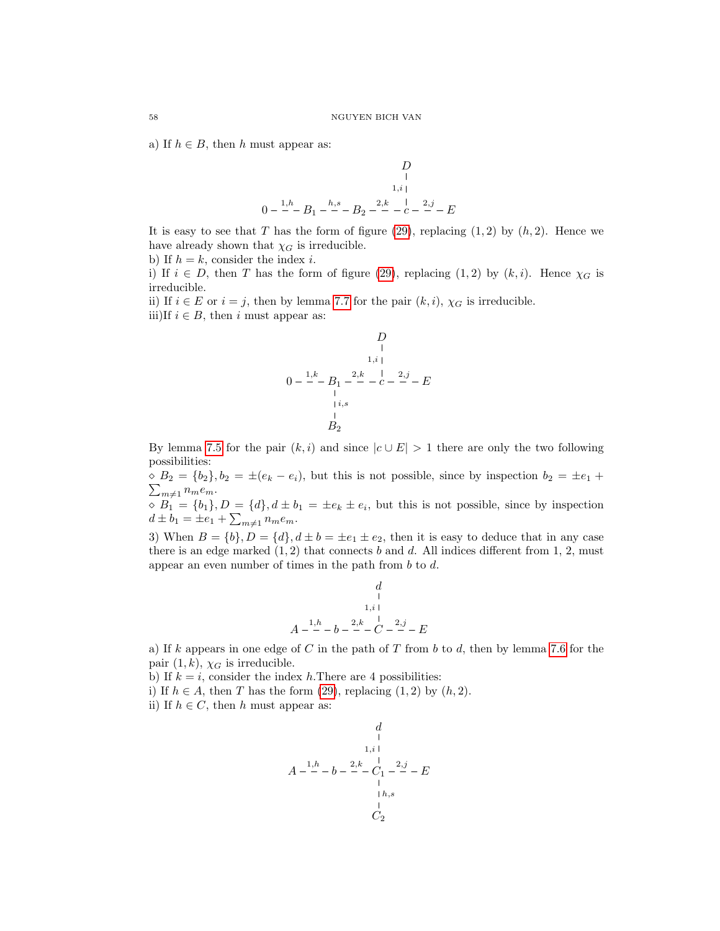a) If  $h \in B$ , then h must appear as:

$$
\begin{array}{c}\nD \\
\downarrow \\
1,i \\
0-\frac{1}{n} - B_1 - \frac{h}{n} - B_2 - \frac{2}{n} - \frac{1}{n} - \frac{2}{n} - E\n\end{array}
$$

It is easy to see that T has the form of figure [\(29\)](#page-43-1), replacing  $(1, 2)$  by  $(h, 2)$ . Hence we have already shown that  $\chi_G$  is irreducible.

b) If  $h = k$ , consider the index i.

i) If  $i \in D$ , then T has the form of figure [\(29\)](#page-43-1), replacing (1, 2) by  $(k, i)$ . Hence  $\chi_G$  is irreducible.

ii) If  $i \in E$  or  $i = j$ , then by lemma [7.7](#page-48-5) for the pair  $(k, i)$ ,  $\chi_G$  is irreducible. iii)If  $i \in B$ , then i must appear as:

$$
\begin{array}{c}\nD \\
D \\
1,1 \\
1,1 \\
1,1 \\
0 & -2,1 \\
\hline\n\end{array}
$$
\n
$$
0 - \frac{1,k}{2} - B_1 - \frac{2,k}{2} - \frac{1}{2} - \frac{2,j}{2} - E
$$
\n
$$
\begin{array}{c}\n1,1 \\
1,2 \\
\hline\n\end{array}
$$

By lemma [7.5](#page-45-2) for the pair  $(k, i)$  and since  $|c \cup E| > 1$  there are only the two following possibilities:

 $\Diamond B_2 = \{b_2\}, b_2 = \pm (e_k - e_i)$ , but this is not possible, since by inspection  $b_2 = \pm e_1 +$  $\sum_{m\neq 1} n_m e_m.$ 

 $\delta B_1 = \{b_1\}, D = \{d\}, d \pm b_1 = \pm e_k \pm e_i$ , but this is not possible, since by inspection  $d \pm b_1 = \pm e_1 + \sum_{m \neq 1} n_m e_m.$ 

3) When  $B = \{b\}$ ,  $D = \{d\}$ ,  $d \pm b = \pm e_1 \pm e_2$ , then it is easy to deduce that in any case there is an edge marked  $(1, 2)$  that connects b and d. All indices different from 1, 2, must appear an even number of times in the path from b to d.

$$
\begin{array}{c}\n d \\
 + \\
 \hline\n 1, i \\
 4 - \frac{1}{2} - b - \frac{2}{2} - C - \frac{2}{2} - E\n \end{array}
$$

a) If k appears in one edge of C in the path of T from b to d, then by lemma [7.6](#page-46-5) for the pair  $(1, k)$ ,  $\chi_G$  is irreducible.

b) If  $k = i$ , consider the index h. There are 4 possibilities:

A

i) If  $h \in A$ , then T has the form [\(29\)](#page-43-1), replacing (1, 2) by  $(h, 2)$ .

ii) If  $h \in C$ , then h must appear as:

$$
\begin{array}{c}\n d \\
 \downarrow \\
 1, i \\
 1, i \\
 d\n \end{array}
$$
\n
$$
A - \frac{1, h}{2} - b - \frac{2, k}{2} - \frac{1}{2} - \frac{2, j}{2} - E
$$
\n
$$
\begin{array}{c}\n \downarrow \\
 \downarrow h, s \\
 C_2\n \end{array}
$$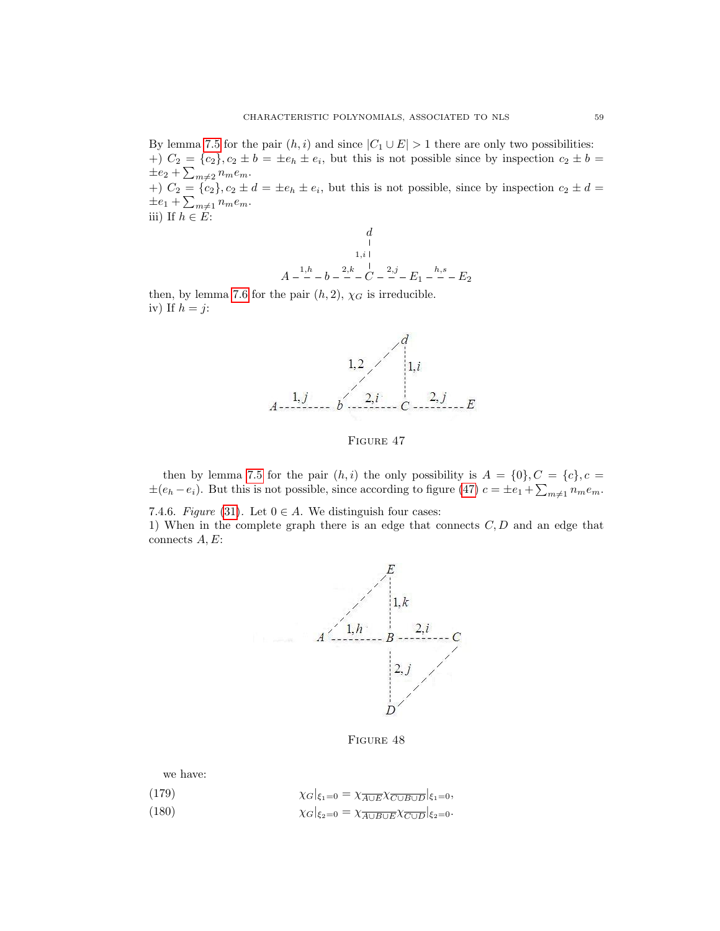By lemma [7.5](#page-45-2) for the pair  $(h, i)$  and since  $|C_1 \cup E| > 1$  there are only two possibilities:  $+)$   $C_2 = \{c_2\}, c_2 \pm b = \pm e_h \pm e_i$ , but this is not possible since by inspection  $c_2 \pm b =$  $\pm e_2 + \sum_{m \neq 2} n_m e_m$ .

+)  $C_2 = \{c_2\}$ ,  $c_2 \pm d = \pm e_h \pm e_i$ , but this is not possible, since by inspection  $c_2 \pm d =$  $\pm e_1 + \sum_{m \neq 1} n_m e_m.$ 

iii) If  $h \in \mathring{E}$ :

d A <sup>1</sup>,h <sup>b</sup> <sup>2</sup>,k <sup>C</sup> 1,i 2,j E<sup>1</sup> h,s E<sup>2</sup>

<span id="page-59-0"></span>then, by lemma [7.6](#page-46-5) for the pair  $(h, 2)$ ,  $\chi_G$  is irreducible. iv) If  $h = j$ :



FIGURE 47

then by lemma [7.5](#page-45-2) for the pair  $(h, i)$  the only possibility is  $A = \{0\}, C = \{c\}, c =$  $\pm (e_h - e_i)$ . But this is not possible, since according to figure [\(47\)](#page-59-0)  $c = \pm e_1 + \sum_{m \neq 1} n_m e_m$ .

7.4.6. Figure [\(31\)](#page-44-0). Let  $0 \in A$ . We distinguish four cases:

1) When in the complete graph there is an edge that connects  $C, D$  and an edge that connects A, E:



FIGURE 48

we have:

<span id="page-59-2"></span><span id="page-59-1"></span>

| (179)                         | $\chi_G _{\xi_1=0}=\chi_{\overline{A\cup E}}\chi_{\overline{C\cup B\cup D}} _{\xi_1=0},$ |  |
|-------------------------------|------------------------------------------------------------------------------------------|--|
| $\lambda$ $\lambda$ $\lambda$ |                                                                                          |  |

(180)  $\chi_G|_{\xi_2=0} = \chi_{\overline{A \cup B \cup E}} \chi_{\overline{C \cup D}}|_{\xi_2=0}.$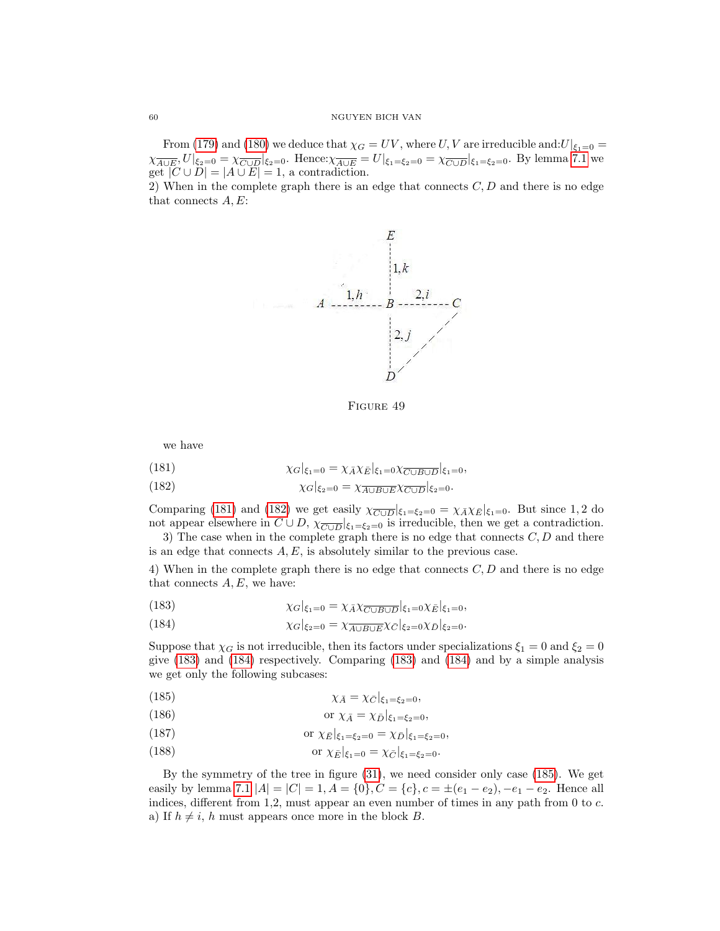From [\(179\)](#page-59-1) and [\(180\)](#page-59-2) we deduce that  $\chi_G = UV$ , where U, V are irreducible and:  $U|_{\xi_1=0}$  =  $\chi_{\overline{A\cup E}}, U|_{\xi_2=0} = \chi_{\overline{C\cup D}}|_{\xi_2=0}$ . Hence: $\chi_{\overline{A\cup E}} = U|_{\xi_1=\xi_2=0} = \chi_{\overline{C\cup D}}|_{\xi_1=\xi_2=0}$ . By lemma [7.1](#page-30-0) we get  $|C \cup D| = |A \cup E| = 1$ , a contradiction.

2) When in the complete graph there is an edge that connects  $C, D$  and there is no edge that connects  $A, E$ :



FIGURE 49

we have

<span id="page-60-0"></span>(181) 
$$
\chi_G|_{\xi_1=0} = \chi_{\bar{A}} \chi_{\bar{E}}|_{\xi_1=0} \chi_{\overline{C \cup B \cup D}}|_{\xi_1=0},
$$

<span id="page-60-1"></span>(182) 
$$
\chi_G|_{\xi_2=0} = \chi_{\overline{A \cup B \cup E}} \chi_{\overline{C \cup D}}|_{\xi_2=0}.
$$

Comparing [\(181\)](#page-60-0) and [\(182\)](#page-60-1) we get easily  $\chi_{\overline{C \cup D}}|_{\xi_1=\xi_2=0} = \chi_{\overline{A}} \chi_{\overline{E}}|_{\xi_1=0}$ . But since 1,2 do not appear elsewhere in  $C \cup D$ ,  $\chi_{\overline{C \cup D}}|_{\xi_1 = \xi_2 = 0}$  is irreducible, then we get a contradiction.

3) The case when in the complete graph there is no edge that connects  $C, D$  and there is an edge that connects  $A, E$ , is absolutely similar to the previous case.

4) When in the complete graph there is no edge that connects  $C, D$  and there is no edge that connects  $A, E$ , we have:

<span id="page-60-3"></span><span id="page-60-2"></span>(183) 
$$
\chi_G|_{\xi_1=0} = \chi_{\bar{A}} \chi_{\overline{C \cup B \cup D}}|_{\xi_1=0} \chi_{\bar{E}}|_{\xi_1=0},
$$

(184) 
$$
\chi_G|_{\xi_2=0} = \chi_{\overline{A \cup B \cup E}} \chi_{\overline{C}}|_{\xi_2=0} \chi_{\overline{D}}|_{\xi_2=0}.
$$

Suppose that  $\chi_G$  is not irreducible, then its factors under specializations  $\xi_1 = 0$  and  $\xi_2 = 0$ give [\(183\)](#page-60-2) and [\(184\)](#page-60-3) respectively. Comparing [\(183\)](#page-60-2) and [\(184\)](#page-60-3) and by a simple analysis we get only the following subcases:

<span id="page-60-4"></span>
$$
\chi_{\bar{A}} = \chi_{\bar{C}}|_{\xi_1 = \xi_2 = 0},
$$

(186) or 
$$
\chi_{\bar{A}} = \chi_{\bar{D}}|_{\xi_1 = \xi_2 = 0}
$$
,

(187) or 
$$
\chi_{\bar{E}}|_{\xi_1=\xi_2=0} = \chi_{\bar{D}}|_{\xi_1=\xi_2=0},
$$

(188) or  $\chi_{\overline{E}}|_{\xi_1=0} = \chi_{\overline{C}}|_{\xi_1=\xi_2=0}$ .

By the symmetry of the tree in figure [\(31\)](#page-44-0), we need consider only case [\(185\)](#page-60-4). We get easily by lemma [7.1](#page-30-0)  $|A| = |C| = 1, A = \{0\}, C = \{c\}, c = \pm (e_1 - e_2), -e_1 - e_2$ . Hence all indices, different from 1,2, must appear an even number of times in any path from  $0$  to  $c$ . a) If  $h \neq i$ , h must appears once more in the block B.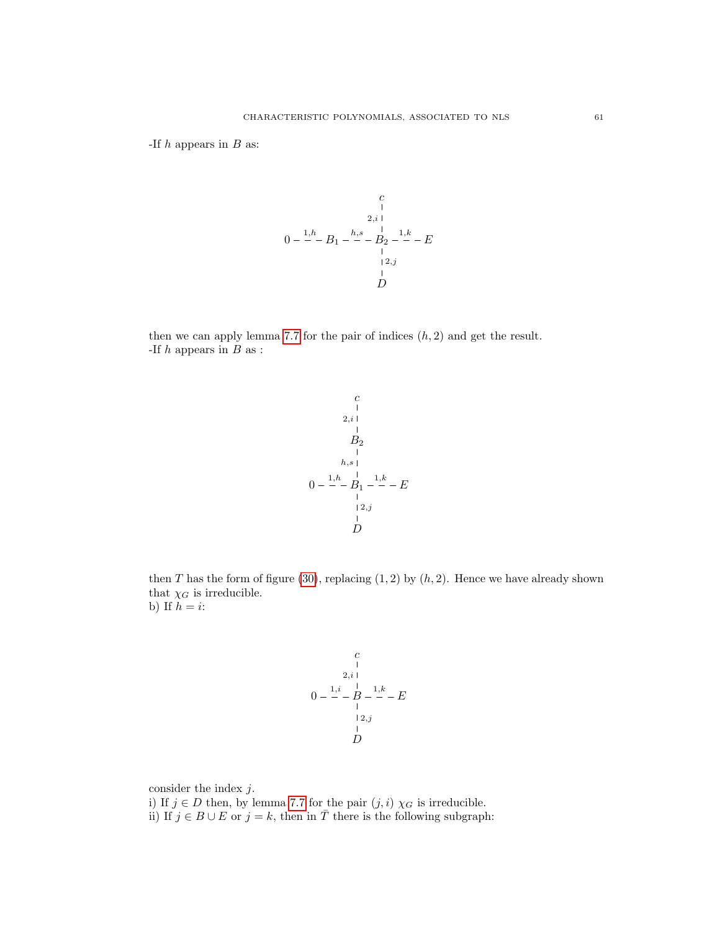-If  $h$  appears in  $B$  as:



then we can apply lemma [7.7](#page-48-5) for the pair of indices  $(h, 2)$  and get the result. -If  $h$  appears in  $B$  as :

$$
\begin{array}{c}\n c \\
 c \\
 2, i \\
 1 \\
 2 \\
 1 \\
 h, s \\
 0 \\
 -\frac{1, h}{-}B_1 - \frac{1, k}{-} - E \\
 1 \\
 12, j \\
 1 \\
 D\n\end{array}
$$

then T has the form of figure [\(30\)](#page-44-3), replacing  $(1, 2)$  by  $(h, 2)$ . Hence we have already shown that  $\chi_G$  is irreducible. b) If  $h = i$ :

$$
\begin{array}{c}\n c \\
 c \\
 2, i \\
 0 & -2 \\
 -2 & -1 \\
 -2 & -1 \\
 -2 & -1 \\
 -2 & -1 \\
 -2 & -1 \\
 -2 & -1 \\
 -2 & -1 \\
 -2 & -1 \\
 -2 & -1 \\
 -2 & -1 \\
 -2 & -1 \\
 -2 & -1 \\
 -2 & -1 \\
 -2 & -1 \\
 -2 & -1 \\
 -2 & -1 \\
 -2 & -1 \\
 -2 & -1 \\
 -2 & -1 \\
 -2 & -1 \\
 -2 & -1 \\
 -2 & -1 \\
 -2 & -1 \\
 -2 & -1 \\
 -2 & -1 \\
 -2 & -1 \\
 -2 & -1 \\
 -2 & -1 \\
 -2 & -1 \\
 -2 & -1 \\
 -2 & -1 \\
 -2 & -1 \\
 -2 & -1 \\
 -2 & -1 \\
 -2 & -1 \\
 -2 & -1 \\
 -2 & -1 \\
 -2 & -1 \\
 -2 & -1 \\
 -2 & -1 \\
 -2 & -1 \\
 -2 & -1 \\
 -2 & -1 \\
 -2 & -1 \\
 -2 & -1 \\
 -2 & -1 \\
 -2 & -1 \\
 -2 & -1 \\
 -2 & -1 \\
 -2 & -1 \\
 -2 & -1 \\
 -2 & -1 \\
 -2 & -1 \\
 -2 & -1 \\
 -2 & -1 \\
 -2 & -1 \\
 -2 & -1 \\
 -2 & -1 \\
 -2 & -1 \\
 -2 & -1 \\
 -2 & -1 \\
 -2 & -1 \\
 -2 & -1 \\
 -2 & -1 \\
 -2 & -1 \\
 -2 & -1 \\
 -2 & -1 \\
 -2 & -1 \\
 -2 & -1 \\
 -2 & -1 \\
 -2 & -1 \\
 -2 & -1 \\
 -2 & -1 \\
 -2 & -1 \\
 -2 & -1 \\
 -2 & -1 \\
 -2 & -1 \\
 -2 & -1 \\
 -2 & -1 \\
 -2 & -1 \\
 -2 & -1 \\
 -2 & -1 \\
 -2 & -1 \\
 -2 & -1 \\
 -2 & -1 \\
 -2 & -1 \\
 -2 & -1 \\
 -2 & -1 \\
 -2 & -1 \\
 -2 & -1 \\
 -2 & -1 \\
 -2 & -1 \\
 -2 & -1 \\
 -2 & -1 \\
 -2 & -1 \\
 -2 & -1 \\
 -2 & -1 \\
 -2 & -1 \\
 -2 & -1 \\
 -2 & -1 \\
 -2 & -1 \\
 -2 & -1 \\
 -2 & -1 \\
 -2 & -1 \\
 -2 & -1 \\
 -2 & -1 \\
 -2 & -1 \\
 -2 & -1 \\
 -2 & -1 \\
 -2 & -1 \\
 -2 & -1 \\
 -2 & -1 \\
 -2 & -1 \\
 -2 & -1 \\
 -2 & -1 \\
 -2 & -1 \\
 -2 & -1 \\
 -2 & -1 \\
 -2 & -1 \\
 -2 & -1 \\
 -2 & -1 \\
 -2 & -1 \\
 -2 & -1
$$

consider the index  $j$ . i) If  $j\in D$  then, by lemma [7.7](#page-48-5) for the pair  $(j,i)$   $\chi_G$  is irreducible. ii) If  $j \in B \cup E$  or  $j = k$ , then in  $\overline{T}$  there is the following subgraph: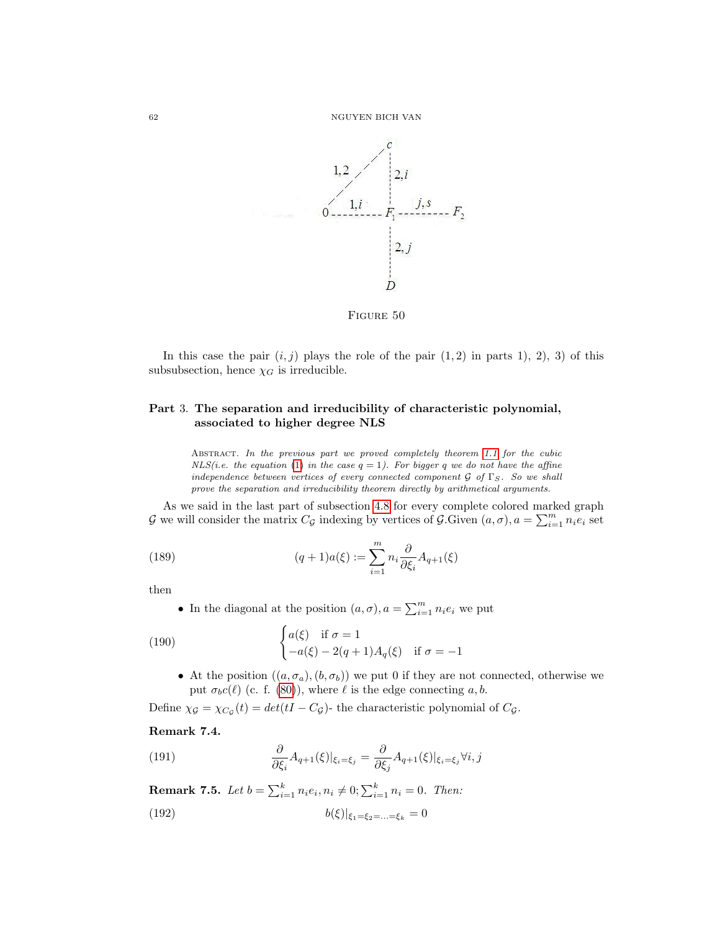

FIGURE 50

In this case the pair  $(i, j)$  plays the role of the pair  $(1, 2)$  in parts 1), 2), 3) of this subsubsection, hence  $\chi_G$  is irreducible.

## Part 3. The separation and irreducibility of characteristic polynomial, associated to higher degree NLS

ABSTRACT. In the previous part we proved completely theorem [1.1](#page-4-0) for the cubic  $NLS(i.e. the equation (1) in the case  $q = 1$ ). For bigger q we do not have the affine$  $NLS(i.e. the equation (1) in the case  $q = 1$ ). For bigger q we do not have the affine$  $NLS(i.e. the equation (1) in the case  $q = 1$ ). For bigger q we do not have the affine$ independence between vertices of every connected component  $\mathcal G$  of  $\Gamma_S$ . So we shall prove the separation and irreducibility theorem directly by arithmetical arguments.

As we said in the last part of subsection [4.8](#page-22-0) for every complete colored marked graph G we will consider the matrix  $C_{\mathcal{G}}$  indexing by vertices of  $\mathcal{G}$ . Given  $(a, \sigma)$ ,  $a = \sum_{i=1}^{m} n_i e_i$  set

(189) 
$$
(q+1)a(\xi) := \sum_{i=1}^{m} n_i \frac{\partial}{\partial \xi_i} A_{q+1}(\xi)
$$

then

• In the diagonal at the position  $(a, \sigma)$ ,  $a = \sum_{i=1}^{m} n_i e_i$  we put

(190) 
$$
\begin{cases} a(\xi) & \text{if } \sigma = 1 \\ -a(\xi) - 2(q+1)A_q(\xi) & \text{if } \sigma = -1 \end{cases}
$$

• At the position  $((a, \sigma_a), (b, \sigma_b))$  we put 0 if they are not connected, otherwise we put  $\sigma_b c(\ell)$  (c. f. [\(80\)](#page-23-0)), where  $\ell$  is the edge connecting a, b.

Define  $\chi_{\mathcal{G}} = \chi_{C_{\mathcal{G}}}(t) = det(tI - C_{\mathcal{G}})$ - the characteristic polynomial of  $C_{\mathcal{G}}$ .

#### <span id="page-62-0"></span>Remark 7.4.

(191) 
$$
\frac{\partial}{\partial \xi_i} A_{q+1}(\xi)|_{\xi_i=\xi_j} = \frac{\partial}{\partial \xi_j} A_{q+1}(\xi)|_{\xi_i=\xi_j} \forall i, j
$$

**Remark 7.5.** Let  $b = \sum_{i=1}^{k} n_i e_i, n_i \neq 0; \sum_{i=1}^{k} n_i = 0$ . Then: (192)  $b(\xi)|_{\xi_1=\xi_2=\ldots=\xi_k} = 0$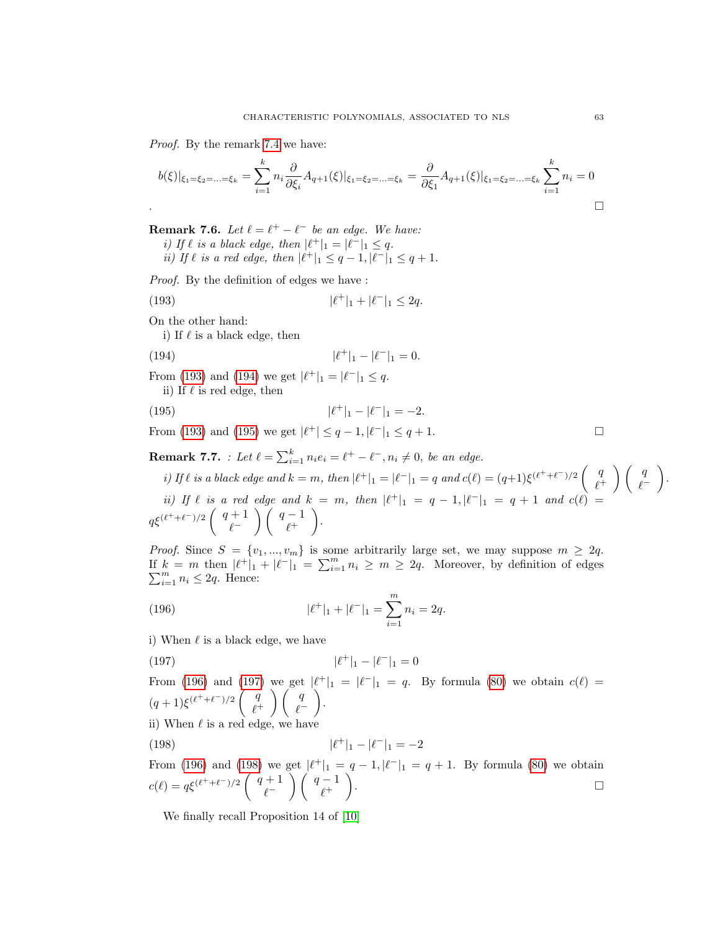Proof. By the remark [7.4](#page-62-0) we have:

$$
b(\xi)|_{\xi_1=\xi_2=\ldots=\xi_k} = \sum_{i=1}^k n_i \frac{\partial}{\partial \xi_i} A_{q+1}(\xi)|_{\xi_1=\xi_2=\ldots=\xi_k} = \frac{\partial}{\partial \xi_1} A_{q+1}(\xi)|_{\xi_1=\xi_2=\ldots=\xi_k} \sum_{i=1}^k n_i = 0
$$

<span id="page-63-6"></span>**Remark 7.6.** Let  $\ell = \ell^+ - \ell^-$  be an edge. We have:

i) If  $\ell$  is a black edge, then  $|\ell^+|_1 = |\ell^-|_1 \leq q$ . *ii*) If  $\ell$  is a red edge, then  $|\ell^+|_1 \leq q - 1$ ,  $|\ell^-|_1 \leq q + 1$ .

Proof. By the definition of edges we have :

(193) 
$$
|\ell^+|_1 + |\ell^-|_1 \leq 2q.
$$

On the other hand:

<span id="page-63-1"></span><span id="page-63-0"></span>i) If  $\ell$  is a black edge, then

(194) 
$$
|\ell^+|_1 - |\ell^-|_1 = 0.
$$

From [\(193\)](#page-63-0) and [\(194\)](#page-63-1) we get  $|\ell^+|_1 = |\ell^-|_1 \leq q$ .

<span id="page-63-2"></span>ii) If  $\ell$  is red edge, then

(195) 
$$
|\ell^+|_1 - |\ell^-|_1 = -2.
$$

From [\(193\)](#page-63-0) and [\(195\)](#page-63-2) we get  $|\ell^+| \leq q - 1, |\ell^-|_1 \leq q + 1$ .

<span id="page-63-7"></span>**Remark 7.7.** : Let  $\ell = \sum_{i=1}^{k} n_i e_i = \ell^+ - \ell^-, n_i \neq 0$ , be an edge.

i) If  $\ell$  is a black edge and  $k = m$ , then  $|\ell^+|_1 = |\ell^-|_1 = q$  and  $c(\ell) = (q+1)\xi^{(\ell^+ + \ell^-)/2} \begin{pmatrix} q \\ \ell^+ \end{pmatrix}$  $\begin{pmatrix} q \\ \ell^+ \end{pmatrix} \begin{pmatrix} q \\ \ell^- \end{pmatrix}$  $\ell^-$  . ii) If  $\ell$  is a red edge and  $k = m$ , then  $|\ell^+|_1 = q - 1$ ,  $|\ell^-|_1 = q + 1$  and  $c(\ell)$  =  $q\xi^{(\ell^+ + \ell^-)/2}$   $\left( \begin{array}{c} q+1 \\ q-1 \end{array} \right)$  $\begin{pmatrix} +1 \\ \ell^- \end{pmatrix} \begin{pmatrix} q-1 \\ \ell^+ \end{pmatrix}$  $\ell^+$ .

*Proof.* Since  $S = \{v_1, ..., v_m\}$  is some arbitrarily large set, we may suppose  $m \geq 2q$ . If  $k = m$  then  $|\ell^+|_1 + |\ell^-|_1 = \sum_{i=1}^m n_i \ge m \ge 2q$ . Moreover, by definition of edges  $\sum_{i=1}^{m} n_i \leq 2q$ . Hence:

<span id="page-63-3"></span>(196) 
$$
|\ell^+|_1 + |\ell^-|_1 = \sum_{i=1}^m n_i = 2q.
$$

i) When  $\ell$  is a black edge, we have

<span id="page-63-4"></span>(197) 
$$
|\ell^+|_1 - |\ell^-|_1 = 0
$$

From [\(196\)](#page-63-3) and [\(197\)](#page-63-4) we get  $|\ell^+|_1 = |\ell^-|_1 = q$ . By formula [\(80\)](#page-23-0) we obtain  $c(\ell)$  =  $(q+1)\xi^{(\ell^+ + \ell^-)/2}$   $\begin{pmatrix} q \\ \ell^+ \end{pmatrix}$  $\begin{pmatrix} q \\ \ell^+ \end{pmatrix} \begin{pmatrix} q \\ \ell^- \end{pmatrix}$  $\ell^-$ .

ii) When  $\ell$  is a red edge, we have

<span id="page-63-5"></span>(198) 
$$
|\ell^+|_1 - |\ell^-|_1 = -2
$$

From [\(196\)](#page-63-3) and [\(198\)](#page-63-5) we get  $|\ell^+|_1 = q - 1, |\ell^-|_1 = q + 1$ . By formula [\(80\)](#page-23-0) we obtain  $c(\ell) = q\xi^{(\ell^+ + \ell^-)/2} \left( \begin{array}{c} q+1 \\ q-1 \end{array} \right)$  $\begin{pmatrix} +1 \\ \ell^- \end{pmatrix} \begin{pmatrix} q-1 \\ \ell^+ \end{pmatrix}$  $\ell^+$ ).  $\qquad \qquad \Box$ 

We finally recall Proposition 14 of [\[10\]](#page-72-0)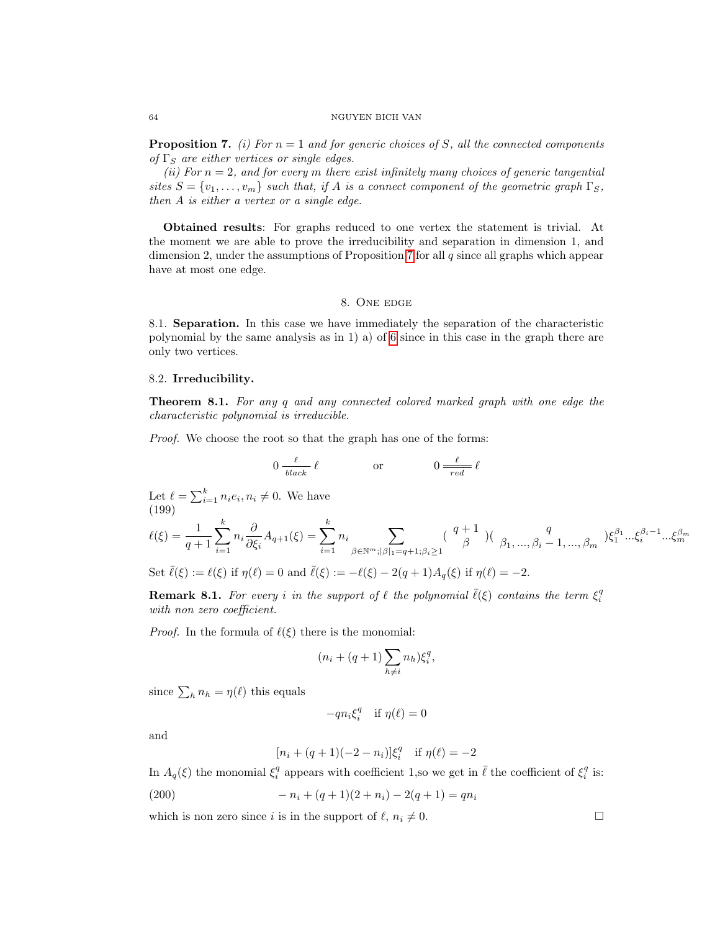#### 64 NGUYEN BICH VAN

<span id="page-64-1"></span>**Proposition 7.** (i) For  $n = 1$  and for generic choices of S, all the connected components of  $\Gamma_S$  are either vertices or single edges.

(ii) For  $n = 2$ , and for every m there exist infinitely many choices of generic tangential sites  $S = \{v_1, \ldots, v_m\}$  such that, if A is a connect component of the geometric graph  $\Gamma_S$ , then A is either a vertex or a single edge.

Obtained results: For graphs reduced to one vertex the statement is trivial. At the moment we are able to prove the irreducibility and separation in dimension 1, and dimension 2, under the assumptions of Proposition [7](#page-64-1) for all  $q$  since all graphs which appear have at most one edge.

#### 8. One edge

8.1. Separation. In this case we have immediately the separation of the characteristic polynomial by the same analysis as in 1) a) of [6](#page-27-0) since in this case in the graph there are only two vertices.

#### 8.2. Irreducibility.

**Theorem 8.1.** For any q and any connected colored marked graph with one edge the characteristic polynomial is irreducible.

Proof. We choose the root so that the graph has one of the forms:

$$
0 \frac{\ell}{\text{black}} \ell \qquad \text{or} \qquad 0 \frac{\ell}{\text{red}} \ell
$$

Let  $\ell = \sum_{i=1}^{k} n_i e_i, n_i \neq 0$ . We have (199)

$$
\ell(\xi) = \frac{1}{q+1} \sum_{i=1}^{k} n_i \frac{\partial}{\partial \xi_i} A_{q+1}(\xi) = \sum_{i=1}^{k} n_i \sum_{\beta \in \mathbb{N}^m; |\beta|_1 = q+1; \beta_i \ge 1} \left( \begin{array}{c} q+1 \\ \beta \end{array} \right) \left( \begin{array}{c} q \\ \beta_1, \dots, \beta_i - 1, \dots, \beta_m \end{array} \right) \xi_1^{\beta_1} \dots \xi_i^{\beta_i - 1} \dots \xi_m^{\beta_m}
$$

Set  $\bar{\ell}(\xi) := \ell(\xi)$  if  $\eta(\ell) = 0$  and  $\bar{\ell}(\xi) := -\ell(\xi) - 2(q + 1)A_q(\xi)$  if  $\eta(\ell) = -2$ .

<span id="page-64-0"></span>**Remark 8.1.** For every i in the support of  $\ell$  the polynomial  $\overline{\ell}(\xi)$  contains the term  $\xi_i^q$ with non zero coefficient.

*Proof.* In the formula of  $\ell(\xi)$  there is the monomial:

$$
(n_i + (q+1)\sum_{h \neq i} n_h) \xi_i^q,
$$

since  $\sum_h n_h = \eta(\ell)$  this equals

$$
-qn_i\xi_i^q\quad\hbox{if } \eta(\ell)=0\\
$$

and

$$
[n_i + (q+1)(-2 - n_i)]\xi_i^q \quad \text{if } \eta(\ell) = -2
$$

In  $A_q(\xi)$  the monomial  $\xi_i^q$  appears with coefficient 1,so we get in  $\bar{\ell}$  the coefficient of  $\xi_i^q$  is:

(200) 
$$
-n_i + (q+1)(2+n_i) - 2(q+1) = qn_i
$$

which is non zero since i is in the support of  $\ell, n_i \neq 0$ .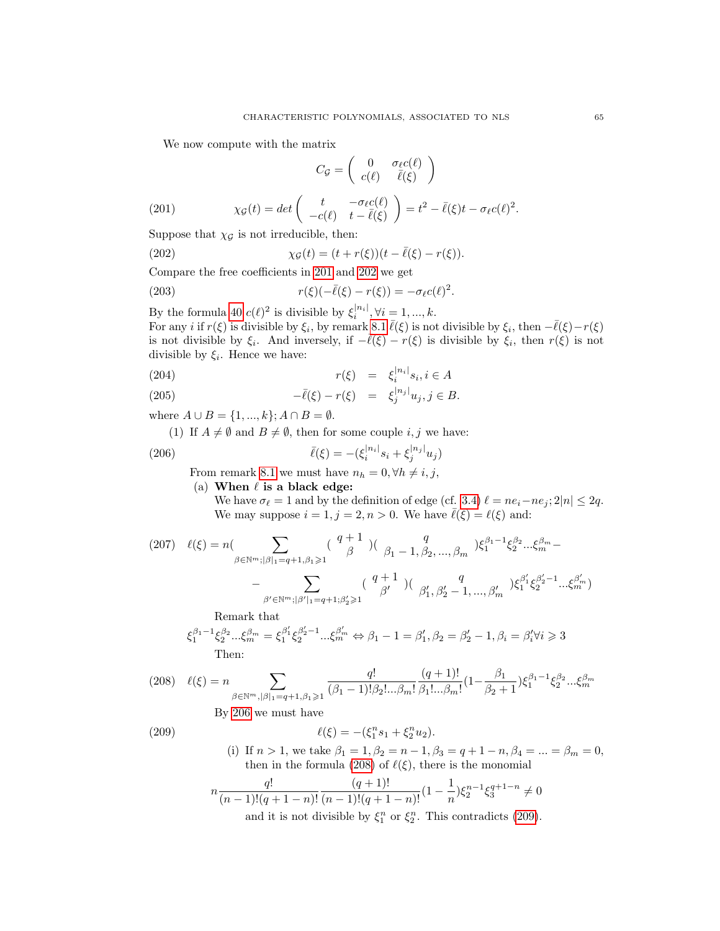We now compute with the matrix

<span id="page-65-5"></span><span id="page-65-1"></span>
$$
C_{\mathcal{G}} = \left( \begin{array}{cc} 0 & \sigma_{\ell} c(\ell) \\ c(\ell) & \bar{\ell}(\xi) \end{array} \right)
$$

<span id="page-65-0"></span>(201) 
$$
\chi_{\mathcal{G}}(t) = det \begin{pmatrix} t & -\sigma_{\ell} c(\ell) \\ -c(\ell) & t - \bar{\ell}(\xi) \end{pmatrix} = t^2 - \bar{\ell}(\xi)t - \sigma_{\ell} c(\ell)^2.
$$

Suppose that  $\chi_{\mathcal{G}}$  is not irreducible, then:

(202) 
$$
\chi_{\mathcal{G}}(t) = (t + r(\xi))(t - \bar{\ell}(\xi) - r(\xi)).
$$

Compare the free coefficients in [201](#page-65-0) and [202](#page-65-1) we get

(203) 
$$
r(\xi)(-\overline{\ell}(\xi)-r(\xi))=-\sigma_{\ell}c(\ell)^2.
$$

By the formula [40](#page-13-0)  $c(\ell)^2$  is divisible by  $\xi_i^{|n_i|}, \forall i = 1, ..., k$ . For any *i* if  $r(\xi)$  is divisible by  $\xi_i$ , by remark [8.1](#page-64-0)  $\bar{\ell}(\xi)$  is not divisible by  $\xi_i$ , then  $-\bar{\ell}(\xi)-r(\xi)$ is not divisible by  $\xi_i$ . And inversely, if  $-\overline{\ell}(\xi) - r(\xi)$  is divisible by  $\xi_i$ , then  $r(\xi)$  is not divisible by  $\xi_i$ . Hence we have:

$$
r(\xi) = \xi_i^{|n_i|} s_i, i \in A
$$

(205) 
$$
-\overline{\ell}(\xi) - r(\xi) = \xi_j^{|n_j|} u_j, j \in B.
$$

where  $A \cup B = \{1, ..., k\}$ ;  $A \cap B = \emptyset$ .

(1) If  $A \neq \emptyset$  and  $B \neq \emptyset$ , then for some couple i, j we have:

(206) 
$$
\bar{\ell}(\xi) = -(\xi_i^{|n_i|} s_i + \xi_j^{|n_j|} u_j)
$$

From remark [8.1](#page-64-0) we must have  $n_h = 0, \forall h \neq i, j$ ,

(a) When  $\ell$  is a black edge:

<span id="page-65-2"></span>We have  $\sigma_{\ell} = 1$  and by the definition of edge (cf. [3.4\)](#page-14-0)  $\ell = ne_i-ne_j; 2|n| \leq 2q$ . We may suppose  $i = 1, j = 2, n > 0$ . We have  $\bar{\ell}(\xi) = \ell(\xi)$  and:

(207) 
$$
\ell(\xi) = n \left( \sum_{\beta \in \mathbb{N}^m; |\beta|_1 = q+1, \beta_1 \geqslant 1} \left( \begin{array}{c} q+1 \\ \beta \end{array} \right) \left( \begin{array}{c} q \\ \beta_1 - 1, \beta_2, ..., \beta_m \end{array} \right) \xi_1^{\beta_1 - 1} \xi_2^{\beta_2} ... \xi_m^{\beta_m} - \right. \\ - \sum_{\beta' \in \mathbb{N}^m; |\beta'|_1 = q+1; \beta'_2 \geqslant 1} \left( \begin{array}{c} q+1 \\ \beta' \end{array} \right) \left( \begin{array}{c} q \\ \beta'_1, \beta'_2 - 1, ..., \beta'_m \end{array} \right) \xi_1^{\beta'_1} \xi_2^{\beta'_2 - 1} ... \xi_m^{\beta'_m}
$$

Remark that

$$
\xi_1^{\beta_1 - 1} \xi_2^{\beta_2} ... \xi_m^{\beta_m} = \xi_1^{\beta'_1} \xi_2^{\beta'_2 - 1} ... \xi_m^{\beta'_m} \Leftrightarrow \beta_1 - 1 = \beta'_1, \beta_2 = \beta'_2 - 1, \beta_i = \beta'_i \forall i \ge 3
$$
  
Then:

<span id="page-65-3"></span>
$$
(208)\quad \ell(\xi) = n \sum_{\beta \in \mathbb{N}^m, |\beta|_1 = q+1, \beta_1 \geqslant 1} \frac{q!}{(\beta_1 - 1)!\beta_2!...\beta_m!} \frac{(q+1)!}{\beta_1!...\beta_m!} (1 - \frac{\beta_1}{\beta_2 + 1}) \xi_1^{\beta_1 - 1} \xi_2^{\beta_2}...\xi_m^{\beta_m}
$$

By [206](#page-65-2) we must have

$$
(209)
$$

(209) 
$$
\ell(\xi) = -(\xi_1^n s_1 + \xi_2^n u_2).
$$

<span id="page-65-4"></span>(i) If  $n > 1$ , we take  $\beta_1 = 1, \beta_2 = n - 1, \beta_3 = q + 1 - n, \beta_4 = ... = \beta_m = 0$ , then in the formula [\(208\)](#page-65-3) of  $\ell(\xi)$ , there is the monomial

$$
n \frac{q!}{(n-1)!(q+1-n)!} \frac{(q+1)!}{(n-1)!(q+1-n)!} (1 - \frac{1}{n}) \xi_2^{n-1} \xi_3^{q+1-n} \neq 0
$$
  
and it is not divisible by  $\xi_1^n$  or  $\xi_2^n$ . This contradicts (209).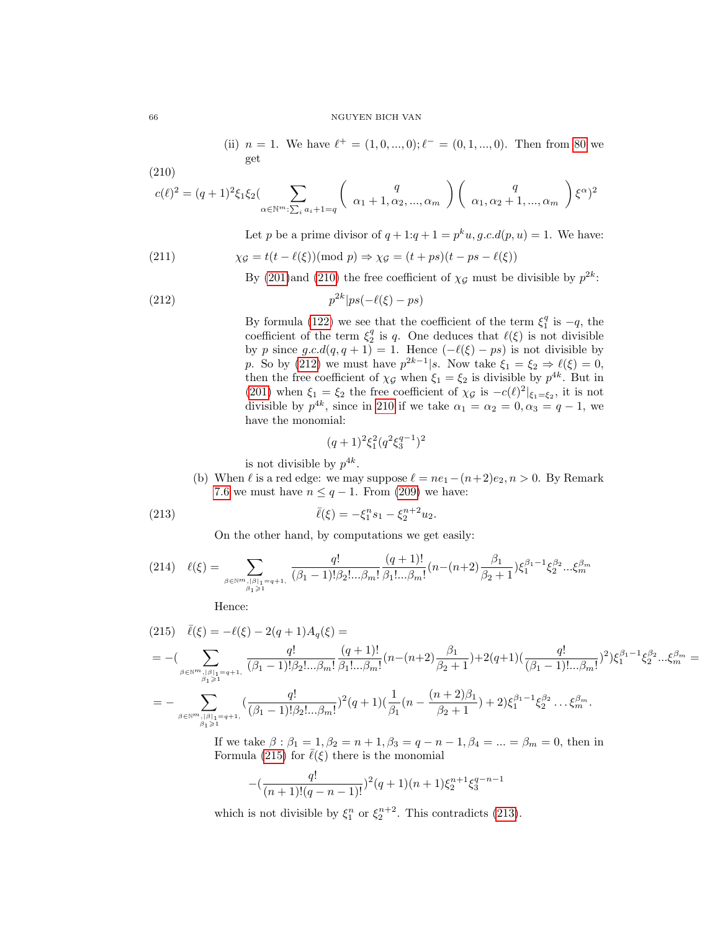(ii)  $n = 1$ . We have  $\ell^+ = (1, 0, ..., 0); \ell^- = (0, 1, ..., 0)$ . Then from [80](#page-23-0) we get

$$
(210)
$$

<span id="page-66-0"></span>
$$
c(\ell)^{2} = (q+1)^{2} \xi_{1} \xi_{2} \Big( \sum_{\alpha \in \mathbb{N}^{m}: \sum_{i} a_{i}+1=q} \begin{pmatrix} q \\ \alpha_{1}+1, \alpha_{2}, ..., \alpha_{m} \end{pmatrix} \begin{pmatrix} q \\ \alpha_{1}, \alpha_{2}+1, ..., \alpha_{m} \end{pmatrix} \xi^{\alpha} \xi^{2}
$$

Let p be a prime divisor of  $q+1:q+1=p^ku, g.c.d(p, u)=1$ . We have:

(211) 
$$
\chi_{\mathcal{G}} = t(t - \ell(\xi)) (\text{mod } p) \Rightarrow \chi_{\mathcal{G}} = (t + ps)(t - ps - \ell(\xi))
$$

<span id="page-66-1"></span>By [\(201\)](#page-65-0)and [\(210\)](#page-66-0) the free coefficient of  $\chi_{\mathcal{G}}$  must be divisible by  $p^{2k}$ :

$$
(212)\t\t\t\t\t\t p^{2k}|ps(-\ell(\xi)-ps)
$$

By formula [\(122\)](#page-34-0) we see that the coefficient of the term  $\xi_1^q$  is  $-q$ , the coefficient of the term  $\xi_2^q$  is q. One deduces that  $\ell(\xi)$  is not divisible by p since  $g.c.d(q, q + 1) = 1$ . Hence  $(-\ell(\xi) - ps)$  is not divisible by p. So by [\(212\)](#page-66-1) we must have  $p^{2k-1}|s$ . Now take  $\xi_1 = \xi_2 \Rightarrow \ell(\xi) = 0$ , then the free coefficient of  $\chi_{\mathcal{G}}$  when  $\xi_1 = \xi_2$  is divisible by  $p^{4k}$ . But in [\(201\)](#page-65-0) when  $\xi_1 = \xi_2$  the free coefficient of  $\chi_{\mathcal{G}}$  is  $-c(\ell)^2|_{\xi_1=\xi_2}$ , it is not divisible by  $p^{4k}$ , since in [210](#page-66-0) if we take  $\alpha_1 = \alpha_2 = 0, \alpha_3 = q - 1$ , we have the monomial:

<span id="page-66-3"></span>
$$
(q+1)^2 \xi_1^2 (q^2 \xi_3^{q-1})^2
$$

is not divisible by  $p^{4k}$ .

(b) When  $\ell$  is a red edge: we may suppose  $\ell = ne_1-(n+2)e_2, n > 0$ . By Remark [7.6](#page-63-6) we must have  $n \leq q-1$ . From [\(209\)](#page-65-4) we have:

(213) 
$$
\bar{\ell}(\xi) = -\xi_1^n s_1 - \xi_2^{n+2} u_2.
$$

On the other hand, by computations we get easily:

$$
(214) \quad \ell(\xi) = \sum_{\beta \in \mathbb{N}^m, |\beta|_1 = q+1, \atop \beta_1 \ge 1} \frac{q!}{(\beta_1 - 1)!\beta_2!...\beta_m!} \frac{(q+1)!}{\beta_1!...\beta_m!} (n - (n+2) \frac{\beta_1}{\beta_2 + 1}) \xi_1^{\beta_1 - 1} \xi_2^{\beta_2}...\xi_m^{\beta_m}
$$

Hence:

<span id="page-66-2"></span>
$$
\begin{split} &\text{(215)} \quad \bar{\ell}(\xi) = -\ell(\xi) - 2(q+1)A_q(\xi) = \\ & = -(\sum_{\beta \in \mathbb{N}^m, |\beta|_1 = q+1, \atop \beta_1 \geqslant 1} \frac{q!}{(\beta_1-1)!\beta_2!...\beta_m!} \frac{(q+1)!}{\beta_1!...\beta_m!} (n-(n+2)\frac{\beta_1}{\beta_2+1}) + 2(q+1) (\frac{q!}{(\beta_1-1)!\dots\beta_m!})^2) \xi_1^{\beta_1-1} \xi_2^{\beta_2}...\xi_m^{\beta_m} = \\ & = - \sum_{\beta \in \mathbb{N}^m, |\beta|_1 = q+1, \atop \beta_1 \geqslant 1} (\frac{q!}{(\beta_1-1)!\beta_2!...\beta_m!})^2 (q+1) (\frac{1}{\beta_1} (n-\frac{(n+2)\beta_1}{\beta_2+1}) + 2) \xi_1^{\beta_1-1} \xi_2^{\beta_2} \dots \xi_m^{\beta_m}. \end{split}
$$

If we take  $\beta : \beta_1 = 1, \beta_2 = n + 1, \beta_3 = q - n - 1, \beta_4 = ... = \beta_m = 0$ , then in Formula [\(215\)](#page-66-2) for  $\bar{\ell}(\xi)$  there is the monomial

$$
-(\frac{q!}{(n+1)!(q-n-1)!})^2(q+1)(n+1)\xi_2^{n+1}\xi_3^{q-n-1}
$$

which is not divisible by  $\xi_1^n$  or  $\xi_2^{n+2}$ . This contradicts [\(213\)](#page-66-3).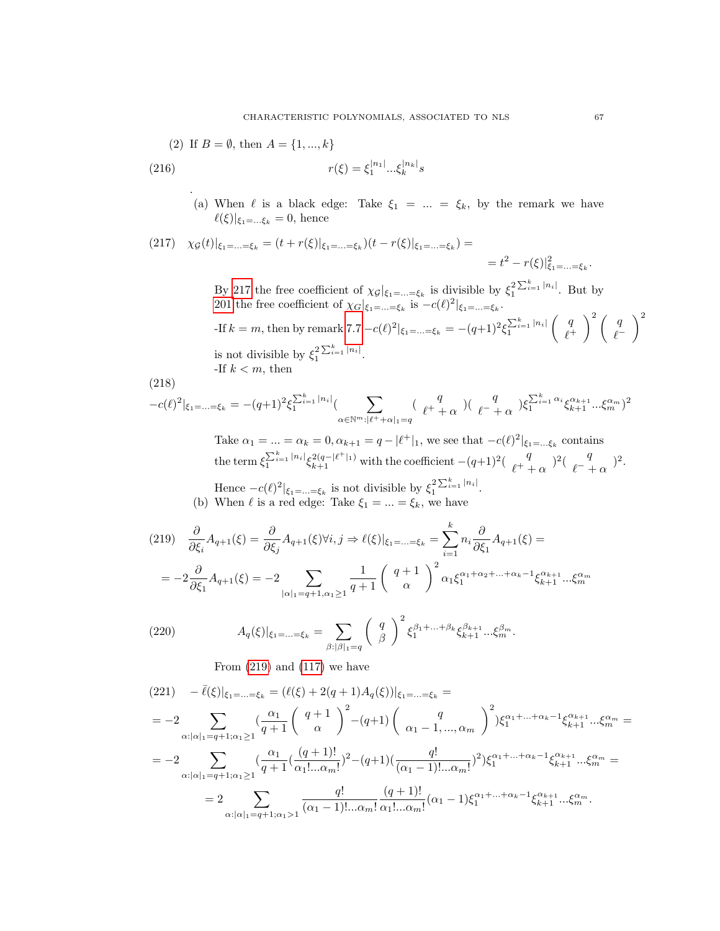(2) If 
$$
B = \emptyset
$$
, then  $A = \{1, ..., k\}$   
\n(216) 
$$
r(\xi) = \xi_1^{|n_1|} ... \xi_k^{|n_k|} s
$$

(a) When  $\ell$  is a black edge: Take  $\xi_1 = ... = \xi_k$ , by the remark we have  $\ell(\xi)|_{\xi_1=\ldots\xi_k} = 0$ , hence

<span id="page-67-0"></span>
$$
(217) \quad \chi_{\mathcal{G}}(t)|_{\xi_1=\ldots=\xi_k} = (t+r(\xi)|_{\xi_1=\ldots=\xi_k})(t-r(\xi)|_{\xi_1=\ldots=\xi_k}) =
$$
  
=  $t^2 - r(\xi)|_{\xi_1=\ldots=\xi_k}^2$ 

By [217](#page-67-0) the free coefficient of  $\chi_{\mathcal{G}}|_{\xi_1=\ldots=\xi_k}$  is divisible by  $\xi_1^{2\sum_{i=1}^k |n_i|}$ . But by [201](#page-65-0) the free coefficient of  $\chi_G|_{\xi_1=\ldots=\xi_k}$  is  $-c(\ell)^2|_{\xi_1=\ldots=\xi_k}$ .

-If  $k = m$ , then by remark [7.7](#page-63-7)  $-c(\ell)^2 |_{\xi_1 = ... = \xi_k} = -(q+1)^2 \xi_1^{\sum_{i=1}^k |n_i|}$  $\int q$  $\ell^+$  $\lambda^2$  ( q  $\ell^ \setminus^2$ is not divisible by  $\xi_1^{2\sum_{i=1}^k |n_i|}$ .  $_{\rm hen}$ 

$$
-{\rm If}\ k
$$

<span id="page-67-2"></span>.

(218)

$$
-c(\ell)^2|_{\xi_1=\ldots=\xi_k} = -(q+1)^2 \xi_1^{\sum_{i=1}^k |n_i|} \left(\sum_{\alpha \in \mathbb{N}^m : |\ell^+ + \alpha|_1 = q} \left(\begin{array}{cc} q \\ \ell^+ + \alpha \end{array}\right) \left(\begin{array}{cc} q \\ \ell^- + \alpha \end{array}\right) \xi_1^{\sum_{i=1}^k \alpha_i} \xi_{k+1}^{\alpha_{k+1}} \ldots \xi_m^{\alpha_m} \right)^2
$$

Take  $\alpha_1 = ... = \alpha_k = 0, \alpha_{k+1} = q - |\ell^+|_1$ , we see that  $-c(\ell)^2|_{\xi_1 = ... \xi_k}$  contains the term  $\xi_1^{\sum_{i=1}^k |n_i|} \xi_{k+1}^{2(q-|\ell^+|_1)}$  with the coefficient  $-(q+1)^2(\begin{array}{c}q\\ \ell^+ \end{array})$  $(\ell^+ + \alpha)^2 (\ell^- +$  $\ell^{-\frac{q}{2}} \alpha$ <sup>2</sup>.

Hence  $-c(\ell)^2|_{\xi_1=\ldots=\xi_k}$  is not divisible by  $\xi_1^2^{\sum_{i=1}^k |n_i|}$ . (b) When  $\ell$  is a red edge: Take  $\xi_1 = ... = \xi_k$ , we have

<span id="page-67-1"></span>
$$
(219) \quad \frac{\partial}{\partial \xi_i} A_{q+1}(\xi) = \frac{\partial}{\partial \xi_j} A_{q+1}(\xi) \forall i, j \Rightarrow \ell(\xi)|_{\xi_1 = \dots = \xi_k} = \sum_{i=1}^k n_i \frac{\partial}{\partial \xi_1} A_{q+1}(\xi) =
$$
\n
$$
= -2 \frac{\partial}{\partial \xi_1} A_{q+1}(\xi) = -2 \sum_{|\alpha|_1 = q+1, \alpha_1 \ge 1} \frac{1}{q+1} \left( \begin{array}{c} q+1 \\ \alpha \end{array} \right)^2 \alpha_1 \xi_1^{\alpha_1 + \alpha_2 + \dots + \alpha_k - 1} \xi_{k+1}^{\alpha_{k+1}} \dots \xi_m^{\alpha_m}
$$

(220) 
$$
A_q(\xi)|_{\xi_1=\ldots=\xi_k} = \sum_{\beta:|\beta|_1=q} \left(\begin{array}{c} q \\ \beta \end{array}\right)^2 \xi_1^{\beta_1+\ldots+\beta_k} \xi_{k+1}^{\beta_{k+1}} \ldots \xi_m^{\beta_m}.
$$

From  $(219)$  and  $(117)$  we have

$$
(221) \quad -\bar{\ell}(\xi)|_{\xi_1=\ldots=\xi_k} = (\ell(\xi) + 2(q+1)A_q(\xi))|_{\xi_1=\ldots=\xi_k} =
$$
\n
$$
= -2 \sum_{\alpha:|\alpha|_1=q+1;\alpha_1\geq 1} \left(\frac{\alpha_1}{q+1}\binom{q+1}{\alpha}^2 - (q+1)\binom{q}{\alpha_1-1,\ldots,\alpha_m}^2\right)^2 \xi_1^{\alpha_1+\ldots+\alpha_k-1} \xi_{k+1}^{\alpha_{k+1}}\ldots \xi_m^{\alpha_m} =
$$
\n
$$
= -2 \sum_{\alpha:|\alpha|_1=q+1;\alpha_1\geq 1} \left(\frac{\alpha_1}{q+1}\left(\frac{(q+1)!}{\alpha_1!\ldots\alpha_m!}\right)^2 - (q+1)\left(\frac{q!}{(\alpha_1-1)!\ldots\alpha_m!}\right)^2\right) \xi_1^{\alpha_1+\ldots+\alpha_k-1} \xi_{k+1}^{\alpha_{k+1}}\ldots \xi_m^{\alpha_m} =
$$
\n
$$
= 2 \sum_{\alpha:|\alpha|_1=q+1;\alpha_1\geq 1} \frac{q!}{(\alpha_1-1)!\ldots\alpha_m!} \frac{(q+1)!}{\alpha_1!\ldots\alpha_m!} (\alpha_1-1) \xi_1^{\alpha_1+\ldots+\alpha_k-1} \xi_{k+1}^{\alpha_{k+1}}\ldots \xi_m^{\alpha_m}.
$$

.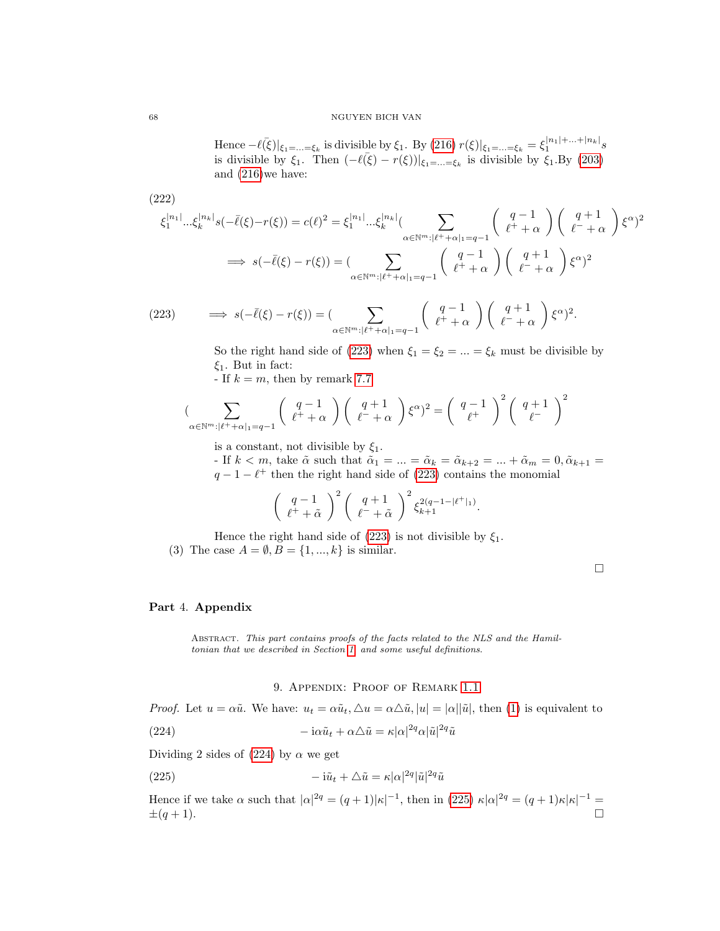Hence  $-\ell(\bar{\xi})|_{\xi_1=\ldots=\xi_k}$  is divisible by  $\xi_1$ . By [\(216\)](#page-67-2)  $r(\xi)|_{\xi_1=\ldots=\xi_k} = \xi_1^{|n_1|+\ldots+|n_k|} s$ is divisible by  $\xi_1$ . Then  $(-\ell(\bar{\xi}) - r(\xi))|_{\xi_1 = ... = \xi_k}$  is divisible by  $\xi_1$ . By [\(203\)](#page-65-5) and [\(216\)](#page-67-2)we have:

(222)  
\n
$$
\xi_1^{|n_1|} \dots \xi_k^{|n_k|} s(-\bar{\ell}(\xi) - r(\xi)) = c(\ell)^2 = \xi_1^{|n_1|} \dots \xi_k^{|n_k|} \left( \sum_{\alpha \in \mathbb{N}^m : |\ell^+ + \alpha|_1 = q - 1} \binom{q - 1}{\ell^+ + \alpha} \binom{q + 1}{\ell^- + \alpha} \xi^{\alpha} \right)^2
$$
\n
$$
\implies s(-\bar{\ell}(\xi) - r(\xi)) = \left( \sum_{\alpha \in \mathbb{N}^m : |\ell^+ + \alpha|_1 = q - 1} \binom{q - 1}{\ell^+ + \alpha} \binom{q + 1}{\ell^- + \alpha} \xi^{\alpha} \right)^2
$$
\n(223) 
$$
\implies s(-\bar{\ell}(\xi) - r(\xi)) = \left( \sum_{\alpha \in \mathbb{N}^m : |\ell^+ + \alpha|_1 = q - 1} \binom{q - 1}{\ell^+ + \alpha} \binom{q + 1}{\ell^- + \alpha} \xi^{\alpha} \right)^2.
$$

(223) 
$$
\implies s(-\bar{\ell}(\xi) - r(\xi)) = \left(\sum_{\alpha \in \mathbb{N}^m : |\ell^+ + \alpha|_1 = q-1} \left(\begin{array}{c} q-1 \\ \ell^+ + \alpha \end{array}\right) \left(\begin{array}{c} q+1 \\ \ell^- + \alpha \end{array}\right) \xi^{\alpha}\right)^2
$$

<span id="page-68-0"></span>So the right hand side of [\(223\)](#page-68-0) when  $\xi_1 = \xi_2 = ... = \xi_k$  must be divisible by  $\xi_1$ . But in fact:

- If  $k = m$ , then by remark [7.7](#page-63-7)

$$
\left(\sum_{\alpha \in \mathbb{N}^m : |\ell^+ + \alpha|_1 = q-1} \left( \begin{array}{c} q-1 \\ \ell^+ + \alpha \end{array} \right) \left( \begin{array}{c} q+1 \\ \ell^- + \alpha \end{array} \right) \xi^{\alpha} \right)^2 = \left( \begin{array}{c} q-1 \\ \ell^+ \end{array} \right)^2 \left( \begin{array}{c} q+1 \\ \ell^- \end{array} \right)^2
$$

is a constant, not divisible by  $\xi_1$ .

- If  $k < m$ , take  $\tilde{\alpha}$  such that  $\tilde{\alpha}_1 = \ldots = \tilde{\alpha}_k = \tilde{\alpha}_{k+2} = \ldots + \tilde{\alpha}_m = 0, \tilde{\alpha}_{k+1} =$  $q - 1 - \ell^+$  then the right hand side of [\(223\)](#page-68-0) contains the monomial

$$
\left(\begin{array}{c} q-1\\ \ell^+ + \tilde{\alpha} \end{array}\right)^2 \left(\begin{array}{c} q+1\\ \ell^- + \tilde{\alpha} \end{array}\right)^2 \xi_{k+1}^{2(q-1-|\ell^+|_1)}.
$$

Hence the right hand side of [\(223\)](#page-68-0) is not divisible by  $\xi_1$ .

(3) The case  $A = \emptyset, B = \{1, ..., k\}$  is similar.

 $\Box$ 

#### Part 4. Appendix

Abstract. This part contains proofs of the facts related to the NLS and the Hamiltonian that we described in Section [1,](#page-2-1) and some useful definitions.

#### <span id="page-68-2"></span><span id="page-68-1"></span>9. Appendix: Proof of Remark [1.1](#page-2-2)

*Proof.* Let  $u = \alpha \tilde{u}$ . We have:  $u_t = \alpha \tilde{u}_t$ ,  $\Delta u = \alpha \Delta \tilde{u}$ ,  $|u| = |\alpha||\tilde{u}|$ , then [\(1\)](#page-2-0) is equivalent to

(224) 
$$
-i\alpha \tilde{u}_t + \alpha \triangle \tilde{u} = \kappa |\alpha|^{2q} \alpha |\tilde{u}|^{2q} \tilde{u}
$$

Dividing 2 sides of [\(224\)](#page-68-1) by  $\alpha$  we get

(225) 
$$
-i\tilde{u}_t + \Delta \tilde{u} = \kappa |\alpha|^{2q} |\tilde{u}|^{2q} \tilde{u}
$$

Hence if we take  $\alpha$  such that  $|\alpha|^{\frac{2q}{q}} = (q+1)|\kappa|^{-1}$ , then in [\(225\)](#page-68-2)  $\kappa |\alpha|^{\frac{2q}{q}} = (q+1)\kappa |\kappa|^{-1} =$  $\pm(q+1)$ .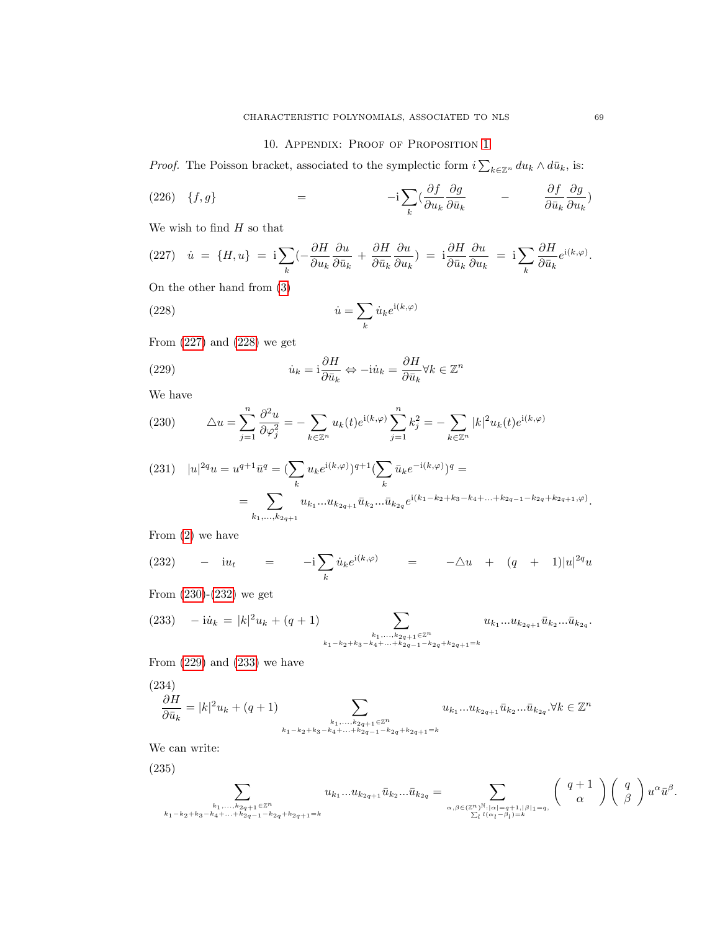## <span id="page-69-1"></span>10. APPENDIX: PROOF OF PROPOSITION [1](#page-2-3)

*Proof.* The Poisson bracket, associated to the symplectic form  $i \sum_{k \in \mathbb{Z}^n} du_k \wedge d\bar{u}_k$ , is:

(226) 
$$
\{f,g\}
$$
 =  $-{\rm i}\sum_{k} \left(\frac{\partial f}{\partial u_k}\frac{\partial g}{\partial \bar{u}_k}\right) - \frac{\partial f}{\partial \bar{u}_k}\frac{\partial g}{\partial u_k}$ 

We wish to find  $H$  so that

<span id="page-69-0"></span>(227) 
$$
\dot{u} = \{H, u\} = \mathbf{i} \sum_{k} \left( -\frac{\partial H}{\partial u_k} \frac{\partial u}{\partial \bar{u}_k} + \frac{\partial H}{\partial \bar{u}_k} \frac{\partial u}{\partial u_k} \right) = \mathbf{i} \frac{\partial H}{\partial \bar{u}_k} \frac{\partial u}{\partial u_k} = \mathbf{i} \sum_{k} \frac{\partial H}{\partial \bar{u}_k} e^{\mathbf{i}(k, \varphi)}.
$$

On the other hand from [\(3\)](#page-2-4)

(228) 
$$
\dot{u} = \sum_{k} \dot{u}_k e^{i(k,\varphi)}
$$

From [\(227\)](#page-69-0) and [\(228\)](#page-69-1) we get

<span id="page-69-4"></span>(229) 
$$
\dot{u}_k = \mathbf{i}\frac{\partial H}{\partial \bar{u}_k} \Leftrightarrow -\mathbf{i}\dot{u}_k = \frac{\partial H}{\partial \bar{u}_k} \forall k \in \mathbb{Z}^n
$$

We have

<span id="page-69-2"></span>(230) 
$$
\Delta u = \sum_{j=1}^{n} \frac{\partial^2 u}{\partial \varphi_j^2} = -\sum_{k \in \mathbb{Z}^n} u_k(t) e^{i(k,\varphi)} \sum_{j=1}^{n} k_j^2 = -\sum_{k \in \mathbb{Z}^n} |k|^2 u_k(t) e^{i(k,\varphi)}
$$

$$
(231) \quad |u|^{2q}u = u^{q+1}\bar{u}^q = \left(\sum_k u_k e^{i(k,\varphi)}\right)^{q+1} \left(\sum_k \bar{u}_k e^{-i(k,\varphi)}\right)^q =
$$
\n
$$
= \sum_{k_1,\ldots,k_{2q+1}} u_{k_1}\ldots u_{k_{2q+1}}\bar{u}_{k_2}\ldots\bar{u}_{k_{2q}} e^{i(k_1-k_2+k_3-k_4+\ldots+k_{2q-1}-k_{2q}+k_{2q+1},\varphi)}.
$$

From [\(2\)](#page-2-5) we have

<span id="page-69-3"></span>(232) 
$$
- i u_t = -i \sum_k \dot{u}_k e^{i(k,\varphi)} = -\Delta u + (q + 1)|u|^{2q} u
$$

From [\(230\)](#page-69-2)-[\(232\)](#page-69-3) we get

<span id="page-69-5"></span>
$$
(233) \quad -\mathrm{i}\dot{u}_k = |k|^2 u_k + (q+1) \sum_{\substack{k_1,\ldots,k_{2q+1}\in\mathbb{Z}^n\\k_1-k_2+k_3-k_4+\ldots+k_{2q-1}-k_{2q}+k_{2q+1}=k}} u_{k_1}\ldots u_{k_{2q+1}}\bar{u}_{k_2}\ldots\bar{u}_{k_{2q}}.
$$

From  $(229)$  and  $(233)$  we have

<span id="page-69-6"></span>
$$
\frac{\partial H}{\partial \bar{u}_k} = |k|^2 u_k + (q+1) \sum_{\substack{k_1, \dots, k_{2q+1} \in \mathbb{Z}^n \\ k_1 - k_2 + k_3 - k_4 + \dots + k_{2q-1} - k_{2q} + k_{2q+1} = k}} u_{k_1} \dots u_{k_{2q+1}} \bar{u}_{k_2} \dots \bar{u}_{k_{2q}}. \forall k \in \mathbb{Z}^n
$$

We can write:

(235)

$$
\sum_{\substack{k_1,\ldots,k_{2q+1}\in\mathbb{Z}^n\\k_1-k_2+k_3-k_4+\ldots+k_{2q-1}-k_{2q}+k_{2q+1}=k}}u_{k_1}\ldots u_{k_{2q+1}}\bar u_{k_2}\ldots\bar u_{k_{2q}}=\sum_{\substack{\alpha,\beta\in(\mathbb{Z}^n)^{\mathbb{N}}:\vert\alpha\vert=q+1,\vert\beta\vert_1=q,\\ \sum_l l(\alpha_l-\beta_l)=k}}\left(\begin{array}{c}q+1\\ \alpha\end{array}\right)\left(\begin{array}{c}q\\ \beta\end{array}\right)u^\alpha\bar u^\beta.
$$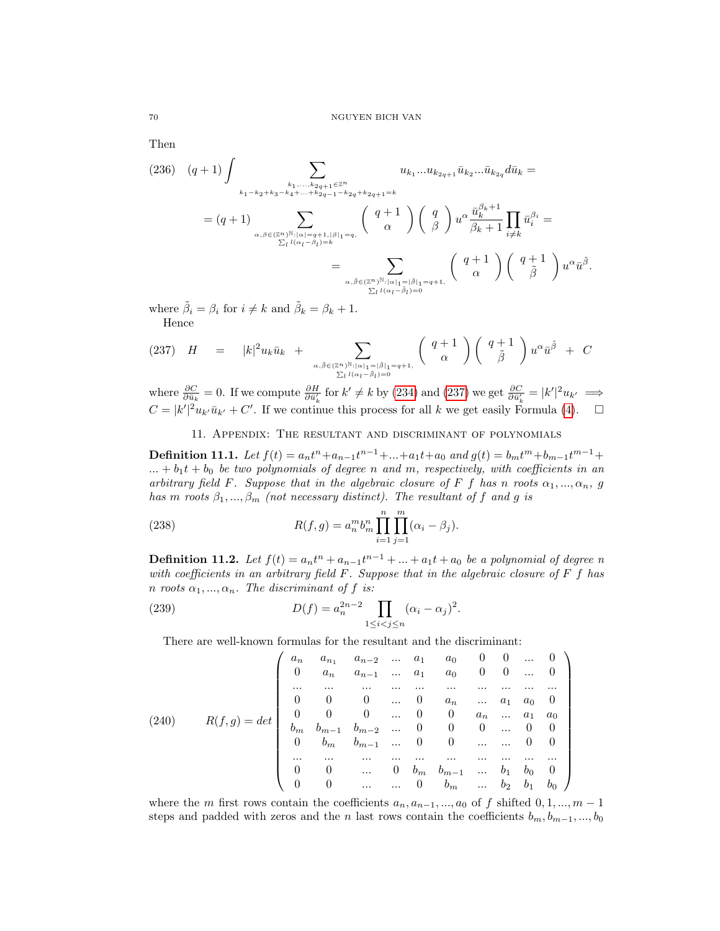Then

$$
(236) (q+1) \int \sum_{\substack{k_1,\ldots,k_{2q+1}\in\mathbb{Z}^n \\ \sum_{\alpha,\beta\in(\mathbb{Z}^n)^{\mathbb{N}}:\,|\alpha|=q+1,|\beta|=q,\\\sum_{\alpha,\beta\in(\mathbb{Z}^n)^{\mathbb{N}}:\,|\alpha|=q+1,|\beta|=q,\\\sum_{\alpha,\beta\in(\mathbb{Z}^n)^{\mathbb{N}}:\,|\alpha|=q+1,|\beta|=q}} \binom{q+1}{\alpha} \binom{q}{\beta} u^{\alpha} \frac{\bar{u}_k^{\beta_k+1}}{\beta_k+1} \prod_{i\neq k} \bar{u}_i^{\beta_i} =
$$
\n
$$
= \sum_{\substack{\alpha,\beta\in(\mathbb{Z}^n)^{\mathbb{N}}:\,|\alpha|_1=|\beta|_1=q+1,\\\sum_{\alpha,\beta\in(\mathbb{Z}^n)^{\mathbb{N}}:\,|\alpha|_1=|\beta|_1=q+1,\\\sum_{\alpha,\beta\in(\mathbb{Z}^n)^{\mathbb{N}}:\,|\alpha|_1=|\beta|_1=q+1,\\\sum_{\alpha,\beta\in(\mathbb{Z}^n)^{\mathbb{N}}:\,|\alpha|_1=\beta|_1=0}} \binom{q+1}{\alpha} \binom{q+1}{\tilde{\beta}} u^{\alpha} \bar{u}^{\tilde{\beta}}
$$

.

where  $\tilde{\beta}_i = \beta_i$  for  $i \neq k$  and  $\tilde{\beta}_k = \beta_k + 1$ . Hence

<span id="page-70-0"></span>
$$
(237) \quad H = |k|^2 u_k \bar{u}_k + \sum_{\alpha, \tilde{\beta} \in (Z^n)^{\mathbb{N}} : |\alpha|_1 = |\tilde{\beta}|_1 = q+1, \atop \sum_l l(\alpha_l - \tilde{\beta}_l) = 0} \left( \begin{array}{c} q+1 \\ \alpha \end{array} \right) \left( \begin{array}{c} q+1 \\ \tilde{\beta} \end{array} \right) u^{\alpha} \bar{u}^{\tilde{\beta}} + C
$$

where  $\frac{\partial C}{\partial \bar{u}_k} = 0$ . If we compute  $\frac{\partial H}{\partial \bar{u}'_k}$  for  $k' \neq k$  by [\(234\)](#page-69-6) and [\(237\)](#page-70-0) we get  $\frac{\partial C}{\partial \bar{u}'_k} = |k'|^2 u_{k'} \implies$  $C = |k'|^2 u_{k'} \bar{u}_{k'} + C'$ . If we continue this process for all k we get easily Formula [\(4\)](#page-3-0).  $\square$ 

### 11. Appendix: The resultant and discriminant of polynomials

**Definition 11.1.** Let  $f(t) = a_n t^n + a_{n-1}t^{n-1} + ... + a_1t + a_0$  and  $g(t) = b_m t^m + b_{m-1}t^{m-1} + ...$  $... + b_1t + b_0$  be two polynomials of degree n and m, respectively, with coefficients in an arbitrary field F. Suppose that in the algebraic closure of F f has n roots  $\alpha_1, ..., \alpha_n, g$ has m roots  $\beta_1, ..., \beta_m$  (not necessary distinct). The resultant of f and g is

(238) 
$$
R(f,g) = a_n^m b_m^n \prod_{i=1}^n \prod_{j=1}^m (\alpha_i - \beta_j).
$$

**Definition 11.2.** Let  $f(t) = a_n t^n + a_{n-1} t^{n-1} + ... + a_1 t + a_0$  be a polynomial of degree n with coefficients in an arbitrary field  $F$ . Suppose that in the algebraic closure of  $F f$  has n roots  $\alpha_1, ..., \alpha_n$ . The discriminant of f is:

(239) 
$$
D(f) = a_n^{2n-2} \prod_{1 \le i < j \le n} (\alpha_i - \alpha_j)^2.
$$

There are well-known formulas for the resultant and the discriminant:

$$
(240) \quad R(f,g) = det \begin{pmatrix} a_n & a_{n-1} & a_{n-2} & \dots & a_1 & a_0 & 0 & 0 & \dots & 0 \\ 0 & a_n & a_{n-1} & \dots & a_1 & a_0 & 0 & 0 & \dots & 0 \\ \dots & \dots & \dots & \dots & \dots & \dots & \dots & \dots & \dots & \dots \\ 0 & 0 & 0 & \dots & 0 & a_n & \dots & a_1 & a_0 & 0 \\ 0 & 0 & 0 & \dots & 0 & 0 & a_n & \dots & a_1 & a_0 \\ b_m & b_{m-1} & b_{m-2} & \dots & 0 & 0 & 0 & \dots & 0 & 0 \\ 0 & b_m & b_{m-1} & \dots & 0 & 0 & \dots & \dots & 0 & 0 \\ \dots & \dots & \dots & \dots & \dots & \dots & \dots & \dots & \dots & \dots & \dots \\ 0 & 0 & \dots & 0 & b_m & b_{m-1} & \dots & b_1 & b_0 & 0 \\ 0 & 0 & \dots & \dots & 0 & b_m & \dots & b_2 & b_1 & b_0 \end{pmatrix}
$$

where the m first rows contain the coefficients  $a_n, a_{n-1}, ..., a_0$  of f shifted  $0, 1, ..., m-1$ steps and padded with zeros and the n last rows contain the coefficients  $b_m, b_{m-1}, ..., b_0$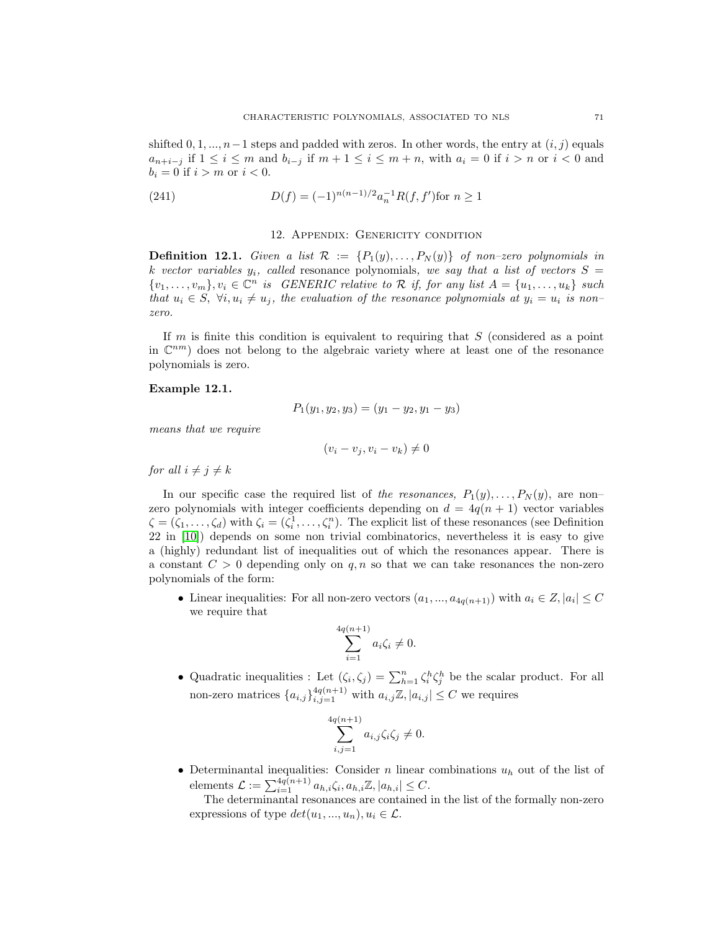shifted  $0, 1, ..., n-1$  steps and padded with zeros. In other words, the entry at  $(i, j)$  equals  $a_{n+i-j}$  if  $1 \leq i \leq m$  and  $b_{i-j}$  if  $m+1 \leq i \leq m+n$ , with  $a_i = 0$  if  $i > n$  or  $i < 0$  and  $b_i = 0$  if  $i > m$  or  $i < 0$ .

(241) 
$$
D(f) = (-1)^{n(n-1)/2} a_n^{-1} R(f, f') \text{for } n \ge 1
$$

#### 12. Appendix: Genericity condition

**Definition 12.1.** Given a list  $\mathcal{R} := \{P_1(y), \ldots, P_N(y)\}\$  of non-zero polynomials in k vector variables  $y_i$ , called resonance polynomials, we say that a list of vectors  $S =$  $\{v_1,\ldots,v_m\}, v_i \in \mathbb{C}^n$  is GENERIC relative to R if, for any list  $A = \{u_1,\ldots,u_k\}$  such that  $u_i \in S$ ,  $\forall i, u_i \neq u_j$ , the evaluation of the resonance polynomials at  $y_i = u_i$  is nonzero.

If  $m$  is finite this condition is equivalent to requiring that  $S$  (considered as a point in  $\mathbb{C}^{nm}$ ) does not belong to the algebraic variety where at least one of the resonance polynomials is zero.

### Example 12.1.

$$
P_1(y_1, y_2, y_3) = (y_1 - y_2, y_1 - y_3)
$$

means that we require

$$
(v_i - v_j, v_i - v_k) \neq 0
$$

for all  $i \neq j \neq k$ 

In our specific case the required list of the resonances,  $P_1(y), \ldots, P_N(y)$ , are nonzero polynomials with integer coefficients depending on  $d = 4q(n + 1)$  vector variables  $\zeta = (\zeta_1, \ldots, \zeta_d)$  with  $\zeta_i = (\zeta_i^1, \ldots, \zeta_i^n)$ . The explicit list of these resonances (see Definition 22 in [\[10\]](#page-72-0)) depends on some non trivial combinatorics, nevertheless it is easy to give a (highly) redundant list of inequalities out of which the resonances appear. There is a constant  $C > 0$  depending only on q, n so that we can take resonances the non-zero polynomials of the form:

• Linear inequalities: For all non-zero vectors  $(a_1, ..., a_{4q(n+1)})$  with  $a_i \in Z, |a_i| \leq C$ we require that

$$
\sum_{i=1}^{q(n+1)} a_i \zeta_i \neq 0.
$$

 $\overline{4}$ 

• Quadratic inequalities : Let  $(\zeta_i, \zeta_j) = \sum_{h=1}^n \zeta_i^h \zeta_j^h$  be the scalar product. For all non-zero matrices  ${a_{i,j}}\}_{i,j=1}^{4q(n+1)}$  with  $a_{i,j}\mathbb{Z}, |a_{i,j}| \leq C$  we requires

$$
\sum_{i,j=1}^{4q(n+1)} a_{i,j} \zeta_i \zeta_j \neq 0.
$$

• Determinantal inequalities: Consider  $n$  linear combinations  $u_h$  out of the list of elements  $\mathcal{L} := \sum_{i=1}^{4q(n+1)} a_{h,i} \zeta_i, a_{h,i} \mathbb{Z}, |a_{h,i}| \leq C.$ 

The determinantal resonances are contained in the list of the formally non-zero expressions of type  $det(u_1, ..., u_n), u_i \in \mathcal{L}$ .